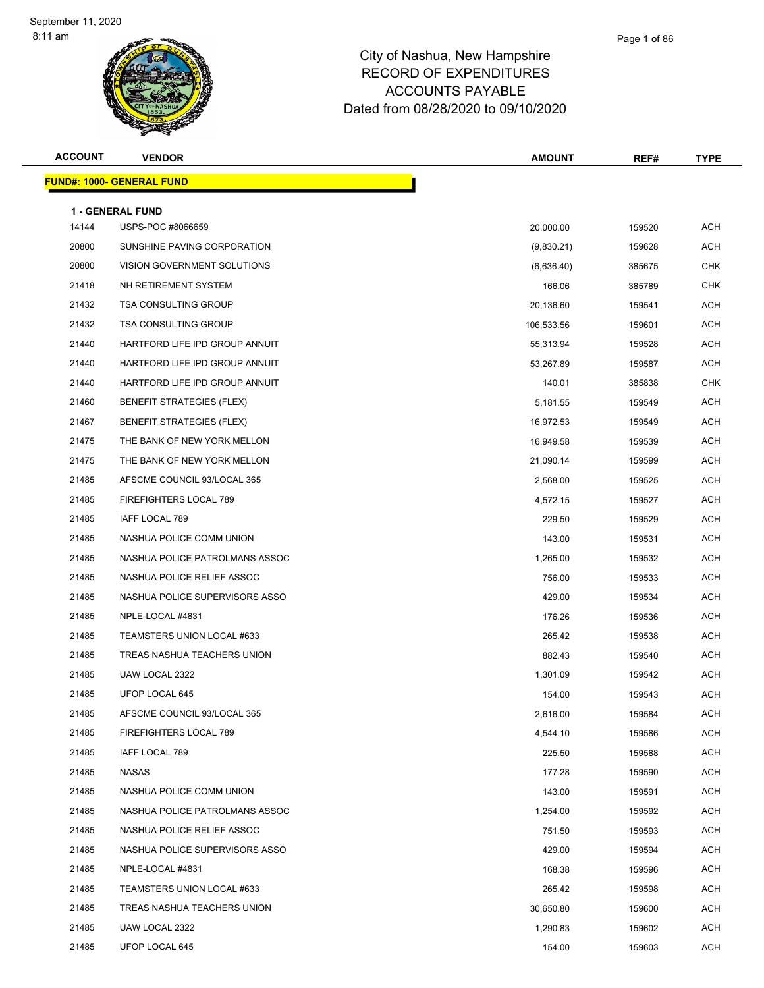| <b>ACCOUNT</b> | <b>VENDOR</b>                                | <b>AMOUNT</b> | REF#   | <b>TYPE</b> |
|----------------|----------------------------------------------|---------------|--------|-------------|
|                | <b>FUND#: 1000- GENERAL FUND</b>             |               |        |             |
|                |                                              |               |        |             |
| 14144          | <b>1 - GENERAL FUND</b><br>USPS-POC #8066659 | 20,000.00     | 159520 | <b>ACH</b>  |
| 20800          | SUNSHINE PAVING CORPORATION                  | (9,830.21)    | 159628 | ACH         |
| 20800          | VISION GOVERNMENT SOLUTIONS                  | (6,636.40)    | 385675 | CHK         |
| 21418          | NH RETIREMENT SYSTEM                         | 166.06        | 385789 | <b>CHK</b>  |
| 21432          | <b>TSA CONSULTING GROUP</b>                  | 20,136.60     | 159541 | ACH         |
| 21432          | <b>TSA CONSULTING GROUP</b>                  | 106,533.56    | 159601 | ACH         |
| 21440          | HARTFORD LIFE IPD GROUP ANNUIT               | 55,313.94     | 159528 | ACH         |
| 21440          | HARTFORD LIFE IPD GROUP ANNUIT               | 53,267.89     | 159587 | ACH         |
| 21440          | HARTFORD LIFE IPD GROUP ANNUIT               | 140.01        | 385838 | <b>CHK</b>  |
| 21460          | <b>BENEFIT STRATEGIES (FLEX)</b>             | 5,181.55      | 159549 | ACH         |
| 21467          | <b>BENEFIT STRATEGIES (FLEX)</b>             | 16,972.53     | 159549 | ACH         |
| 21475          | THE BANK OF NEW YORK MELLON                  | 16,949.58     | 159539 | ACH         |
| 21475          | THE BANK OF NEW YORK MELLON                  | 21,090.14     | 159599 | ACH         |
| 21485          | AFSCME COUNCIL 93/LOCAL 365                  | 2,568.00      | 159525 | ACH         |
| 21485          | FIREFIGHTERS LOCAL 789                       | 4,572.15      | 159527 | ACH         |
| 21485          | IAFF LOCAL 789                               | 229.50        | 159529 | ACH         |
| 21485          | NASHUA POLICE COMM UNION                     | 143.00        | 159531 | ACH         |
| 21485          | NASHUA POLICE PATROLMANS ASSOC               | 1,265.00      | 159532 | ACH         |
| 21485          | NASHUA POLICE RELIEF ASSOC                   | 756.00        | 159533 | ACH         |
| 21485          | NASHUA POLICE SUPERVISORS ASSO               | 429.00        | 159534 | ACH         |
| 21485          | NPLE-LOCAL #4831                             | 176.26        | 159536 | ACH         |
| 21485          | TEAMSTERS UNION LOCAL #633                   | 265.42        | 159538 | ACH         |
| 21485          | TREAS NASHUA TEACHERS UNION                  | 882.43        | 159540 | ACH         |
| 21485          | UAW LOCAL 2322                               | 1,301.09      | 159542 | ACH         |
| 21485          | UFOP LOCAL 645                               | 154.00        | 159543 | ACH         |
| 21485          | AFSCME COUNCIL 93/LOCAL 365                  | 2,616.00      | 159584 | <b>ACH</b>  |
| 21485          | FIREFIGHTERS LOCAL 789                       | 4,544.10      | 159586 | ACH         |
| 21485          | IAFF LOCAL 789                               | 225.50        | 159588 | ACH         |
| 21485          | NASAS                                        | 177.28        | 159590 | ACH         |
| 21485          | NASHUA POLICE COMM UNION                     | 143.00        | 159591 | ACH         |
| 21485          | NASHUA POLICE PATROLMANS ASSOC               | 1,254.00      | 159592 | ACH         |
| 21485          | NASHUA POLICE RELIEF ASSOC                   | 751.50        | 159593 | ACH         |
| 21485          | NASHUA POLICE SUPERVISORS ASSO               | 429.00        | 159594 | ACH         |
| 21485          | NPLE-LOCAL #4831                             | 168.38        | 159596 | ACH         |
| 21485          | TEAMSTERS UNION LOCAL #633                   | 265.42        | 159598 | ACH         |
| 21485          | TREAS NASHUA TEACHERS UNION                  | 30,650.80     | 159600 | ACH         |
| 21485          | UAW LOCAL 2322                               | 1,290.83      | 159602 | ACH         |
| 21485          | UFOP LOCAL 645                               | 154.00        | 159603 | <b>ACH</b>  |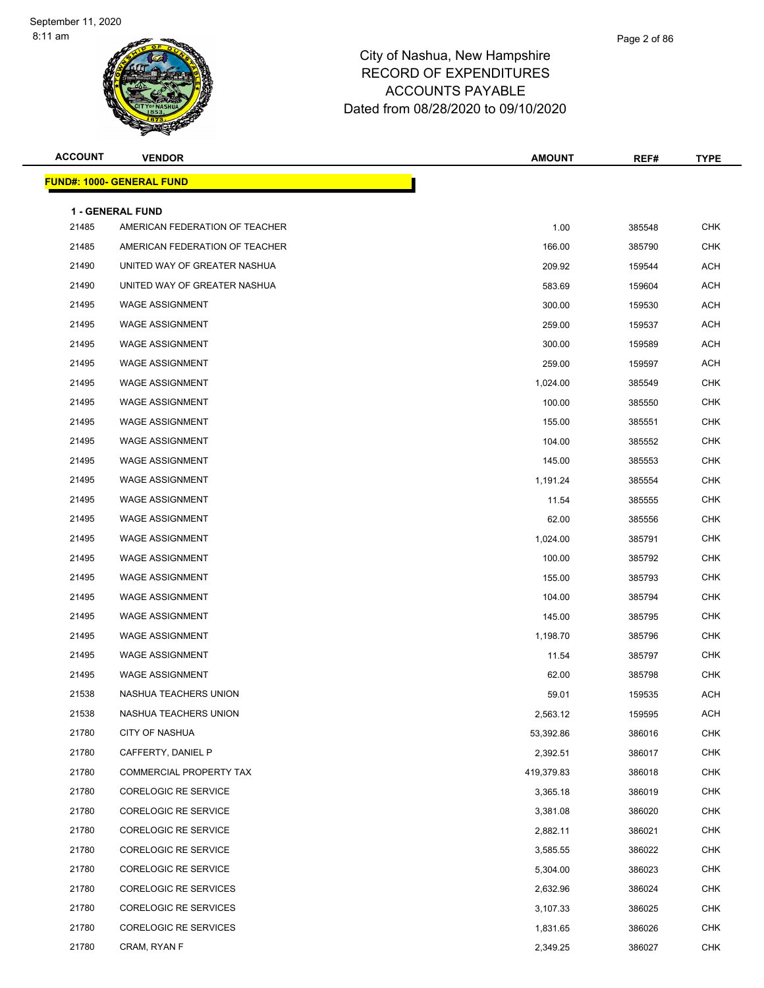| <b>ACCOUNT</b> | <b>VENDOR</b>                                      | <b>AMOUNT</b> | REF#   | <b>TYPE</b> |
|----------------|----------------------------------------------------|---------------|--------|-------------|
|                | <u> FUND#: 1000- GENERAL FUND</u>                  |               |        |             |
|                |                                                    |               |        |             |
| 21485          | 1 - GENERAL FUND<br>AMERICAN FEDERATION OF TEACHER | 1.00          | 385548 | <b>CHK</b>  |
| 21485          | AMERICAN FEDERATION OF TEACHER                     | 166.00        | 385790 | <b>CHK</b>  |
| 21490          | UNITED WAY OF GREATER NASHUA                       | 209.92        | 159544 | <b>ACH</b>  |
| 21490          | UNITED WAY OF GREATER NASHUA                       | 583.69        | 159604 | ACH         |
| 21495          | <b>WAGE ASSIGNMENT</b>                             | 300.00        | 159530 | <b>ACH</b>  |
| 21495          | <b>WAGE ASSIGNMENT</b>                             | 259.00        | 159537 | <b>ACH</b>  |
| 21495          | <b>WAGE ASSIGNMENT</b>                             | 300.00        | 159589 | ACH         |
| 21495          | <b>WAGE ASSIGNMENT</b>                             | 259.00        | 159597 | <b>ACH</b>  |
| 21495          | <b>WAGE ASSIGNMENT</b>                             | 1,024.00      | 385549 | <b>CHK</b>  |
| 21495          | <b>WAGE ASSIGNMENT</b>                             | 100.00        | 385550 | <b>CHK</b>  |
| 21495          | <b>WAGE ASSIGNMENT</b>                             | 155.00        | 385551 | <b>CHK</b>  |
| 21495          | <b>WAGE ASSIGNMENT</b>                             | 104.00        | 385552 | <b>CHK</b>  |
| 21495          | <b>WAGE ASSIGNMENT</b>                             | 145.00        | 385553 | <b>CHK</b>  |
| 21495          | <b>WAGE ASSIGNMENT</b>                             | 1,191.24      | 385554 | <b>CHK</b>  |
| 21495          | <b>WAGE ASSIGNMENT</b>                             | 11.54         | 385555 | <b>CHK</b>  |
| 21495          | <b>WAGE ASSIGNMENT</b>                             | 62.00         | 385556 | <b>CHK</b>  |
| 21495          | <b>WAGE ASSIGNMENT</b>                             | 1,024.00      | 385791 | <b>CHK</b>  |
| 21495          | <b>WAGE ASSIGNMENT</b>                             | 100.00        | 385792 | <b>CHK</b>  |
| 21495          | <b>WAGE ASSIGNMENT</b>                             | 155.00        | 385793 | <b>CHK</b>  |
| 21495          | <b>WAGE ASSIGNMENT</b>                             | 104.00        | 385794 | <b>CHK</b>  |
| 21495          | <b>WAGE ASSIGNMENT</b>                             | 145.00        | 385795 | <b>CHK</b>  |
| 21495          | <b>WAGE ASSIGNMENT</b>                             | 1,198.70      | 385796 | <b>CHK</b>  |
| 21495          | <b>WAGE ASSIGNMENT</b>                             | 11.54         | 385797 | <b>CHK</b>  |
| 21495          | <b>WAGE ASSIGNMENT</b>                             | 62.00         | 385798 | <b>CHK</b>  |
| 21538          | NASHUA TEACHERS UNION                              | 59.01         | 159535 | ACH         |
| 21538          | NASHUA TEACHERS UNION                              | 2,563.12      | 159595 | ACH         |
| 21780          | CITY OF NASHUA                                     | 53,392.86     | 386016 | <b>CHK</b>  |
| 21780          | CAFFERTY, DANIEL P                                 | 2,392.51      | 386017 | <b>CHK</b>  |
| 21780          | COMMERCIAL PROPERTY TAX                            | 419,379.83    | 386018 | <b>CHK</b>  |
| 21780          | CORELOGIC RE SERVICE                               | 3,365.18      | 386019 | <b>CHK</b>  |
| 21780          | <b>CORELOGIC RE SERVICE</b>                        | 3,381.08      | 386020 | <b>CHK</b>  |
| 21780          | CORELOGIC RE SERVICE                               | 2,882.11      | 386021 | <b>CHK</b>  |
| 21780          | <b>CORELOGIC RE SERVICE</b>                        | 3,585.55      | 386022 | <b>CHK</b>  |
| 21780          | CORELOGIC RE SERVICE                               | 5,304.00      | 386023 | <b>CHK</b>  |
| 21780          | <b>CORELOGIC RE SERVICES</b>                       | 2,632.96      | 386024 | <b>CHK</b>  |
| 21780          | <b>CORELOGIC RE SERVICES</b>                       | 3,107.33      | 386025 | <b>CHK</b>  |
| 21780          | <b>CORELOGIC RE SERVICES</b>                       | 1,831.65      | 386026 | <b>CHK</b>  |
| 21780          | CRAM, RYAN F                                       | 2,349.25      | 386027 | <b>CHK</b>  |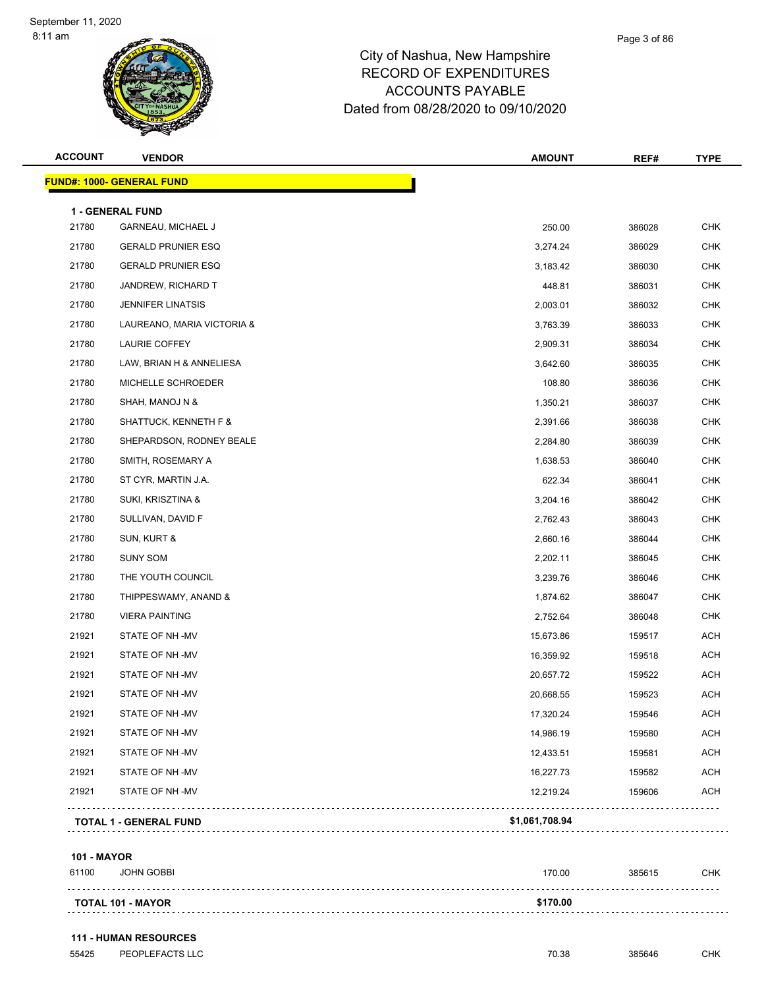| <b>ACCOUNT</b>     | <b>VENDOR</b>                                 | <b>AMOUNT</b>  | REF#   | <b>TYPE</b> |
|--------------------|-----------------------------------------------|----------------|--------|-------------|
|                    | <b>FUND#: 1000- GENERAL FUND</b>              |                |        |             |
|                    |                                               |                |        |             |
| 21780              | <b>1 - GENERAL FUND</b><br>GARNEAU, MICHAEL J | 250.00         | 386028 | CHK         |
| 21780              | <b>GERALD PRUNIER ESQ</b>                     | 3,274.24       | 386029 | <b>CHK</b>  |
| 21780              | <b>GERALD PRUNIER ESQ</b>                     | 3,183.42       | 386030 | <b>CHK</b>  |
| 21780              | JANDREW, RICHARD T                            | 448.81         | 386031 | <b>CHK</b>  |
| 21780              | <b>JENNIFER LINATSIS</b>                      | 2,003.01       | 386032 | <b>CHK</b>  |
| 21780              | LAUREANO, MARIA VICTORIA &                    | 3,763.39       | 386033 | <b>CHK</b>  |
| 21780              | LAURIE COFFEY                                 | 2,909.31       | 386034 | <b>CHK</b>  |
| 21780              | LAW, BRIAN H & ANNELIESA                      | 3,642.60       | 386035 | <b>CHK</b>  |
| 21780              | MICHELLE SCHROEDER                            | 108.80         | 386036 | <b>CHK</b>  |
| 21780              | SHAH, MANOJ N &                               | 1,350.21       | 386037 | <b>CHK</b>  |
| 21780              | SHATTUCK, KENNETH F &                         | 2,391.66       | 386038 | <b>CHK</b>  |
| 21780              | SHEPARDSON, RODNEY BEALE                      | 2,284.80       | 386039 | <b>CHK</b>  |
| 21780              | SMITH, ROSEMARY A                             | 1,638.53       | 386040 | <b>CHK</b>  |
| 21780              | ST CYR, MARTIN J.A.                           | 622.34         | 386041 | <b>CHK</b>  |
| 21780              | SUKI, KRISZTINA &                             | 3,204.16       | 386042 | <b>CHK</b>  |
| 21780              | SULLIVAN, DAVID F                             | 2,762.43       | 386043 | <b>CHK</b>  |
| 21780              | SUN, KURT &                                   | 2,660.16       | 386044 | <b>CHK</b>  |
| 21780              | <b>SUNY SOM</b>                               | 2,202.11       | 386045 | <b>CHK</b>  |
| 21780              | THE YOUTH COUNCIL                             | 3,239.76       | 386046 | <b>CHK</b>  |
| 21780              | THIPPESWAMY, ANAND &                          | 1,874.62       | 386047 | <b>CHK</b>  |
| 21780              | <b>VIERA PAINTING</b>                         | 2,752.64       | 386048 | <b>CHK</b>  |
| 21921              | STATE OF NH -MV                               | 15,673.86      | 159517 | ACH         |
| 21921              | STATE OF NH-MV                                | 16,359.92      | 159518 | <b>ACH</b>  |
| 21921              | STATE OF NH-MV                                | 20,657.72      | 159522 | <b>ACH</b>  |
| 21921              | STATE OF NH-MV                                | 20,668.55      | 159523 | <b>ACH</b>  |
| 21921              | STATE OF NH -MV                               | 17,320.24      | 159546 | <b>ACH</b>  |
| 21921              | STATE OF NH-MV                                | 14,986.19      | 159580 | <b>ACH</b>  |
| 21921              | STATE OF NH-MV                                | 12,433.51      | 159581 | <b>ACH</b>  |
| 21921              | STATE OF NH-MV                                | 16,227.73      | 159582 | <b>ACH</b>  |
| 21921              | STATE OF NH-MV                                | 12,219.24      | 159606 | <b>ACH</b>  |
|                    | <b>TOTAL 1 - GENERAL FUND</b>                 | \$1,061,708.94 |        |             |
| <b>101 - MAYOR</b> |                                               |                |        |             |
| 61100              | <b>JOHN GOBBI</b>                             | 170.00         | 385615 | <b>CHK</b>  |
|                    |                                               |                |        |             |

| <b>TOTAL 101</b> | <b>MAYOR</b> |  |  |
|------------------|--------------|--|--|
|                  |              |  |  |

PEOPLEFACTS LLC 70.38 385646 CHK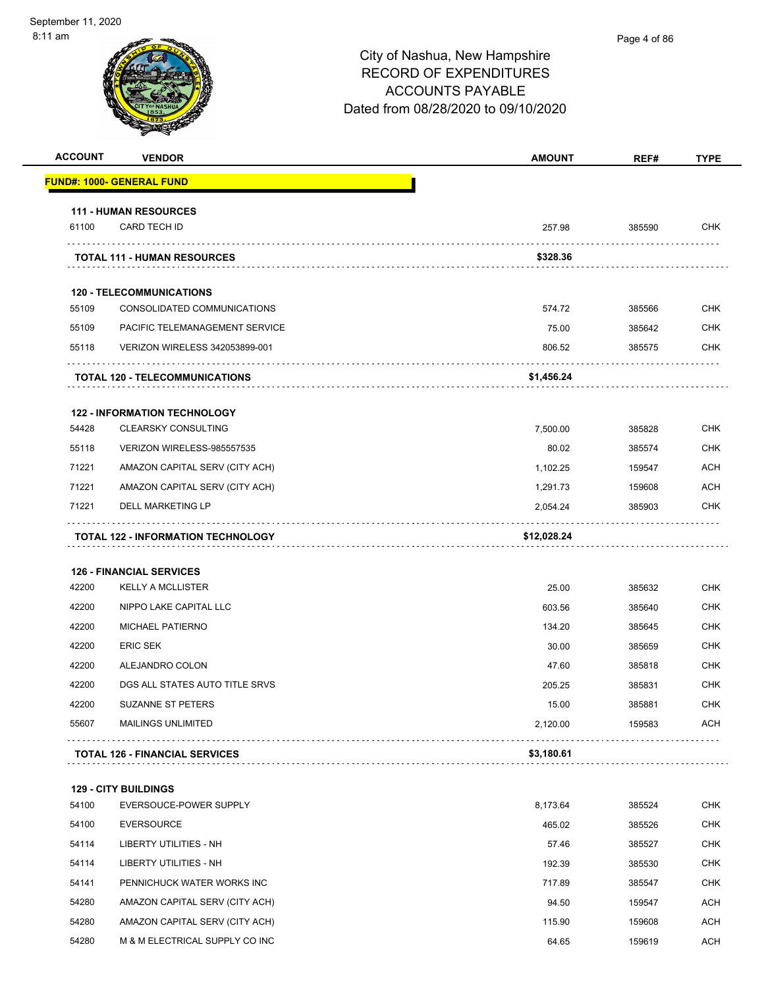| <b>ACCOUNT</b> | <b>VENDOR</b>                             | <b>AMOUNT</b> | REF#   | <b>TYPE</b> |
|----------------|-------------------------------------------|---------------|--------|-------------|
|                | <b>FUND#: 1000- GENERAL FUND</b>          |               |        |             |
|                | <b>111 - HUMAN RESOURCES</b>              |               |        |             |
| 61100          | <b>CARD TECH ID</b>                       | 257.98        | 385590 | <b>CHK</b>  |
|                | <b>TOTAL 111 - HUMAN RESOURCES</b>        | \$328.36      |        |             |
|                | <b>120 - TELECOMMUNICATIONS</b>           |               |        |             |
| 55109          | CONSOLIDATED COMMUNICATIONS               | 574.72        | 385566 | <b>CHK</b>  |
| 55109          | PACIFIC TELEMANAGEMENT SERVICE            | 75.00         | 385642 | <b>CHK</b>  |
| 55118          | VERIZON WIRELESS 342053899-001            | 806.52        | 385575 | <b>CHK</b>  |
|                | <b>TOTAL 120 - TELECOMMUNICATIONS</b>     | \$1,456.24    |        |             |
|                | <b>122 - INFORMATION TECHNOLOGY</b>       |               |        |             |
| 54428          | <b>CLEARSKY CONSULTING</b>                | 7,500.00      | 385828 | <b>CHK</b>  |
| 55118          | VERIZON WIRELESS-985557535                | 80.02         | 385574 | <b>CHK</b>  |
| 71221          | AMAZON CAPITAL SERV (CITY ACH)            | 1,102.25      | 159547 | <b>ACH</b>  |
| 71221          | AMAZON CAPITAL SERV (CITY ACH)            | 1,291.73      | 159608 | <b>ACH</b>  |
| 71221          | <b>DELL MARKETING LP</b>                  | 2,054.24      | 385903 | CHK         |
|                | <b>TOTAL 122 - INFORMATION TECHNOLOGY</b> | \$12,028.24   |        |             |
|                | <b>126 - FINANCIAL SERVICES</b>           |               |        |             |
| 42200          | <b>KELLY A MCLLISTER</b>                  | 25.00         | 385632 | <b>CHK</b>  |
| 42200          | NIPPO LAKE CAPITAL LLC                    | 603.56        | 385640 | <b>CHK</b>  |
| 42200          | <b>MICHAEL PATIERNO</b>                   | 134.20        | 385645 | <b>CHK</b>  |
| 42200          | <b>ERIC SEK</b>                           | 30.00         | 385659 | <b>CHK</b>  |
| 42200          | ALEJANDRO COLON                           | 47.60         | 385818 | <b>CHK</b>  |
| 42200          | DGS ALL STATES AUTO TITLE SRVS            | 205.25        | 385831 | <b>CHK</b>  |
| 42200          | <b>SUZANNE ST PETERS</b>                  | 15.00         | 385881 | <b>CHK</b>  |
| 55607          | <b>MAILINGS UNLIMITED</b>                 | 2,120.00      | 159583 | <b>ACH</b>  |
|                | <b>TOTAL 126 - FINANCIAL SERVICES</b>     | \$3,180.61    |        |             |
|                | <b>129 - CITY BUILDINGS</b>               |               |        |             |
| 54100          | EVERSOUCE-POWER SUPPLY                    | 8,173.64      | 385524 | <b>CHK</b>  |
| 54100          | <b>EVERSOURCE</b>                         | 465.02        | 385526 | <b>CHK</b>  |
| 54114          | LIBERTY UTILITIES - NH                    | 57.46         | 385527 | <b>CHK</b>  |
| 54114          | LIBERTY UTILITIES - NH                    | 192.39        | 385530 | <b>CHK</b>  |
| 54141          | PENNICHUCK WATER WORKS INC                | 717.89        | 385547 | <b>CHK</b>  |
| 54280          | AMAZON CAPITAL SERV (CITY ACH)            | 94.50         | 159547 | <b>ACH</b>  |
| 54280          | AMAZON CAPITAL SERV (CITY ACH)            | 115.90        | 159608 | <b>ACH</b>  |
| 54280          | M & M ELECTRICAL SUPPLY CO INC            | 64.65         | 159619 | <b>ACH</b>  |
|                |                                           |               |        |             |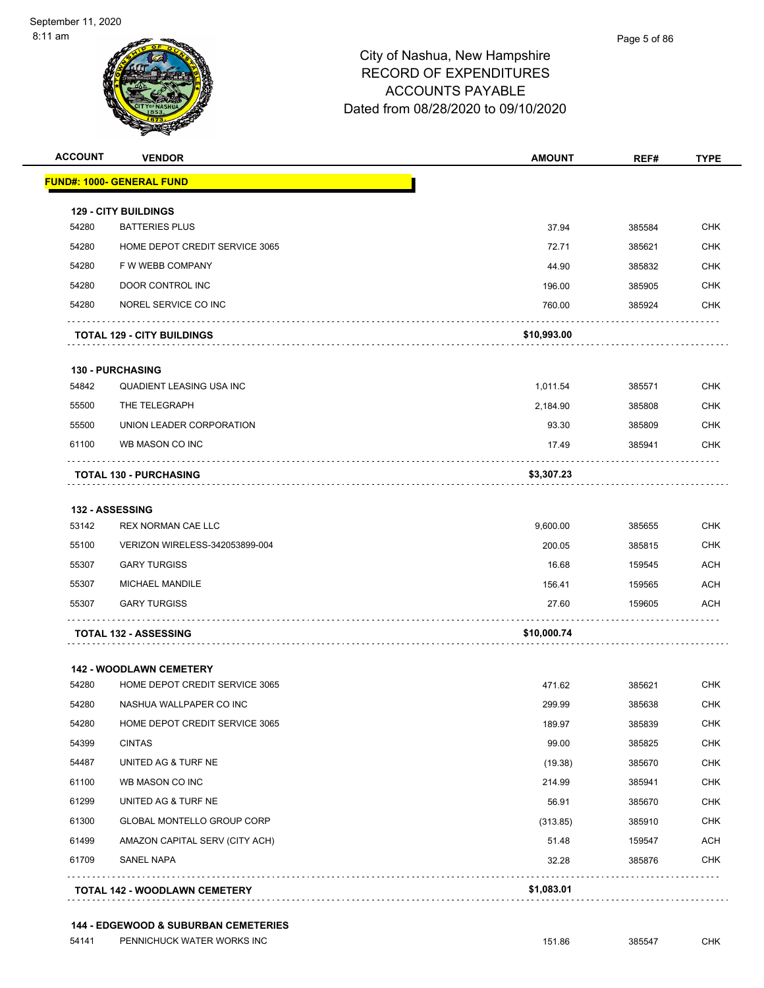

| <b>ACCOUNT</b> | <b>VENDOR</b>                     | <b>AMOUNT</b> | REF#   | <b>TYPE</b> |
|----------------|-----------------------------------|---------------|--------|-------------|
|                | <b>FUND#: 1000- GENERAL FUND</b>  |               |        |             |
|                | <b>129 - CITY BUILDINGS</b>       |               |        |             |
| 54280          | <b>BATTERIES PLUS</b>             | 37.94         | 385584 | <b>CHK</b>  |
| 54280          | HOME DEPOT CREDIT SERVICE 3065    | 72.71         | 385621 | <b>CHK</b>  |
| 54280          | F W WEBB COMPANY                  | 44.90         | 385832 | <b>CHK</b>  |
| 54280          | DOOR CONTROL INC                  | 196.00        | 385905 | <b>CHK</b>  |
| 54280          | NOREL SERVICE CO INC              | 760.00        | 385924 | <b>CHK</b>  |
|                | <b>TOTAL 129 - CITY BUILDINGS</b> | \$10,993.00   |        |             |
|                | <b>130 - PURCHASING</b>           |               |        |             |
| 54842          | QUADIENT LEASING USA INC          | 1,011.54      | 385571 | <b>CHK</b>  |
| 55500          | THE TELEGRAPH                     | 2,184.90      | 385808 | <b>CHK</b>  |
| 55500          | UNION LEADER CORPORATION          | 93.30         | 385809 | <b>CHK</b>  |
| 61100          | WB MASON CO INC                   | 17.49         | 385941 | CHK         |
|                | <b>TOTAL 130 - PURCHASING</b>     | \$3,307.23    |        |             |
|                | 132 - ASSESSING                   |               |        |             |
| 53142          | <b>REX NORMAN CAE LLC</b>         | 9,600.00      | 385655 | <b>CHK</b>  |
| 55100          | VERIZON WIRELESS-342053899-004    | 200.05        | 385815 | <b>CHK</b>  |
| 55307          | <b>GARY TURGISS</b>               | 16.68         | 159545 | ACH         |
| 55307          | <b>MICHAEL MANDILE</b>            | 156.41        | 159565 | <b>ACH</b>  |
| 55307          | <b>GARY TURGISS</b>               | 27.60         | 159605 | ACH         |
|                | <b>TOTAL 132 - ASSESSING</b>      | \$10,000.74   |        |             |
|                | <b>142 - WOODLAWN CEMETERY</b>    |               |        |             |
| 54280          | HOME DEPOT CREDIT SERVICE 3065    | 471.62        | 385621 | <b>CHK</b>  |
| 54280          | NASHUA WALLPAPER CO INC           | 299.99        | 385638 | <b>CHK</b>  |
| 54280          | HOME DEPOT CREDIT SERVICE 3065    | 189.97        | 385839 | <b>CHK</b>  |
| 54399          | <b>CINTAS</b>                     | 99.00         | 385825 | <b>CHK</b>  |
| 54487          | UNITED AG & TURF NE               | (19.38)       | 385670 | <b>CHK</b>  |
| 61100          | WB MASON CO INC                   | 214.99        | 385941 | <b>CHK</b>  |
| 61299          | UNITED AG & TURF NE               | 56.91         | 385670 | <b>CHK</b>  |
| 61300          | <b>GLOBAL MONTELLO GROUP CORP</b> | (313.85)      | 385910 | <b>CHK</b>  |
| 61499          | AMAZON CAPITAL SERV (CITY ACH)    | 51.48         | 159547 | <b>ACH</b>  |
| 61709          | SANEL NAPA                        | 32.28         | 385876 | <b>CHK</b>  |
|                |                                   |               |        |             |

### **144 - EDGEWOOD & SUBURBAN CEMETERIES**

54141 PENNICHUCK WATER WORKS INC<br>
CHK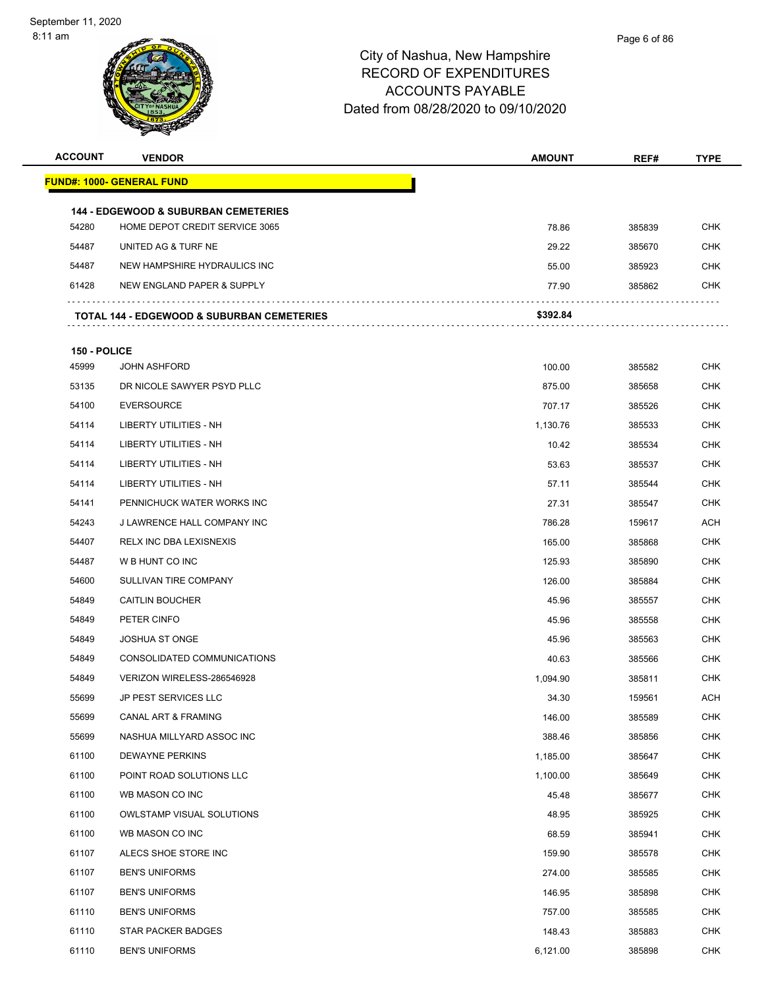| <b>ACCOUNT</b> | <b>VENDOR</b>                                                                     | <b>AMOUNT</b> | REF#   | <b>TYPE</b> |
|----------------|-----------------------------------------------------------------------------------|---------------|--------|-------------|
|                | <u> FUND#: 1000- GENERAL FUND</u>                                                 |               |        |             |
|                |                                                                                   |               |        |             |
| 54280          | <b>144 - EDGEWOOD &amp; SUBURBAN CEMETERIES</b><br>HOME DEPOT CREDIT SERVICE 3065 | 78.86         | 385839 | <b>CHK</b>  |
| 54487          | UNITED AG & TURF NE                                                               | 29.22         | 385670 | CHK         |
| 54487          | NEW HAMPSHIRE HYDRAULICS INC                                                      | 55.00         | 385923 | CHK         |
| 61428          | NEW ENGLAND PAPER & SUPPLY                                                        | 77.90         | 385862 | CHK         |
|                |                                                                                   |               |        |             |
|                | <b>TOTAL 144 - EDGEWOOD &amp; SUBURBAN CEMETERIES</b>                             | \$392.84      |        |             |
| 150 - POLICE   |                                                                                   |               |        |             |
| 45999          | <b>JOHN ASHFORD</b>                                                               | 100.00        | 385582 | CHK         |
| 53135          | DR NICOLE SAWYER PSYD PLLC                                                        | 875.00        | 385658 | <b>CHK</b>  |
| 54100          | <b>EVERSOURCE</b>                                                                 | 707.17        | 385526 | <b>CHK</b>  |
| 54114          | LIBERTY UTILITIES - NH                                                            | 1,130.76      | 385533 | <b>CHK</b>  |
| 54114          | LIBERTY UTILITIES - NH                                                            | 10.42         | 385534 | CHK         |
| 54114          | LIBERTY UTILITIES - NH                                                            | 53.63         | 385537 | CHK         |
| 54114          | LIBERTY UTILITIES - NH                                                            | 57.11         | 385544 | <b>CHK</b>  |
| 54141          | PENNICHUCK WATER WORKS INC                                                        | 27.31         | 385547 | CHK         |
| 54243          | J LAWRENCE HALL COMPANY INC                                                       | 786.28        | 159617 | ACH         |
| 54407          | RELX INC DBA LEXISNEXIS                                                           | 165.00        | 385868 | CHK         |
| 54487          | W B HUNT CO INC                                                                   | 125.93        | 385890 | CHK         |
| 54600          | SULLIVAN TIRE COMPANY                                                             | 126.00        | 385884 | <b>CHK</b>  |
| 54849          | CAITLIN BOUCHER                                                                   | 45.96         | 385557 | CHK         |
| 54849          | PETER CINFO                                                                       | 45.96         | 385558 | <b>CHK</b>  |
| 54849          | <b>JOSHUA ST ONGE</b>                                                             | 45.96         | 385563 | CHK         |
| 54849          | CONSOLIDATED COMMUNICATIONS                                                       | 40.63         | 385566 | <b>CHK</b>  |
| 54849          | VERIZON WIRELESS-286546928                                                        | 1,094.90      | 385811 | CHK         |
| 55699          | <b>JP PEST SERVICES LLC</b>                                                       | 34.30         | 159561 | <b>ACH</b>  |
| 55699          | <b>CANAL ART &amp; FRAMING</b>                                                    | 146.00        | 385589 | <b>CHK</b>  |
| 55699          | NASHUA MILLYARD ASSOC INC                                                         | 388.46        | 385856 | <b>CHK</b>  |
| 61100          | <b>DEWAYNE PERKINS</b>                                                            | 1,185.00      | 385647 | CHK         |
| 61100          | POINT ROAD SOLUTIONS LLC                                                          | 1,100.00      | 385649 | <b>CHK</b>  |
| 61100          | WB MASON CO INC                                                                   | 45.48         | 385677 | <b>CHK</b>  |
| 61100          | OWLSTAMP VISUAL SOLUTIONS                                                         | 48.95         | 385925 | <b>CHK</b>  |
| 61100          | WB MASON CO INC                                                                   | 68.59         | 385941 | <b>CHK</b>  |
| 61107          | ALECS SHOE STORE INC                                                              | 159.90        | 385578 | CHK         |
| 61107          | <b>BEN'S UNIFORMS</b>                                                             | 274.00        | 385585 | <b>CHK</b>  |
| 61107          | <b>BEN'S UNIFORMS</b>                                                             | 146.95        | 385898 | <b>CHK</b>  |
| 61110          | <b>BEN'S UNIFORMS</b>                                                             | 757.00        | 385585 | <b>CHK</b>  |
| 61110          | <b>STAR PACKER BADGES</b>                                                         | 148.43        | 385883 | <b>CHK</b>  |
| 61110          | <b>BEN'S UNIFORMS</b>                                                             | 6,121.00      | 385898 | <b>CHK</b>  |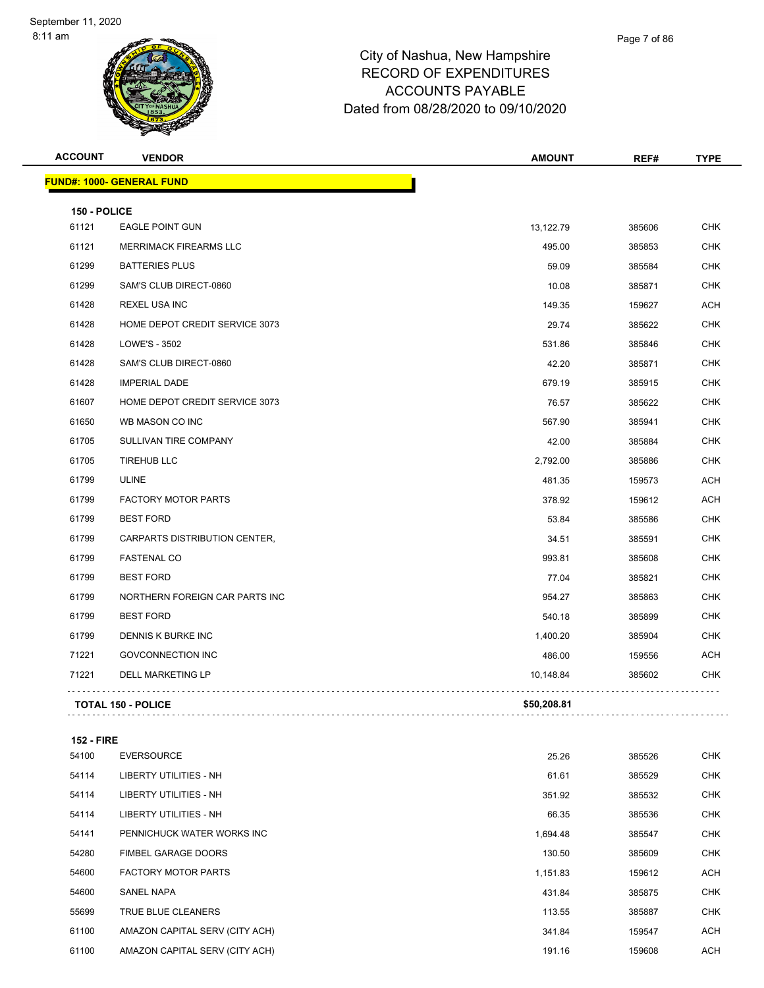| <b>ACCOUNT</b> | <b>VENDOR</b>                    | <b>AMOUNT</b> | REF#   | <b>TYPE</b> |
|----------------|----------------------------------|---------------|--------|-------------|
|                | <b>FUND#: 1000- GENERAL FUND</b> |               |        |             |
| 150 - POLICE   |                                  |               |        |             |
| 61121          | <b>EAGLE POINT GUN</b>           | 13,122.79     | 385606 | <b>CHK</b>  |
| 61121          | <b>MERRIMACK FIREARMS LLC</b>    | 495.00        | 385853 | <b>CHK</b>  |
| 61299          | <b>BATTERIES PLUS</b>            | 59.09         | 385584 | <b>CHK</b>  |
| 61299          | SAM'S CLUB DIRECT-0860           | 10.08         | 385871 | <b>CHK</b>  |
| 61428          | <b>REXEL USA INC</b>             | 149.35        | 159627 | <b>ACH</b>  |
| 61428          | HOME DEPOT CREDIT SERVICE 3073   | 29.74         | 385622 | <b>CHK</b>  |
| 61428          | LOWE'S - 3502                    | 531.86        | 385846 | <b>CHK</b>  |
| 61428          | SAM'S CLUB DIRECT-0860           | 42.20         | 385871 | <b>CHK</b>  |
| 61428          | <b>IMPERIAL DADE</b>             | 679.19        | 385915 | <b>CHK</b>  |
| 61607          | HOME DEPOT CREDIT SERVICE 3073   | 76.57         | 385622 | <b>CHK</b>  |
| 61650          | WB MASON CO INC                  | 567.90        | 385941 | <b>CHK</b>  |
| 61705          | SULLIVAN TIRE COMPANY            | 42.00         | 385884 | <b>CHK</b>  |
| 61705          | <b>TIREHUB LLC</b>               | 2,792.00      | 385886 | <b>CHK</b>  |
| 61799          | <b>ULINE</b>                     | 481.35        | 159573 | <b>ACH</b>  |
| 61799          | <b>FACTORY MOTOR PARTS</b>       | 378.92        | 159612 | <b>ACH</b>  |
| 61799          | <b>BEST FORD</b>                 | 53.84         | 385586 | <b>CHK</b>  |
| 61799          | CARPARTS DISTRIBUTION CENTER,    | 34.51         | 385591 | <b>CHK</b>  |
| 61799          | <b>FASTENAL CO</b>               | 993.81        | 385608 | <b>CHK</b>  |
| 61799          | <b>BEST FORD</b>                 | 77.04         | 385821 | <b>CHK</b>  |
| 61799          | NORTHERN FOREIGN CAR PARTS INC   | 954.27        | 385863 | <b>CHK</b>  |
| 61799          | <b>BEST FORD</b>                 | 540.18        | 385899 | <b>CHK</b>  |
| 61799          | DENNIS K BURKE INC               | 1,400.20      | 385904 | CHK         |
| 71221          | <b>GOVCONNECTION INC</b>         | 486.00        | 159556 | <b>ACH</b>  |
| 71221          | <b>DELL MARKETING LP</b>         | 10,148.84     | 385602 | CHK         |
|                | <b>TOTAL 150 - POLICE</b>        | \$50,208.81   |        |             |

### **152 - FIRE**

| 54100 | <b>EVERSOURCE</b>              | 25.26    | 385526 | <b>CHK</b> |
|-------|--------------------------------|----------|--------|------------|
| 54114 | LIBERTY UTILITIES - NH         | 61.61    | 385529 | <b>CHK</b> |
| 54114 | LIBERTY UTILITIES - NH         | 351.92   | 385532 | <b>CHK</b> |
| 54114 | <b>LIBERTY UTILITIES - NH</b>  | 66.35    | 385536 | <b>CHK</b> |
| 54141 | PENNICHUCK WATER WORKS INC     | 1,694.48 | 385547 | <b>CHK</b> |
| 54280 | <b>FIMBEL GARAGE DOORS</b>     | 130.50   | 385609 | <b>CHK</b> |
| 54600 | <b>FACTORY MOTOR PARTS</b>     | 1,151.83 | 159612 | ACH        |
| 54600 | SANEL NAPA                     | 431.84   | 385875 | <b>CHK</b> |
| 55699 | TRUE BLUE CLEANERS             | 113.55   | 385887 | <b>CHK</b> |
| 61100 | AMAZON CAPITAL SERV (CITY ACH) | 341.84   | 159547 | ACH        |
| 61100 | AMAZON CAPITAL SERV (CITY ACH) | 191.16   | 159608 | ACH        |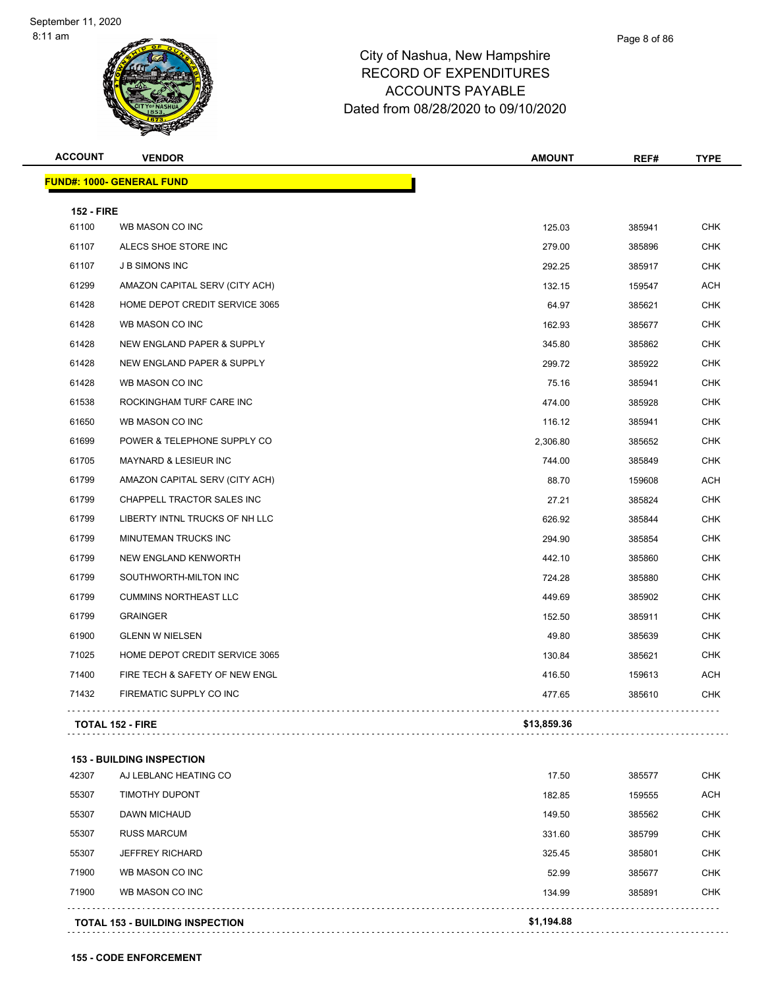| <b>ACCOUNT</b>    | <b>VENDOR</b>                    | <b>AMOUNT</b> | REF#   | <b>TYPE</b> |  |  |
|-------------------|----------------------------------|---------------|--------|-------------|--|--|
|                   | <b>FUND#: 1000- GENERAL FUND</b> |               |        |             |  |  |
| <b>152 - FIRE</b> |                                  |               |        |             |  |  |
| 61100             | WB MASON CO INC                  | 125.03        | 385941 | <b>CHK</b>  |  |  |
| 61107             | ALECS SHOE STORE INC             | 279.00        | 385896 | <b>CHK</b>  |  |  |
| 61107             | <b>JB SIMONS INC</b>             | 292.25        | 385917 | <b>CHK</b>  |  |  |
| 61299             | AMAZON CAPITAL SERV (CITY ACH)   | 132.15        | 159547 | ACH         |  |  |
| 61428             | HOME DEPOT CREDIT SERVICE 3065   | 64.97         | 385621 | <b>CHK</b>  |  |  |
| 61428             | WB MASON CO INC                  | 162.93        | 385677 | <b>CHK</b>  |  |  |
| 61428             | NEW ENGLAND PAPER & SUPPLY       | 345.80        | 385862 | <b>CHK</b>  |  |  |
| 61428             | NEW ENGLAND PAPER & SUPPLY       | 299.72        | 385922 | <b>CHK</b>  |  |  |
| 61428             | WB MASON CO INC                  | 75.16         | 385941 | <b>CHK</b>  |  |  |
| 61538             | ROCKINGHAM TURF CARE INC         | 474.00        | 385928 | <b>CHK</b>  |  |  |
| 61650             | WB MASON CO INC                  | 116.12        | 385941 | <b>CHK</b>  |  |  |
| 61699             | POWER & TELEPHONE SUPPLY CO      | 2,306.80      | 385652 | <b>CHK</b>  |  |  |
| 61705             | <b>MAYNARD &amp; LESIEUR INC</b> | 744.00        | 385849 | <b>CHK</b>  |  |  |
| 61799             | AMAZON CAPITAL SERV (CITY ACH)   | 88.70         | 159608 | <b>ACH</b>  |  |  |
| 61799             | CHAPPELL TRACTOR SALES INC       | 27.21         | 385824 | <b>CHK</b>  |  |  |
| 61799             | LIBERTY INTNL TRUCKS OF NH LLC   | 626.92        | 385844 | <b>CHK</b>  |  |  |
| 61799             | MINUTEMAN TRUCKS INC             | 294.90        | 385854 | <b>CHK</b>  |  |  |
| 61799             | NEW ENGLAND KENWORTH             | 442.10        | 385860 | <b>CHK</b>  |  |  |
| 61799             | SOUTHWORTH-MILTON INC            | 724.28        | 385880 | <b>CHK</b>  |  |  |
| 61799             | <b>CUMMINS NORTHEAST LLC</b>     | 449.69        | 385902 | <b>CHK</b>  |  |  |
| 61799             | <b>GRAINGER</b>                  | 152.50        | 385911 | <b>CHK</b>  |  |  |
| 61900             | <b>GLENN W NIELSEN</b>           | 49.80         | 385639 | <b>CHK</b>  |  |  |
| 71025             | HOME DEPOT CREDIT SERVICE 3065   | 130.84        | 385621 | <b>CHK</b>  |  |  |
| 71400             | FIRE TECH & SAFETY OF NEW ENGL   | 416.50        | 159613 | <b>ACH</b>  |  |  |
| 71432             | FIREMATIC SUPPLY CO INC          | 477.65        | 385610 | <b>CHK</b>  |  |  |
|                   | <b>TOTAL 152 - FIRE</b>          | \$13,859.36   |        |             |  |  |
|                   | <b>153 - BUILDING INSPECTION</b> |               |        |             |  |  |
| 42307             | AJ LEBLANC HEATING CO            | 17.50         | 385577 | <b>CHK</b>  |  |  |
| 55307             | <b>TIMOTHY DUPONT</b>            | 182.85        | 159555 | <b>ACH</b>  |  |  |
| 55307             | DAWN MICHAUD                     | 149.50        | 385562 | <b>CHK</b>  |  |  |
| 55307             | <b>RUSS MARCUM</b>               | 331.60        | 385799 | <b>CHK</b>  |  |  |
| 55307             | <b>JEFFREY RICHARD</b>           | 325.45        | 385801 | <b>CHK</b>  |  |  |
| 71900             | WB MASON CO INC                  | 52.99         | 385677 | <b>CHK</b>  |  |  |
| 71900             | WB MASON CO INC                  | 134.99        | 385891 | <b>CHK</b>  |  |  |

**TOTAL 153 - BUILDING INSPECTION \$1,194.88**

**155 - CODE ENFORCEMENT**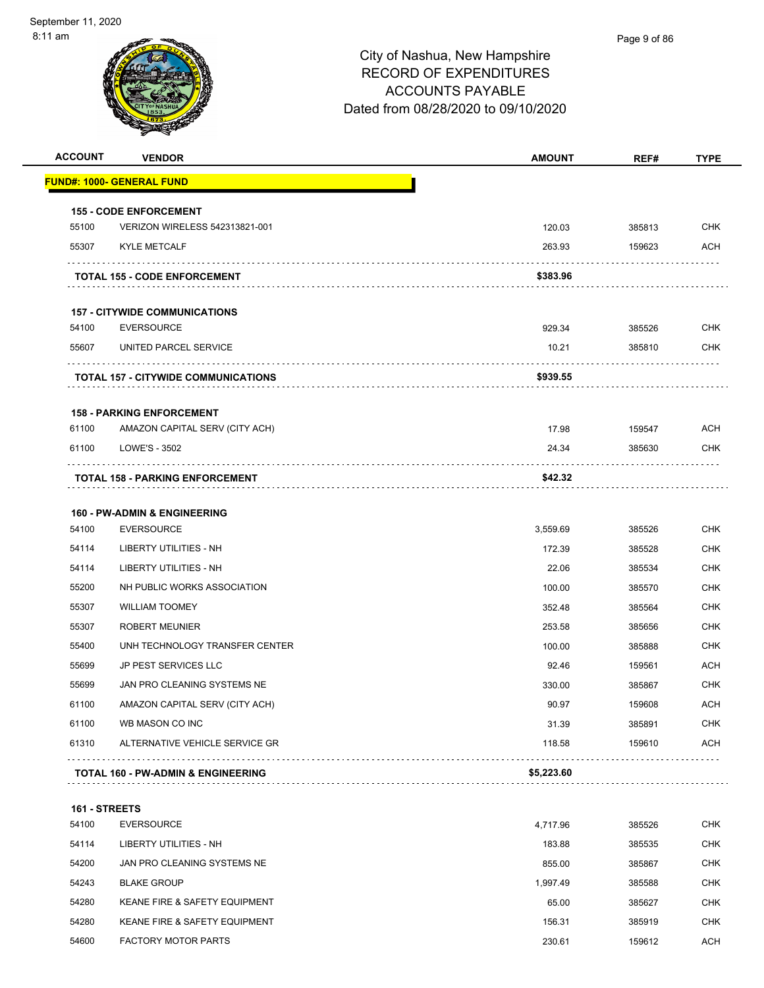

| <b>ACCOUNT</b> | <b>VENDOR</b>                                 | <b>AMOUNT</b> | REF#   | <b>TYPE</b> |
|----------------|-----------------------------------------------|---------------|--------|-------------|
|                | <u> FUND#: 1000- GENERAL FUND</u>             |               |        |             |
|                | <b>155 - CODE ENFORCEMENT</b>                 |               |        |             |
| 55100          | VERIZON WIRELESS 542313821-001                | 120.03        | 385813 | <b>CHK</b>  |
| 55307          | <b>KYLE METCALF</b>                           | 263.93        | 159623 | ACH         |
|                | <b>TOTAL 155 - CODE ENFORCEMENT</b>           | \$383.96      |        |             |
|                | <b>157 - CITYWIDE COMMUNICATIONS</b>          |               |        |             |
| 54100          | <b>EVERSOURCE</b>                             | 929.34        | 385526 | CHK         |
| 55607          | UNITED PARCEL SERVICE                         | 10.21         | 385810 | <b>CHK</b>  |
|                | <b>TOTAL 157 - CITYWIDE COMMUNICATIONS</b>    | \$939.55      |        |             |
|                | <b>158 - PARKING ENFORCEMENT</b>              |               |        |             |
| 61100          | AMAZON CAPITAL SERV (CITY ACH)                | 17.98         | 159547 | <b>ACH</b>  |
| 61100          | LOWE'S - 3502                                 | 24.34         | 385630 | <b>CHK</b>  |
|                | <b>TOTAL 158 - PARKING ENFORCEMENT</b>        | \$42.32       |        |             |
|                | <b>160 - PW-ADMIN &amp; ENGINEERING</b>       |               |        |             |
| 54100          | <b>EVERSOURCE</b>                             | 3,559.69      | 385526 | <b>CHK</b>  |
| 54114          | <b>LIBERTY UTILITIES - NH</b>                 | 172.39        | 385528 | CHK         |
| 54114          | LIBERTY UTILITIES - NH                        | 22.06         | 385534 | <b>CHK</b>  |
| 55200          | NH PUBLIC WORKS ASSOCIATION                   | 100.00        | 385570 | CHK         |
| 55307          | <b>WILLIAM TOOMEY</b>                         | 352.48        | 385564 | <b>CHK</b>  |
| 55307          | <b>ROBERT MEUNIER</b>                         | 253.58        | 385656 | <b>CHK</b>  |
| 55400          | UNH TECHNOLOGY TRANSFER CENTER                | 100.00        | 385888 | CHK         |
| 55699          | <b>JP PEST SERVICES LLC</b>                   | 92.46         | 159561 | <b>ACH</b>  |
| 55699          | JAN PRO CLEANING SYSTEMS NE                   | 330.00        | 385867 | CHK         |
| 61100          | AMAZON CAPITAL SERV (CITY ACH)                | 90.97         | 159608 | <b>ACH</b>  |
| 61100          | WB MASON CO INC                               | 31.39         | 385891 | <b>CHK</b>  |
| 61310          | ALTERNATIVE VEHICLE SERVICE GR                | 118.58        | 159610 | <b>ACH</b>  |
|                | <b>TOTAL 160 - PW-ADMIN &amp; ENGINEERING</b> | \$5,223.60    |        |             |
| 161 - STREETS  |                                               |               |        |             |
| 54100          | <b>EVERSOURCE</b>                             | 4 717 96      | 385526 | <b>CHK</b>  |

| 54100 | <b>EVERSOURCE</b>                        | 4.717.96 | 385526 | <b>CHK</b> |
|-------|------------------------------------------|----------|--------|------------|
| 54114 | LIBERTY UTILITIES - NH                   | 183.88   | 385535 | <b>CHK</b> |
| 54200 | JAN PRO CLEANING SYSTEMS NE              | 855.00   | 385867 | <b>CHK</b> |
| 54243 | <b>BLAKE GROUP</b>                       | 1.997.49 | 385588 | <b>CHK</b> |
| 54280 | <b>KEANE FIRE &amp; SAFETY EQUIPMENT</b> | 65.00    | 385627 | <b>CHK</b> |
| 54280 | <b>KEANE FIRE &amp; SAFETY EQUIPMENT</b> | 156.31   | 385919 | <b>CHK</b> |
| 54600 | <b>FACTORY MOTOR PARTS</b>               | 230.61   | 159612 | <b>ACH</b> |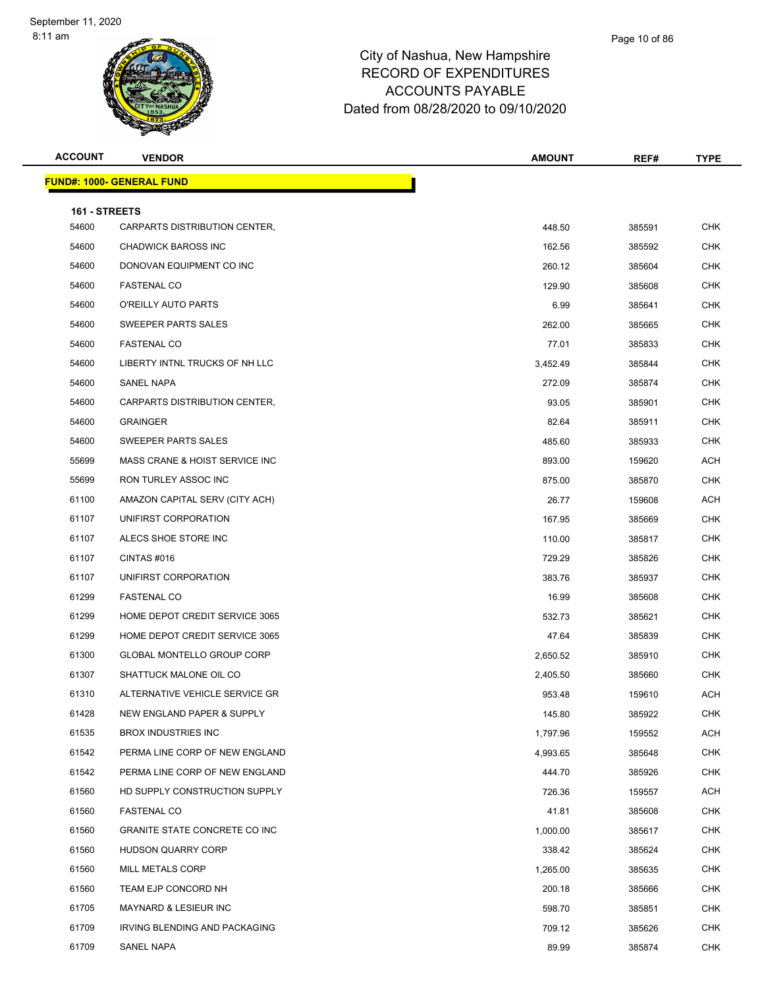| <b>ACCOUNT</b>         | <b>VENDOR</b>                     | <b>AMOUNT</b> | REF#   | <b>TYPE</b> |
|------------------------|-----------------------------------|---------------|--------|-------------|
|                        | <u> FUND#: 1000- GENERAL FUND</u> |               |        |             |
|                        |                                   |               |        |             |
| 161 - STREETS<br>54600 | CARPARTS DISTRIBUTION CENTER,     | 448.50        | 385591 | <b>CHK</b>  |
| 54600                  | <b>CHADWICK BAROSS INC</b>        | 162.56        | 385592 | <b>CHK</b>  |
| 54600                  | DONOVAN EQUIPMENT CO INC          | 260.12        | 385604 | CHK         |
| 54600                  | <b>FASTENAL CO</b>                | 129.90        | 385608 | <b>CHK</b>  |
| 54600                  | O'REILLY AUTO PARTS               | 6.99          | 385641 | <b>CHK</b>  |
| 54600                  | SWEEPER PARTS SALES               | 262.00        | 385665 | CHK         |
| 54600                  | <b>FASTENAL CO</b>                | 77.01         | 385833 | <b>CHK</b>  |
| 54600                  | LIBERTY INTNL TRUCKS OF NH LLC    | 3,452.49      | 385844 | <b>CHK</b>  |
| 54600                  | SANEL NAPA                        | 272.09        | 385874 | <b>CHK</b>  |
| 54600                  | CARPARTS DISTRIBUTION CENTER,     | 93.05         | 385901 | <b>CHK</b>  |
| 54600                  | <b>GRAINGER</b>                   | 82.64         | 385911 | <b>CHK</b>  |
| 54600                  | SWEEPER PARTS SALES               | 485.60        | 385933 | <b>CHK</b>  |
| 55699                  | MASS CRANE & HOIST SERVICE INC    | 893.00        | 159620 | ACH         |
| 55699                  | RON TURLEY ASSOC INC              | 875.00        | 385870 | <b>CHK</b>  |
| 61100                  | AMAZON CAPITAL SERV (CITY ACH)    | 26.77         | 159608 | <b>ACH</b>  |
| 61107                  | UNIFIRST CORPORATION              | 167.95        | 385669 | <b>CHK</b>  |
| 61107                  | ALECS SHOE STORE INC              | 110.00        | 385817 | <b>CHK</b>  |
| 61107                  | CINTAS#016                        | 729.29        | 385826 | CHK         |
| 61107                  | UNIFIRST CORPORATION              | 383.76        | 385937 | <b>CHK</b>  |
| 61299                  | <b>FASTENAL CO</b>                | 16.99         | 385608 | <b>CHK</b>  |
| 61299                  | HOME DEPOT CREDIT SERVICE 3065    | 532.73        | 385621 | <b>CHK</b>  |
| 61299                  | HOME DEPOT CREDIT SERVICE 3065    | 47.64         | 385839 | <b>CHK</b>  |
| 61300                  | <b>GLOBAL MONTELLO GROUP CORP</b> | 2,650.52      | 385910 | CHK         |
| 61307                  | SHATTUCK MALONE OIL CO            | 2,405.50      | 385660 | <b>CHK</b>  |
| 61310                  | ALTERNATIVE VEHICLE SERVICE GR    | 953.48        | 159610 | <b>ACH</b>  |
| 61428                  | NEW ENGLAND PAPER & SUPPLY        | 145.80        | 385922 | <b>CHK</b>  |
| 61535                  | <b>BROX INDUSTRIES INC</b>        | 1,797.96      | 159552 | <b>ACH</b>  |
| 61542                  | PERMA LINE CORP OF NEW ENGLAND    | 4,993.65      | 385648 | CHK         |
| 61542                  | PERMA LINE CORP OF NEW ENGLAND    | 444.70        | 385926 | <b>CHK</b>  |
| 61560                  | HD SUPPLY CONSTRUCTION SUPPLY     | 726.36        | 159557 | ACH         |
| 61560                  | <b>FASTENAL CO</b>                | 41.81         | 385608 | CHK         |
| 61560                  | GRANITE STATE CONCRETE CO INC     | 1,000.00      | 385617 | CHK         |
| 61560                  | HUDSON QUARRY CORP                | 338.42        | 385624 | CHK         |
| 61560                  | MILL METALS CORP                  | 1,265.00      | 385635 | <b>CHK</b>  |
| 61560                  | TEAM EJP CONCORD NH               | 200.18        | 385666 | <b>CHK</b>  |
| 61705                  | MAYNARD & LESIEUR INC             | 598.70        | 385851 | CHK         |
| 61709                  | IRVING BLENDING AND PACKAGING     | 709.12        | 385626 | CHK         |
| 61709                  | SANEL NAPA                        | 89.99         | 385874 | <b>CHK</b>  |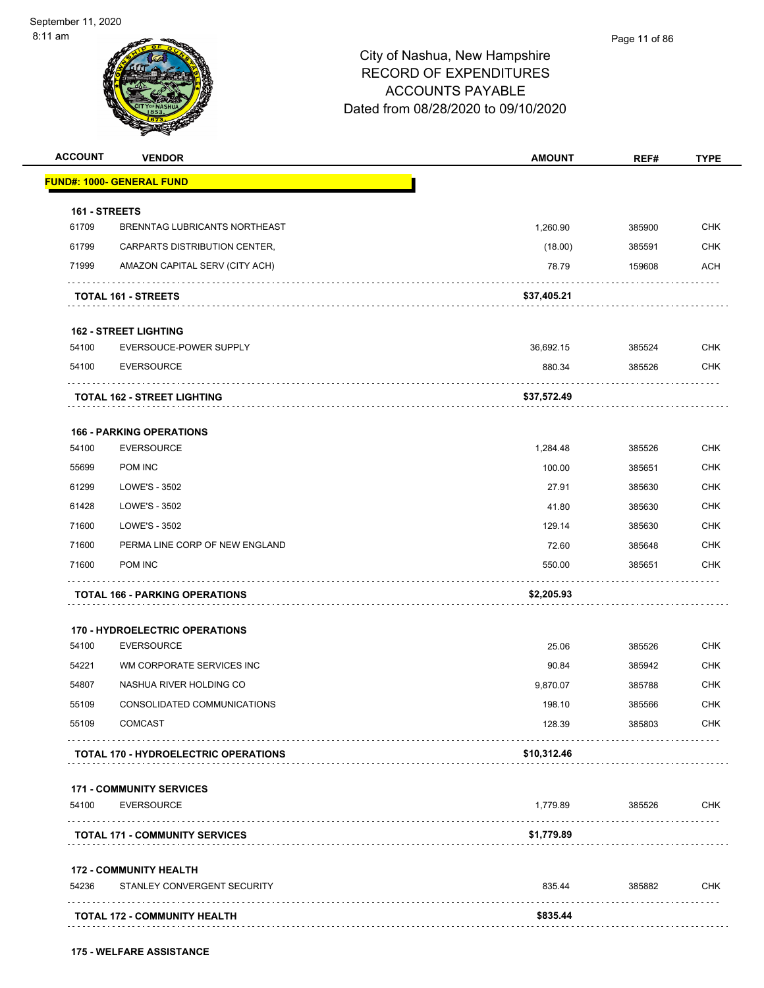

| <b>ACCOUNT</b> | <b>VENDOR</b>                               | <b>AMOUNT</b> | REF#   | <b>TYPE</b> |
|----------------|---------------------------------------------|---------------|--------|-------------|
|                | <b>FUND#: 1000- GENERAL FUND</b>            |               |        |             |
| 161 - STREETS  |                                             |               |        |             |
| 61709          | BRENNTAG LUBRICANTS NORTHEAST               | 1,260.90      | 385900 | <b>CHK</b>  |
| 61799          | CARPARTS DISTRIBUTION CENTER,               | (18.00)       | 385591 | <b>CHK</b>  |
| 71999          | AMAZON CAPITAL SERV (CITY ACH)              | 78.79         | 159608 | <b>ACH</b>  |
|                | <b>TOTAL 161 - STREETS</b>                  | \$37,405.21   |        |             |
|                | <b>162 - STREET LIGHTING</b>                |               |        |             |
| 54100          | EVERSOUCE-POWER SUPPLY                      | 36,692.15     | 385524 | CHK         |
| 54100          | <b>EVERSOURCE</b>                           | 880.34        | 385526 | <b>CHK</b>  |
|                | <b>TOTAL 162 - STREET LIGHTING</b>          | \$37,572.49   |        |             |
|                | <b>166 - PARKING OPERATIONS</b>             |               |        |             |
| 54100          | <b>EVERSOURCE</b>                           | 1,284.48      | 385526 | <b>CHK</b>  |
| 55699          | POM INC                                     | 100.00        | 385651 | <b>CHK</b>  |
| 61299          | LOWE'S - 3502                               | 27.91         | 385630 | <b>CHK</b>  |
| 61428          | LOWE'S - 3502                               | 41.80         | 385630 | <b>CHK</b>  |
| 71600          | LOWE'S - 3502                               | 129.14        | 385630 | <b>CHK</b>  |
| 71600          | PERMA LINE CORP OF NEW ENGLAND              | 72.60         | 385648 | <b>CHK</b>  |
| 71600          | POM INC                                     | 550.00        | 385651 | CHK         |
|                | <b>TOTAL 166 - PARKING OPERATIONS</b>       | \$2,205.93    | .      |             |
|                | <b>170 - HYDROELECTRIC OPERATIONS</b>       |               |        |             |
| 54100          | <b>EVERSOURCE</b>                           | 25.06         | 385526 | <b>CHK</b>  |
| 54221          | WM CORPORATE SERVICES INC                   | 90.84         | 385942 | CHK         |
| 54807          | NASHUA RIVER HOLDING CO                     | 9,870.07      | 385788 | CHK         |
| 55109          | CONSOLIDATED COMMUNICATIONS                 | 198.10        | 385566 | <b>CHK</b>  |
| 55109          | <b>COMCAST</b>                              | 128.39        | 385803 | CHK         |
|                | <b>TOTAL 170 - HYDROELECTRIC OPERATIONS</b> | \$10,312.46   |        |             |
|                | <b>171 - COMMUNITY SERVICES</b>             |               |        |             |
| 54100          | <b>EVERSOURCE</b>                           | 1,779.89      | 385526 | <b>CHK</b>  |
|                | <b>TOTAL 171 - COMMUNITY SERVICES</b>       | \$1,779.89    |        |             |
|                | <b>172 - COMMUNITY HEALTH</b>               |               |        |             |
|                |                                             | 835.44        |        | CHK         |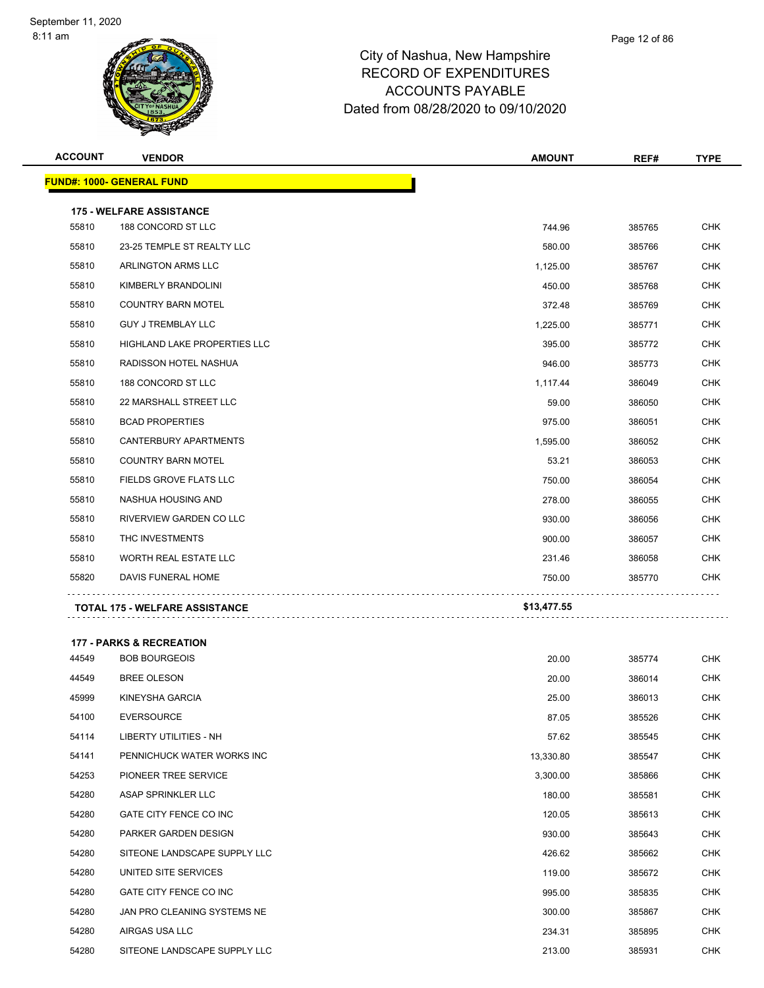| <b>ACCOUNT</b> | <b>VENDOR</b>                         | <b>AMOUNT</b> | REF#   | <b>TYPE</b> |
|----------------|---------------------------------------|---------------|--------|-------------|
|                | <b>FUND#: 1000- GENERAL FUND</b>      |               |        |             |
|                | <b>175 - WELFARE ASSISTANCE</b>       |               |        |             |
| 55810          | 188 CONCORD ST LLC                    | 744.96        | 385765 | <b>CHK</b>  |
| 55810          | 23-25 TEMPLE ST REALTY LLC            | 580.00        | 385766 | <b>CHK</b>  |
| 55810          | ARLINGTON ARMS LLC                    | 1,125.00      | 385767 | <b>CHK</b>  |
| 55810          | KIMBERLY BRANDOLINI                   | 450.00        | 385768 | <b>CHK</b>  |
| 55810          | <b>COUNTRY BARN MOTEL</b>             | 372.48        | 385769 | <b>CHK</b>  |
| 55810          | <b>GUY J TREMBLAY LLC</b>             | 1,225.00      | 385771 | <b>CHK</b>  |
| 55810          | <b>HIGHLAND LAKE PROPERTIES LLC</b>   | 395.00        | 385772 | <b>CHK</b>  |
| 55810          | RADISSON HOTEL NASHUA                 | 946.00        | 385773 | <b>CHK</b>  |
| 55810          | 188 CONCORD ST LLC                    | 1,117.44      | 386049 | <b>CHK</b>  |
| 55810          | 22 MARSHALL STREET LLC                | 59.00         | 386050 | <b>CHK</b>  |
| 55810          | <b>BCAD PROPERTIES</b>                | 975.00        | 386051 | <b>CHK</b>  |
| 55810          | <b>CANTERBURY APARTMENTS</b>          | 1,595.00      | 386052 | <b>CHK</b>  |
| 55810          | <b>COUNTRY BARN MOTEL</b>             | 53.21         | 386053 | <b>CHK</b>  |
| 55810          | FIELDS GROVE FLATS LLC                | 750.00        | 386054 | <b>CHK</b>  |
| 55810          | NASHUA HOUSING AND                    | 278.00        | 386055 | <b>CHK</b>  |
| 55810          | RIVERVIEW GARDEN CO LLC               | 930.00        | 386056 | <b>CHK</b>  |
| 55810          | THC INVESTMENTS                       | 900.00        | 386057 | <b>CHK</b>  |
| 55810          | <b>WORTH REAL ESTATE LLC</b>          | 231.46        | 386058 | <b>CHK</b>  |
| 55820          | DAVIS FUNERAL HOME                    | 750.00        | 385770 | <b>CHK</b>  |
|                | <b>TOTAL 175 - WELFARE ASSISTANCE</b> | \$13,477.55   |        |             |
|                |                                       |               |        |             |

| 44549 | <b>BOB BOURGEOIS</b>          | 20.00     | 385774 | <b>CHK</b> |
|-------|-------------------------------|-----------|--------|------------|
| 44549 | <b>BREE OLESON</b>            | 20.00     | 386014 | <b>CHK</b> |
| 45999 | KINEYSHA GARCIA               | 25.00     | 386013 | <b>CHK</b> |
| 54100 | <b>EVERSOURCE</b>             | 87.05     | 385526 | <b>CHK</b> |
| 54114 | <b>LIBERTY UTILITIES - NH</b> | 57.62     | 385545 | <b>CHK</b> |
| 54141 | PENNICHUCK WATER WORKS INC    | 13,330.80 | 385547 | <b>CHK</b> |
| 54253 | PIONEER TREE SERVICE          | 3,300.00  | 385866 | <b>CHK</b> |
| 54280 | ASAP SPRINKLER LLC            | 180.00    | 385581 | <b>CHK</b> |
| 54280 | GATE CITY FENCE CO INC        | 120.05    | 385613 | <b>CHK</b> |
| 54280 | PARKER GARDEN DESIGN          | 930.00    | 385643 | <b>CHK</b> |
| 54280 | SITEONE LANDSCAPE SUPPLY LLC  | 426.62    | 385662 | <b>CHK</b> |
| 54280 | UNITED SITE SERVICES          | 119.00    | 385672 | <b>CHK</b> |
| 54280 | GATE CITY FENCE CO INC        | 995.00    | 385835 | <b>CHK</b> |
| 54280 | JAN PRO CLEANING SYSTEMS NE   | 300.00    | 385867 | <b>CHK</b> |
| 54280 | AIRGAS USA LLC                | 234.31    | 385895 | <b>CHK</b> |
| 54280 | SITEONE LANDSCAPE SUPPLY LLC  | 213.00    | 385931 | <b>CHK</b> |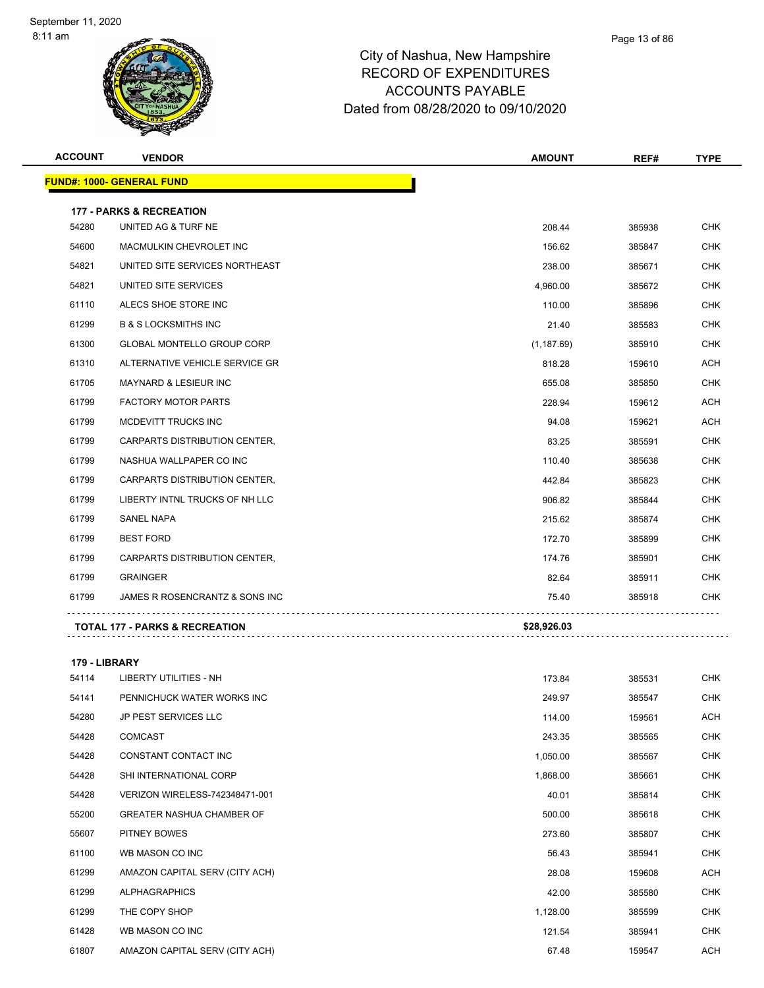| <b>ACCOUNT</b>         | <b>VENDOR</b>                             | <b>AMOUNT</b> | REF#   | <b>TYPE</b> |
|------------------------|-------------------------------------------|---------------|--------|-------------|
|                        | <u> FUND#: 1000- GENERAL FUND</u>         |               |        |             |
|                        | <b>177 - PARKS &amp; RECREATION</b>       |               |        |             |
| 54280                  | UNITED AG & TURF NE                       | 208.44        | 385938 | <b>CHK</b>  |
| 54600                  | MACMULKIN CHEVROLET INC                   | 156.62        | 385847 | <b>CHK</b>  |
| 54821                  | UNITED SITE SERVICES NORTHEAST            | 238.00        | 385671 | <b>CHK</b>  |
| 54821                  | UNITED SITE SERVICES                      | 4,960.00      | 385672 | <b>CHK</b>  |
| 61110                  | ALECS SHOE STORE INC                      | 110.00        | 385896 | <b>CHK</b>  |
| 61299                  | <b>B &amp; S LOCKSMITHS INC</b>           | 21.40         | 385583 | <b>CHK</b>  |
| 61300                  | <b>GLOBAL MONTELLO GROUP CORP</b>         | (1, 187.69)   | 385910 | <b>CHK</b>  |
| 61310                  | ALTERNATIVE VEHICLE SERVICE GR            | 818.28        | 159610 | ACH         |
| 61705                  | <b>MAYNARD &amp; LESIEUR INC</b>          | 655.08        | 385850 | <b>CHK</b>  |
| 61799                  | <b>FACTORY MOTOR PARTS</b>                | 228.94        | 159612 | <b>ACH</b>  |
| 61799                  | MCDEVITT TRUCKS INC                       | 94.08         | 159621 | <b>ACH</b>  |
| 61799                  | CARPARTS DISTRIBUTION CENTER,             | 83.25         | 385591 | <b>CHK</b>  |
| 61799                  | NASHUA WALLPAPER CO INC                   | 110.40        | 385638 | <b>CHK</b>  |
| 61799                  | CARPARTS DISTRIBUTION CENTER,             | 442.84        | 385823 | <b>CHK</b>  |
| 61799                  | LIBERTY INTNL TRUCKS OF NH LLC            | 906.82        | 385844 | <b>CHK</b>  |
| 61799                  | <b>SANEL NAPA</b>                         | 215.62        | 385874 | <b>CHK</b>  |
| 61799                  | <b>BEST FORD</b>                          | 172.70        | 385899 | <b>CHK</b>  |
| 61799                  | CARPARTS DISTRIBUTION CENTER,             | 174.76        | 385901 | <b>CHK</b>  |
| 61799                  | <b>GRAINGER</b>                           | 82.64         | 385911 | <b>CHK</b>  |
| 61799                  | JAMES R ROSENCRANTZ & SONS INC            | 75.40         | 385918 | <b>CHK</b>  |
|                        | <b>TOTAL 177 - PARKS &amp; RECREATION</b> | \$28,926.03   |        |             |
|                        |                                           |               |        |             |
| 179 - LIBRARY<br>54114 | <b>LIBERTY UTILITIES - NH</b>             | 173.84        | 385531 | <b>CHK</b>  |
| 54141                  | PENNICHUCK WATER WORKS INC                | 249.97        | 385547 | <b>CHK</b>  |
| 54280                  | <b>JP PEST SERVICES LLC</b>               | 114.00        | 159561 | <b>ACH</b>  |

| 54280 | <b>JP PEST SERVICES LLC</b>      | 114.00   | 159561 | ACH        |
|-------|----------------------------------|----------|--------|------------|
| 54428 | <b>COMCAST</b>                   | 243.35   | 385565 | <b>CHK</b> |
| 54428 | CONSTANT CONTACT INC             | 1,050.00 | 385567 | <b>CHK</b> |
| 54428 | <b>SHI INTERNATIONAL CORP</b>    | 1,868.00 | 385661 | <b>CHK</b> |
| 54428 | VERIZON WIRELESS-742348471-001   | 40.01    | 385814 | <b>CHK</b> |
| 55200 | <b>GREATER NASHUA CHAMBER OF</b> | 500.00   | 385618 | <b>CHK</b> |
| 55607 | <b>PITNEY BOWES</b>              | 273.60   | 385807 | <b>CHK</b> |
| 61100 | WB MASON CO INC                  | 56.43    | 385941 | <b>CHK</b> |
| 61299 | AMAZON CAPITAL SERV (CITY ACH)   | 28.08    | 159608 | ACH        |
| 61299 | <b>ALPHAGRAPHICS</b>             | 42.00    | 385580 | <b>CHK</b> |
| 61299 | THE COPY SHOP                    | 1,128.00 | 385599 | <b>CHK</b> |
| 61428 | WB MASON CO INC                  | 121.54   | 385941 | <b>CHK</b> |
| 61807 | AMAZON CAPITAL SERV (CITY ACH)   | 67.48    | 159547 | ACH        |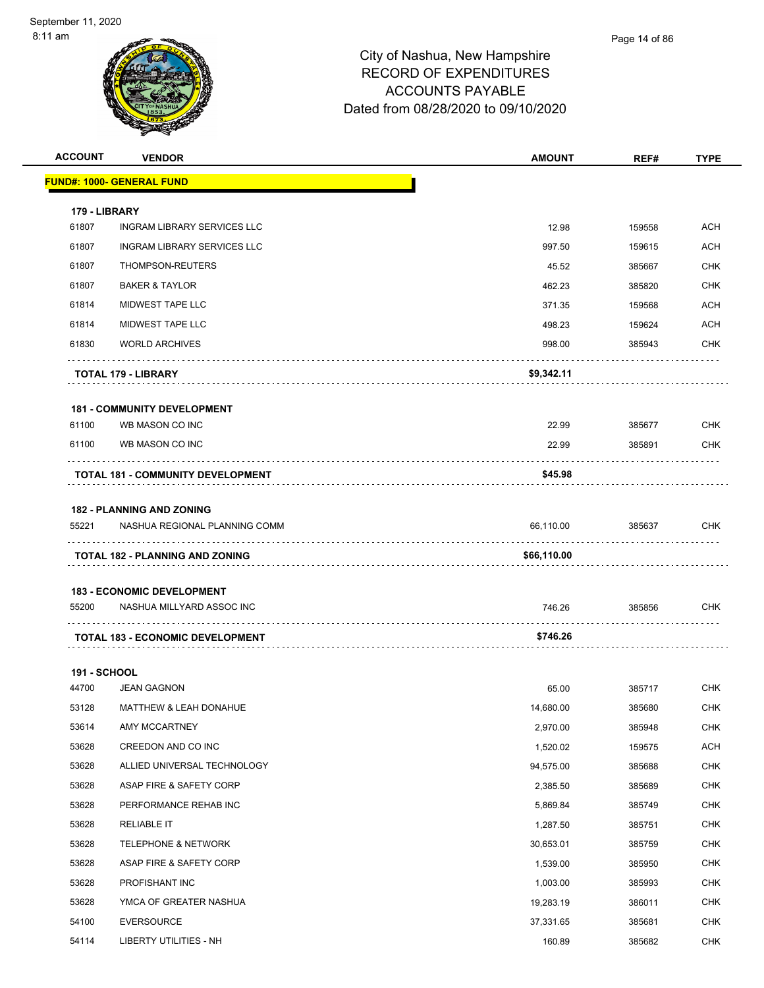

| <b>ACCOUNT</b>      | <b>VENDOR</b>                                                  | <b>AMOUNT</b> | REF#   | <b>TYPE</b> |
|---------------------|----------------------------------------------------------------|---------------|--------|-------------|
|                     | <u> FUND#: 1000- GENERAL FUND</u>                              |               |        |             |
| 179 - LIBRARY       |                                                                |               |        |             |
| 61807               | <b>INGRAM LIBRARY SERVICES LLC</b>                             | 12.98         | 159558 | <b>ACH</b>  |
| 61807               | INGRAM LIBRARY SERVICES LLC                                    | 997.50        | 159615 | ACH         |
| 61807               | THOMPSON-REUTERS                                               | 45.52         | 385667 | CHK         |
| 61807               | <b>BAKER &amp; TAYLOR</b>                                      | 462.23        | 385820 | <b>CHK</b>  |
| 61814               | <b>MIDWEST TAPE LLC</b>                                        | 371.35        | 159568 | ACH         |
| 61814               | <b>MIDWEST TAPE LLC</b>                                        | 498.23        | 159624 | <b>ACH</b>  |
| 61830               | <b>WORLD ARCHIVES</b>                                          | 998.00        | 385943 | <b>CHK</b>  |
|                     | TOTAL 179 - LIBRARY                                            | \$9,342.11    |        |             |
|                     | <b>181 - COMMUNITY DEVELOPMENT</b>                             |               |        |             |
| 61100               | WB MASON CO INC                                                | 22.99         | 385677 | <b>CHK</b>  |
| 61100               | WB MASON CO INC                                                | 22.99         | 385891 | CHK         |
|                     | TOTAL 181 - COMMUNITY DEVELOPMENT                              | \$45.98       |        |             |
|                     | <b>182 - PLANNING AND ZONING</b>                               |               |        |             |
| 55221               | NASHUA REGIONAL PLANNING COMM                                  | 66,110.00     | 385637 | CHK         |
|                     | <b>TOTAL 182 - PLANNING AND ZONING</b>                         | \$66,110.00   |        |             |
|                     |                                                                |               |        |             |
| 55200               | <b>183 - ECONOMIC DEVELOPMENT</b><br>NASHUA MILLYARD ASSOC INC | 746.26        | 385856 | <b>CHK</b>  |
|                     |                                                                |               | .      |             |
|                     | <b>TOTAL 183 - ECONOMIC DEVELOPMENT</b>                        | \$746.26      |        |             |
| <b>191 - SCHOOL</b> |                                                                |               |        |             |
| 44700               | <b>JEAN GAGNON</b>                                             | 65.00         | 385717 | CHK         |
| 53128               | MATTHEW & LEAH DONAHUE                                         | 14,680.00     | 385680 | CHK         |
| 53614               | AMY MCCARTNEY                                                  | 2,970.00      | 385948 | CHK         |
| 53628               | CREEDON AND CO INC                                             | 1,520.02      | 159575 | ACH         |
| 53628               | ALLIED UNIVERSAL TECHNOLOGY                                    | 94,575.00     | 385688 | <b>CHK</b>  |
| 53628               | ASAP FIRE & SAFETY CORP                                        | 2,385.50      | 385689 | <b>CHK</b>  |
| 53628               | PERFORMANCE REHAB INC                                          | 5,869.84      | 385749 | <b>CHK</b>  |
| 53628               | <b>RELIABLE IT</b>                                             | 1,287.50      | 385751 | <b>CHK</b>  |
| 53628               | <b>TELEPHONE &amp; NETWORK</b>                                 | 30,653.01     | 385759 | <b>CHK</b>  |
| 53628               | ASAP FIRE & SAFETY CORP                                        | 1,539.00      | 385950 | <b>CHK</b>  |
| 53628               | PROFISHANT INC                                                 | 1,003.00      | 385993 | <b>CHK</b>  |
| 53628               | YMCA OF GREATER NASHUA                                         | 19,283.19     | 386011 | <b>CHK</b>  |
| 54100               | <b>EVERSOURCE</b>                                              | 37,331.65     | 385681 | <b>CHK</b>  |
| 54114               | LIBERTY UTILITIES - NH                                         | 160.89        | 385682 | <b>CHK</b>  |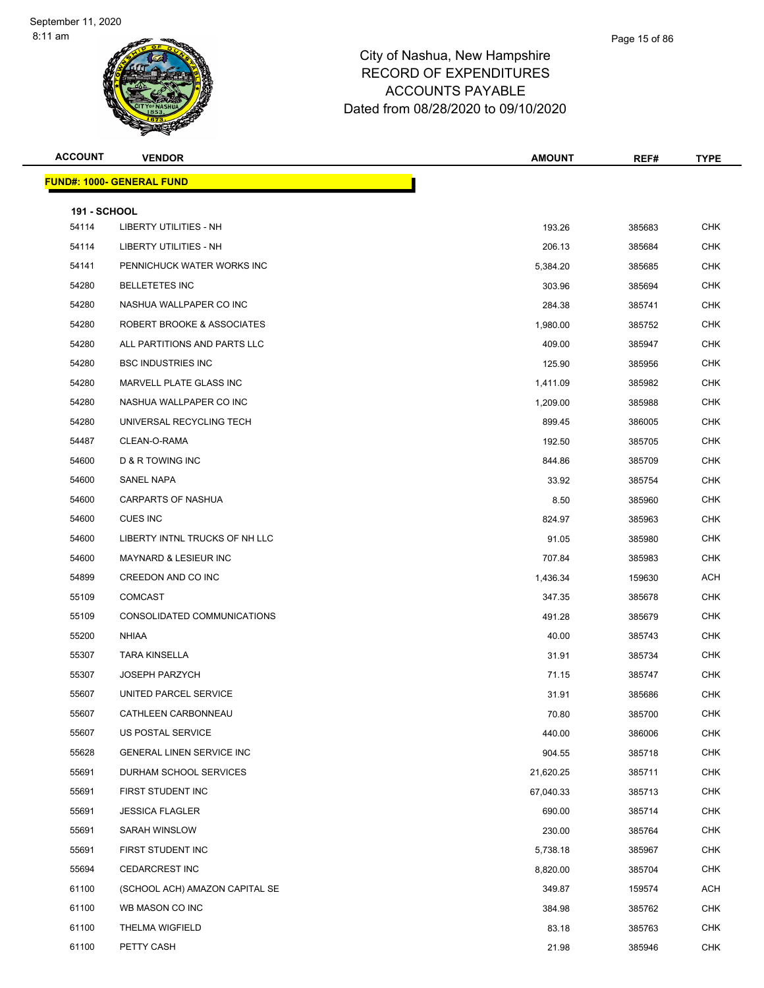| <b>ACCOUNT</b>               | <b>VENDOR</b>                    | <b>AMOUNT</b> | REF#   | <b>TYPE</b> |
|------------------------------|----------------------------------|---------------|--------|-------------|
|                              | <b>FUND#: 1000- GENERAL FUND</b> |               |        |             |
|                              |                                  |               |        |             |
| <b>191 - SCHOOL</b><br>54114 | <b>LIBERTY UTILITIES - NH</b>    | 193.26        | 385683 | <b>CHK</b>  |
| 54114                        | <b>LIBERTY UTILITIES - NH</b>    | 206.13        | 385684 | <b>CHK</b>  |
| 54141                        | PENNICHUCK WATER WORKS INC       | 5,384.20      | 385685 | <b>CHK</b>  |
| 54280                        | <b>BELLETETES INC</b>            | 303.96        | 385694 | <b>CHK</b>  |
| 54280                        | NASHUA WALLPAPER CO INC          | 284.38        | 385741 | <b>CHK</b>  |
| 54280                        | ROBERT BROOKE & ASSOCIATES       | 1,980.00      | 385752 | <b>CHK</b>  |
| 54280                        | ALL PARTITIONS AND PARTS LLC     | 409.00        | 385947 | <b>CHK</b>  |
| 54280                        | <b>BSC INDUSTRIES INC</b>        | 125.90        | 385956 | <b>CHK</b>  |
| 54280                        | MARVELL PLATE GLASS INC          | 1,411.09      | 385982 | <b>CHK</b>  |
| 54280                        | NASHUA WALLPAPER CO INC          | 1,209.00      | 385988 | <b>CHK</b>  |
| 54280                        | UNIVERSAL RECYCLING TECH         | 899.45        | 386005 | <b>CHK</b>  |
| 54487                        | CLEAN-O-RAMA                     | 192.50        | 385705 | <b>CHK</b>  |
| 54600                        | D & R TOWING INC                 | 844.86        | 385709 | <b>CHK</b>  |
| 54600                        | <b>SANEL NAPA</b>                | 33.92         | 385754 | <b>CHK</b>  |
| 54600                        | CARPARTS OF NASHUA               | 8.50          | 385960 | <b>CHK</b>  |
| 54600                        | <b>CUES INC</b>                  | 824.97        | 385963 | <b>CHK</b>  |
| 54600                        | LIBERTY INTNL TRUCKS OF NH LLC   | 91.05         | 385980 | <b>CHK</b>  |
| 54600                        | MAYNARD & LESIEUR INC            | 707.84        | 385983 | <b>CHK</b>  |
| 54899                        | CREEDON AND CO INC               | 1,436.34      | 159630 | ACH         |
| 55109                        | <b>COMCAST</b>                   | 347.35        | 385678 | <b>CHK</b>  |
| 55109                        | CONSOLIDATED COMMUNICATIONS      | 491.28        | 385679 | <b>CHK</b>  |
| 55200                        | <b>NHIAA</b>                     | 40.00         | 385743 | <b>CHK</b>  |
| 55307                        | <b>TARA KINSELLA</b>             | 31.91         | 385734 | CHK         |
| 55307                        | <b>JOSEPH PARZYCH</b>            | 71.15         | 385747 | <b>CHK</b>  |
| 55607                        | UNITED PARCEL SERVICE            | 31.91         | 385686 | <b>CHK</b>  |
| 55607                        | CATHLEEN CARBONNEAU              | 70.80         | 385700 | <b>CHK</b>  |
| 55607                        | US POSTAL SERVICE                | 440.00        | 386006 | <b>CHK</b>  |
| 55628                        | <b>GENERAL LINEN SERVICE INC</b> | 904.55        | 385718 | <b>CHK</b>  |
| 55691                        | DURHAM SCHOOL SERVICES           | 21,620.25     | 385711 | <b>CHK</b>  |
| 55691                        | FIRST STUDENT INC                | 67,040.33     | 385713 | <b>CHK</b>  |
| 55691                        | <b>JESSICA FLAGLER</b>           | 690.00        | 385714 | <b>CHK</b>  |
| 55691                        | SARAH WINSLOW                    | 230.00        | 385764 | <b>CHK</b>  |
| 55691                        | FIRST STUDENT INC                | 5,738.18      | 385967 | <b>CHK</b>  |
| 55694                        | <b>CEDARCREST INC</b>            | 8,820.00      | 385704 | <b>CHK</b>  |
| 61100                        | (SCHOOL ACH) AMAZON CAPITAL SE   | 349.87        | 159574 | ACH         |
| 61100                        | WB MASON CO INC                  | 384.98        | 385762 | <b>CHK</b>  |
| 61100                        | THELMA WIGFIELD                  | 83.18         | 385763 | <b>CHK</b>  |
| 61100                        | PETTY CASH                       | 21.98         | 385946 | <b>CHK</b>  |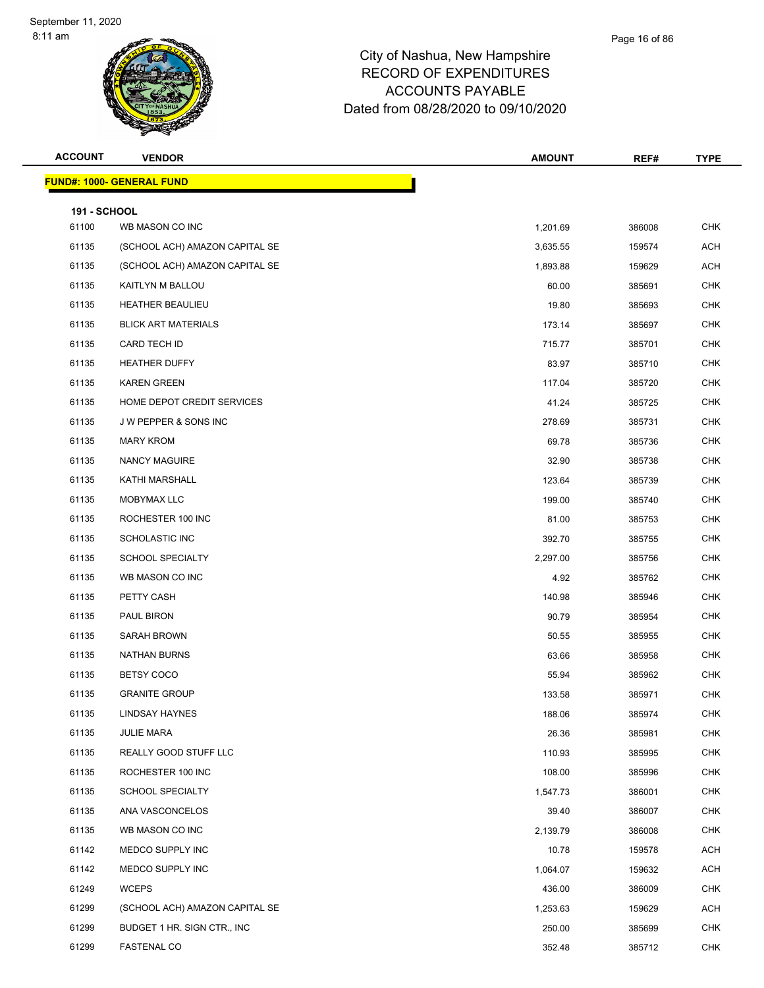| <b>ACCOUNT</b>               | <b>VENDOR</b>                    | <b>AMOUNT</b> | REF#   | <b>TYPE</b> |
|------------------------------|----------------------------------|---------------|--------|-------------|
|                              | <b>FUND#: 1000- GENERAL FUND</b> |               |        |             |
|                              |                                  |               |        |             |
| <b>191 - SCHOOL</b><br>61100 | WB MASON CO INC                  | 1,201.69      | 386008 | <b>CHK</b>  |
| 61135                        | (SCHOOL ACH) AMAZON CAPITAL SE   | 3,635.55      | 159574 | <b>ACH</b>  |
| 61135                        | (SCHOOL ACH) AMAZON CAPITAL SE   | 1,893.88      | 159629 | ACH         |
| 61135                        | KAITLYN M BALLOU                 | 60.00         | 385691 | <b>CHK</b>  |
| 61135                        | <b>HEATHER BEAULIEU</b>          | 19.80         | 385693 | <b>CHK</b>  |
| 61135                        | <b>BLICK ART MATERIALS</b>       | 173.14        | 385697 | <b>CHK</b>  |
| 61135                        | CARD TECH ID                     | 715.77        | 385701 | CHK         |
| 61135                        | <b>HEATHER DUFFY</b>             | 83.97         | 385710 | <b>CHK</b>  |
| 61135                        | <b>KAREN GREEN</b>               | 117.04        | 385720 | <b>CHK</b>  |
| 61135                        | HOME DEPOT CREDIT SERVICES       | 41.24         | 385725 | <b>CHK</b>  |
| 61135                        | J W PEPPER & SONS INC            | 278.69        | 385731 | <b>CHK</b>  |
| 61135                        | <b>MARY KROM</b>                 | 69.78         | 385736 | <b>CHK</b>  |
| 61135                        | NANCY MAGUIRE                    | 32.90         | 385738 | <b>CHK</b>  |
| 61135                        | <b>KATHI MARSHALL</b>            | 123.64        | 385739 | <b>CHK</b>  |
| 61135                        | MOBYMAX LLC                      | 199.00        | 385740 | <b>CHK</b>  |
| 61135                        | ROCHESTER 100 INC                | 81.00         | 385753 | <b>CHK</b>  |
| 61135                        | <b>SCHOLASTIC INC</b>            | 392.70        | 385755 | CHK         |
| 61135                        | <b>SCHOOL SPECIALTY</b>          | 2,297.00      | 385756 | <b>CHK</b>  |
| 61135                        | WB MASON CO INC                  | 4.92          | 385762 | <b>CHK</b>  |
| 61135                        | PETTY CASH                       | 140.98        | 385946 | <b>CHK</b>  |
| 61135                        | PAUL BIRON                       | 90.79         | 385954 | <b>CHK</b>  |
| 61135                        | SARAH BROWN                      | 50.55         | 385955 | <b>CHK</b>  |
| 61135                        | <b>NATHAN BURNS</b>              | 63.66         | 385958 | <b>CHK</b>  |
| 61135                        | <b>BETSY COCO</b>                | 55.94         | 385962 | <b>CHK</b>  |
| 61135                        | <b>GRANITE GROUP</b>             | 133.58        | 385971 | <b>CHK</b>  |
| 61135                        | LINDSAY HAYNES                   | 188.06        | 385974 | <b>CHK</b>  |
| 61135                        | <b>JULIE MARA</b>                | 26.36         | 385981 | <b>CHK</b>  |
| 61135                        | REALLY GOOD STUFF LLC            | 110.93        | 385995 | <b>CHK</b>  |
| 61135                        | ROCHESTER 100 INC                | 108.00        | 385996 | <b>CHK</b>  |
| 61135                        | <b>SCHOOL SPECIALTY</b>          | 1,547.73      | 386001 | <b>CHK</b>  |
| 61135                        | ANA VASCONCELOS                  | 39.40         | 386007 | <b>CHK</b>  |
| 61135                        | WB MASON CO INC                  | 2,139.79      | 386008 | CHK         |
| 61142                        | MEDCO SUPPLY INC                 | 10.78         | 159578 | ACH         |
| 61142                        | MEDCO SUPPLY INC                 | 1,064.07      | 159632 | <b>ACH</b>  |
| 61249                        | <b>WCEPS</b>                     | 436.00        | 386009 | <b>CHK</b>  |
| 61299                        | (SCHOOL ACH) AMAZON CAPITAL SE   | 1,253.63      | 159629 | ACH         |
| 61299                        | BUDGET 1 HR. SIGN CTR., INC      | 250.00        | 385699 | CHK         |
| 61299                        | FASTENAL CO                      | 352.48        | 385712 | <b>CHK</b>  |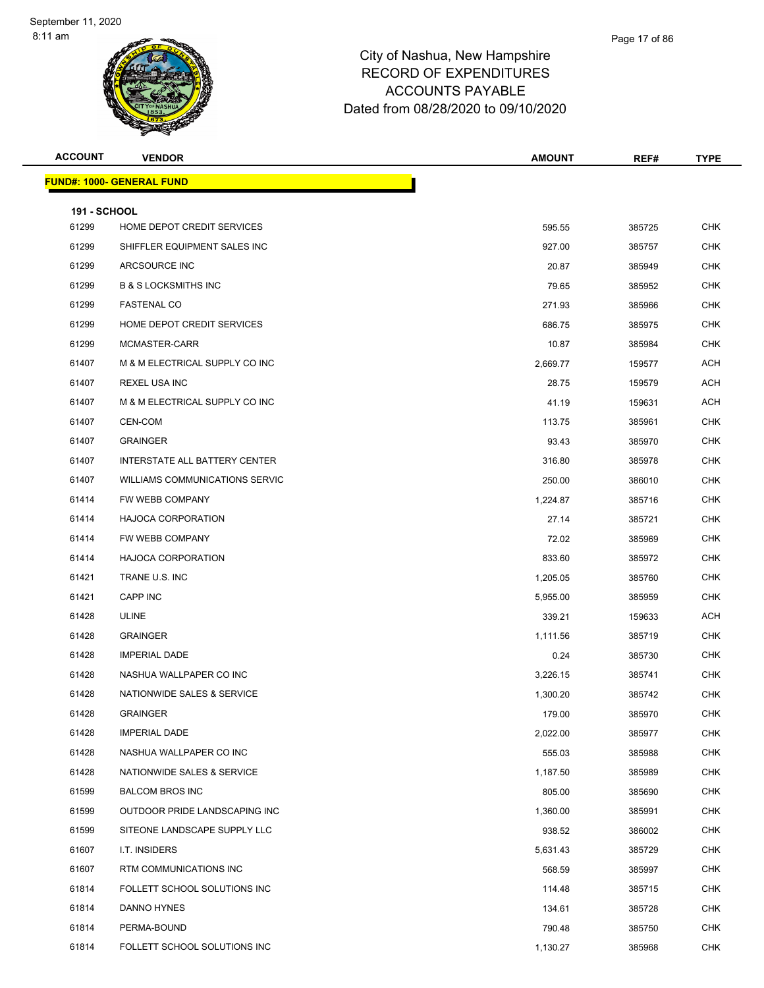| <b>ACCOUNT</b>               | <b>VENDOR</b>                    | <b>AMOUNT</b> | REF#   | <b>TYPE</b> |
|------------------------------|----------------------------------|---------------|--------|-------------|
|                              | <b>FUND#: 1000- GENERAL FUND</b> |               |        |             |
|                              |                                  |               |        |             |
| <b>191 - SCHOOL</b><br>61299 | HOME DEPOT CREDIT SERVICES       | 595.55        | 385725 | <b>CHK</b>  |
| 61299                        | SHIFFLER EQUIPMENT SALES INC     | 927.00        | 385757 | <b>CHK</b>  |
| 61299                        | ARCSOURCE INC                    | 20.87         | 385949 | <b>CHK</b>  |
| 61299                        | <b>B &amp; S LOCKSMITHS INC</b>  | 79.65         | 385952 | <b>CHK</b>  |
| 61299                        | <b>FASTENAL CO</b>               | 271.93        | 385966 | <b>CHK</b>  |
| 61299                        | HOME DEPOT CREDIT SERVICES       | 686.75        | 385975 | <b>CHK</b>  |
| 61299                        | MCMASTER-CARR                    | 10.87         | 385984 | <b>CHK</b>  |
| 61407                        | M & M ELECTRICAL SUPPLY CO INC   | 2,669.77      | 159577 | <b>ACH</b>  |
| 61407                        | <b>REXEL USA INC</b>             | 28.75         | 159579 | ACH         |
| 61407                        | M & M ELECTRICAL SUPPLY CO INC   | 41.19         | 159631 | <b>ACH</b>  |
| 61407                        | CEN-COM                          | 113.75        | 385961 | <b>CHK</b>  |
| 61407                        | <b>GRAINGER</b>                  | 93.43         | 385970 | <b>CHK</b>  |
| 61407                        | INTERSTATE ALL BATTERY CENTER    | 316.80        | 385978 | <b>CHK</b>  |
| 61407                        | WILLIAMS COMMUNICATIONS SERVIC   | 250.00        | 386010 | <b>CHK</b>  |
| 61414                        | FW WEBB COMPANY                  | 1,224.87      | 385716 | <b>CHK</b>  |
| 61414                        | <b>HAJOCA CORPORATION</b>        | 27.14         | 385721 | <b>CHK</b>  |
| 61414                        | FW WEBB COMPANY                  | 72.02         | 385969 | <b>CHK</b>  |
| 61414                        | <b>HAJOCA CORPORATION</b>        | 833.60        | 385972 | <b>CHK</b>  |
| 61421                        | TRANE U.S. INC                   | 1,205.05      | 385760 | <b>CHK</b>  |
| 61421                        | CAPP INC                         | 5,955.00      | 385959 | <b>CHK</b>  |
| 61428                        | <b>ULINE</b>                     | 339.21        | 159633 | <b>ACH</b>  |
| 61428                        | <b>GRAINGER</b>                  | 1,111.56      | 385719 | <b>CHK</b>  |
| 61428                        | <b>IMPERIAL DADE</b>             | 0.24          | 385730 | <b>CHK</b>  |
| 61428                        | NASHUA WALLPAPER CO INC          | 3,226.15      | 385741 | <b>CHK</b>  |
| 61428                        | NATIONWIDE SALES & SERVICE       | 1,300.20      | 385742 | <b>CHK</b>  |
| 61428                        | <b>GRAINGER</b>                  | 179.00        | 385970 | CHK         |
| 61428                        | <b>IMPERIAL DADE</b>             | 2,022.00      | 385977 | <b>CHK</b>  |
| 61428                        | NASHUA WALLPAPER CO INC          | 555.03        | 385988 | <b>CHK</b>  |
| 61428                        | NATIONWIDE SALES & SERVICE       | 1,187.50      | 385989 | CHK         |
| 61599                        | <b>BALCOM BROS INC</b>           | 805.00        | 385690 | <b>CHK</b>  |
| 61599                        | OUTDOOR PRIDE LANDSCAPING INC    | 1,360.00      | 385991 | <b>CHK</b>  |
| 61599                        | SITEONE LANDSCAPE SUPPLY LLC     | 938.52        | 386002 | CHK         |
| 61607                        | I.T. INSIDERS                    | 5,631.43      | 385729 | <b>CHK</b>  |
| 61607                        | RTM COMMUNICATIONS INC           | 568.59        | 385997 | <b>CHK</b>  |
| 61814                        | FOLLETT SCHOOL SOLUTIONS INC     | 114.48        | 385715 | CHK         |
| 61814                        | DANNO HYNES                      | 134.61        | 385728 | <b>CHK</b>  |
| 61814                        | PERMA-BOUND                      | 790.48        | 385750 | CHK         |
| 61814                        | FOLLETT SCHOOL SOLUTIONS INC     | 1,130.27      | 385968 | <b>CHK</b>  |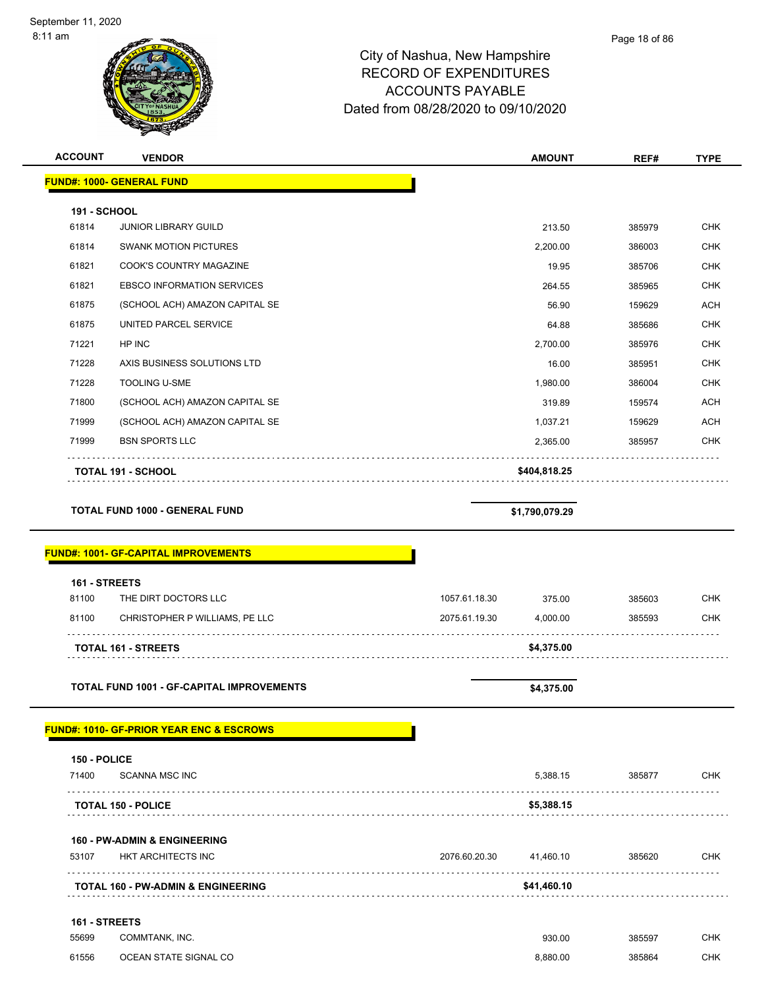| <b>ACCOUNT</b> | <b>VENDOR</b>                                       |               | <b>AMOUNT</b>  | REF#   | <b>TYPE</b> |
|----------------|-----------------------------------------------------|---------------|----------------|--------|-------------|
|                | <b>FUND#: 1000- GENERAL FUND</b>                    |               |                |        |             |
| 191 - SCHOOL   |                                                     |               |                |        |             |
| 61814          | JUNIOR LIBRARY GUILD                                |               | 213.50         | 385979 | <b>CHK</b>  |
| 61814          | <b>SWANK MOTION PICTURES</b>                        |               | 2,200.00       | 386003 | <b>CHK</b>  |
| 61821          | COOK'S COUNTRY MAGAZINE                             |               | 19.95          | 385706 | <b>CHK</b>  |
| 61821          | <b>EBSCO INFORMATION SERVICES</b>                   |               | 264.55         | 385965 | <b>CHK</b>  |
| 61875          | (SCHOOL ACH) AMAZON CAPITAL SE                      |               | 56.90          | 159629 | <b>ACH</b>  |
| 61875          | UNITED PARCEL SERVICE                               |               | 64.88          | 385686 | <b>CHK</b>  |
| 71221          | HP INC                                              |               | 2,700.00       | 385976 | <b>CHK</b>  |
| 71228          | AXIS BUSINESS SOLUTIONS LTD                         |               | 16.00          | 385951 | <b>CHK</b>  |
| 71228          | TOOLING U-SME                                       |               | 1,980.00       | 386004 | <b>CHK</b>  |
| 71800          | (SCHOOL ACH) AMAZON CAPITAL SE                      |               | 319.89         | 159574 | <b>ACH</b>  |
| 71999          | (SCHOOL ACH) AMAZON CAPITAL SE                      |               | 1,037.21       | 159629 | <b>ACH</b>  |
| 71999          | <b>BSN SPORTS LLC</b>                               |               | 2,365.00       | 385957 | <b>CHK</b>  |
|                | TOTAL 191 - SCHOOL                                  |               | \$404,818.25   |        |             |
|                |                                                     |               |                |        |             |
|                | <b>TOTAL FUND 1000 - GENERAL FUND</b>               |               | \$1,790,079.29 |        |             |
|                |                                                     |               |                |        |             |
|                | <b>FUND#: 1001- GF-CAPITAL IMPROVEMENTS</b>         |               |                |        |             |
| 161 - STREETS  |                                                     |               |                |        |             |
| 81100          | THE DIRT DOCTORS LLC                                | 1057.61.18.30 | 375.00         | 385603 | <b>CHK</b>  |
| 81100          | CHRISTOPHER P WILLIAMS, PE LLC                      | 2075.61.19.30 | 4,000.00       | 385593 | <b>CHK</b>  |
|                | <b>TOTAL 161 - STREETS</b>                          |               | \$4,375.00     |        |             |
|                |                                                     |               |                |        |             |
|                | <b>TOTAL FUND 1001 - GF-CAPITAL IMPROVEMENTS</b>    |               | \$4,375.00     |        |             |
|                |                                                     |               |                |        |             |
|                | <b>FUND#: 1010- GF-PRIOR YEAR ENC &amp; ESCROWS</b> |               |                |        |             |
| 150 - POLICE   |                                                     |               |                |        |             |
| 71400          | <b>SCANNA MSC INC</b>                               |               | 5,388.15       | 385877 | <b>CHK</b>  |
|                | <b>TOTAL 150 - POLICE</b>                           |               | \$5,388.15     |        |             |
|                |                                                     |               |                |        |             |
|                | <b>160 - PW-ADMIN &amp; ENGINEERING</b>             |               |                |        |             |
| 53107          | <b>HKT ARCHITECTS INC</b>                           | 2076.60.20.30 | 41,460.10      | 385620 | <b>CHK</b>  |
|                | <b>TOTAL 160 - PW-ADMIN &amp; ENGINEERING</b>       |               | \$41,460.10    |        |             |
| 161 - STREETS  |                                                     |               |                |        |             |

| 55699 | COMMTANK, INC.        | 930.00   | 385597 | CHK  |
|-------|-----------------------|----------|--------|------|
| 61556 | OCEAN STATE SIGNAL CO | 8.880.00 | 385864 | CHK. |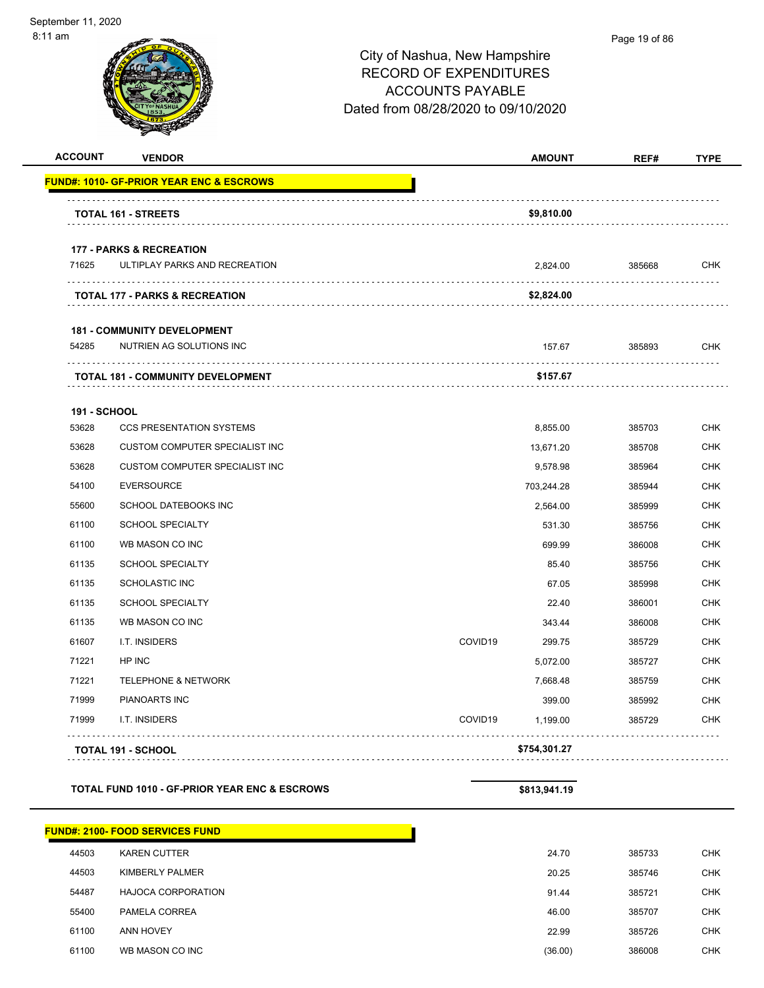| <b>ACCOUNT</b>      | <b>VENDOR</b>                                       | <b>AMOUNT</b>       | REF#   | <b>TYPE</b> |
|---------------------|-----------------------------------------------------|---------------------|--------|-------------|
|                     | <b>FUND#: 1010- GF-PRIOR YEAR ENC &amp; ESCROWS</b> |                     |        |             |
|                     | <b>TOTAL 161 - STREETS</b>                          | \$9,810.00          |        |             |
|                     | <b>177 - PARKS &amp; RECREATION</b>                 |                     |        |             |
| 71625               | ULTIPLAY PARKS AND RECREATION                       | 2,824.00            | 385668 | CHK         |
|                     | <b>TOTAL 177 - PARKS &amp; RECREATION</b>           | \$2,824.00          |        |             |
|                     | <b>181 - COMMUNITY DEVELOPMENT</b>                  |                     |        |             |
| 54285               | NUTRIEN AG SOLUTIONS INC                            | 157.67              | 385893 | <b>CHK</b>  |
|                     | <b>TOTAL 181 - COMMUNITY DEVELOPMENT</b>            | \$157.67            |        |             |
| <b>191 - SCHOOL</b> |                                                     |                     |        |             |
| 53628               | <b>CCS PRESENTATION SYSTEMS</b>                     | 8,855.00            | 385703 | <b>CHK</b>  |
| 53628               | <b>CUSTOM COMPUTER SPECIALIST INC</b>               | 13,671.20           | 385708 | <b>CHK</b>  |
| 53628               | <b>CUSTOM COMPUTER SPECIALIST INC</b>               | 9,578.98            | 385964 | <b>CHK</b>  |
| 54100               | <b>EVERSOURCE</b>                                   | 703,244.28          | 385944 | <b>CHK</b>  |
| 55600               | SCHOOL DATEBOOKS INC                                | 2,564.00            | 385999 | <b>CHK</b>  |
| 61100               | <b>SCHOOL SPECIALTY</b>                             | 531.30              | 385756 | <b>CHK</b>  |
| 61100               | WB MASON CO INC                                     | 699.99              | 386008 | <b>CHK</b>  |
| 61135               | <b>SCHOOL SPECIALTY</b>                             | 85.40               | 385756 | <b>CHK</b>  |
| 61135               | <b>SCHOLASTIC INC</b>                               | 67.05               | 385998 | <b>CHK</b>  |
| 61135               | <b>SCHOOL SPECIALTY</b>                             | 22.40               | 386001 | <b>CHK</b>  |
| 61135               | WB MASON CO INC                                     | 343.44              | 386008 | <b>CHK</b>  |
| 61607               | <b>I.T. INSIDERS</b>                                | COVID19<br>299.75   | 385729 | CHK         |
| 71221               | HP INC                                              | 5,072.00            | 385727 | <b>CHK</b>  |
| 71221               | <b>TELEPHONE &amp; NETWORK</b>                      | 7,668.48            | 385759 | <b>CHK</b>  |
| 71999               | PIANOARTS INC                                       | 399.00              | 385992 | <b>CHK</b>  |
| 71999               | I.T. INSIDERS                                       | COVID19<br>1,199.00 | 385729 | <b>CHK</b>  |
|                     | <b>TOTAL 191 - SCHOOL</b>                           | \$754,301.27        |        |             |
|                     |                                                     |                     |        |             |

### TOTAL FUND 1010 - GF-PRIOR YEAR ENC & ESCROWS **\$813,941.19**

**FUND#: 2100- FOOD SERVICES FUND** KAREN CUTTER 24.70 385733 CHK KIMBERLY PALMER 20.25 385746 CHK HAJOCA CORPORATION 91.44 385721 CHK PAMELA CORREA 46.00 385707 CHK ANN HOVEY 22.99 385726 CHK WB MASON CO INC (36.00) 386008 CHK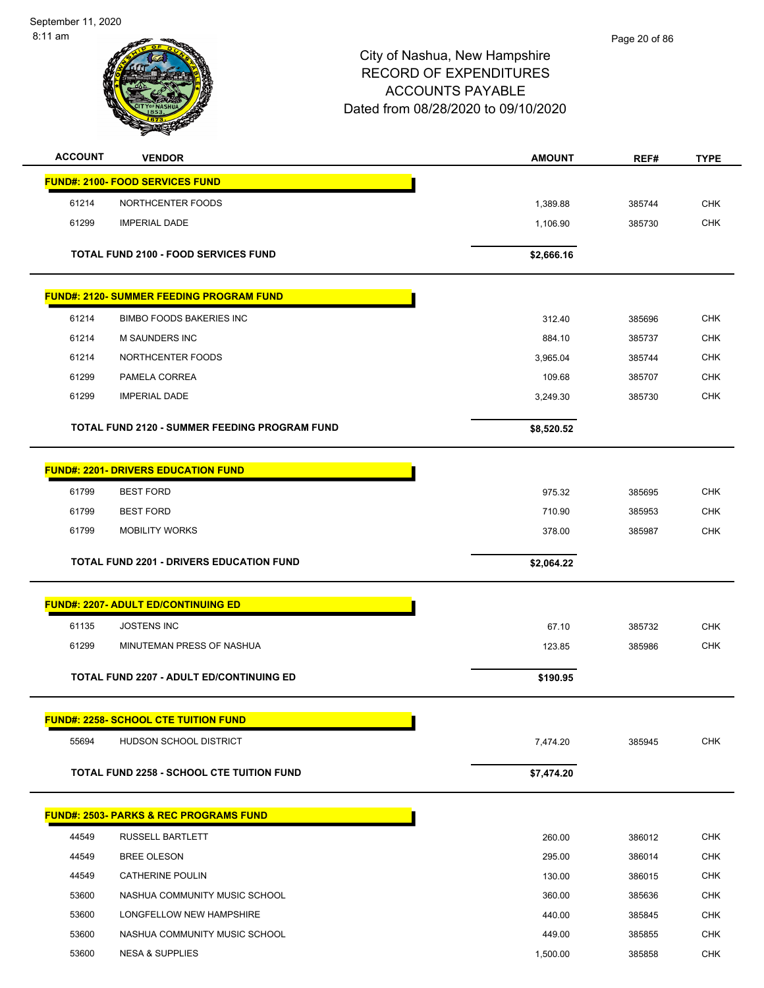September 11, 2020 8:11 am



| <b>ACCOUNT</b> | <b>VENDOR</b>                                     | <b>AMOUNT</b> | REF#   | <b>TYPE</b> |
|----------------|---------------------------------------------------|---------------|--------|-------------|
|                | <b>FUND#: 2100- FOOD SERVICES FUND</b>            |               |        |             |
| 61214          | NORTHCENTER FOODS                                 | 1,389.88      | 385744 | <b>CHK</b>  |
| 61299          | <b>IMPERIAL DADE</b>                              | 1,106.90      | 385730 | <b>CHK</b>  |
|                |                                                   |               |        |             |
|                | TOTAL FUND 2100 - FOOD SERVICES FUND              | \$2,666.16    |        |             |
|                | <b>FUND#: 2120- SUMMER FEEDING PROGRAM FUND</b>   |               |        |             |
| 61214          | <b>BIMBO FOODS BAKERIES INC</b>                   | 312.40        | 385696 | <b>CHK</b>  |
| 61214          | <b>M SAUNDERS INC</b>                             | 884.10        | 385737 | <b>CHK</b>  |
| 61214          | NORTHCENTER FOODS                                 | 3,965.04      | 385744 | <b>CHK</b>  |
| 61299          | PAMELA CORREA                                     | 109.68        | 385707 | <b>CHK</b>  |
| 61299          | <b>IMPERIAL DADE</b>                              | 3,249.30      | 385730 | <b>CHK</b>  |
|                | TOTAL FUND 2120 - SUMMER FEEDING PROGRAM FUND     |               |        |             |
|                |                                                   | \$8,520.52    |        |             |
|                | <b>FUND#: 2201- DRIVERS EDUCATION FUND</b>        |               |        |             |
| 61799          | <b>BEST FORD</b>                                  | 975.32        | 385695 | <b>CHK</b>  |
| 61799          | <b>BEST FORD</b>                                  | 710.90        | 385953 | <b>CHK</b>  |
| 61799          | <b>MOBILITY WORKS</b>                             | 378.00        | 385987 | <b>CHK</b>  |
|                | TOTAL FUND 2201 - DRIVERS EDUCATION FUND          | \$2,064.22    |        |             |
|                |                                                   |               |        |             |
|                | <b>FUND#: 2207- ADULT ED/CONTINUING ED</b>        |               |        |             |
| 61135          | <b>JOSTENS INC</b>                                | 67.10         | 385732 | <b>CHK</b>  |
| 61299          | MINUTEMAN PRESS OF NASHUA                         | 123.85        | 385986 | <b>CHK</b>  |
|                | <b>TOTAL FUND 2207 - ADULT ED/CONTINUING ED</b>   | \$190.95      |        |             |
|                |                                                   |               |        |             |
|                | <b>FUND#: 2258- SCHOOL CTE TUITION FUND</b>       |               |        |             |
| 55694          | HUDSON SCHOOL DISTRICT                            | 7,474.20      | 385945 | <b>CHK</b>  |
|                | <b>TOTAL FUND 2258 - SCHOOL CTE TUITION FUND</b>  | \$7,474.20    |        |             |
|                |                                                   |               |        |             |
|                | <b>FUND#: 2503- PARKS &amp; REC PROGRAMS FUND</b> |               |        |             |
| 44549          | <b>RUSSELL BARTLETT</b>                           | 260.00        | 386012 | <b>CHK</b>  |
| 44549          | BREE OLESON                                       | 295.00        | 386014 | <b>CHK</b>  |
| 44549          | <b>CATHERINE POULIN</b>                           | 130.00        | 386015 | <b>CHK</b>  |
| 53600          | NASHUA COMMUNITY MUSIC SCHOOL                     | 360.00        | 385636 | <b>CHK</b>  |
| 53600          | LONGFELLOW NEW HAMPSHIRE                          | 440.00        | 385845 | <b>CHK</b>  |
| 53600          | NASHUA COMMUNITY MUSIC SCHOOL                     | 449.00        | 385855 | <b>CHK</b>  |
| 53600          | <b>NESA &amp; SUPPLIES</b>                        | 1,500.00      | 385858 | <b>CHK</b>  |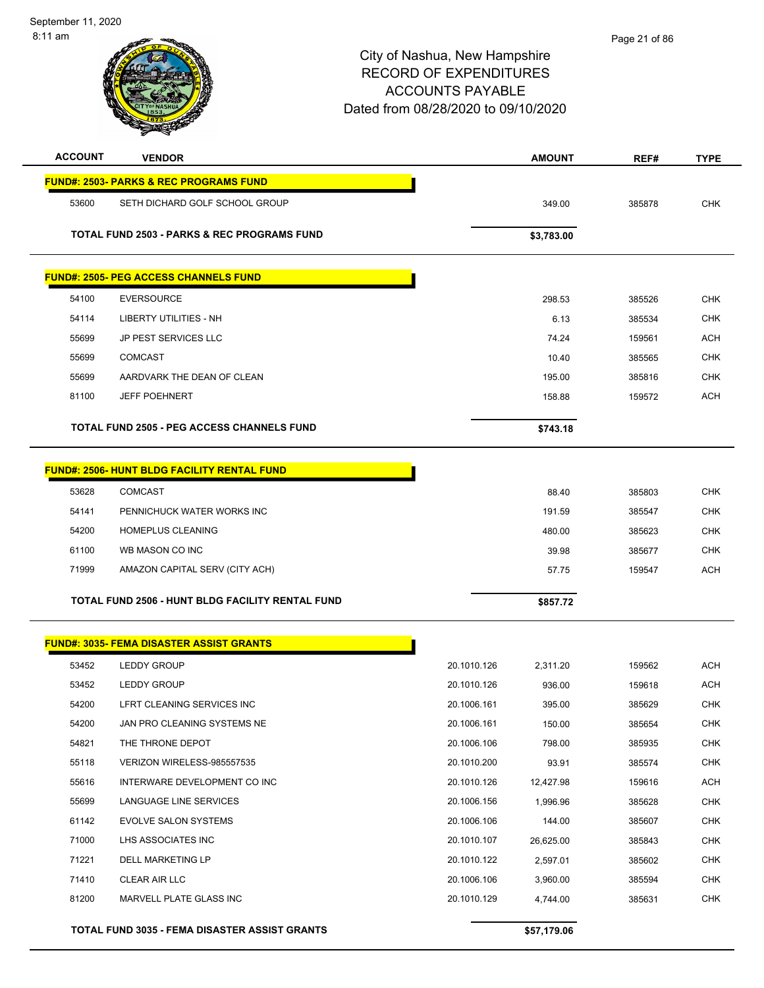September 11, 2020 8:11 am

| <b>ACCOUNT</b> | <b>VENDOR</b>                                           |             | <b>AMOUNT</b> | REF#   | <b>TYPE</b> |
|----------------|---------------------------------------------------------|-------------|---------------|--------|-------------|
|                | <b>FUND#: 2503- PARKS &amp; REC PROGRAMS FUND</b>       |             |               |        |             |
| 53600          | SETH DICHARD GOLF SCHOOL GROUP                          |             | 349.00        | 385878 | <b>CHK</b>  |
|                | <b>TOTAL FUND 2503 - PARKS &amp; REC PROGRAMS FUND</b>  |             | \$3,783.00    |        |             |
|                |                                                         |             |               |        |             |
|                | <b>FUND#: 2505- PEG ACCESS CHANNELS FUND</b>            |             |               |        |             |
| 54100          | <b>EVERSOURCE</b>                                       |             | 298.53        | 385526 | <b>CHK</b>  |
| 54114          | LIBERTY UTILITIES - NH                                  |             | 6.13          | 385534 | <b>CHK</b>  |
| 55699          | <b>JP PEST SERVICES LLC</b>                             |             | 74.24         | 159561 | <b>ACH</b>  |
| 55699          | <b>COMCAST</b>                                          |             | 10.40         | 385565 | <b>CHK</b>  |
| 55699          | AARDVARK THE DEAN OF CLEAN                              |             | 195.00        | 385816 | <b>CHK</b>  |
| 81100          | <b>JEFF POEHNERT</b>                                    |             | 158.88        | 159572 | <b>ACH</b>  |
|                | <b>TOTAL FUND 2505 - PEG ACCESS CHANNELS FUND</b>       |             |               |        |             |
|                |                                                         |             | \$743.18      |        |             |
|                | <b>FUND#: 2506- HUNT BLDG FACILITY RENTAL FUND</b>      |             |               |        |             |
| 53628          | <b>COMCAST</b>                                          |             | 88.40         | 385803 | <b>CHK</b>  |
| 54141          | PENNICHUCK WATER WORKS INC                              |             | 191.59        | 385547 | <b>CHK</b>  |
| 54200          | <b>HOMEPLUS CLEANING</b>                                |             | 480.00        | 385623 | <b>CHK</b>  |
| 61100          | WB MASON CO INC                                         |             | 39.98         | 385677 | <b>CHK</b>  |
| 71999          | AMAZON CAPITAL SERV (CITY ACH)                          |             | 57.75         | 159547 | ACH         |
|                | <b>TOTAL FUND 2506 - HUNT BLDG FACILITY RENTAL FUND</b> |             | \$857.72      |        |             |
|                |                                                         |             |               |        |             |
|                | <b>FUND#: 3035- FEMA DISASTER ASSIST GRANTS</b>         |             |               |        |             |
| 53452          | <b>LEDDY GROUP</b>                                      | 20.1010.126 | 2,311.20      | 159562 | ACH         |
| 53452          | <b>LEDDY GROUP</b>                                      | 20.1010.126 | 936.00        | 159618 | <b>ACH</b>  |
| 54200          | LFRT CLEANING SERVICES INC                              | 20.1006.161 | 395.00        | 385629 | <b>CHK</b>  |
| 54200          | JAN PRO CLEANING SYSTEMS NE                             | 20.1006.161 | 150.00        | 385654 | <b>CHK</b>  |
| 54821          | THE THRONE DEPOT                                        | 20.1006.106 | 798.00        | 385935 | <b>CHK</b>  |
| 55118          | VERIZON WIRELESS-985557535                              | 20.1010.200 | 93.91         | 385574 | <b>CHK</b>  |
| 55616          | INTERWARE DEVELOPMENT CO INC                            | 20.1010.126 | 12,427.98     | 159616 | <b>ACH</b>  |
| 55699          | LANGUAGE LINE SERVICES                                  | 20.1006.156 | 1,996.96      | 385628 | <b>CHK</b>  |
| 61142          | <b>EVOLVE SALON SYSTEMS</b>                             | 20.1006.106 | 144.00        | 385607 | <b>CHK</b>  |
| 71000          | LHS ASSOCIATES INC                                      | 20.1010.107 | 26,625.00     | 385843 | <b>CHK</b>  |
| 71221          | DELL MARKETING LP                                       | 20.1010.122 | 2,597.01      | 385602 | <b>CHK</b>  |
| 71410          | CLEAR AIR LLC                                           | 20.1006.106 | 3,960.00      | 385594 | <b>CHK</b>  |
| 81200          | MARVELL PLATE GLASS INC                                 | 20.1010.129 | 4,744.00      | 385631 | <b>CHK</b>  |
|                |                                                         |             |               |        |             |
|                | <b>TOTAL FUND 3035 - FEMA DISASTER ASSIST GRANTS</b>    |             | \$57,179.06   |        |             |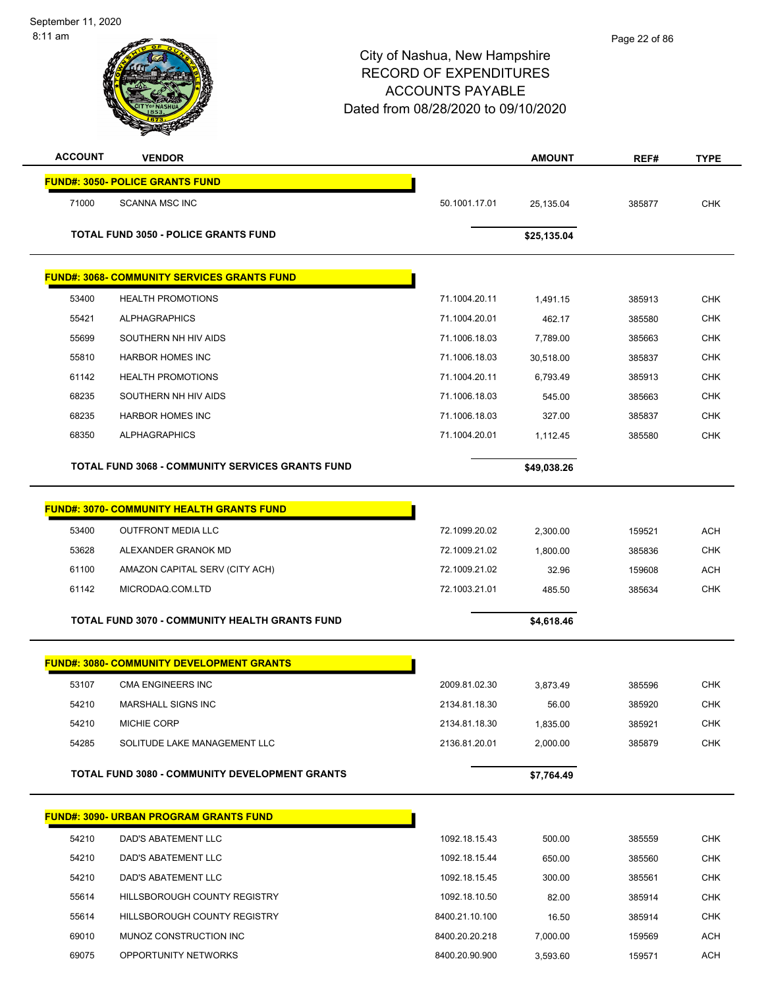| <b>ACCOUNT</b> | <b>VENDOR</b>                                           |                | <b>AMOUNT</b> | REF#   | <b>TYPE</b> |
|----------------|---------------------------------------------------------|----------------|---------------|--------|-------------|
|                | <b>FUND#: 3050- POLICE GRANTS FUND</b>                  |                |               |        |             |
| 71000          | <b>SCANNA MSC INC</b>                                   | 50.1001.17.01  | 25,135.04     | 385877 | <b>CHK</b>  |
|                | <b>TOTAL FUND 3050 - POLICE GRANTS FUND</b>             |                | \$25,135.04   |        |             |
|                |                                                         |                |               |        |             |
|                | <b>FUND#: 3068- COMMUNITY SERVICES GRANTS FUND</b>      |                |               |        |             |
| 53400          | <b>HEALTH PROMOTIONS</b>                                | 71.1004.20.11  | 1,491.15      | 385913 | <b>CHK</b>  |
| 55421          | <b>ALPHAGRAPHICS</b>                                    | 71.1004.20.01  | 462.17        | 385580 | <b>CHK</b>  |
| 55699          | SOUTHERN NH HIV AIDS                                    | 71.1006.18.03  | 7,789.00      | 385663 | <b>CHK</b>  |
| 55810          | <b>HARBOR HOMES INC</b>                                 | 71.1006.18.03  | 30,518.00     | 385837 | <b>CHK</b>  |
| 61142          | <b>HEALTH PROMOTIONS</b>                                | 71.1004.20.11  | 6,793.49      | 385913 | <b>CHK</b>  |
| 68235          | SOUTHERN NH HIV AIDS                                    | 71.1006.18.03  | 545.00        | 385663 | <b>CHK</b>  |
| 68235          | <b>HARBOR HOMES INC</b>                                 | 71.1006.18.03  | 327.00        | 385837 | <b>CHK</b>  |
| 68350          | <b>ALPHAGRAPHICS</b>                                    | 71.1004.20.01  | 1,112.45      | 385580 | <b>CHK</b>  |
|                | <b>TOTAL FUND 3068 - COMMUNITY SERVICES GRANTS FUND</b> |                | \$49,038.26   |        |             |
|                | <b>FUND#: 3070- COMMUNITY HEALTH GRANTS FUND</b>        |                |               |        |             |
| 53400          | <b>OUTFRONT MEDIA LLC</b>                               | 72.1099.20.02  | 2,300.00      | 159521 | <b>ACH</b>  |
| 53628          | ALEXANDER GRANOK MD                                     | 72.1009.21.02  | 1,800.00      | 385836 | <b>CHK</b>  |
| 61100          | AMAZON CAPITAL SERV (CITY ACH)                          | 72.1009.21.02  | 32.96         | 159608 | ACH         |
| 61142          | MICRODAQ.COM.LTD                                        | 72.1003.21.01  | 485.50        | 385634 | <b>CHK</b>  |
|                | TOTAL FUND 3070 - COMMUNITY HEALTH GRANTS FUND          |                | \$4,618.46    |        |             |
|                | <b>FUND#: 3080- COMMUNITY DEVELOPMENT GRANTS</b>        |                |               |        |             |
| 53107          | CMA ENGINEERS INC                                       | 2009.81.02.30  | 3,873.49      | 385596 | <b>CHK</b>  |
| 54210          | MARSHALL SIGNS INC                                      | 2134.81.18.30  | 56.00         | 385920 | CHK         |
| 54210          | MICHIE CORP                                             | 2134.81.18.30  | 1,835.00      | 385921 | <b>CHK</b>  |
| 54285          | SOLITUDE LAKE MANAGEMENT LLC                            | 2136.81.20.01  | 2,000.00      | 385879 | <b>CHK</b>  |
|                | <b>TOTAL FUND 3080 - COMMUNITY DEVELOPMENT GRANTS</b>   |                | \$7,764.49    |        |             |
|                |                                                         |                |               |        |             |
|                | <b>FUND#: 3090- URBAN PROGRAM GRANTS FUND</b>           |                |               |        |             |
| 54210          | <b>DAD'S ABATEMENT LLC</b>                              | 1092.18.15.43  | 500.00        | 385559 | <b>CHK</b>  |
| 54210          | DAD'S ABATEMENT LLC                                     | 1092.18.15.44  | 650.00        | 385560 | <b>CHK</b>  |
| 54210          | DAD'S ABATEMENT LLC                                     | 1092.18.15.45  | 300.00        | 385561 | <b>CHK</b>  |
| 55614          | HILLSBOROUGH COUNTY REGISTRY                            | 1092.18.10.50  | 82.00         | 385914 | <b>CHK</b>  |
| 55614          | HILLSBOROUGH COUNTY REGISTRY                            | 8400.21.10.100 | 16.50         | 385914 | <b>CHK</b>  |
| 69010          | MUNOZ CONSTRUCTION INC                                  | 8400.20.20.218 | 7,000.00      | 159569 | ACH         |
| 69075          | OPPORTUNITY NETWORKS                                    | 8400.20.90.900 | 3,593.60      | 159571 | <b>ACH</b>  |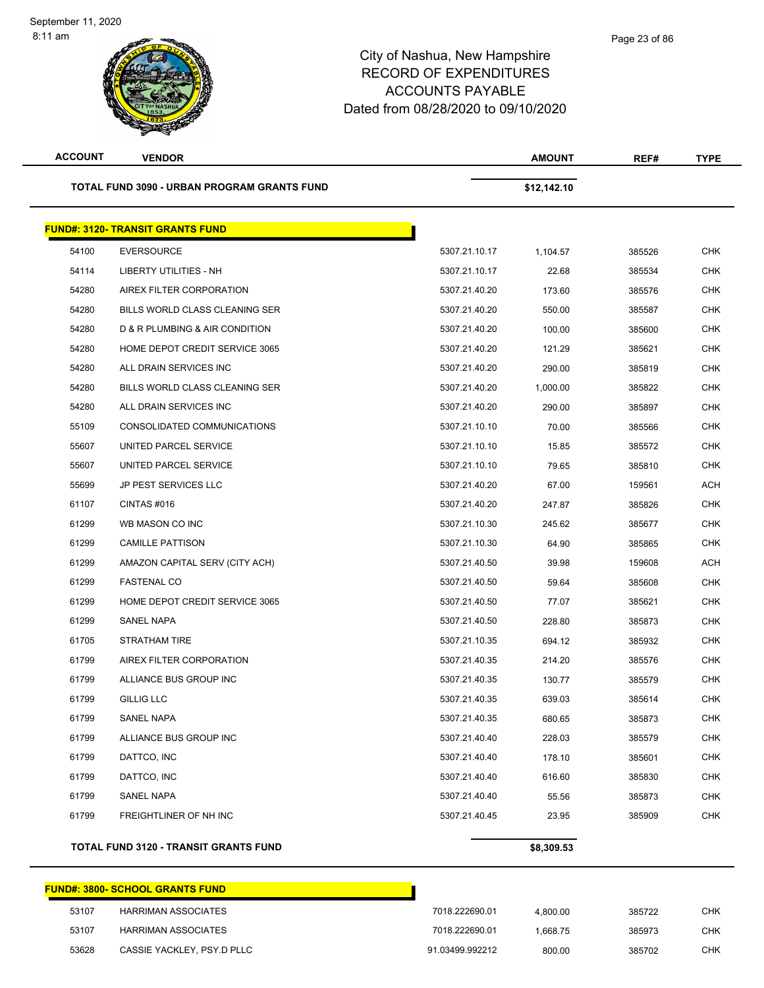| <b>ACCOUNT</b> | <b>VENDOR</b>                               |               | <b>AMOUNT</b> | REF#   | <b>TYPE</b> |
|----------------|---------------------------------------------|---------------|---------------|--------|-------------|
|                | TOTAL FUND 3090 - URBAN PROGRAM GRANTS FUND |               | \$12,142.10   |        |             |
|                | <b>FUND#: 3120- TRANSIT GRANTS FUND</b>     |               |               |        |             |
| 54100          | <b>EVERSOURCE</b>                           | 5307.21.10.17 | 1,104.57      | 385526 | <b>CHK</b>  |
| 54114          | LIBERTY UTILITIES - NH                      | 5307.21.10.17 | 22.68         | 385534 | <b>CHK</b>  |
| 54280          | AIREX FILTER CORPORATION                    | 5307.21.40.20 | 173.60        | 385576 | <b>CHK</b>  |
| 54280          | BILLS WORLD CLASS CLEANING SER              | 5307.21.40.20 | 550.00        | 385587 | CHK         |
| 54280          | D & R PLUMBING & AIR CONDITION              | 5307.21.40.20 | 100.00        | 385600 | <b>CHK</b>  |
| 54280          | HOME DEPOT CREDIT SERVICE 3065              | 5307.21.40.20 | 121.29        | 385621 | CHK         |
| 54280          | ALL DRAIN SERVICES INC                      | 5307.21.40.20 | 290.00        | 385819 | <b>CHK</b>  |
| 54280          | BILLS WORLD CLASS CLEANING SER              | 5307.21.40.20 | 1,000.00      | 385822 | CHK         |
| 54280          | ALL DRAIN SERVICES INC                      | 5307.21.40.20 | 290.00        | 385897 | CHK         |
| 55109          | CONSOLIDATED COMMUNICATIONS                 | 5307.21.10.10 | 70.00         | 385566 | <b>CHK</b>  |
| 55607          | UNITED PARCEL SERVICE                       | 5307.21.10.10 | 15.85         | 385572 | CHK         |
| 55607          | UNITED PARCEL SERVICE                       | 5307.21.10.10 | 79.65         | 385810 | <b>CHK</b>  |
| 55699          | <b>JP PEST SERVICES LLC</b>                 | 5307.21.40.20 | 67.00         | 159561 | ACH         |
| 61107          | CINTAS#016                                  | 5307.21.40.20 | 247.87        | 385826 | CHK         |
| 61299          | WB MASON CO INC                             | 5307.21.10.30 | 245.62        | 385677 | <b>CHK</b>  |
| 61299          | <b>CAMILLE PATTISON</b>                     | 5307.21.10.30 | 64.90         | 385865 | CHK         |
| 61299          | AMAZON CAPITAL SERV (CITY ACH)              | 5307.21.40.50 | 39.98         | 159608 | ACH         |
| 61299          | <b>FASTENAL CO</b>                          | 5307.21.40.50 | 59.64         | 385608 | CHK         |
| 61299          | HOME DEPOT CREDIT SERVICE 3065              | 5307.21.40.50 | 77.07         | 385621 | CHK         |
| 61299          | <b>SANEL NAPA</b>                           | 5307.21.40.50 | 228.80        | 385873 | <b>CHK</b>  |
| 61705          | <b>STRATHAM TIRE</b>                        | 5307.21.10.35 | 694.12        | 385932 | CHK         |
| 61799          | AIREX FILTER CORPORATION                    | 5307.21.40.35 | 214.20        | 385576 | <b>CHK</b>  |
| 61799          | ALLIANCE BUS GROUP INC                      | 5307.21.40.35 | 130.77        | 385579 | CHK         |
| 61799          | <b>GILLIG LLC</b>                           | 5307.21.40.35 | 639.03        | 385614 | <b>CHK</b>  |
| 61799          | SANEL NAPA                                  | 5307.21.40.35 | 680.65        | 385873 | <b>CHK</b>  |
| 61799          | ALLIANCE BUS GROUP INC                      | 5307.21.40.40 | 228.03        | 385579 | <b>CHK</b>  |
| 61799          | DATTCO, INC                                 | 5307.21.40.40 | 178.10        | 385601 | <b>CHK</b>  |
| 61799          | DATTCO, INC                                 | 5307.21.40.40 | 616.60        | 385830 | <b>CHK</b>  |
| 61799          | SANEL NAPA                                  | 5307.21.40.40 | 55.56         | 385873 | CHK         |
| 61799          | FREIGHTLINER OF NH INC                      | 5307.21.40.45 | 23.95         | 385909 | <b>CHK</b>  |
|                | TOTAL FUND 3120 - TRANSIT GRANTS FUND       |               | \$8,309.53    |        |             |

# **FUND#: 3800- SCHOOL GRANTS FUND**

| 53107 | HARRIMAN ASSOCIATES        | 7018.222690.01  | 4.800.00 | 385722 | СНК |
|-------|----------------------------|-----------------|----------|--------|-----|
| 53107 | HARRIMAN ASSOCIATES        | 7018.222690.01  | .668.75  | 385973 | СНК |
| 53628 | CASSIE YACKLEY. PSY.D PLLC | 91.03499.992212 | 800.00   | 385702 | снк |

Т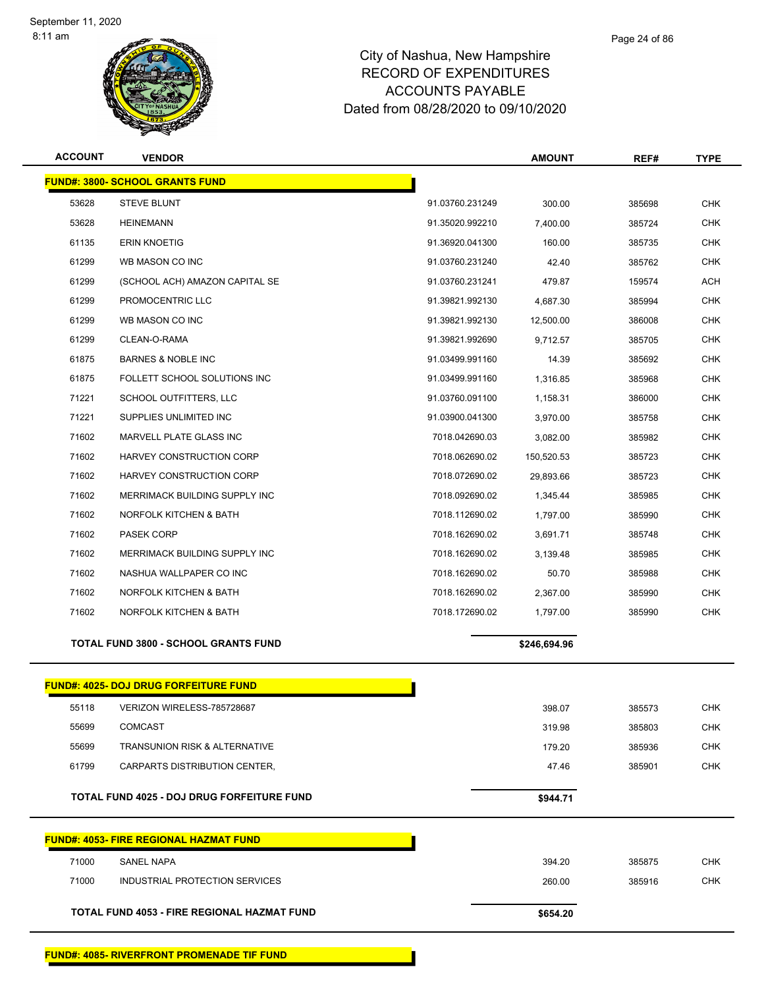

### Page 24 of 86

| <b>ACCOUNT</b> | <b>VENDOR</b>                                 |                 | <b>AMOUNT</b> | REF#   | <b>TYPE</b> |
|----------------|-----------------------------------------------|-----------------|---------------|--------|-------------|
|                | <b>FUND#: 3800- SCHOOL GRANTS FUND</b>        |                 |               |        |             |
| 53628          | <b>STEVE BLUNT</b>                            | 91.03760.231249 | 300.00        | 385698 | <b>CHK</b>  |
| 53628          | <b>HEINEMANN</b>                              | 91.35020.992210 | 7,400.00      | 385724 | <b>CHK</b>  |
| 61135          | <b>ERIN KNOETIG</b>                           | 91.36920.041300 | 160.00        | 385735 | <b>CHK</b>  |
| 61299          | WB MASON CO INC                               | 91.03760.231240 | 42.40         | 385762 | <b>CHK</b>  |
| 61299          | (SCHOOL ACH) AMAZON CAPITAL SE                | 91.03760.231241 | 479.87        | 159574 | <b>ACH</b>  |
| 61299          | PROMOCENTRIC LLC                              | 91.39821.992130 | 4,687.30      | 385994 | <b>CHK</b>  |
| 61299          | WB MASON CO INC                               | 91.39821.992130 | 12,500.00     | 386008 | <b>CHK</b>  |
| 61299          | CLEAN-O-RAMA                                  | 91.39821.992690 | 9,712.57      | 385705 | <b>CHK</b>  |
| 61875          | <b>BARNES &amp; NOBLE INC</b>                 | 91.03499.991160 | 14.39         | 385692 | <b>CHK</b>  |
| 61875          | FOLLETT SCHOOL SOLUTIONS INC                  | 91.03499.991160 | 1,316.85      | 385968 | <b>CHK</b>  |
| 71221          | SCHOOL OUTFITTERS, LLC                        | 91.03760.091100 | 1,158.31      | 386000 | <b>CHK</b>  |
| 71221          | SUPPLIES UNLIMITED INC                        | 91.03900.041300 | 3,970.00      | 385758 | <b>CHK</b>  |
| 71602          | MARVELL PLATE GLASS INC                       | 7018.042690.03  | 3,082.00      | 385982 | <b>CHK</b>  |
| 71602          | HARVEY CONSTRUCTION CORP                      | 7018.062690.02  | 150,520.53    | 385723 | <b>CHK</b>  |
| 71602          | HARVEY CONSTRUCTION CORP                      | 7018.072690.02  | 29,893.66     | 385723 | CHK         |
| 71602          | MERRIMACK BUILDING SUPPLY INC                 | 7018.092690.02  | 1,345.44      | 385985 | <b>CHK</b>  |
| 71602          | NORFOLK KITCHEN & BATH                        | 7018.112690.02  | 1,797.00      | 385990 | <b>CHK</b>  |
| 71602          | <b>PASEK CORP</b>                             | 7018.162690.02  | 3,691.71      | 385748 | <b>CHK</b>  |
| 71602          | MERRIMACK BUILDING SUPPLY INC                 | 7018.162690.02  | 3,139.48      | 385985 | <b>CHK</b>  |
| 71602          | NASHUA WALLPAPER CO INC                       | 7018.162690.02  | 50.70         | 385988 | <b>CHK</b>  |
| 71602          | NORFOLK KITCHEN & BATH                        | 7018.162690.02  | 2,367.00      | 385990 | <b>CHK</b>  |
| 71602          | NORFOLK KITCHEN & BATH                        | 7018.172690.02  | 1,797.00      | 385990 | <b>CHK</b>  |
|                | <b>TOTAL FUND 3800 - SCHOOL GRANTS FUND</b>   |                 | \$246,694.96  |        |             |
|                | <b>FUND#: 4025- DOJ DRUG FORFEITURE FUND</b>  |                 |               |        |             |
| 55118          | VERIZON WIRELESS-785728687                    |                 | 398.07        | 385573 | CHK         |
| 55699          | <b>COMCAST</b>                                |                 | 319.98        | 385803 | <b>CHK</b>  |
| 55699          | <b>TRANSUNION RISK &amp; ALTERNATIVE</b>      |                 | 179.20        | 385936 | <b>CHK</b>  |
| 61799          | CARPARTS DISTRIBUTION CENTER,                 |                 | 47.46         | 385901 | <b>CHK</b>  |
|                | TOTAL FUND 4025 - DOJ DRUG FORFEITURE FUND    |                 | \$944.71      |        |             |
|                | <b>FUND#: 4053- FIRE REGIONAL HAZMAT FUND</b> |                 |               |        |             |
| 71000          | <b>SANEL NAPA</b>                             |                 | 394.20        | 385875 | CHK         |
| 71000          | INDUSTRIAL PROTECTION SERVICES                |                 | 260.00        | 385916 | <b>CHK</b>  |
|                | TOTAL FUND 4053 - FIRE REGIONAL HAZMAT FUND   |                 | \$654.20      |        |             |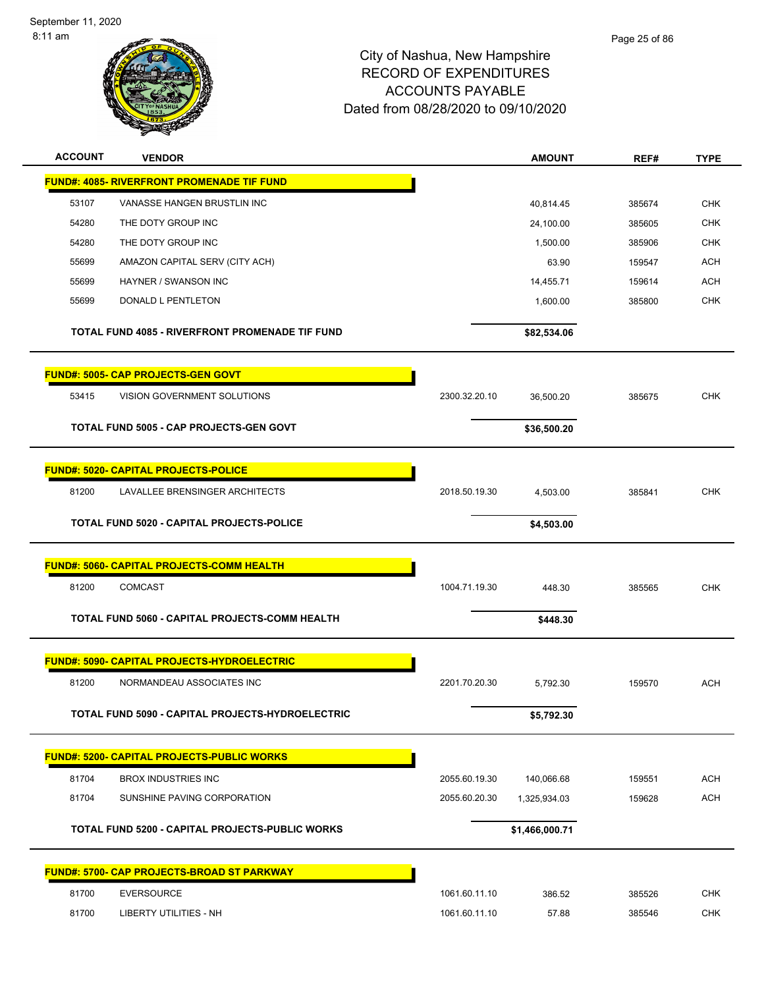

| <b>ACCOUNT</b> | <b>VENDOR</b>                                      |               | <b>AMOUNT</b>  | REF#   | <b>TYPE</b> |
|----------------|----------------------------------------------------|---------------|----------------|--------|-------------|
|                | <b>FUND#: 4085- RIVERFRONT PROMENADE TIF FUND</b>  |               |                |        |             |
| 53107          | VANASSE HANGEN BRUSTLIN INC                        |               | 40,814.45      | 385674 | <b>CHK</b>  |
| 54280          | THE DOTY GROUP INC                                 |               | 24,100.00      | 385605 | <b>CHK</b>  |
| 54280          | THE DOTY GROUP INC                                 |               | 1,500.00       | 385906 | <b>CHK</b>  |
| 55699          | AMAZON CAPITAL SERV (CITY ACH)                     |               | 63.90          | 159547 | <b>ACH</b>  |
| 55699          | HAYNER / SWANSON INC                               |               | 14,455.71      | 159614 | <b>ACH</b>  |
| 55699          | DONALD L PENTLETON                                 |               | 1,600.00       | 385800 | <b>CHK</b>  |
|                | TOTAL FUND 4085 - RIVERFRONT PROMENADE TIF FUND    |               | \$82,534.06    |        |             |
|                | <b>FUND#: 5005- CAP PROJECTS-GEN GOVT</b>          |               |                |        |             |
| 53415          | VISION GOVERNMENT SOLUTIONS                        | 2300.32.20.10 | 36,500.20      | 385675 | CHK         |
|                | TOTAL FUND 5005 - CAP PROJECTS-GEN GOVT            |               | \$36,500.20    |        |             |
|                | <b>FUND#: 5020- CAPITAL PROJECTS-POLICE</b>        |               |                |        |             |
| 81200          | LAVALLEE BRENSINGER ARCHITECTS                     | 2018.50.19.30 | 4,503.00       | 385841 | <b>CHK</b>  |
|                | <b>TOTAL FUND 5020 - CAPITAL PROJECTS-POLICE</b>   |               | \$4,503.00     |        |             |
|                | <b>FUND#: 5060- CAPITAL PROJECTS-COMM HEALTH</b>   |               |                |        |             |
| 81200          | <b>COMCAST</b>                                     | 1004.71.19.30 | 448.30         | 385565 | <b>CHK</b>  |
|                | TOTAL FUND 5060 - CAPITAL PROJECTS-COMM HEALTH     |               | \$448.30       |        |             |
|                | <b>FUND#: 5090- CAPITAL PROJECTS-HYDROELECTRIC</b> |               |                |        |             |
| 81200          | NORMANDEAU ASSOCIATES INC                          | 2201.70.20.30 | 5,792.30       | 159570 | <b>ACH</b>  |
|                | TOTAL FUND 5090 - CAPITAL PROJECTS-HYDROELECTRIC   |               | \$5,792.30     |        |             |
|                | <b>FUND#: 5200- CAPITAL PROJECTS-PUBLIC WORKS</b>  |               |                |        |             |
| 81704          | <b>BROX INDUSTRIES INC</b>                         | 2055.60.19.30 | 140,066.68     | 159551 | <b>ACH</b>  |
| 81704          | SUNSHINE PAVING CORPORATION                        | 2055.60.20.30 | 1,325,934.03   | 159628 | <b>ACH</b>  |
|                | TOTAL FUND 5200 - CAPITAL PROJECTS-PUBLIC WORKS    |               | \$1,466,000.71 |        |             |
|                | FUND#: 5700- CAP PROJECTS-BROAD ST PARKWAY         |               |                |        |             |
| 81700          | <b>EVERSOURCE</b>                                  | 1061.60.11.10 | 386.52         | 385526 | <b>CHK</b>  |
| 81700          | LIBERTY UTILITIES - NH                             | 1061.60.11.10 | 57.88          | 385546 | CHK         |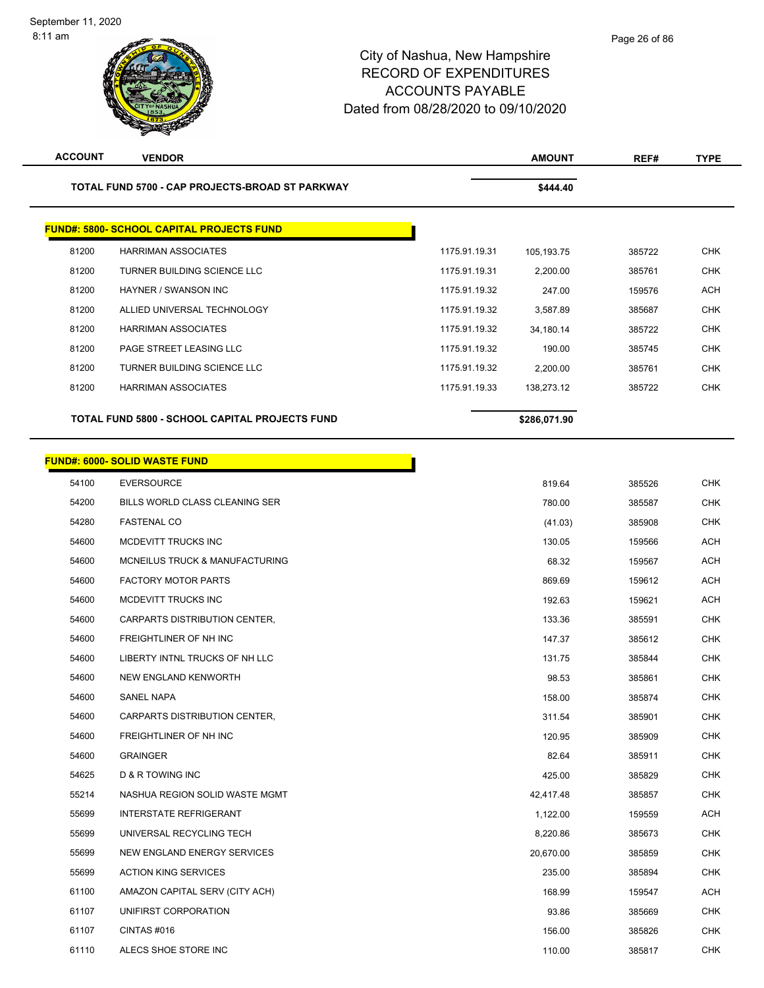| <b>ACCOUNT</b> | <b>VENDOR</b>                                    |               | <b>AMOUNT</b> | REF#   | <b>TYPE</b> |
|----------------|--------------------------------------------------|---------------|---------------|--------|-------------|
|                | TOTAL FUND 5700 - CAP PROJECTS-BROAD ST PARKWAY  |               | \$444.40      |        |             |
|                | <b>FUND#: 5800- SCHOOL CAPITAL PROJECTS FUND</b> |               |               |        |             |
| 81200          | <b>HARRIMAN ASSOCIATES</b>                       | 1175.91.19.31 | 105,193.75    | 385722 | <b>CHK</b>  |
| 81200          | TURNER BUILDING SCIENCE LLC                      | 1175.91.19.31 | 2,200.00      | 385761 | <b>CHK</b>  |
| 81200          | HAYNER / SWANSON INC                             | 1175.91.19.32 | 247.00        | 159576 | <b>ACH</b>  |
| 81200          | ALLIED UNIVERSAL TECHNOLOGY                      | 1175.91.19.32 | 3,587.89      | 385687 | <b>CHK</b>  |
| 81200          | <b>HARRIMAN ASSOCIATES</b>                       | 1175.91.19.32 | 34,180.14     | 385722 | <b>CHK</b>  |
| 81200          | PAGE STREET LEASING LLC                          | 1175.91.19.32 | 190.00        | 385745 | <b>CHK</b>  |
| 81200          | TURNER BUILDING SCIENCE LLC                      | 1175.91.19.32 | 2,200.00      | 385761 | <b>CHK</b>  |
| 81200          | <b>HARRIMAN ASSOCIATES</b>                       | 1175.91.19.33 | 138,273.12    | 385722 | <b>CHK</b>  |
|                | TOTAL FUND 5800 - SCHOOL CAPITAL PROJECTS FUND   |               | \$286,071.90  |        |             |
|                | <b>FUND#: 6000- SOLID WASTE FUND</b>             |               |               |        |             |
| 54100          | <b>EVERSOURCE</b>                                |               | 819.64        | 385526 | <b>CHK</b>  |
| 54200          | BILLS WORLD CLASS CLEANING SER                   |               | 780.00        | 385587 | <b>CHK</b>  |
| 54280          | <b>FASTENAL CO</b>                               |               | (41.03)       | 385908 | <b>CHK</b>  |
| 54600          | MCDEVITT TRUCKS INC                              |               | 130.05        | 159566 | <b>ACH</b>  |
| 54600          | MCNEILUS TRUCK & MANUFACTURING                   |               | 68.32         | 159567 | ACH         |
| 54600          | <b>FACTORY MOTOR PARTS</b>                       |               | 869.69        | 159612 | <b>ACH</b>  |
| 54600          | MCDEVITT TRUCKS INC                              |               | 192.63        | 159621 | ACH         |
| 54600          | CARPARTS DISTRIBUTION CENTER,                    |               | 133.36        | 385591 | <b>CHK</b>  |
| 54600          | <b>FREIGHTLINER OF NH INC</b>                    |               | 147.37        | 385612 | <b>CHK</b>  |
| 54600          | LIBERTY INTNL TRUCKS OF NH LLC                   |               | 131.75        | 385844 | CHK         |
| 54600          | NEW ENGLAND KENWORTH                             |               | 98.53         | 385861 | <b>CHK</b>  |
| 54600          | <b>SANEL NAPA</b>                                |               | 158.00        | 385874 | <b>CHK</b>  |
| 54600          | CARPARTS DISTRIBUTION CENTER,                    |               | 311.54        | 385901 | CHK         |
| 54600          | FREIGHTLINER OF NH INC                           |               | 120.95        | 385909 | <b>CHK</b>  |
| 54600          | <b>GRAINGER</b>                                  |               | 82.64         | 385911 | <b>CHK</b>  |
| 54625          | D & R TOWING INC                                 |               | 425.00        | 385829 | <b>CHK</b>  |
| 55214          | NASHUA REGION SOLID WASTE MGMT                   |               | 42,417.48     | 385857 | <b>CHK</b>  |
| 55699          | <b>INTERSTATE REFRIGERANT</b>                    |               | 1,122.00      | 159559 | ACH         |
| 55699          | UNIVERSAL RECYCLING TECH                         |               | 8,220.86      | 385673 | CHK         |
| 55699          | NEW ENGLAND ENERGY SERVICES                      |               | 20,670.00     | 385859 | CHK         |
| 55699          | <b>ACTION KING SERVICES</b>                      |               | 235.00        | 385894 | <b>CHK</b>  |
| 61100          | AMAZON CAPITAL SERV (CITY ACH)                   |               | 168.99        | 159547 | ACH         |
| 61107          | UNIFIRST CORPORATION                             |               | 93.86         | 385669 | <b>CHK</b>  |
| 61107          | CINTAS #016                                      |               | 156.00        | 385826 | <b>CHK</b>  |
| 61110          | ALECS SHOE STORE INC                             |               | 110.00        | 385817 | CHK         |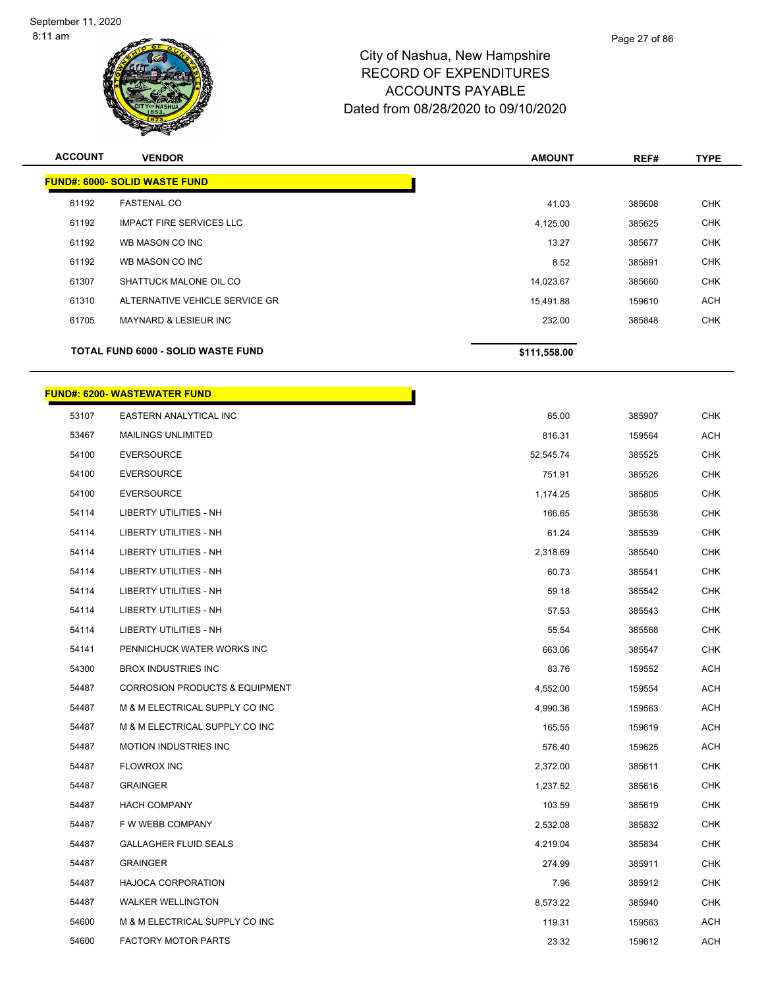

| <b>ACCOUNT</b> | <b>VENDOR</b>                             | <b>AMOUNT</b> | REF#   | <b>TYPE</b> |
|----------------|-------------------------------------------|---------------|--------|-------------|
|                | <b>FUND#: 6000- SOLID WASTE FUND</b>      |               |        |             |
| 61192          | <b>FASTENAL CO</b>                        | 41.03         | 385608 | <b>CHK</b>  |
| 61192          | <b>IMPACT FIRE SERVICES LLC</b>           | 4,125.00      | 385625 | <b>CHK</b>  |
| 61192          | WB MASON CO INC                           | 13.27         | 385677 | <b>CHK</b>  |
| 61192          | WB MASON CO INC                           | 8.52          | 385891 | <b>CHK</b>  |
| 61307          | SHATTUCK MALONE OIL CO                    | 14,023.67     | 385660 | <b>CHK</b>  |
| 61310          | ALTERNATIVE VEHICLE SERVICE GR            | 15,491.88     | 159610 | <b>ACH</b>  |
| 61705          | <b>MAYNARD &amp; LESIEUR INC</b>          | 232.00        | 385848 | <b>CHK</b>  |
|                | <b>TOTAL FUND 6000 - SOLID WASTE FUND</b> | \$111,558.00  |        |             |

h

### **FUND#: 6200- WASTEWATER FUND**

| 53107 | EASTERN ANALYTICAL INC                    | 65.00     | 385907 | CHK        |
|-------|-------------------------------------------|-----------|--------|------------|
| 53467 | <b>MAILINGS UNLIMITED</b>                 | 816.31    | 159564 | <b>ACH</b> |
| 54100 | <b>EVERSOURCE</b>                         | 52,545.74 | 385525 | CHK        |
| 54100 | <b>EVERSOURCE</b>                         | 751.91    | 385526 | <b>CHK</b> |
| 54100 | <b>EVERSOURCE</b>                         | 1,174.25  | 385805 | <b>CHK</b> |
| 54114 | <b>LIBERTY UTILITIES - NH</b>             | 166.65    | 385538 | <b>CHK</b> |
| 54114 | <b>LIBERTY UTILITIES - NH</b>             | 61.24     | 385539 | <b>CHK</b> |
| 54114 | <b>LIBERTY UTILITIES - NH</b>             | 2,318.69  | 385540 | <b>CHK</b> |
| 54114 | <b>LIBERTY UTILITIES - NH</b>             | 60.73     | 385541 | <b>CHK</b> |
| 54114 | LIBERTY UTILITIES - NH                    | 59.18     | 385542 | <b>CHK</b> |
| 54114 | <b>LIBERTY UTILITIES - NH</b>             | 57.53     | 385543 | <b>CHK</b> |
| 54114 | <b>LIBERTY UTILITIES - NH</b>             | 55.54     | 385568 | <b>CHK</b> |
| 54141 | PENNICHUCK WATER WORKS INC                | 663.06    | 385547 | <b>CHK</b> |
| 54300 | <b>BROX INDUSTRIES INC</b>                | 83.76     | 159552 | ACH        |
| 54487 | <b>CORROSION PRODUCTS &amp; EQUIPMENT</b> | 4,552.00  | 159554 | ACH        |
| 54487 | M & M ELECTRICAL SUPPLY CO INC            | 4,990.36  | 159563 | <b>ACH</b> |
| 54487 | M & M ELECTRICAL SUPPLY CO INC            | 165.55    | 159619 | ACH        |
| 54487 | <b>MOTION INDUSTRIES INC</b>              | 576.40    | 159625 | ACH        |
| 54487 | <b>FLOWROX INC</b>                        | 2,372.00  | 385611 | <b>CHK</b> |
| 54487 | <b>GRAINGER</b>                           | 1,237.52  | 385616 | <b>CHK</b> |
| 54487 | <b>HACH COMPANY</b>                       | 103.59    | 385619 | <b>CHK</b> |
| 54487 | F W WEBB COMPANY                          | 2,532.08  | 385832 | <b>CHK</b> |
| 54487 | <b>GALLAGHER FLUID SEALS</b>              | 4,219.04  | 385834 | CHK        |
| 54487 | <b>GRAINGER</b>                           | 274.99    | 385911 | <b>CHK</b> |
| 54487 | <b>HAJOCA CORPORATION</b>                 | 7.96      | 385912 | <b>CHK</b> |
| 54487 | <b>WALKER WELLINGTON</b>                  | 8,573.22  | 385940 | <b>CHK</b> |
| 54600 | M & M ELECTRICAL SUPPLY CO INC            | 119.31    | 159563 | ACH        |
| 54600 | <b>FACTORY MOTOR PARTS</b>                | 23.32     | 159612 | ACH        |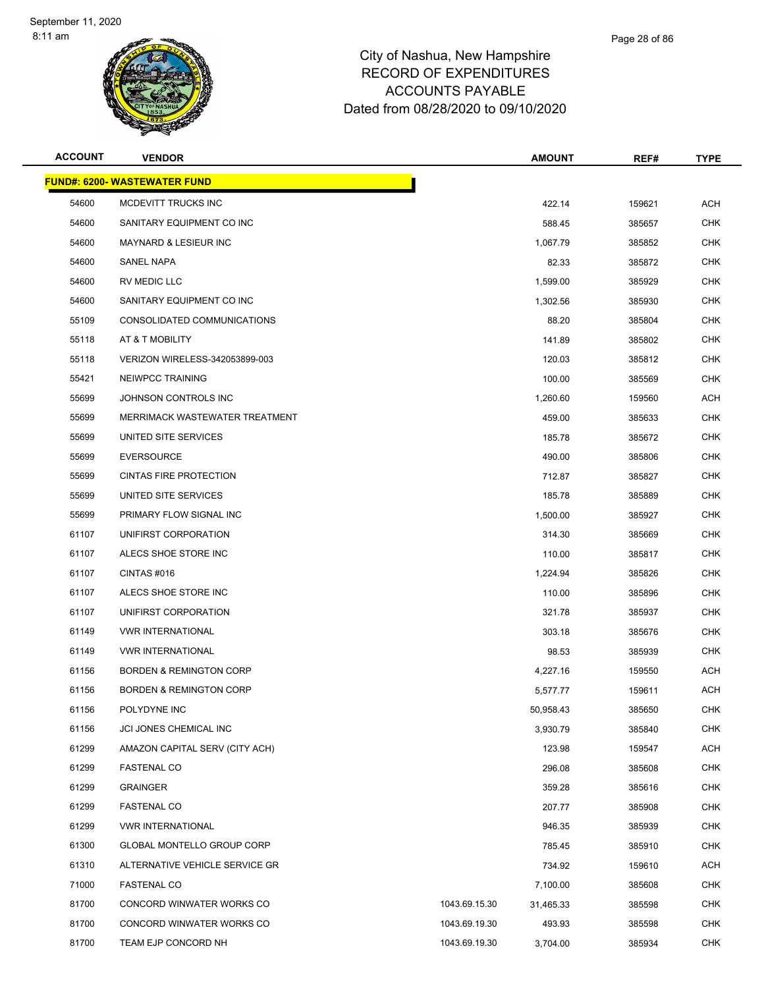

| <b>ACCOUNT</b> | <b>VENDOR</b>                       |               | <b>AMOUNT</b> | REF#   | <b>TYPE</b> |
|----------------|-------------------------------------|---------------|---------------|--------|-------------|
|                | <b>FUND#: 6200- WASTEWATER FUND</b> |               |               |        |             |
| 54600          | MCDEVITT TRUCKS INC                 |               | 422.14        | 159621 | ACH         |
| 54600          | SANITARY EQUIPMENT CO INC           |               | 588.45        | 385657 | <b>CHK</b>  |
| 54600          | <b>MAYNARD &amp; LESIEUR INC</b>    |               | 1,067.79      | 385852 | <b>CHK</b>  |
| 54600          | SANEL NAPA                          |               | 82.33         | 385872 | <b>CHK</b>  |
| 54600          | RV MEDIC LLC                        |               | 1,599.00      | 385929 | <b>CHK</b>  |
| 54600          | SANITARY EQUIPMENT CO INC           |               | 1,302.56      | 385930 | <b>CHK</b>  |
| 55109          | CONSOLIDATED COMMUNICATIONS         |               | 88.20         | 385804 | <b>CHK</b>  |
| 55118          | AT & T MOBILITY                     |               | 141.89        | 385802 | <b>CHK</b>  |
| 55118          | VERIZON WIRELESS-342053899-003      |               | 120.03        | 385812 | <b>CHK</b>  |
| 55421          | NEIWPCC TRAINING                    |               | 100.00        | 385569 | <b>CHK</b>  |
| 55699          | JOHNSON CONTROLS INC                |               | 1.260.60      | 159560 | ACH         |
| 55699          | MERRIMACK WASTEWATER TREATMENT      |               | 459.00        | 385633 | <b>CHK</b>  |
| 55699          | UNITED SITE SERVICES                |               | 185.78        | 385672 | <b>CHK</b>  |
| 55699          | <b>EVERSOURCE</b>                   |               | 490.00        | 385806 | <b>CHK</b>  |
| 55699          | <b>CINTAS FIRE PROTECTION</b>       |               | 712.87        | 385827 | <b>CHK</b>  |
| 55699          | UNITED SITE SERVICES                |               | 185.78        | 385889 | <b>CHK</b>  |
| 55699          | PRIMARY FLOW SIGNAL INC             |               | 1,500.00      | 385927 | <b>CHK</b>  |
| 61107          | UNIFIRST CORPORATION                |               | 314.30        | 385669 | <b>CHK</b>  |
| 61107          | ALECS SHOE STORE INC                |               | 110.00        | 385817 | <b>CHK</b>  |
| 61107          | CINTAS #016                         |               | 1,224.94      | 385826 | <b>CHK</b>  |
| 61107          | ALECS SHOE STORE INC                |               | 110.00        | 385896 | <b>CHK</b>  |
| 61107          | UNIFIRST CORPORATION                |               | 321.78        | 385937 | <b>CHK</b>  |
| 61149          | <b>VWR INTERNATIONAL</b>            |               | 303.18        | 385676 | <b>CHK</b>  |
| 61149          | <b>VWR INTERNATIONAL</b>            |               | 98.53         | 385939 | CHK         |
| 61156          | <b>BORDEN &amp; REMINGTON CORP</b>  |               | 4,227.16      | 159550 | ACH         |
| 61156          | <b>BORDEN &amp; REMINGTON CORP</b>  |               | 5,577.77      | 159611 | ACH         |
| 61156          | POLYDYNE INC                        |               | 50,958.43     | 385650 | <b>CHK</b>  |
| 61156          | JCI JONES CHEMICAL INC              |               | 3,930.79      | 385840 | <b>CHK</b>  |
| 61299          | AMAZON CAPITAL SERV (CITY ACH)      |               | 123.98        | 159547 | ACH         |
| 61299          | <b>FASTENAL CO</b>                  |               | 296.08        | 385608 | <b>CHK</b>  |
| 61299          | <b>GRAINGER</b>                     |               | 359.28        | 385616 | <b>CHK</b>  |
| 61299          | <b>FASTENAL CO</b>                  |               | 207.77        | 385908 | <b>CHK</b>  |
| 61299          | <b>VWR INTERNATIONAL</b>            |               | 946.35        | 385939 | <b>CHK</b>  |
| 61300          | GLOBAL MONTELLO GROUP CORP          |               | 785.45        | 385910 | <b>CHK</b>  |
| 61310          | ALTERNATIVE VEHICLE SERVICE GR      |               | 734.92        | 159610 | ACH         |
| 71000          | <b>FASTENAL CO</b>                  |               | 7,100.00      | 385608 | <b>CHK</b>  |
| 81700          | CONCORD WINWATER WORKS CO           | 1043.69.15.30 | 31,465.33     | 385598 | <b>CHK</b>  |
| 81700          | CONCORD WINWATER WORKS CO           | 1043.69.19.30 | 493.93        | 385598 | <b>CHK</b>  |
| 81700          | TEAM EJP CONCORD NH                 | 1043.69.19.30 | 3,704.00      | 385934 | <b>CHK</b>  |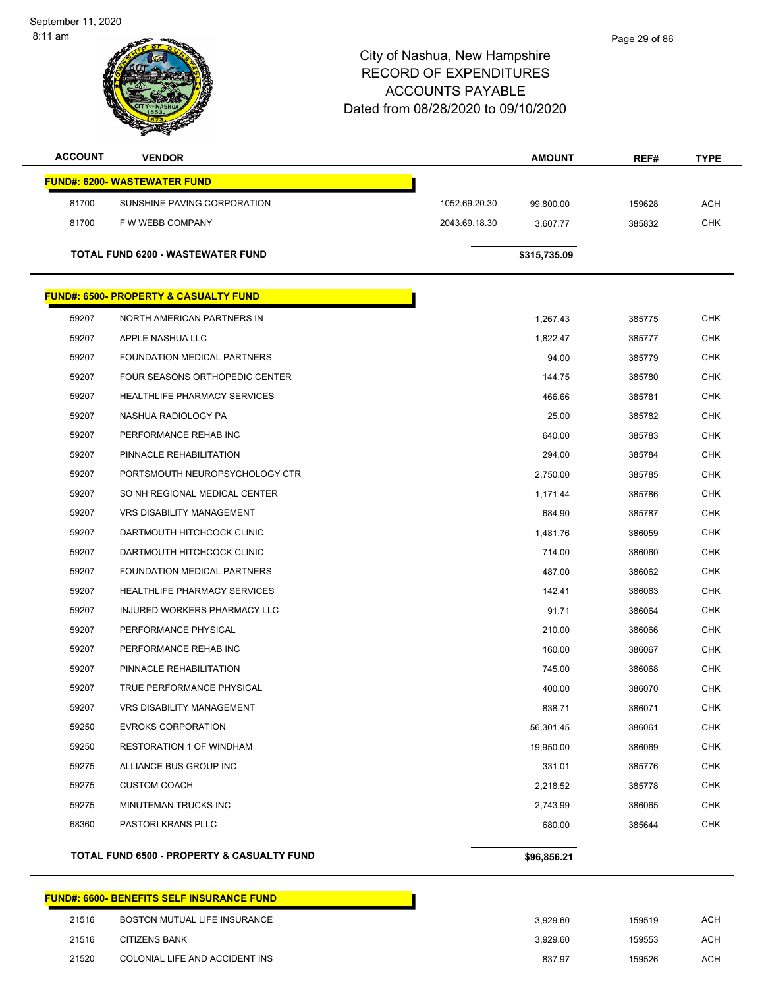September 11, 2020 8:11 am



## City of Nashua, New Hampshire RECORD OF EXPENDITURES ACCOUNTS PAYABLE Dated from 08/28/2020 to 09/10/2020

| <b>ACCOUNT</b> | <b>VENDOR</b>                                    |               | <b>AMOUNT</b> | REF#   | <b>TYPE</b> |
|----------------|--------------------------------------------------|---------------|---------------|--------|-------------|
|                | <b>FUND#: 6200- WASTEWATER FUND</b>              |               |               |        |             |
| 81700          | SUNSHINE PAVING CORPORATION                      | 1052.69.20.30 | 99,800.00     | 159628 | <b>ACH</b>  |
| 81700          | F W WEBB COMPANY                                 | 2043.69.18.30 | 3,607.77      | 385832 | <b>CHK</b>  |
|                | <b>TOTAL FUND 6200 - WASTEWATER FUND</b>         |               | \$315,735.09  |        |             |
|                | <b>FUND#: 6500- PROPERTY &amp; CASUALTY FUND</b> |               |               |        |             |
| 59207          | NORTH AMERICAN PARTNERS IN                       |               | 1,267.43      | 385775 | <b>CHK</b>  |
| 59207          | APPLE NASHUA LLC                                 |               | 1,822.47      | 385777 | <b>CHK</b>  |
| 59207          | FOUNDATION MEDICAL PARTNERS                      |               | 94.00         | 385779 | <b>CHK</b>  |
| 59207          | FOUR SEASONS ORTHOPEDIC CENTER                   |               | 144.75        | 385780 | <b>CHK</b>  |
| 59207          | <b>HEALTHLIFE PHARMACY SERVICES</b>              |               | 466.66        | 385781 | <b>CHK</b>  |
| 59207          | NASHUA RADIOLOGY PA                              |               | 25.00         | 385782 | <b>CHK</b>  |
| 59207          | PERFORMANCE REHAB INC                            |               | 640.00        | 385783 | <b>CHK</b>  |
| 59207          | PINNACLE REHABILITATION                          |               | 294.00        | 385784 | <b>CHK</b>  |
| 59207          | PORTSMOUTH NEUROPSYCHOLOGY CTR                   |               | 2,750.00      | 385785 | <b>CHK</b>  |
| 59207          | SO NH REGIONAL MEDICAL CENTER                    |               | 1,171.44      | 385786 | <b>CHK</b>  |
| 59207          | <b>VRS DISABILITY MANAGEMENT</b>                 |               | 684.90        | 385787 | <b>CHK</b>  |
| 59207          | DARTMOUTH HITCHCOCK CLINIC                       |               | 1,481.76      | 386059 | <b>CHK</b>  |
| 59207          | DARTMOUTH HITCHCOCK CLINIC                       |               | 714.00        | 386060 | <b>CHK</b>  |
| 59207          | FOUNDATION MEDICAL PARTNERS                      |               | 487.00        | 386062 | <b>CHK</b>  |
| 59207          | <b>HEALTHLIFE PHARMACY SERVICES</b>              |               | 142.41        | 386063 | <b>CHK</b>  |
| 59207          | INJURED WORKERS PHARMACY LLC                     |               | 91.71         | 386064 | <b>CHK</b>  |
| 59207          | PERFORMANCE PHYSICAL                             |               | 210.00        | 386066 | <b>CHK</b>  |
| 59207          | PERFORMANCE REHAB INC                            |               | 160.00        | 386067 | <b>CHK</b>  |
| 59207          | PINNACLE REHABILITATION                          |               | 745.00        | 386068 | CHK         |
| 59207          | TRUE PERFORMANCE PHYSICAL                        |               | 400.00        | 386070 | <b>CHK</b>  |
| 59207          | VRS DISABILITY MANAGEMENT                        |               | 838.71        | 386071 | <b>CHK</b>  |
| 59250          | <b>EVROKS CORPORATION</b>                        |               | 56,301.45     | 386061 | CHK         |
| 59250          | <b>RESTORATION 1 OF WINDHAM</b>                  |               | 19,950.00     | 386069 | <b>CHK</b>  |
| 59275          | ALLIANCE BUS GROUP INC                           |               | 331.01        | 385776 | <b>CHK</b>  |
| 59275          | <b>CUSTOM COACH</b>                              |               | 2,218.52      | 385778 | <b>CHK</b>  |
| 59275          | MINUTEMAN TRUCKS INC                             |               | 2,743.99      | 386065 | <b>CHK</b>  |
| 68360          | PASTORI KRANS PLLC                               |               | 680.00        | 385644 | <b>CHK</b>  |
|                | TOTAL FUND 6500 - PROPERTY & CASUALTY FUND       |               | \$96,856.21   |        |             |

### **FUND#: 6600- BENEFITS SELF INSURANCE FUND**

| 21516 | BOSTON MUTUAL LIFE INSURANCE   | 3.929.60 | 159519 | ACH |
|-------|--------------------------------|----------|--------|-----|
| 21516 | <b>CITIZENS BANK</b>           | 3.929.60 | 159553 | ACH |
| 21520 | COLONIAL LIFE AND ACCIDENT INS | 837.97   | 159526 | ACH |

Page 29 of 86

| 929.60 | 159519 | ACH |
|--------|--------|-----|
| 929.60 | 159553 | ACH |
| 337.97 | 159526 | ACH |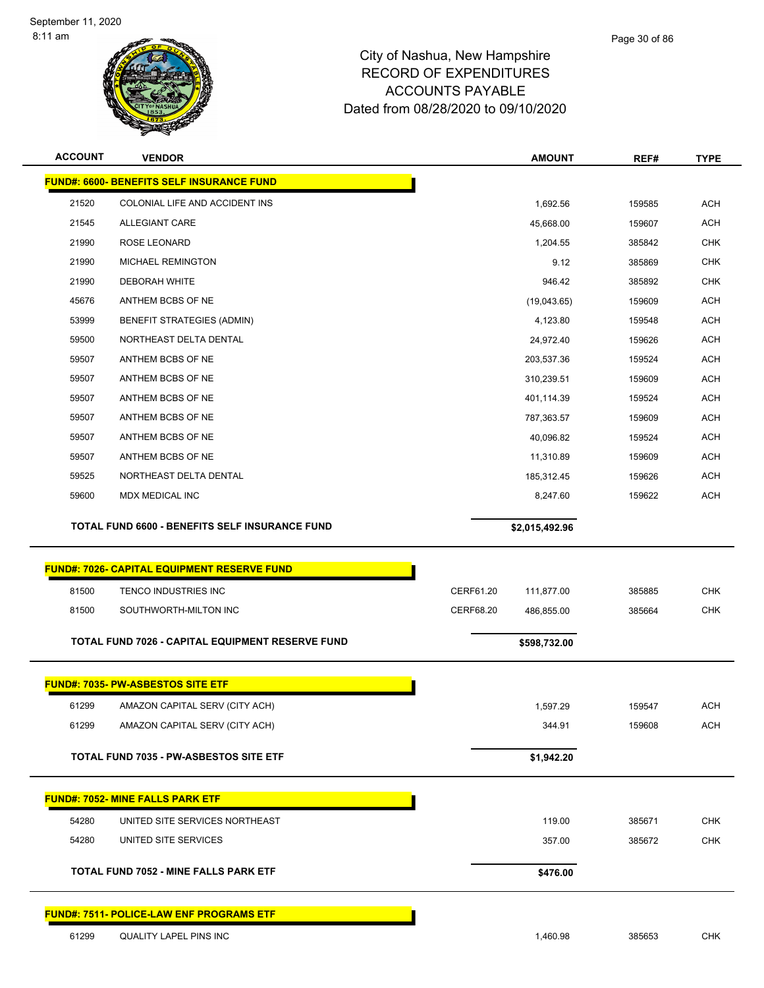L,



| <b>ACCOUNT</b> | <b>VENDOR</b>                                      |           | <b>AMOUNT</b>  | REF#   | <b>TYPE</b> |
|----------------|----------------------------------------------------|-----------|----------------|--------|-------------|
|                | <b>FUND#: 6600- BENEFITS SELF INSURANCE FUND</b>   |           |                |        |             |
| 21520          | COLONIAL LIFE AND ACCIDENT INS                     |           | 1,692.56       | 159585 | <b>ACH</b>  |
| 21545          | ALLEGIANT CARE                                     |           | 45,668.00      | 159607 | <b>ACH</b>  |
| 21990          | ROSE LEONARD                                       |           | 1,204.55       | 385842 | <b>CHK</b>  |
| 21990          | <b>MICHAEL REMINGTON</b>                           |           | 9.12           | 385869 | <b>CHK</b>  |
| 21990          | <b>DEBORAH WHITE</b>                               |           | 946.42         | 385892 | <b>CHK</b>  |
| 45676          | ANTHEM BCBS OF NE                                  |           | (19,043.65)    | 159609 | <b>ACH</b>  |
| 53999          | <b>BENEFIT STRATEGIES (ADMIN)</b>                  |           | 4,123.80       | 159548 | <b>ACH</b>  |
| 59500          | NORTHEAST DELTA DENTAL                             |           | 24,972.40      | 159626 | <b>ACH</b>  |
| 59507          | ANTHEM BCBS OF NE                                  |           | 203,537.36     | 159524 | <b>ACH</b>  |
| 59507          | ANTHEM BCBS OF NE                                  |           | 310,239.51     | 159609 | <b>ACH</b>  |
| 59507          | ANTHEM BCBS OF NE                                  |           | 401,114.39     | 159524 | <b>ACH</b>  |
| 59507          | ANTHEM BCBS OF NE                                  |           | 787,363.57     | 159609 | <b>ACH</b>  |
| 59507          | ANTHEM BCBS OF NE                                  |           | 40,096.82      | 159524 | <b>ACH</b>  |
| 59507          | ANTHEM BCBS OF NE                                  |           | 11,310.89      | 159609 | <b>ACH</b>  |
| 59525          | NORTHEAST DELTA DENTAL                             |           | 185,312.45     | 159626 | <b>ACH</b>  |
| 59600          | <b>MDX MEDICAL INC</b>                             |           | 8,247.60       | 159622 | <b>ACH</b>  |
|                | TOTAL FUND 6600 - BENEFITS SELF INSURANCE FUND     |           | \$2,015,492.96 |        |             |
|                | <b>FUND#: 7026- CAPITAL EQUIPMENT RESERVE FUND</b> |           |                |        |             |
| 81500          | TENCO INDUSTRIES INC                               | CERF61.20 | 111,877.00     | 385885 | CHK         |
| 81500          | SOUTHWORTH-MILTON INC                              | CERF68.20 | 486,855.00     | 385664 | <b>CHK</b>  |
|                | TOTAL FUND 7026 - CAPITAL EQUIPMENT RESERVE FUND   |           | \$598,732.00   |        |             |
|                | <b>FUND#: 7035- PW-ASBESTOS SITE ETF</b>           |           |                |        |             |
| 61299          | AMAZON CAPITAL SERV (CITY ACH)                     |           | 1.597.29       | 159547 | <b>ACH</b>  |
| 61299          | AMAZON CAPITAL SERV (CITY ACH)                     |           | 344.91         | 159608 | <b>ACH</b>  |
|                | TOTAL FUND 7035 - PW-ASBESTOS SITE ETF             |           | \$1,942.20     |        |             |
|                | <b>FUND#: 7052- MINE FALLS PARK ETF</b>            |           |                |        |             |
| 54280          | UNITED SITE SERVICES NORTHEAST                     |           | 119.00         | 385671 | <b>CHK</b>  |
| 54280          | UNITED SITE SERVICES                               |           | 357.00         | 385672 | <b>CHK</b>  |
|                | <b>TOTAL FUND 7052 - MINE FALLS PARK ETF</b>       |           | \$476.00       |        |             |
|                |                                                    |           |                |        |             |
|                | FUND#: 7511- POLICE-LAW ENF PROGRAMS ETF           |           |                |        |             |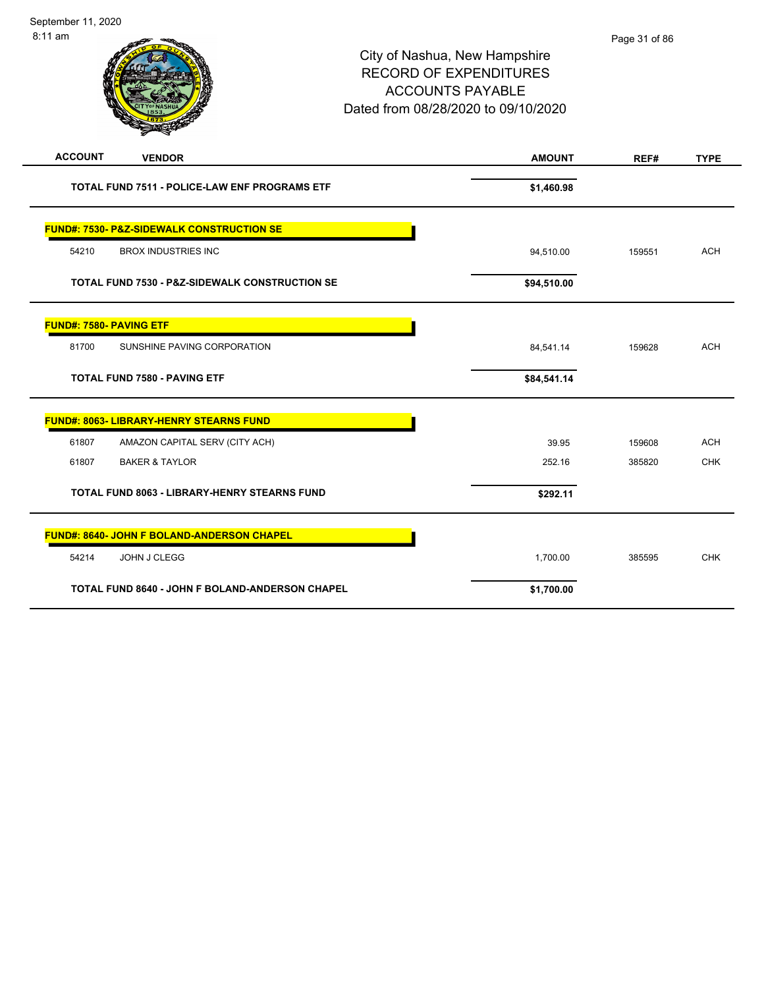| <b>ACCOUNT</b><br><b>VENDOR</b>                           | <b>AMOUNT</b> | REF#   | <b>TYPE</b> |
|-----------------------------------------------------------|---------------|--------|-------------|
| TOTAL FUND 7511 - POLICE-LAW ENF PROGRAMS ETF             | \$1,460.98    |        |             |
| <b>FUND#: 7530- P&amp;Z-SIDEWALK CONSTRUCTION SE</b>      |               |        |             |
| 54210<br><b>BROX INDUSTRIES INC</b>                       | 94,510.00     | 159551 | <b>ACH</b>  |
| <b>TOTAL FUND 7530 - P&amp;Z-SIDEWALK CONSTRUCTION SE</b> | \$94,510.00   |        |             |
| <b>FUND#: 7580- PAVING ETF</b>                            |               |        |             |
| 81700<br>SUNSHINE PAVING CORPORATION                      | 84,541.14     | 159628 | <b>ACH</b>  |
| <b>TOTAL FUND 7580 - PAVING ETF</b>                       | \$84,541.14   |        |             |
| <b>FUND#: 8063- LIBRARY-HENRY STEARNS FUND</b>            |               |        |             |
| AMAZON CAPITAL SERV (CITY ACH)<br>61807                   | 39.95         | 159608 | <b>ACH</b>  |
| <b>BAKER &amp; TAYLOR</b><br>61807                        | 252.16        | 385820 | <b>CHK</b>  |
| <b>TOTAL FUND 8063 - LIBRARY-HENRY STEARNS FUND</b>       | \$292.11      |        |             |
| <b>FUND#: 8640- JOHN F BOLAND-ANDERSON CHAPEL</b>         |               |        |             |
| 54214<br><b>JOHN J CLEGG</b>                              | 1,700.00      | 385595 | <b>CHK</b>  |
| <b>TOTAL FUND 8640 - JOHN F BOLAND-ANDERSON CHAPEL</b>    | \$1,700.00    |        |             |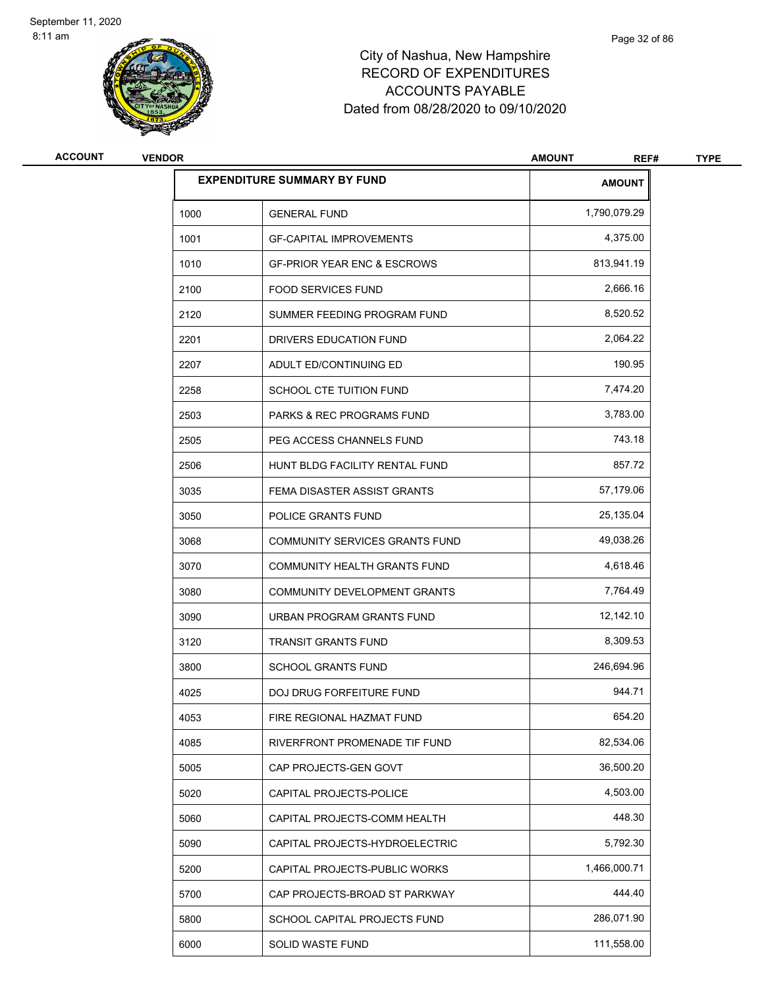

| <b>ACCOUNT</b> | <b>VENDOR</b> |                                        | <b>AMOUNT</b><br>REF# | <b>TYPE</b> |
|----------------|---------------|----------------------------------------|-----------------------|-------------|
|                |               | <b>EXPENDITURE SUMMARY BY FUND</b>     | <b>AMOUNT</b>         |             |
|                | 1000          | <b>GENERAL FUND</b>                    | 1,790,079.29          |             |
|                | 1001          | <b>GF-CAPITAL IMPROVEMENTS</b>         | 4,375.00              |             |
|                | 1010          | <b>GF-PRIOR YEAR ENC &amp; ESCROWS</b> | 813,941.19            |             |
|                | 2100          | <b>FOOD SERVICES FUND</b>              | 2,666.16              |             |
|                | 2120          | SUMMER FEEDING PROGRAM FUND            | 8,520.52              |             |
|                | 2201          | DRIVERS EDUCATION FUND                 | 2,064.22              |             |
|                | 2207          | ADULT ED/CONTINUING ED                 | 190.95                |             |
|                | 2258          | SCHOOL CTE TUITION FUND                | 7,474.20              |             |
|                | 2503          | <b>PARKS &amp; REC PROGRAMS FUND</b>   | 3,783.00              |             |
|                | 2505          | PEG ACCESS CHANNELS FUND               | 743.18                |             |
|                | 2506          | HUNT BLDG FACILITY RENTAL FUND         | 857.72                |             |
|                | 3035          | FEMA DISASTER ASSIST GRANTS            | 57,179.06             |             |
|                | 3050          | POLICE GRANTS FUND                     | 25,135.04             |             |
|                | 3068          | COMMUNITY SERVICES GRANTS FUND         | 49,038.26             |             |
|                | 3070          | COMMUNITY HEALTH GRANTS FUND           | 4,618.46              |             |
|                | 3080          | COMMUNITY DEVELOPMENT GRANTS           | 7,764.49              |             |
|                | 3090          | URBAN PROGRAM GRANTS FUND              | 12,142.10             |             |
|                | 3120          | <b>TRANSIT GRANTS FUND</b>             | 8,309.53              |             |
|                | 3800          | <b>SCHOOL GRANTS FUND</b>              | 246,694.96            |             |
|                | 4025          | DOJ DRUG FORFEITURE FUND               | 944.71                |             |
|                | 4053          | FIRE REGIONAL HAZMAT FUND              | 654.20                |             |
|                | 4085          | RIVERFRONT PROMENADE TIF FUND          | 82,534.06             |             |
|                | 5005          | CAP PROJECTS-GEN GOVT                  | 36,500.20             |             |
|                | 5020          | CAPITAL PROJECTS-POLICE                | 4,503.00              |             |
|                | 5060          | CAPITAL PROJECTS-COMM HEALTH           | 448.30                |             |
|                | 5090          | CAPITAL PROJECTS-HYDROELECTRIC         | 5,792.30              |             |
|                | 5200          | CAPITAL PROJECTS-PUBLIC WORKS          | 1,466,000.71          |             |
|                | 5700          | CAP PROJECTS-BROAD ST PARKWAY          | 444.40                |             |
|                | 5800          | SCHOOL CAPITAL PROJECTS FUND           | 286,071.90            |             |
|                | 6000          | SOLID WASTE FUND                       | 111,558.00            |             |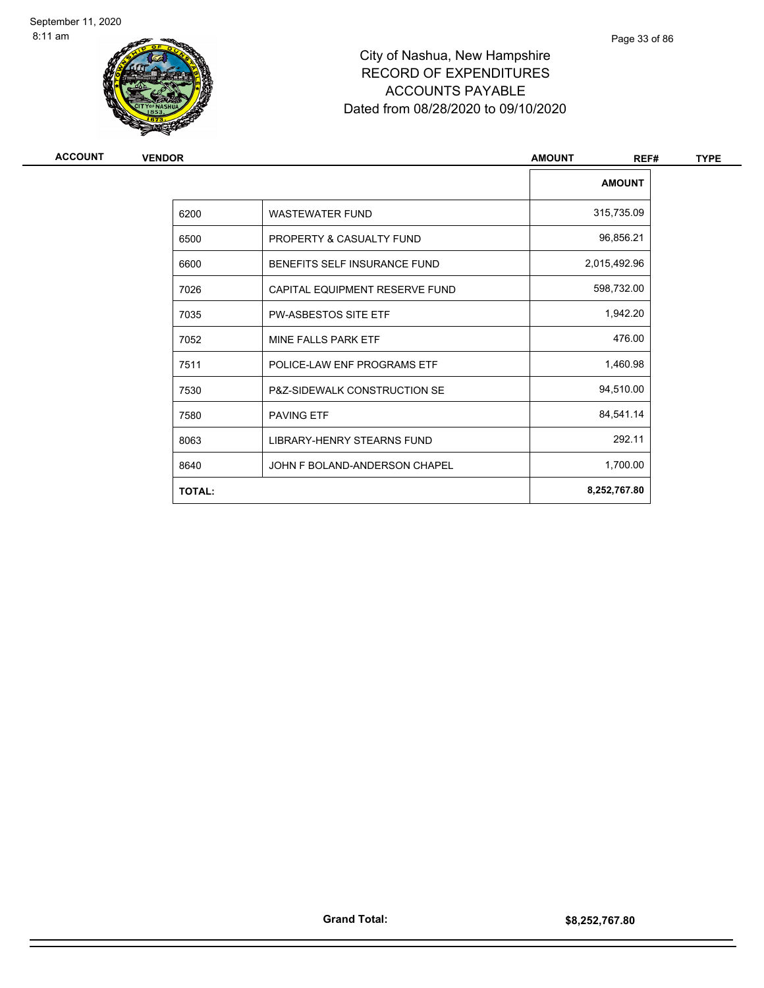

| <b>ACCOUNT</b> | <b>VENDOR</b> |                                   | <b>AMOUNT</b><br>REF# | <b>TYPE</b> |
|----------------|---------------|-----------------------------------|-----------------------|-------------|
|                |               |                                   | <b>AMOUNT</b>         |             |
|                | 6200          | <b>WASTEWATER FUND</b>            | 315,735.09            |             |
|                | 6500          | PROPERTY & CASUALTY FUND          | 96,856.21             |             |
|                | 6600          | BENEFITS SELF INSURANCE FUND      | 2,015,492.96          |             |
|                | 7026          | CAPITAL EQUIPMENT RESERVE FUND    | 598,732.00            |             |
|                | 7035          | <b>PW-ASBESTOS SITE ETF</b>       | 1,942.20              |             |
|                | 7052          | MINE FALLS PARK ETF               | 476.00                |             |
|                | 7511          | POLICE-LAW ENF PROGRAMS ETF       | 1,460.98              |             |
|                | 7530          | P&Z-SIDEWALK CONSTRUCTION SE      | 94,510.00             |             |
|                | 7580          | <b>PAVING ETF</b>                 | 84,541.14             |             |
|                | 8063          | <b>LIBRARY-HENRY STEARNS FUND</b> | 292.11                |             |
|                | 8640          | JOHN F BOLAND-ANDERSON CHAPEL     | 1,700.00              |             |
|                | <b>TOTAL:</b> |                                   | 8,252,767.80          |             |
|                |               |                                   |                       |             |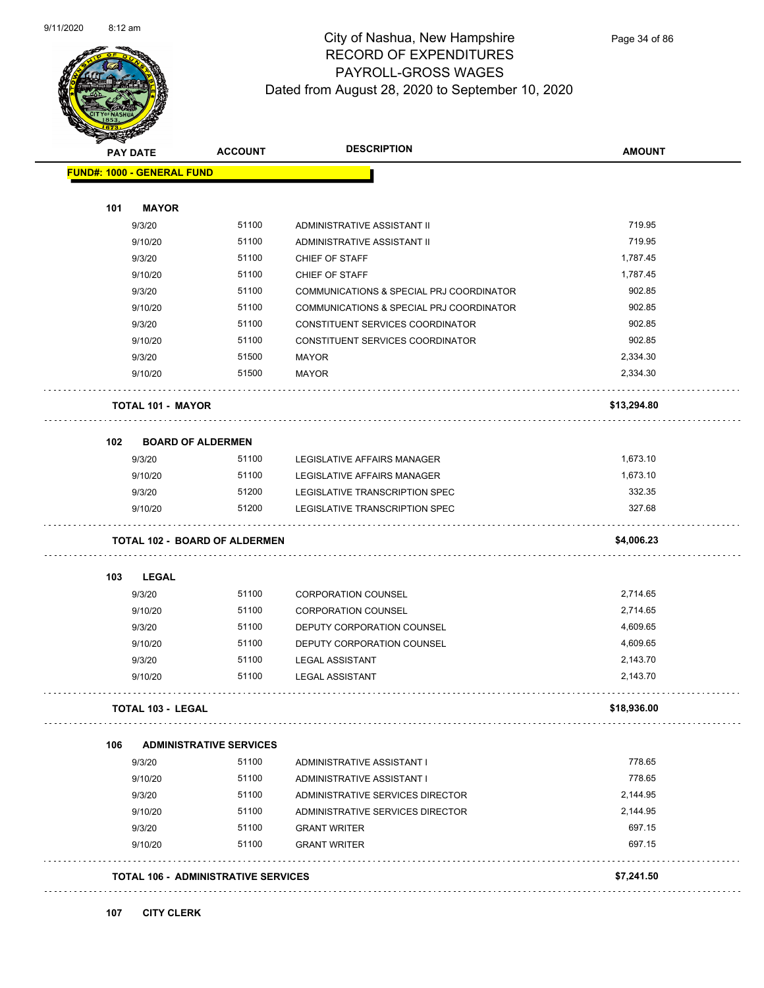

## City of Nashua, New Hampshire RECORD OF EXPENDITURES PAYROLL-GROSS WAGES Dated from August 28, 2020 to September 10, 2020

Page 34 of 86

| <b>FUND#: 1000 - GENERAL FUND</b><br><b>MAYOR</b><br>9/3/20<br>9/10/20<br>9/3/20<br>9/10/20<br>9/3/20<br>9/10/20<br>9/3/20<br>9/10/20<br>9/3/20<br>9/10/20 | 51100<br>51100<br>51100<br>51100<br>51100<br>51100<br>51100<br>51100 | ADMINISTRATIVE ASSISTANT II<br>ADMINISTRATIVE ASSISTANT II<br><b>CHIEF OF STAFF</b><br>CHIEF OF STAFF<br>COMMUNICATIONS & SPECIAL PRJ COORDINATOR<br>COMMUNICATIONS & SPECIAL PRJ COORDINATOR<br>CONSTITUENT SERVICES COORDINATOR | 719.95<br>719.95<br>1,787.45<br>1,787.45<br>902.85<br>902.85                   |
|------------------------------------------------------------------------------------------------------------------------------------------------------------|----------------------------------------------------------------------|-----------------------------------------------------------------------------------------------------------------------------------------------------------------------------------------------------------------------------------|--------------------------------------------------------------------------------|
|                                                                                                                                                            |                                                                      |                                                                                                                                                                                                                                   |                                                                                |
|                                                                                                                                                            |                                                                      |                                                                                                                                                                                                                                   |                                                                                |
|                                                                                                                                                            |                                                                      |                                                                                                                                                                                                                                   |                                                                                |
|                                                                                                                                                            |                                                                      |                                                                                                                                                                                                                                   |                                                                                |
|                                                                                                                                                            |                                                                      |                                                                                                                                                                                                                                   |                                                                                |
|                                                                                                                                                            |                                                                      |                                                                                                                                                                                                                                   |                                                                                |
|                                                                                                                                                            |                                                                      |                                                                                                                                                                                                                                   |                                                                                |
|                                                                                                                                                            |                                                                      |                                                                                                                                                                                                                                   |                                                                                |
|                                                                                                                                                            |                                                                      |                                                                                                                                                                                                                                   | 902.85                                                                         |
|                                                                                                                                                            |                                                                      | CONSTITUENT SERVICES COORDINATOR                                                                                                                                                                                                  | 902.85                                                                         |
|                                                                                                                                                            | 51500                                                                | MAYOR                                                                                                                                                                                                                             | 2,334.30                                                                       |
|                                                                                                                                                            | 51500                                                                | <b>MAYOR</b>                                                                                                                                                                                                                      | 2,334.30                                                                       |
| <b>TOTAL 101 - MAYOR</b>                                                                                                                                   |                                                                      |                                                                                                                                                                                                                                   | \$13,294.80                                                                    |
| <b>BOARD OF ALDERMEN</b>                                                                                                                                   |                                                                      |                                                                                                                                                                                                                                   |                                                                                |
| 9/3/20                                                                                                                                                     | 51100                                                                | LEGISLATIVE AFFAIRS MANAGER                                                                                                                                                                                                       | 1,673.10                                                                       |
| 9/10/20                                                                                                                                                    | 51100                                                                | LEGISLATIVE AFFAIRS MANAGER                                                                                                                                                                                                       | 1,673.10                                                                       |
| 9/3/20                                                                                                                                                     | 51200                                                                | LEGISLATIVE TRANSCRIPTION SPEC                                                                                                                                                                                                    | 332.35                                                                         |
| 9/10/20                                                                                                                                                    | 51200                                                                | LEGISLATIVE TRANSCRIPTION SPEC                                                                                                                                                                                                    | 327.68                                                                         |
| <b>TOTAL 102 - BOARD OF ALDERMEN</b>                                                                                                                       |                                                                      |                                                                                                                                                                                                                                   | \$4,006.23                                                                     |
| <b>LEGAL</b>                                                                                                                                               |                                                                      |                                                                                                                                                                                                                                   |                                                                                |
| 9/3/20                                                                                                                                                     | 51100                                                                | <b>CORPORATION COUNSEL</b>                                                                                                                                                                                                        | 2,714.65                                                                       |
| 9/10/20                                                                                                                                                    | 51100                                                                | <b>CORPORATION COUNSEL</b>                                                                                                                                                                                                        | 2,714.65                                                                       |
| 9/3/20                                                                                                                                                     | 51100                                                                | DEPUTY CORPORATION COUNSEL                                                                                                                                                                                                        | 4,609.65                                                                       |
| 9/10/20                                                                                                                                                    | 51100                                                                | DEPUTY CORPORATION COUNSEL                                                                                                                                                                                                        | 4,609.65                                                                       |
| 9/3/20                                                                                                                                                     | 51100                                                                | <b>LEGAL ASSISTANT</b>                                                                                                                                                                                                            | 2,143.70                                                                       |
| 9/10/20                                                                                                                                                    | 51100                                                                | <b>LEGAL ASSISTANT</b>                                                                                                                                                                                                            | 2,143.70                                                                       |
| <b>TOTAL 103 - LEGAL</b>                                                                                                                                   |                                                                      |                                                                                                                                                                                                                                   | \$18,936.00                                                                    |
| <b>ADMINISTRATIVE SERVICES</b>                                                                                                                             |                                                                      |                                                                                                                                                                                                                                   |                                                                                |
| 9/3/20                                                                                                                                                     | 51100                                                                | ADMINISTRATIVE ASSISTANT I                                                                                                                                                                                                        | 778.65                                                                         |
| 9/10/20                                                                                                                                                    | 51100                                                                | ADMINISTRATIVE ASSISTANT I                                                                                                                                                                                                        | 778.65                                                                         |
|                                                                                                                                                            | 51100                                                                | ADMINISTRATIVE SERVICES DIRECTOR                                                                                                                                                                                                  | 2,144.95                                                                       |
| 9/3/20                                                                                                                                                     | 51100                                                                |                                                                                                                                                                                                                                   | 2,144.95                                                                       |
| 9/10/20                                                                                                                                                    | 51100                                                                | <b>GRANT WRITER</b>                                                                                                                                                                                                               | 697.15                                                                         |
| 9/3/20                                                                                                                                                     | 51100                                                                | <b>GRANT WRITER</b>                                                                                                                                                                                                               | 697.15                                                                         |
| 9/10/20                                                                                                                                                    |                                                                      |                                                                                                                                                                                                                                   | \$7,241.50                                                                     |
|                                                                                                                                                            |                                                                      |                                                                                                                                                                                                                                   | ADMINISTRATIVE SERVICES DIRECTOR<br><b>TOTAL 106 - ADMINISTRATIVE SERVICES</b> |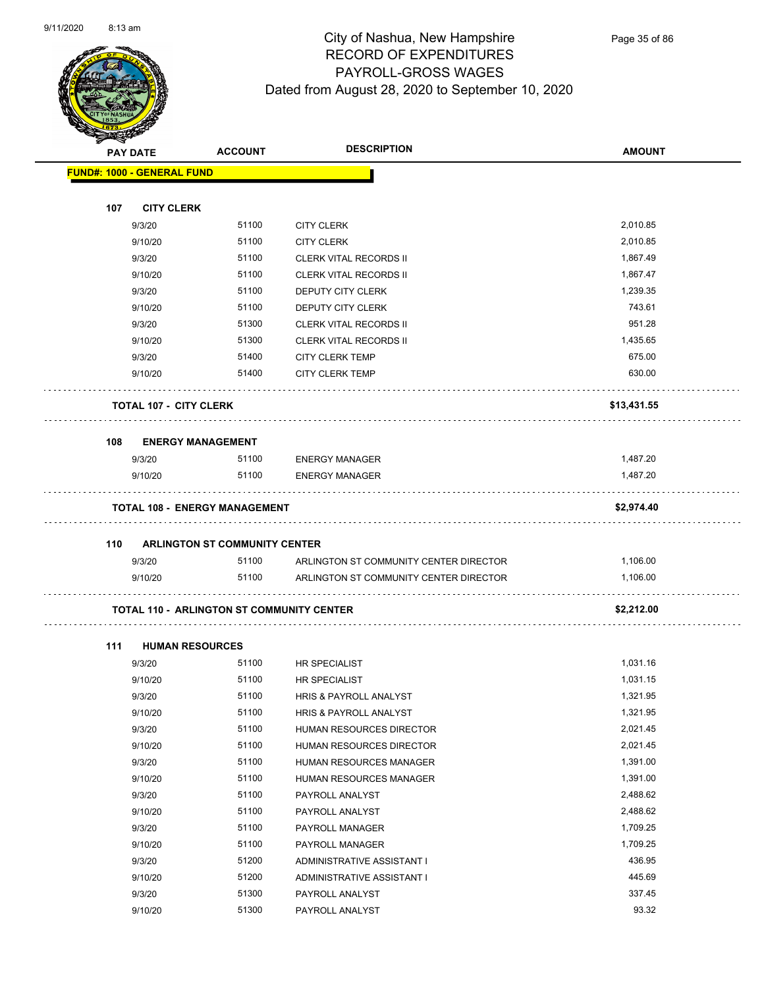

## City of Nashua, New Hampshire RECORD OF EXPENDITURES PAYROLL-GROSS WAGES Dated from August 28, 2020 to September 10, 2020

Page 35 of 86

| <b>Anthony</b> |                                   |                                                  |                                        |               |
|----------------|-----------------------------------|--------------------------------------------------|----------------------------------------|---------------|
|                | <b>PAY DATE</b>                   | <b>ACCOUNT</b>                                   | <b>DESCRIPTION</b>                     | <b>AMOUNT</b> |
|                | <b>FUND#: 1000 - GENERAL FUND</b> |                                                  |                                        |               |
|                |                                   |                                                  |                                        |               |
| 107            | <b>CITY CLERK</b>                 |                                                  |                                        |               |
|                | 9/3/20                            | 51100                                            | <b>CITY CLERK</b>                      | 2,010.85      |
|                | 9/10/20                           | 51100                                            | <b>CITY CLERK</b>                      | 2,010.85      |
|                | 9/3/20                            | 51100                                            | <b>CLERK VITAL RECORDS II</b>          | 1,867.49      |
|                | 9/10/20                           | 51100                                            | <b>CLERK VITAL RECORDS II</b>          | 1,867.47      |
|                | 9/3/20                            | 51100                                            | DEPUTY CITY CLERK                      | 1,239.35      |
|                | 9/10/20                           | 51100                                            | DEPUTY CITY CLERK                      | 743.61        |
|                | 9/3/20                            | 51300                                            | <b>CLERK VITAL RECORDS II</b>          | 951.28        |
|                | 9/10/20                           | 51300                                            | <b>CLERK VITAL RECORDS II</b>          | 1,435.65      |
|                | 9/3/20                            | 51400                                            | <b>CITY CLERK TEMP</b>                 | 675.00        |
|                | 9/10/20                           | 51400                                            | <b>CITY CLERK TEMP</b>                 | 630.00        |
|                | <b>TOTAL 107 - CITY CLERK</b>     |                                                  |                                        | \$13,431.55   |
|                |                                   |                                                  |                                        |               |
| 108            | <b>ENERGY MANAGEMENT</b>          |                                                  |                                        |               |
|                | 9/3/20                            | 51100                                            | <b>ENERGY MANAGER</b>                  | 1,487.20      |
|                | 9/10/20                           | 51100                                            | <b>ENERGY MANAGER</b>                  | 1,487.20      |
|                |                                   | <b>TOTAL 108 - ENERGY MANAGEMENT</b>             |                                        | \$2,974.40    |
|                |                                   |                                                  |                                        |               |
| 110            |                                   | <b>ARLINGTON ST COMMUNITY CENTER</b>             |                                        |               |
|                | 9/3/20                            | 51100                                            | ARLINGTON ST COMMUNITY CENTER DIRECTOR | 1,106.00      |
|                | 9/10/20                           | 51100                                            | ARLINGTON ST COMMUNITY CENTER DIRECTOR | 1,106.00      |
|                |                                   | <b>TOTAL 110 - ARLINGTON ST COMMUNITY CENTER</b> |                                        | \$2,212.00    |
|                |                                   |                                                  |                                        |               |
| 111            | <b>HUMAN RESOURCES</b>            |                                                  |                                        |               |
|                | 9/3/20                            | 51100                                            | <b>HR SPECIALIST</b>                   | 1,031.16      |
|                | 9/10/20                           | 51100                                            | HR SPECIALIST                          | 1,031.15      |
|                | 9/3/20                            | 51100                                            | HRIS & PAYROLL ANALYST                 | 1,321.95      |
|                | 9/10/20                           | 51100                                            | HRIS & PAYROLL ANALYST                 | 1,321.95      |
|                | 9/3/20                            | 51100                                            | HUMAN RESOURCES DIRECTOR               | 2,021.45      |
|                | 9/10/20                           | 51100                                            | HUMAN RESOURCES DIRECTOR               | 2,021.45      |
|                | 9/3/20                            | 51100                                            | HUMAN RESOURCES MANAGER                | 1,391.00      |
|                | 9/10/20                           | 51100                                            | HUMAN RESOURCES MANAGER                | 1,391.00      |
|                | 9/3/20                            | 51100                                            | PAYROLL ANALYST                        | 2,488.62      |
|                | 9/10/20                           | 51100                                            | PAYROLL ANALYST                        | 2,488.62      |
|                | 9/3/20                            | 51100                                            | PAYROLL MANAGER                        | 1,709.25      |
|                | 9/10/20                           | 51100                                            | PAYROLL MANAGER                        | 1,709.25      |
|                | 9/3/20                            | 51200                                            | ADMINISTRATIVE ASSISTANT I             | 436.95        |
|                | 9/10/20                           | 51200                                            | ADMINISTRATIVE ASSISTANT I             | 445.69        |
|                | 9/3/20                            | 51300                                            | PAYROLL ANALYST                        | 337.45        |

9/10/20 51300 PAYROLL ANALYST 93.32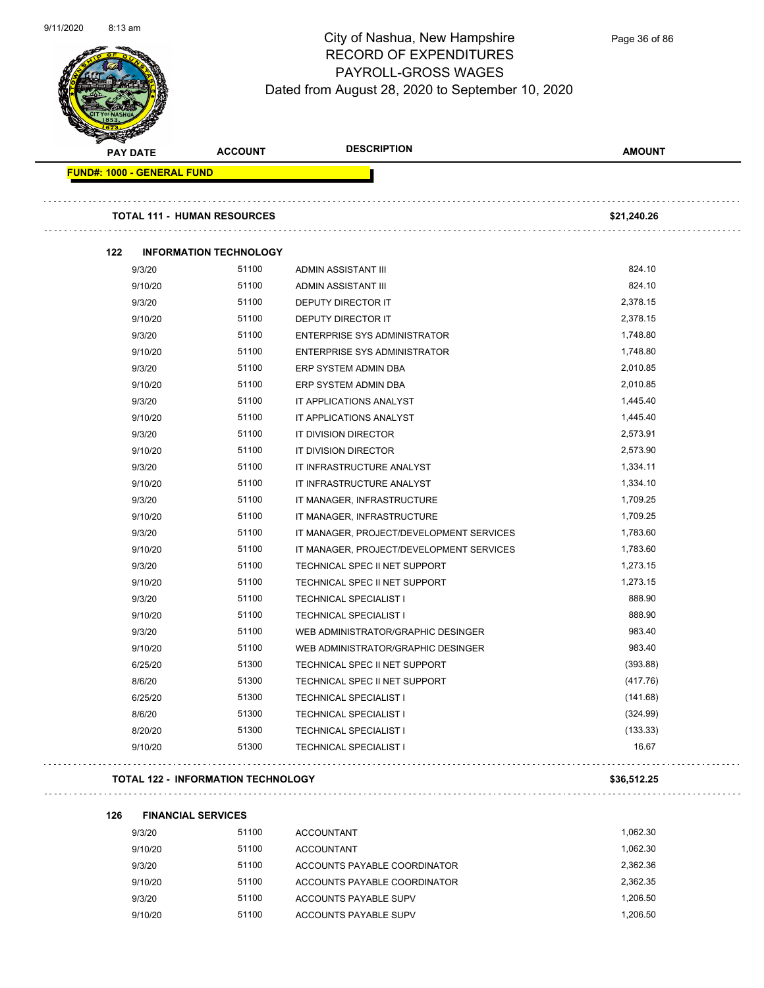

## City of Nashua, New Hampshire RECORD OF EXPENDITURES PAYROLL-GROSS WAGES Dated from August 28, 2020 to September 10, 2020

Page 36 of 86

| <b>PAY DATE</b>                   | <b>ACCOUNT</b>                            | <b>DESCRIPTION</b>                       | <b>AMOUNT</b> |
|-----------------------------------|-------------------------------------------|------------------------------------------|---------------|
| <b>FUND#: 1000 - GENERAL FUND</b> |                                           |                                          |               |
|                                   | <b>TOTAL 111 - HUMAN RESOURCES</b>        |                                          | \$21,240.26   |
|                                   |                                           |                                          |               |
| 122                               | <b>INFORMATION TECHNOLOGY</b>             |                                          |               |
| 9/3/20                            | 51100                                     | ADMIN ASSISTANT III                      | 824.10        |
| 9/10/20                           | 51100                                     | ADMIN ASSISTANT III                      | 824.10        |
| 9/3/20                            | 51100                                     | <b>DEPUTY DIRECTOR IT</b>                | 2,378.15      |
| 9/10/20                           | 51100                                     | <b>DEPUTY DIRECTOR IT</b>                | 2,378.15      |
| 9/3/20                            | 51100                                     | ENTERPRISE SYS ADMINISTRATOR             | 1,748.80      |
| 9/10/20                           | 51100                                     | ENTERPRISE SYS ADMINISTRATOR             | 1,748.80      |
| 9/3/20                            | 51100                                     | ERP SYSTEM ADMIN DBA                     | 2,010.85      |
| 9/10/20                           | 51100                                     | ERP SYSTEM ADMIN DBA                     | 2,010.85      |
| 9/3/20                            | 51100                                     | IT APPLICATIONS ANALYST                  | 1,445.40      |
| 9/10/20                           | 51100                                     | IT APPLICATIONS ANALYST                  | 1,445.40      |
| 9/3/20                            | 51100                                     | IT DIVISION DIRECTOR                     | 2,573.91      |
| 9/10/20                           | 51100                                     | IT DIVISION DIRECTOR                     | 2,573.90      |
| 9/3/20                            | 51100                                     | IT INFRASTRUCTURE ANALYST                | 1,334.11      |
| 9/10/20                           | 51100                                     | IT INFRASTRUCTURE ANALYST                | 1,334.10      |
| 9/3/20                            | 51100                                     | IT MANAGER, INFRASTRUCTURE               | 1,709.25      |
| 9/10/20                           | 51100                                     | IT MANAGER, INFRASTRUCTURE               | 1,709.25      |
| 9/3/20                            | 51100                                     | IT MANAGER, PROJECT/DEVELOPMENT SERVICES | 1,783.60      |
| 9/10/20                           | 51100                                     | IT MANAGER, PROJECT/DEVELOPMENT SERVICES | 1,783.60      |
| 9/3/20                            | 51100                                     | TECHNICAL SPEC II NET SUPPORT            | 1,273.15      |
| 9/10/20                           | 51100                                     | TECHNICAL SPEC II NET SUPPORT            | 1,273.15      |
| 9/3/20                            | 51100                                     | <b>TECHNICAL SPECIALIST I</b>            | 888.90        |
| 9/10/20                           | 51100                                     | <b>TECHNICAL SPECIALIST I</b>            | 888.90        |
| 9/3/20                            | 51100                                     | WEB ADMINISTRATOR/GRAPHIC DESINGER       | 983.40        |
| 9/10/20                           | 51100                                     | WEB ADMINISTRATOR/GRAPHIC DESINGER       | 983.40        |
| 6/25/20                           | 51300                                     | TECHNICAL SPEC II NET SUPPORT            | (393.88)      |
| 8/6/20                            | 51300                                     | TECHNICAL SPEC II NET SUPPORT            | (417.76)      |
| 6/25/20                           | 51300                                     | <b>TECHNICAL SPECIALIST I</b>            | (141.68)      |
| 8/6/20                            | 51300                                     | <b>TECHNICAL SPECIALIST I</b>            | (324.99)      |
| 8/20/20                           | 51300                                     | TECHNICAL SPECIALIST I                   | (133.33)      |
| 9/10/20                           | 51300                                     | <b>TECHNICAL SPECIALIST I</b>            | 16.67         |
|                                   | <b>TOTAL 122 - INFORMATION TECHNOLOGY</b> |                                          | \$36,512.25   |

## 

**126 FINANCIAL SERVICES**

| 9/3/20  | 51100 | <b>ACCOUNTANT</b>            | 1.062.30 |
|---------|-------|------------------------------|----------|
| 9/10/20 | 51100 | ACCOUNTANT                   | 1.062.30 |
| 9/3/20  | 51100 | ACCOUNTS PAYABLE COORDINATOR | 2.362.36 |
| 9/10/20 | 51100 | ACCOUNTS PAYABLE COORDINATOR | 2.362.35 |
| 9/3/20  | 51100 | ACCOUNTS PAYABLE SUPV        | 1.206.50 |
| 9/10/20 | 51100 | ACCOUNTS PAYABLE SUPV        | 1.206.50 |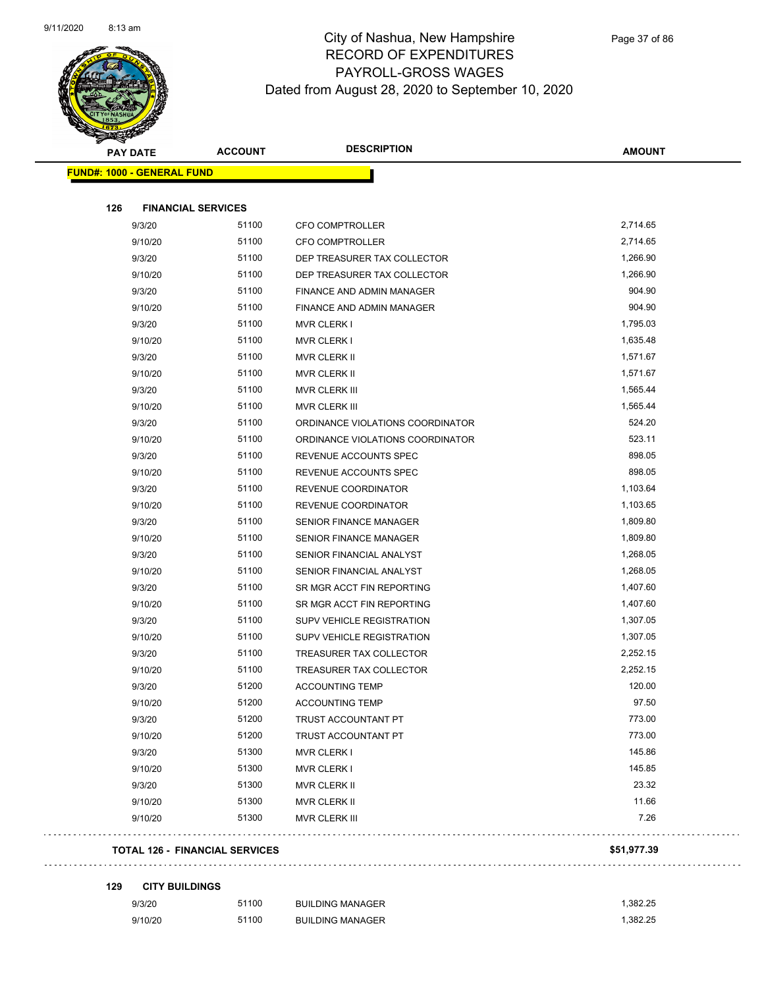

| <b>FUND#: 1000 - GENERAL FUND</b> |                           |                                  |          |
|-----------------------------------|---------------------------|----------------------------------|----------|
|                                   |                           |                                  |          |
| 126                               | <b>FINANCIAL SERVICES</b> |                                  |          |
| 9/3/20                            | 51100                     | <b>CFO COMPTROLLER</b>           | 2,714.65 |
| 9/10/20                           | 51100                     | <b>CFO COMPTROLLER</b>           | 2,714.65 |
| 9/3/20                            | 51100                     | DEP TREASURER TAX COLLECTOR      | 1,266.90 |
| 9/10/20                           | 51100                     | DEP TREASURER TAX COLLECTOR      | 1,266.90 |
| 9/3/20                            | 51100                     | FINANCE AND ADMIN MANAGER        | 904.90   |
| 9/10/20                           | 51100                     | FINANCE AND ADMIN MANAGER        | 904.90   |
| 9/3/20                            | 51100                     | MVR CLERK I                      | 1,795.03 |
| 9/10/20                           | 51100                     | <b>MVR CLERK I</b>               | 1,635.48 |
| 9/3/20                            | 51100                     | MVR CLERK II                     | 1,571.67 |
| 9/10/20                           | 51100                     | MVR CLERK II                     | 1,571.67 |
| 9/3/20                            | 51100                     | MVR CLERK III                    | 1,565.44 |
| 9/10/20                           | 51100                     | <b>MVR CLERK III</b>             | 1,565.44 |
| 9/3/20                            | 51100                     | ORDINANCE VIOLATIONS COORDINATOR | 524.20   |
| 9/10/20                           | 51100                     | ORDINANCE VIOLATIONS COORDINATOR | 523.11   |
| 9/3/20                            | 51100                     | REVENUE ACCOUNTS SPEC            | 898.05   |
| 9/10/20                           | 51100                     | REVENUE ACCOUNTS SPEC            | 898.05   |
| 9/3/20                            | 51100                     | REVENUE COORDINATOR              | 1,103.64 |
| 9/10/20                           | 51100                     | REVENUE COORDINATOR              | 1,103.65 |
| 9/3/20                            | 51100                     | <b>SENIOR FINANCE MANAGER</b>    | 1,809.80 |
| 9/10/20                           | 51100                     | <b>SENIOR FINANCE MANAGER</b>    | 1,809.80 |
| 9/3/20                            | 51100                     | SENIOR FINANCIAL ANALYST         | 1,268.05 |
| 9/10/20                           | 51100                     | SENIOR FINANCIAL ANALYST         | 1,268.05 |
| 9/3/20                            | 51100                     | SR MGR ACCT FIN REPORTING        | 1,407.60 |
| 9/10/20                           | 51100                     | SR MGR ACCT FIN REPORTING        | 1,407.60 |
| 9/3/20                            | 51100                     | SUPV VEHICLE REGISTRATION        | 1,307.05 |
| 9/10/20                           | 51100                     | <b>SUPV VEHICLE REGISTRATION</b> | 1,307.05 |
| 9/3/20                            | 51100                     | TREASURER TAX COLLECTOR          | 2,252.15 |
| 9/10/20                           | 51100                     | TREASURER TAX COLLECTOR          | 2,252.15 |
| 9/3/20                            | 51200                     | <b>ACCOUNTING TEMP</b>           | 120.00   |
| 9/10/20                           | 51200                     | ACCOUNTING TEMP                  | 97.50    |
| 9/3/20                            | 51200                     | TRUST ACCOUNTANT PT              | 773.00   |
| 9/10/20                           | 51200                     | TRUST ACCOUNTANT PT              | 773.00   |
| 9/3/20                            | 51300                     | <b>MVR CLERK I</b>               | 145.86   |
| 9/10/20                           | 51300                     | <b>MVR CLERK I</b>               | 145.85   |
| 9/3/20                            | 51300                     | MVR CLERK II                     | 23.32    |
| 9/10/20                           | 51300                     | MVR CLERK II                     | 11.66    |
| 9/10/20                           | 51300                     | MVR CLERK III                    | 7.26     |

#### **129 CITY BUILDINGS**

| 9/3/20  |  |
|---------|--|
| 9/10/20 |  |

 $\bar{z}$  .

 $\sim$   $\sim$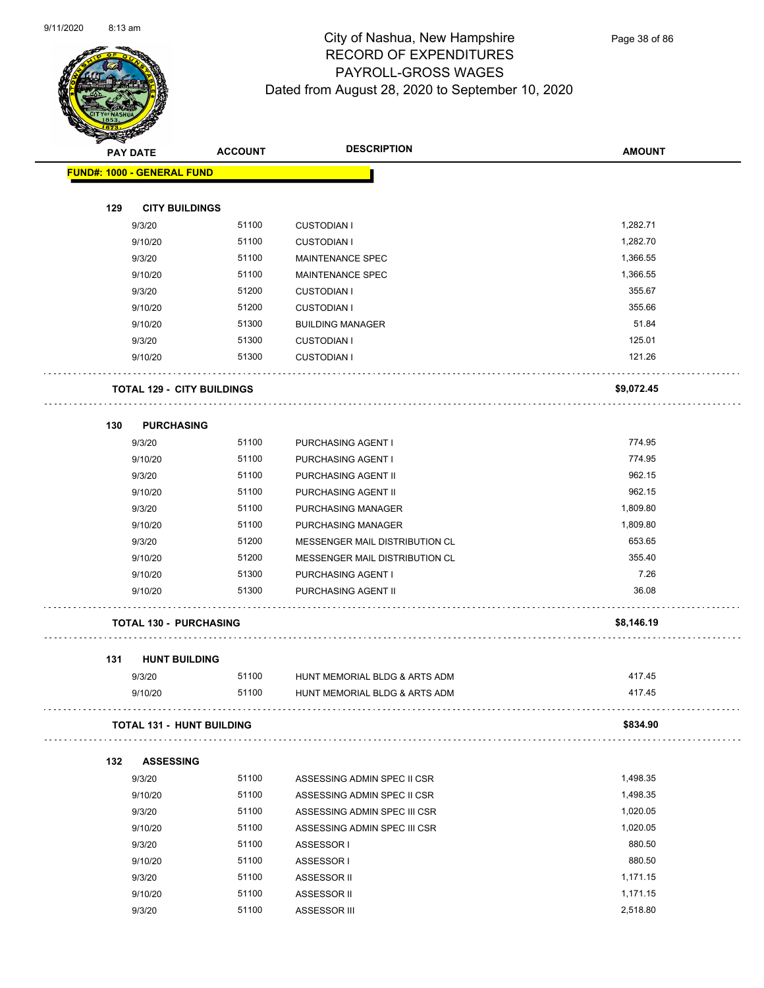$\overline{\phantom{0}}$ 



|     | <b>TWEE</b>                       |                |                                |               |
|-----|-----------------------------------|----------------|--------------------------------|---------------|
|     | <b>PAY DATE</b>                   | <b>ACCOUNT</b> | <b>DESCRIPTION</b>             | <b>AMOUNT</b> |
|     | <b>FUND#: 1000 - GENERAL FUND</b> |                |                                |               |
|     |                                   |                |                                |               |
| 129 | <b>CITY BUILDINGS</b>             |                |                                |               |
|     | 9/3/20                            | 51100          | <b>CUSTODIAN I</b>             | 1,282.71      |
|     | 9/10/20                           | 51100          | <b>CUSTODIAN I</b>             | 1,282.70      |
|     | 9/3/20                            | 51100          | MAINTENANCE SPEC               | 1,366.55      |
|     | 9/10/20                           | 51100          | MAINTENANCE SPEC               | 1,366.55      |
|     | 9/3/20                            | 51200          | <b>CUSTODIAN I</b>             | 355.67        |
|     | 9/10/20                           | 51200          | <b>CUSTODIAN I</b>             | 355.66        |
|     | 9/10/20                           | 51300          | <b>BUILDING MANAGER</b>        | 51.84         |
|     | 9/3/20                            | 51300          | <b>CUSTODIAN I</b>             | 125.01        |
|     | 9/10/20                           | 51300          | <b>CUSTODIAN I</b>             | 121.26        |
|     | <b>TOTAL 129 - CITY BUILDINGS</b> |                |                                | \$9,072.45    |
| 130 | <b>PURCHASING</b>                 |                |                                |               |
|     | 9/3/20                            | 51100          | PURCHASING AGENT I             | 774.95        |
|     | 9/10/20                           | 51100          | PURCHASING AGENT I             | 774.95        |
|     | 9/3/20                            | 51100          | PURCHASING AGENT II            | 962.15        |
|     | 9/10/20                           | 51100          | PURCHASING AGENT II            | 962.15        |
|     | 9/3/20                            | 51100          | PURCHASING MANAGER             | 1,809.80      |
|     | 9/10/20                           | 51100          | PURCHASING MANAGER             | 1,809.80      |
|     | 9/3/20                            | 51200          | MESSENGER MAIL DISTRIBUTION CL | 653.65        |
|     | 9/10/20                           | 51200          | MESSENGER MAIL DISTRIBUTION CL | 355.40        |
|     | 9/10/20                           | 51300          | PURCHASING AGENT I             | 7.26          |
|     | 9/10/20                           | 51300          | PURCHASING AGENT II            | 36.08         |
|     | <b>TOTAL 130 - PURCHASING</b>     |                |                                | \$8,146.19    |
| 131 | <b>HUNT BUILDING</b>              |                |                                |               |
|     | 9/3/20                            | 51100          | HUNT MEMORIAL BLDG & ARTS ADM  | 417.45        |
|     | 9/10/20                           | 51100          | HUNT MEMORIAL BLDG & ARTS ADM  | 417.45        |
|     |                                   |                |                                |               |
|     | <b>TOTAL 131 - HUNT BUILDING</b>  |                |                                | \$834.90      |
| 132 | <b>ASSESSING</b>                  |                |                                |               |
|     | 9/3/20                            | 51100          | ASSESSING ADMIN SPEC II CSR    | 1,498.35      |
|     | 9/10/20                           | 51100          | ASSESSING ADMIN SPEC II CSR    | 1,498.35      |
|     | 9/3/20                            | 51100          | ASSESSING ADMIN SPEC III CSR   | 1,020.05      |
|     | 9/10/20                           | 51100          | ASSESSING ADMIN SPEC III CSR   | 1,020.05      |
|     | 9/3/20                            | 51100          | ASSESSOR I                     | 880.50        |
|     | 9/10/20                           | 51100          | ASSESSOR I                     | 880.50        |
|     | 9/3/20                            | 51100          | ASSESSOR II                    | 1,171.15      |
|     | 9/10/20                           | 51100          | ASSESSOR II                    | 1,171.15      |
|     | 9/3/20                            | 51100          | ASSESSOR III                   | 2,518.80      |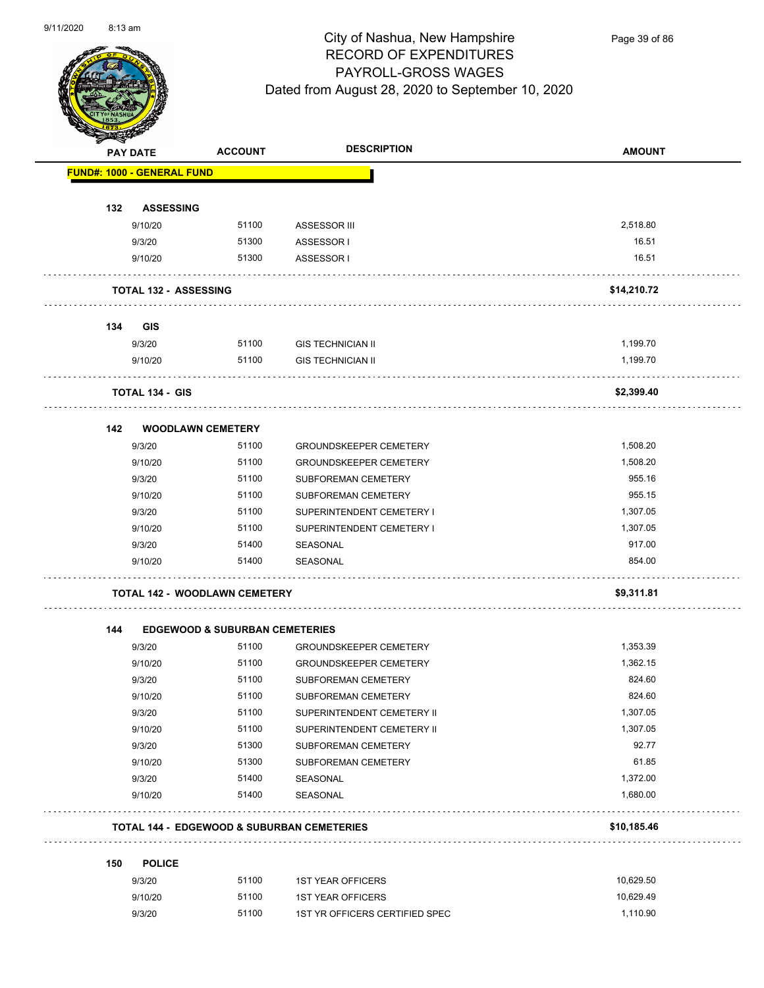

Page 39 of 86

|     | <b>PAY DATE</b>                      | <b>ACCOUNT</b>                            | <b>DESCRIPTION</b>                                    | <b>AMOUNT</b> |
|-----|--------------------------------------|-------------------------------------------|-------------------------------------------------------|---------------|
|     | <b>FUND#: 1000 - GENERAL FUND</b>    |                                           |                                                       |               |
|     |                                      |                                           |                                                       |               |
| 132 | <b>ASSESSING</b>                     |                                           |                                                       |               |
|     | 9/10/20                              | 51100                                     | ASSESSOR III                                          | 2,518.80      |
|     | 9/3/20                               | 51300                                     | ASSESSOR I                                            | 16.51         |
|     | 9/10/20                              | 51300                                     | ASSESSOR I                                            | 16.51         |
|     | <b>TOTAL 132 - ASSESSING</b><br>.    |                                           |                                                       | \$14,210.72   |
| 134 | GIS                                  |                                           |                                                       |               |
|     | 9/3/20                               | 51100                                     | GIS TECHNICIAN II                                     | 1,199.70      |
|     | 9/10/20                              | 51100                                     | <b>GIS TECHNICIAN II</b>                              | 1,199.70      |
|     | <b>TOTAL 134 - GIS</b>               |                                           |                                                       | \$2,399.40    |
| 142 | <b>WOODLAWN CEMETERY</b>             |                                           |                                                       |               |
|     | 9/3/20                               | 51100                                     | <b>GROUNDSKEEPER CEMETERY</b>                         | 1,508.20      |
|     | 9/10/20                              | 51100                                     | <b>GROUNDSKEEPER CEMETERY</b>                         | 1,508.20      |
|     | 9/3/20                               | 51100                                     | <b>SUBFOREMAN CEMETERY</b>                            | 955.16        |
|     | 9/10/20                              | 51100                                     | SUBFOREMAN CEMETERY                                   | 955.15        |
|     | 9/3/20                               | 51100                                     | SUPERINTENDENT CEMETERY I                             | 1,307.05      |
|     | 9/10/20                              | 51100                                     | SUPERINTENDENT CEMETERY I                             | 1,307.05      |
|     | 9/3/20                               | 51400                                     | SEASONAL                                              | 917.00        |
|     | 9/10/20                              | 51400                                     | SEASONAL                                              | 854.00        |
|     | <b>TOTAL 142 - WOODLAWN CEMETERY</b> |                                           |                                                       | \$9,311.81    |
| 144 |                                      | <b>EDGEWOOD &amp; SUBURBAN CEMETERIES</b> |                                                       |               |
|     | 9/3/20                               | 51100                                     | <b>GROUNDSKEEPER CEMETERY</b>                         | 1,353.39      |
|     | 9/10/20                              | 51100                                     | <b>GROUNDSKEEPER CEMETERY</b>                         | 1,362.15      |
|     | 9/3/20                               | 51100                                     | <b>SUBFOREMAN CEMETERY</b>                            | 824.60        |
|     | 9/10/20                              | 51100                                     | SUBFOREMAN CEMETERY                                   | 824.60        |
|     | 9/3/20                               | 51100                                     | SUPERINTENDENT CEMETERY II                            | 1,307.05      |
|     | 9/10/20                              | 51100                                     | SUPERINTENDENT CEMETERY II                            | 1,307.05      |
|     | 9/3/20                               | 51300                                     | SUBFOREMAN CEMETERY                                   | 92.77         |
|     | 9/10/20                              | 51300                                     | SUBFOREMAN CEMETERY                                   | 61.85         |
|     | 9/3/20                               | 51400                                     | SEASONAL                                              | 1,372.00      |
|     | 9/10/20                              | 51400                                     | SEASONAL                                              | 1,680.00      |
|     |                                      |                                           | <b>TOTAL 144 - EDGEWOOD &amp; SUBURBAN CEMETERIES</b> | \$10,185.46   |
| 150 | <b>POLICE</b>                        |                                           |                                                       |               |
|     | 9/3/20                               | 51100                                     | <b>1ST YEAR OFFICERS</b>                              | 10,629.50     |
|     | 9/10/20                              | 51100                                     | <b>1ST YEAR OFFICERS</b>                              | 10,629.49     |
|     | 9/3/20                               | 51100                                     | 1ST YR OFFICERS CERTIFIED SPEC                        | 1,110.90      |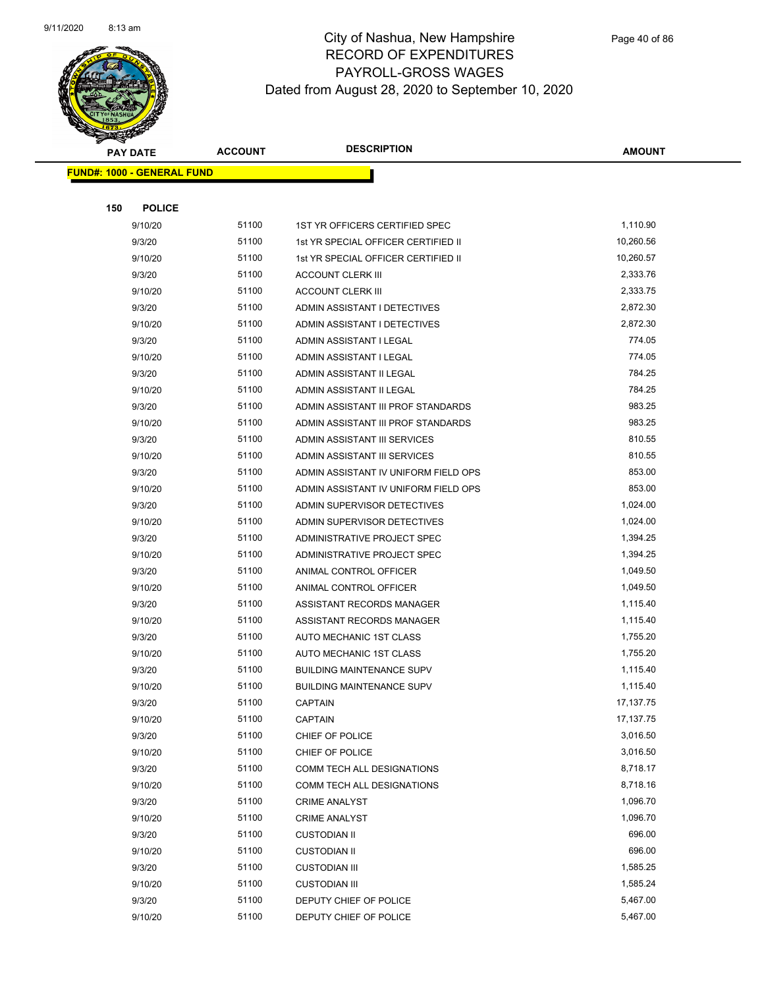

|     | <b>PAY DATE</b>                   | <b>ACCOUNT</b> | <b>DESCRIPTION</b>                   | <b>AMOUNT</b> |
|-----|-----------------------------------|----------------|--------------------------------------|---------------|
|     | <b>FUND#: 1000 - GENERAL FUND</b> |                |                                      |               |
|     |                                   |                |                                      |               |
| 150 | <b>POLICE</b>                     |                |                                      |               |
|     | 9/10/20                           | 51100          | 1ST YR OFFICERS CERTIFIED SPEC       | 1,110.90      |
|     | 9/3/20                            | 51100          | 1st YR SPECIAL OFFICER CERTIFIED II  | 10,260.56     |
|     | 9/10/20                           | 51100          | 1st YR SPECIAL OFFICER CERTIFIED II  | 10,260.57     |
|     | 9/3/20                            | 51100          | <b>ACCOUNT CLERK III</b>             | 2,333.76      |
|     | 9/10/20                           | 51100          | <b>ACCOUNT CLERK III</b>             | 2,333.75      |
|     | 9/3/20                            | 51100          | ADMIN ASSISTANT I DETECTIVES         | 2,872.30      |
|     | 9/10/20                           | 51100          | ADMIN ASSISTANT I DETECTIVES         | 2,872.30      |
|     | 9/3/20                            | 51100          | ADMIN ASSISTANT I LEGAL              | 774.05        |
|     | 9/10/20                           | 51100          | ADMIN ASSISTANT I LEGAL              | 774.05        |
|     | 9/3/20                            | 51100          | ADMIN ASSISTANT II LEGAL             | 784.25        |
|     | 9/10/20                           | 51100          | ADMIN ASSISTANT II LEGAL             | 784.25        |
|     | 9/3/20                            | 51100          | ADMIN ASSISTANT III PROF STANDARDS   | 983.25        |
|     | 9/10/20                           | 51100          | ADMIN ASSISTANT III PROF STANDARDS   | 983.25        |
|     | 9/3/20                            | 51100          | ADMIN ASSISTANT III SERVICES         | 810.55        |
|     | 9/10/20                           | 51100          | ADMIN ASSISTANT III SERVICES         | 810.55        |
|     | 9/3/20                            | 51100          | ADMIN ASSISTANT IV UNIFORM FIELD OPS | 853.00        |
|     | 9/10/20                           | 51100          | ADMIN ASSISTANT IV UNIFORM FIELD OPS | 853.00        |
|     | 9/3/20                            | 51100          | ADMIN SUPERVISOR DETECTIVES          | 1,024.00      |
|     | 9/10/20                           | 51100          | ADMIN SUPERVISOR DETECTIVES          | 1,024.00      |
|     | 9/3/20                            | 51100          | ADMINISTRATIVE PROJECT SPEC          | 1,394.25      |
|     | 9/10/20                           | 51100          | ADMINISTRATIVE PROJECT SPEC          | 1,394.25      |
|     | 9/3/20                            | 51100          | ANIMAL CONTROL OFFICER               | 1,049.50      |
|     | 9/10/20                           | 51100          | ANIMAL CONTROL OFFICER               | 1,049.50      |
|     | 9/3/20                            | 51100          | ASSISTANT RECORDS MANAGER            | 1,115.40      |
|     | 9/10/20                           | 51100          | ASSISTANT RECORDS MANAGER            | 1,115.40      |
|     | 9/3/20                            | 51100          | AUTO MECHANIC 1ST CLASS              | 1,755.20      |
|     | 9/10/20                           | 51100          | AUTO MECHANIC 1ST CLASS              | 1,755.20      |
|     | 9/3/20                            | 51100          | <b>BUILDING MAINTENANCE SUPV</b>     | 1,115.40      |
|     | 9/10/20                           | 51100          | <b>BUILDING MAINTENANCE SUPV</b>     | 1,115.40      |
|     | 9/3/20                            | 51100          | CAPTAIN                              | 17,137.75     |
|     | 9/10/20                           | 51100          | <b>CAPTAIN</b>                       | 17, 137. 75   |
|     | 9/3/20                            | 51100          | CHIEF OF POLICE                      | 3,016.50      |
|     | 9/10/20                           | 51100          | CHIEF OF POLICE                      | 3,016.50      |
|     | 9/3/20                            | 51100          | COMM TECH ALL DESIGNATIONS           | 8,718.17      |
|     | 9/10/20                           | 51100          | COMM TECH ALL DESIGNATIONS           | 8,718.16      |
|     | 9/3/20                            | 51100          | <b>CRIME ANALYST</b>                 | 1,096.70      |
|     | 9/10/20                           | 51100          | <b>CRIME ANALYST</b>                 | 1,096.70      |
|     | 9/3/20                            | 51100          | <b>CUSTODIAN II</b>                  | 696.00        |
|     | 9/10/20                           | 51100          | <b>CUSTODIAN II</b>                  | 696.00        |
|     | 9/3/20                            | 51100          | <b>CUSTODIAN III</b>                 | 1,585.25      |
|     | 9/10/20                           | 51100          | <b>CUSTODIAN III</b>                 | 1,585.24      |
|     | 9/3/20                            | 51100          | DEPUTY CHIEF OF POLICE               | 5,467.00      |
|     | 9/10/20                           | 51100          | DEPUTY CHIEF OF POLICE               | 5,467.00      |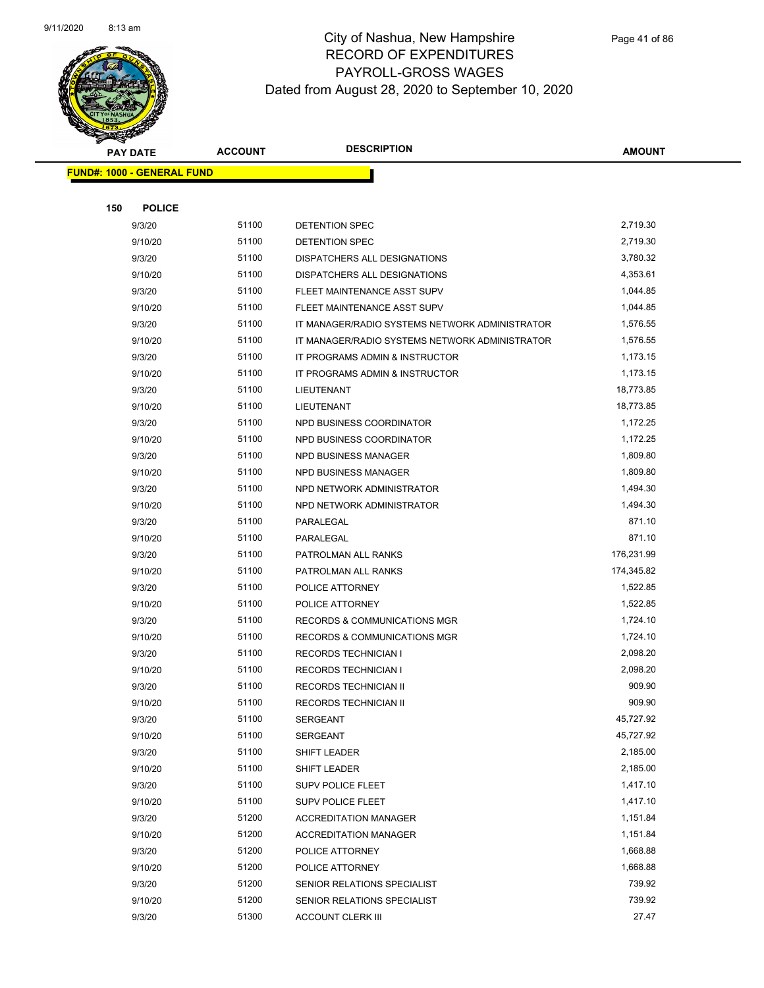

|     | <b>PAY DATE</b>                   | <b>ACCOUNT</b> | <b>DESCRIPTION</b>                                         | <b>AMOUNT</b>        |  |
|-----|-----------------------------------|----------------|------------------------------------------------------------|----------------------|--|
|     | <b>FUND#: 1000 - GENERAL FUND</b> |                |                                                            |                      |  |
|     |                                   |                |                                                            |                      |  |
| 150 | <b>POLICE</b>                     |                |                                                            |                      |  |
|     | 9/3/20                            | 51100          | DETENTION SPEC                                             | 2,719.30             |  |
|     | 9/10/20                           | 51100          | DETENTION SPEC                                             | 2,719.30             |  |
|     | 9/3/20                            | 51100          | DISPATCHERS ALL DESIGNATIONS                               | 3,780.32             |  |
|     | 9/10/20                           | 51100          | DISPATCHERS ALL DESIGNATIONS                               | 4,353.61             |  |
|     | 9/3/20                            | 51100          | FLEET MAINTENANCE ASST SUPV                                | 1,044.85             |  |
|     | 9/10/20                           | 51100          | FLEET MAINTENANCE ASST SUPV                                | 1,044.85             |  |
|     | 9/3/20                            | 51100          | IT MANAGER/RADIO SYSTEMS NETWORK ADMINISTRATOR             | 1,576.55             |  |
|     | 9/10/20                           | 51100          | IT MANAGER/RADIO SYSTEMS NETWORK ADMINISTRATOR             | 1,576.55             |  |
|     | 9/3/20                            | 51100          | IT PROGRAMS ADMIN & INSTRUCTOR                             | 1,173.15             |  |
|     | 9/10/20                           | 51100          | IT PROGRAMS ADMIN & INSTRUCTOR                             | 1,173.15             |  |
|     | 9/3/20                            | 51100          | LIEUTENANT                                                 | 18,773.85            |  |
|     | 9/10/20                           | 51100          | <b>LIEUTENANT</b>                                          | 18,773.85            |  |
|     | 9/3/20                            | 51100          | NPD BUSINESS COORDINATOR                                   | 1,172.25             |  |
|     | 9/10/20                           | 51100          | NPD BUSINESS COORDINATOR                                   | 1,172.25             |  |
|     | 9/3/20                            | 51100          | NPD BUSINESS MANAGER                                       | 1,809.80             |  |
|     | 9/10/20                           | 51100          | NPD BUSINESS MANAGER                                       | 1,809.80             |  |
|     | 9/3/20                            | 51100          | NPD NETWORK ADMINISTRATOR                                  | 1,494.30             |  |
|     | 9/10/20                           | 51100          | NPD NETWORK ADMINISTRATOR                                  | 1,494.30             |  |
|     | 9/3/20                            | 51100          | PARALEGAL                                                  | 871.10               |  |
|     | 9/10/20                           | 51100          | PARALEGAL                                                  | 871.10               |  |
|     | 9/3/20                            | 51100          | PATROLMAN ALL RANKS                                        | 176,231.99           |  |
|     | 9/10/20                           | 51100          | PATROLMAN ALL RANKS                                        | 174,345.82           |  |
|     | 9/3/20                            | 51100          | POLICE ATTORNEY                                            | 1,522.85             |  |
|     | 9/10/20                           | 51100          | POLICE ATTORNEY                                            | 1,522.85             |  |
|     | 9/3/20                            | 51100<br>51100 | <b>RECORDS &amp; COMMUNICATIONS MGR</b>                    | 1,724.10<br>1,724.10 |  |
|     | 9/10/20                           | 51100          | <b>RECORDS &amp; COMMUNICATIONS MGR</b>                    | 2,098.20             |  |
|     | 9/3/20<br>9/10/20                 | 51100          | <b>RECORDS TECHNICIAN I</b><br><b>RECORDS TECHNICIAN I</b> | 2,098.20             |  |
|     | 9/3/20                            | 51100          | RECORDS TECHNICIAN II                                      | 909.90               |  |
|     | 9/10/20                           | 51100          | RECORDS TECHNICIAN II                                      | 909.90               |  |
|     | 9/3/20                            | 51100          | <b>SERGEANT</b>                                            | 45,727.92            |  |
|     | 9/10/20                           | 51100          | <b>SERGEANT</b>                                            | 45,727.92            |  |
|     | 9/3/20                            | 51100          | SHIFT LEADER                                               | 2,185.00             |  |
|     | 9/10/20                           | 51100          | SHIFT LEADER                                               | 2,185.00             |  |
|     | 9/3/20                            | 51100          | SUPV POLICE FLEET                                          | 1,417.10             |  |
|     | 9/10/20                           | 51100          | SUPV POLICE FLEET                                          | 1,417.10             |  |
|     | 9/3/20                            | 51200          | <b>ACCREDITATION MANAGER</b>                               | 1,151.84             |  |
|     | 9/10/20                           | 51200          | <b>ACCREDITATION MANAGER</b>                               | 1,151.84             |  |
|     | 9/3/20                            | 51200          | POLICE ATTORNEY                                            | 1,668.88             |  |
|     | 9/10/20                           | 51200          | POLICE ATTORNEY                                            | 1,668.88             |  |
|     | 9/3/20                            | 51200          | SENIOR RELATIONS SPECIALIST                                | 739.92               |  |
|     | 9/10/20                           | 51200          | SENIOR RELATIONS SPECIALIST                                | 739.92               |  |
|     | 9/3/20                            | 51300          | <b>ACCOUNT CLERK III</b>                                   | 27.47                |  |
|     |                                   |                |                                                            |                      |  |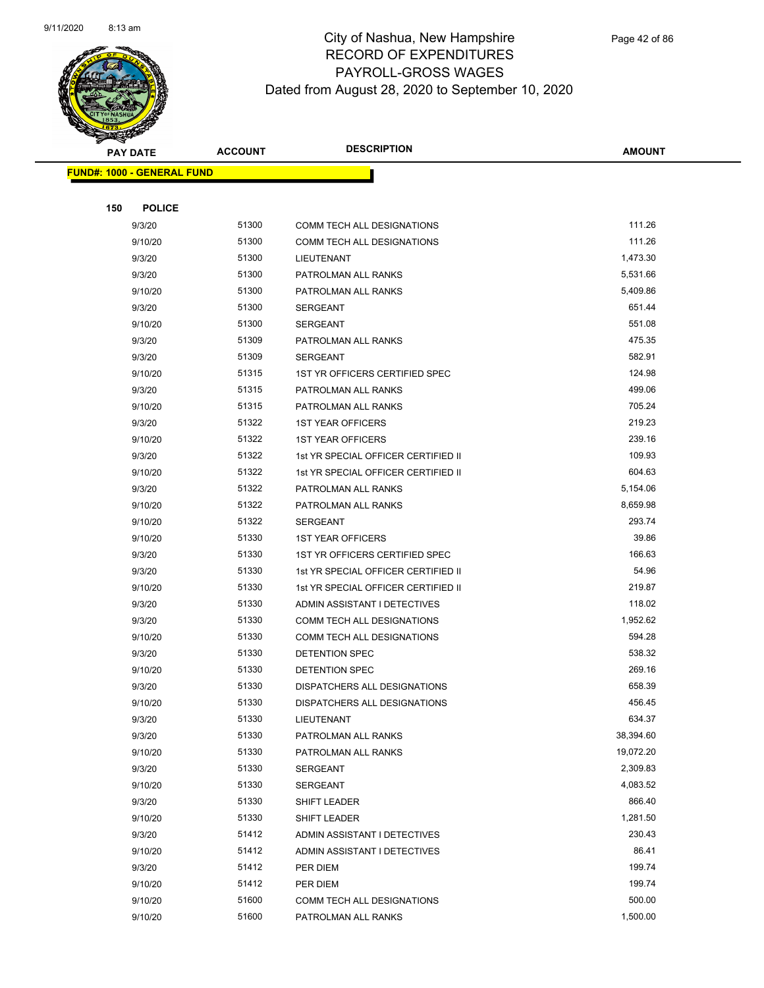

|     | <b>PAY DATE</b>                   | <b>ACCOUNT</b> | <b>DESCRIPTION</b>                           | <b>AMOUNT</b>      |
|-----|-----------------------------------|----------------|----------------------------------------------|--------------------|
|     | <b>FUND#: 1000 - GENERAL FUND</b> |                |                                              |                    |
|     |                                   |                |                                              |                    |
| 150 | <b>POLICE</b>                     |                |                                              |                    |
|     | 9/3/20                            | 51300          | COMM TECH ALL DESIGNATIONS                   | 111.26             |
|     | 9/10/20                           | 51300          | COMM TECH ALL DESIGNATIONS                   | 111.26             |
|     | 9/3/20                            | 51300          | LIEUTENANT                                   | 1,473.30           |
|     | 9/3/20                            | 51300          | PATROLMAN ALL RANKS                          | 5,531.66           |
|     | 9/10/20                           | 51300          | PATROLMAN ALL RANKS                          | 5,409.86           |
|     | 9/3/20                            | 51300          | SERGEANT                                     | 651.44             |
|     | 9/10/20                           | 51300          | SERGEANT                                     | 551.08             |
|     | 9/3/20                            | 51309          | PATROLMAN ALL RANKS                          | 475.35             |
|     | 9/3/20                            | 51309          | SERGEANT                                     | 582.91             |
|     | 9/10/20                           | 51315          | 1ST YR OFFICERS CERTIFIED SPEC               | 124.98             |
|     | 9/3/20                            | 51315          | PATROLMAN ALL RANKS                          | 499.06             |
|     | 9/10/20                           | 51315          | PATROLMAN ALL RANKS                          | 705.24             |
|     | 9/3/20                            | 51322          | <b>1ST YEAR OFFICERS</b>                     | 219.23             |
|     | 9/10/20                           | 51322          | <b>1ST YEAR OFFICERS</b>                     | 239.16             |
|     | 9/3/20                            | 51322          | 1st YR SPECIAL OFFICER CERTIFIED II          | 109.93             |
|     | 9/10/20                           | 51322          | 1st YR SPECIAL OFFICER CERTIFIED II          | 604.63             |
|     | 9/3/20                            | 51322          | PATROLMAN ALL RANKS                          | 5,154.06           |
|     | 9/10/20                           | 51322          | PATROLMAN ALL RANKS                          | 8,659.98           |
|     | 9/10/20                           | 51322          | SERGEANT                                     | 293.74             |
|     | 9/10/20                           | 51330          | <b>1ST YEAR OFFICERS</b>                     | 39.86              |
|     | 9/3/20                            | 51330          | 1ST YR OFFICERS CERTIFIED SPEC               | 166.63             |
|     | 9/3/20                            | 51330          | 1st YR SPECIAL OFFICER CERTIFIED II          | 54.96              |
|     | 9/10/20                           | 51330          | 1st YR SPECIAL OFFICER CERTIFIED II          | 219.87             |
|     | 9/3/20                            | 51330          | ADMIN ASSISTANT I DETECTIVES                 | 118.02             |
|     | 9/3/20                            | 51330          | COMM TECH ALL DESIGNATIONS                   | 1,952.62<br>594.28 |
|     | 9/10/20                           | 51330<br>51330 | COMM TECH ALL DESIGNATIONS<br>DETENTION SPEC | 538.32             |
|     | 9/3/20<br>9/10/20                 | 51330          | <b>DETENTION SPEC</b>                        | 269.16             |
|     | 9/3/20                            | 51330          | <b>DISPATCHERS ALL DESIGNATIONS</b>          | 658.39             |
|     | 9/10/20                           | 51330          | DISPATCHERS ALL DESIGNATIONS                 | 456.45             |
|     | 9/3/20                            | 51330          | LIEUTENANT                                   | 634.37             |
|     | 9/3/20                            | 51330          | PATROLMAN ALL RANKS                          | 38,394.60          |
|     | 9/10/20                           | 51330          | PATROLMAN ALL RANKS                          | 19,072.20          |
|     | 9/3/20                            | 51330          | SERGEANT                                     | 2,309.83           |
|     | 9/10/20                           | 51330          | SERGEANT                                     | 4,083.52           |
|     | 9/3/20                            | 51330          | SHIFT LEADER                                 | 866.40             |
|     | 9/10/20                           | 51330          | SHIFT LEADER                                 | 1,281.50           |
|     | 9/3/20                            | 51412          | ADMIN ASSISTANT I DETECTIVES                 | 230.43             |
|     | 9/10/20                           | 51412          | ADMIN ASSISTANT I DETECTIVES                 | 86.41              |
|     | 9/3/20                            | 51412          | PER DIEM                                     | 199.74             |
|     | 9/10/20                           | 51412          | PER DIEM                                     | 199.74             |
|     | 9/10/20                           | 51600          | COMM TECH ALL DESIGNATIONS                   | 500.00             |
|     | 9/10/20                           | 51600          | PATROLMAN ALL RANKS                          | 1,500.00           |
|     |                                   |                |                                              |                    |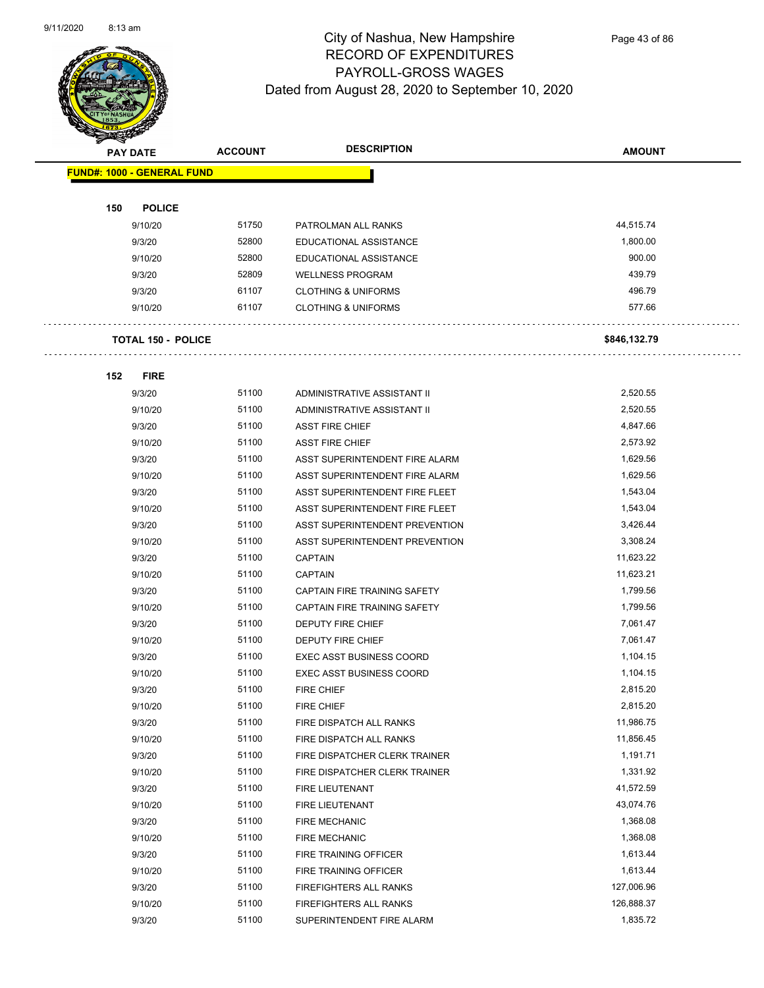

Page 43 of 86

| <b>PAY DATE</b>                   | <b>ACCOUNT</b> | <b>DESCRIPTION</b>              | <b>AMOUNT</b> |
|-----------------------------------|----------------|---------------------------------|---------------|
| <b>FUND#: 1000 - GENERAL FUND</b> |                |                                 |               |
|                                   |                |                                 |               |
| 150<br><b>POLICE</b>              |                |                                 |               |
| 9/10/20                           | 51750          | PATROLMAN ALL RANKS             | 44,515.74     |
| 9/3/20                            | 52800          | EDUCATIONAL ASSISTANCE          | 1,800.00      |
| 9/10/20                           | 52800          | EDUCATIONAL ASSISTANCE          | 900.00        |
| 9/3/20                            | 52809          | <b>WELLNESS PROGRAM</b>         | 439.79        |
| 9/3/20                            | 61107          | <b>CLOTHING &amp; UNIFORMS</b>  | 496.79        |
| 9/10/20                           | 61107          | <b>CLOTHING &amp; UNIFORMS</b>  | 577.66        |
|                                   |                |                                 |               |
| <b>TOTAL 150 - POLICE</b>         |                |                                 | \$846,132.79  |
|                                   |                |                                 |               |
| 152<br><b>FIRE</b>                |                |                                 |               |
| 9/3/20                            | 51100          | ADMINISTRATIVE ASSISTANT II     | 2,520.55      |
| 9/10/20                           | 51100          | ADMINISTRATIVE ASSISTANT II     | 2,520.55      |
| 9/3/20                            | 51100          | <b>ASST FIRE CHIEF</b>          | 4,847.66      |
| 9/10/20                           | 51100          | <b>ASST FIRE CHIEF</b>          | 2,573.92      |
| 9/3/20                            | 51100          | ASST SUPERINTENDENT FIRE ALARM  | 1,629.56      |
| 9/10/20                           | 51100          | ASST SUPERINTENDENT FIRE ALARM  | 1,629.56      |
| 9/3/20                            | 51100          | ASST SUPERINTENDENT FIRE FLEET  | 1,543.04      |
| 9/10/20                           | 51100          | ASST SUPERINTENDENT FIRE FLEET  | 1,543.04      |
| 9/3/20                            | 51100          | ASST SUPERINTENDENT PREVENTION  | 3,426.44      |
| 9/10/20                           | 51100          | ASST SUPERINTENDENT PREVENTION  | 3,308.24      |
| 9/3/20                            | 51100          | <b>CAPTAIN</b>                  | 11,623.22     |
| 9/10/20                           | 51100          | <b>CAPTAIN</b>                  | 11,623.21     |
| 9/3/20                            | 51100          | CAPTAIN FIRE TRAINING SAFETY    | 1,799.56      |
| 9/10/20                           | 51100          | CAPTAIN FIRE TRAINING SAFETY    | 1,799.56      |
| 9/3/20                            | 51100          | DEPUTY FIRE CHIEF               | 7,061.47      |
| 9/10/20                           | 51100          | DEPUTY FIRE CHIEF               | 7,061.47      |
| 9/3/20                            | 51100          | <b>EXEC ASST BUSINESS COORD</b> | 1,104.15      |
| 9/10/20                           | 51100          | <b>EXEC ASST BUSINESS COORD</b> | 1,104.15      |
| 9/3/20                            | 51100          | <b>FIRE CHIEF</b>               | 2,815.20      |
| 9/10/20                           | 51100          | <b>FIRE CHIEF</b>               | 2,815.20      |
| 9/3/20                            | 51100          | FIRE DISPATCH ALL RANKS         | 11,986.75     |
| 9/10/20                           | 51100          | FIRE DISPATCH ALL RANKS         | 11,856.45     |
| 9/3/20                            | 51100          | FIRE DISPATCHER CLERK TRAINER   | 1,191.71      |
| 9/10/20                           | 51100          | FIRE DISPATCHER CLERK TRAINER   | 1,331.92      |
| 9/3/20                            | 51100          | FIRE LIEUTENANT                 | 41,572.59     |
| 9/10/20                           | 51100          | FIRE LIEUTENANT                 | 43,074.76     |
| 9/3/20                            | 51100          | <b>FIRE MECHANIC</b>            | 1,368.08      |
| 9/10/20                           | 51100          | <b>FIRE MECHANIC</b>            | 1,368.08      |
| 9/3/20                            | 51100          | FIRE TRAINING OFFICER           | 1,613.44      |
| 9/10/20                           | 51100          | FIRE TRAINING OFFICER           | 1,613.44      |
| 9/3/20                            | 51100          | FIREFIGHTERS ALL RANKS          | 127,006.96    |
| 9/10/20                           | 51100          | FIREFIGHTERS ALL RANKS          | 126,888.37    |
| 9/3/20                            | 51100          | SUPERINTENDENT FIRE ALARM       | 1,835.72      |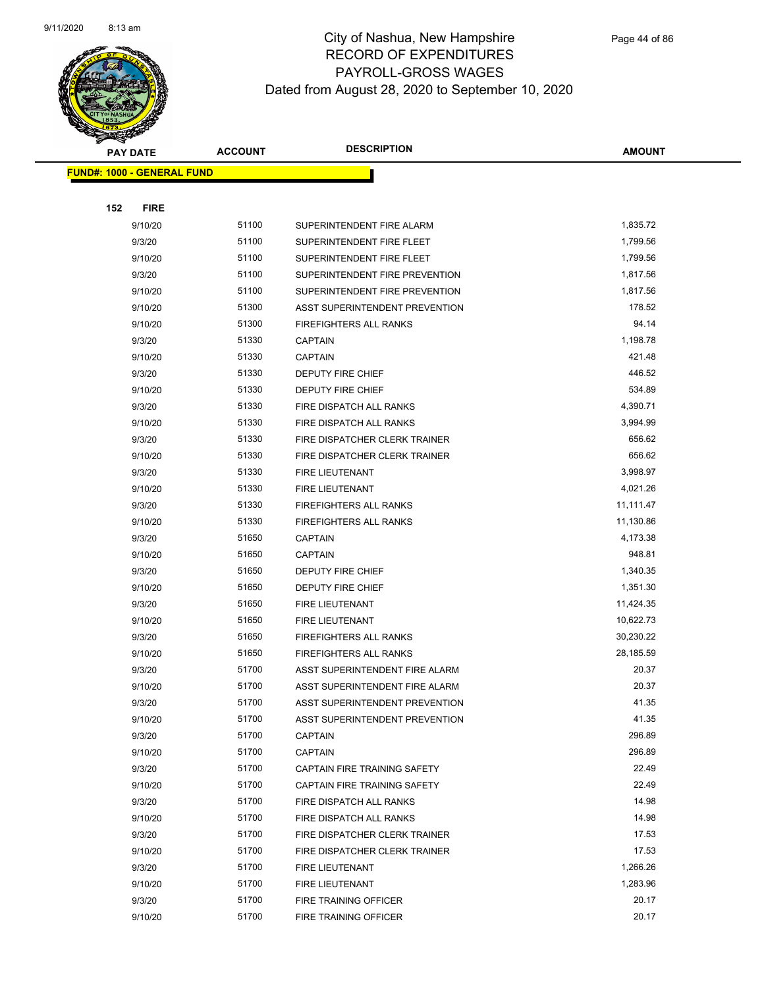

|     | <b>PAY DATE</b>                   | <b>ACCOUNT</b> | <b>DESCRIPTION</b>                                             | <b>AMOUNT</b>  |
|-----|-----------------------------------|----------------|----------------------------------------------------------------|----------------|
|     | <b>FUND#: 1000 - GENERAL FUND</b> |                |                                                                |                |
|     |                                   |                |                                                                |                |
| 152 | <b>FIRE</b>                       |                |                                                                |                |
|     | 9/10/20                           | 51100          | SUPERINTENDENT FIRE ALARM                                      | 1,835.72       |
|     | 9/3/20                            | 51100          | SUPERINTENDENT FIRE FLEET                                      | 1,799.56       |
|     | 9/10/20                           | 51100          | SUPERINTENDENT FIRE FLEET                                      | 1,799.56       |
|     | 9/3/20                            | 51100          | SUPERINTENDENT FIRE PREVENTION                                 | 1,817.56       |
|     | 9/10/20                           | 51100          | SUPERINTENDENT FIRE PREVENTION                                 | 1,817.56       |
|     | 9/10/20                           | 51300          | ASST SUPERINTENDENT PREVENTION                                 | 178.52         |
|     | 9/10/20                           | 51300          | <b>FIREFIGHTERS ALL RANKS</b>                                  | 94.14          |
|     | 9/3/20                            | 51330          | <b>CAPTAIN</b>                                                 | 1,198.78       |
|     | 9/10/20                           | 51330          | <b>CAPTAIN</b>                                                 | 421.48         |
|     | 9/3/20                            | 51330          | DEPUTY FIRE CHIEF                                              | 446.52         |
|     | 9/10/20                           | 51330          | DEPUTY FIRE CHIEF                                              | 534.89         |
|     | 9/3/20                            | 51330          | FIRE DISPATCH ALL RANKS                                        | 4,390.71       |
|     | 9/10/20                           | 51330          | FIRE DISPATCH ALL RANKS                                        | 3,994.99       |
|     | 9/3/20                            | 51330          | FIRE DISPATCHER CLERK TRAINER                                  | 656.62         |
|     | 9/10/20                           | 51330          | FIRE DISPATCHER CLERK TRAINER                                  | 656.62         |
|     | 9/3/20                            | 51330          | FIRE LIEUTENANT                                                | 3,998.97       |
|     | 9/10/20                           | 51330          | FIRE LIEUTENANT                                                | 4,021.26       |
|     | 9/3/20                            | 51330          | FIREFIGHTERS ALL RANKS                                         | 11,111.47      |
|     | 9/10/20                           | 51330          | FIREFIGHTERS ALL RANKS                                         | 11,130.86      |
|     | 9/3/20                            | 51650          | <b>CAPTAIN</b>                                                 | 4,173.38       |
|     | 9/10/20                           | 51650          | <b>CAPTAIN</b>                                                 | 948.81         |
|     | 9/3/20                            | 51650          | DEPUTY FIRE CHIEF                                              | 1,340.35       |
|     | 9/10/20                           | 51650          | DEPUTY FIRE CHIEF                                              | 1,351.30       |
|     | 9/3/20                            | 51650          | FIRE LIEUTENANT                                                | 11,424.35      |
|     | 9/10/20                           | 51650          | FIRE LIEUTENANT                                                | 10,622.73      |
|     | 9/3/20                            | 51650          | FIREFIGHTERS ALL RANKS                                         | 30,230.22      |
|     | 9/10/20                           | 51650          | FIREFIGHTERS ALL RANKS                                         | 28,185.59      |
|     | 9/3/20                            | 51700          | ASST SUPERINTENDENT FIRE ALARM                                 | 20.37          |
|     | 9/10/20                           | 51700          | ASST SUPERINTENDENT FIRE ALARM                                 | 20.37          |
|     | 9/3/20                            | 51700          | ASST SUPERINTENDENT PREVENTION                                 | 41.35          |
|     | 9/10/20                           | 51700          | ASST SUPERINTENDENT PREVENTION                                 | 41.35          |
|     | 9/3/20                            | 51700          | <b>CAPTAIN</b>                                                 | 296.89         |
|     | 9/10/20                           | 51700          | <b>CAPTAIN</b>                                                 | 296.89         |
|     | 9/3/20                            | 51700          | <b>CAPTAIN FIRE TRAINING SAFETY</b>                            | 22.49<br>22.49 |
|     | 9/10/20                           | 51700<br>51700 | CAPTAIN FIRE TRAINING SAFETY                                   | 14.98          |
|     | 9/3/20                            |                | FIRE DISPATCH ALL RANKS                                        |                |
|     | 9/10/20                           | 51700          | FIRE DISPATCH ALL RANKS                                        | 14.98          |
|     | 9/3/20                            | 51700<br>51700 | FIRE DISPATCHER CLERK TRAINER<br>FIRE DISPATCHER CLERK TRAINER | 17.53<br>17.53 |
|     | 9/10/20                           | 51700          |                                                                | 1,266.26       |
|     | 9/3/20                            | 51700          | FIRE LIEUTENANT                                                | 1,283.96       |
|     | 9/10/20                           | 51700          | FIRE LIEUTENANT                                                | 20.17          |
|     | 9/3/20                            |                | FIRE TRAINING OFFICER                                          |                |
|     | 9/10/20                           | 51700          | FIRE TRAINING OFFICER                                          | 20.17          |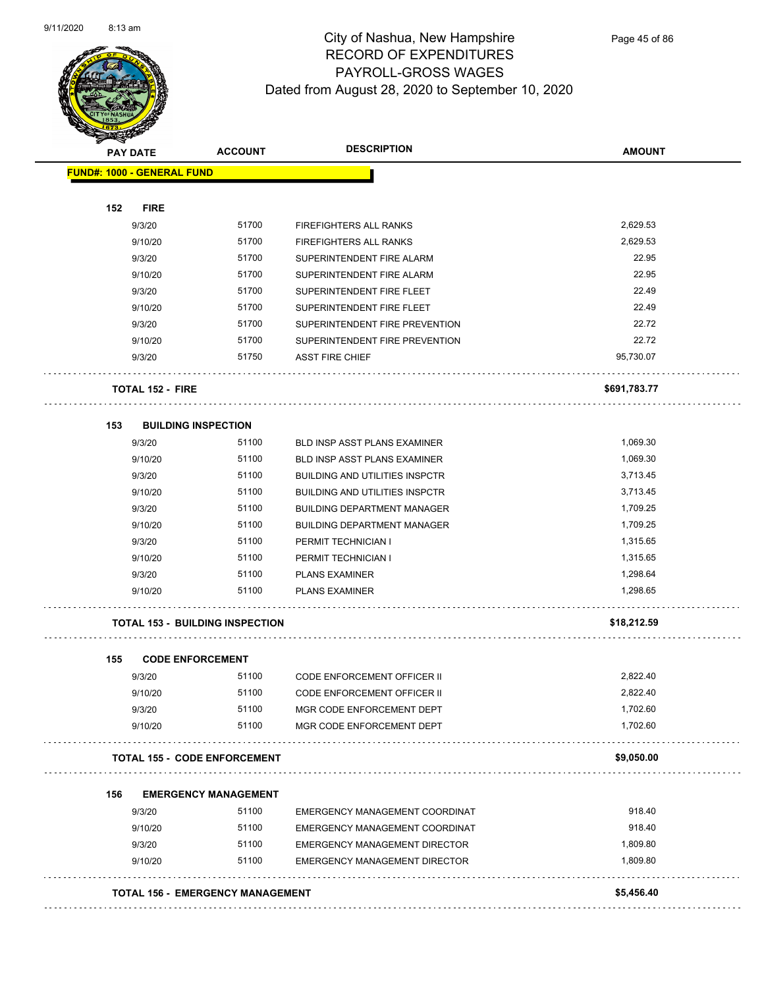

Page 45 of 86

|     | <b>PAY DATE</b>                         | <b>ACCOUNT</b>              | <b>DESCRIPTION</b>                    | <b>AMOUNT</b> |
|-----|-----------------------------------------|-----------------------------|---------------------------------------|---------------|
|     | <b>FUND#: 1000 - GENERAL FUND</b>       |                             |                                       |               |
|     |                                         |                             |                                       |               |
| 152 | <b>FIRE</b>                             |                             |                                       |               |
|     | 9/3/20                                  | 51700                       | FIREFIGHTERS ALL RANKS                | 2,629.53      |
|     | 9/10/20                                 | 51700                       | FIREFIGHTERS ALL RANKS                | 2,629.53      |
|     | 9/3/20                                  | 51700                       | SUPERINTENDENT FIRE ALARM             | 22.95         |
|     | 9/10/20                                 | 51700                       | SUPERINTENDENT FIRE ALARM             | 22.95         |
|     | 9/3/20                                  | 51700                       | SUPERINTENDENT FIRE FLEET             | 22.49         |
|     | 9/10/20                                 | 51700                       | SUPERINTENDENT FIRE FLEET             | 22.49         |
|     | 9/3/20                                  | 51700                       | SUPERINTENDENT FIRE PREVENTION        | 22.72         |
|     | 9/10/20                                 | 51700                       | SUPERINTENDENT FIRE PREVENTION        | 22.72         |
|     | 9/3/20                                  | 51750                       | <b>ASST FIRE CHIEF</b>                | 95,730.07     |
|     | <b>TOTAL 152 - FIRE</b>                 |                             |                                       | \$691,783.77  |
| 153 | <b>BUILDING INSPECTION</b>              |                             |                                       |               |
|     | 9/3/20                                  | 51100                       | <b>BLD INSP ASST PLANS EXAMINER</b>   | 1,069.30      |
|     | 9/10/20                                 | 51100                       | BLD INSP ASST PLANS EXAMINER          | 1,069.30      |
|     | 9/3/20                                  | 51100                       | <b>BUILDING AND UTILITIES INSPCTR</b> | 3,713.45      |
|     | 9/10/20                                 | 51100                       | <b>BUILDING AND UTILITIES INSPCTR</b> | 3,713.45      |
|     | 9/3/20                                  | 51100                       | <b>BUILDING DEPARTMENT MANAGER</b>    | 1,709.25      |
|     | 9/10/20                                 | 51100                       | <b>BUILDING DEPARTMENT MANAGER</b>    | 1,709.25      |
|     | 9/3/20                                  | 51100                       | PERMIT TECHNICIAN I                   | 1,315.65      |
|     | 9/10/20                                 | 51100                       | PERMIT TECHNICIAN I                   | 1,315.65      |
|     | 9/3/20                                  | 51100                       | <b>PLANS EXAMINER</b>                 | 1,298.64      |
|     | 9/10/20                                 | 51100                       | <b>PLANS EXAMINER</b>                 | 1,298.65      |
|     | <b>TOTAL 153 - BUILDING INSPECTION</b>  |                             |                                       | \$18,212.59   |
| 155 | <b>CODE ENFORCEMENT</b>                 |                             |                                       |               |
|     | 9/3/20                                  | 51100                       | CODE ENFORCEMENT OFFICER II           | 2,822.40      |
|     | 9/10/20                                 | 51100                       | CODE ENFORCEMENT OFFICER II           | 2,822.40      |
|     | 9/3/20                                  | 51100                       | MGR CODE ENFORCEMENT DEPT             | 1,702.60      |
|     | 9/10/20                                 | 51100                       | MGR CODE ENFORCEMENT DEPT             | 1,702.60      |
|     | <b>TOTAL 155 - CODE ENFORCEMENT</b>     |                             |                                       | \$9,050.00    |
| 156 |                                         | <b>EMERGENCY MANAGEMENT</b> |                                       |               |
|     | 9/3/20                                  | 51100                       | EMERGENCY MANAGEMENT COORDINAT        | 918.40        |
|     | 9/10/20                                 | 51100                       | <b>EMERGENCY MANAGEMENT COORDINAT</b> | 918.40        |
|     | 9/3/20                                  | 51100                       | <b>EMERGENCY MANAGEMENT DIRECTOR</b>  | 1,809.80      |
|     | 9/10/20                                 | 51100                       | <b>EMERGENCY MANAGEMENT DIRECTOR</b>  | 1,809.80      |
|     | <b>TOTAL 156 - EMERGENCY MANAGEMENT</b> |                             |                                       | \$5,456.40    |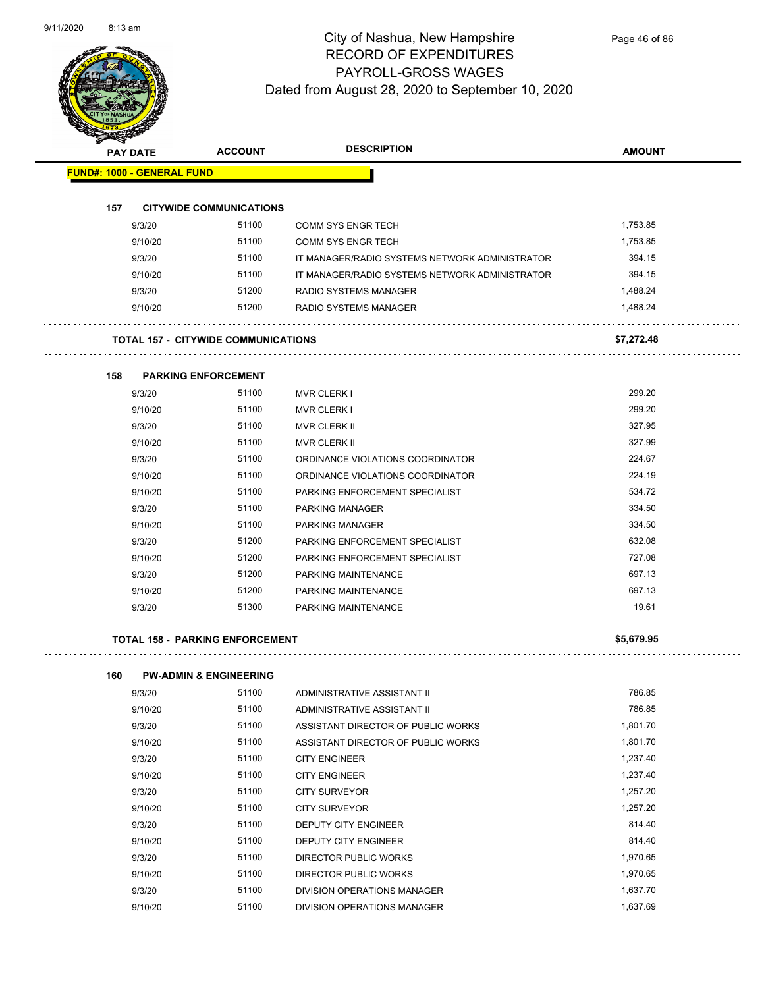

Page 46 of 86

| <b>STARRED</b> |                                   |                                            |                                                |               |
|----------------|-----------------------------------|--------------------------------------------|------------------------------------------------|---------------|
|                | <b>PAY DATE</b>                   | <b>ACCOUNT</b>                             | <b>DESCRIPTION</b>                             | <b>AMOUNT</b> |
|                | <b>FUND#: 1000 - GENERAL FUND</b> |                                            |                                                |               |
|                |                                   |                                            |                                                |               |
| 157            |                                   | <b>CITYWIDE COMMUNICATIONS</b>             |                                                |               |
|                | 9/3/20                            | 51100                                      | <b>COMM SYS ENGR TECH</b>                      | 1,753.85      |
|                | 9/10/20                           | 51100                                      | <b>COMM SYS ENGR TECH</b>                      | 1,753.85      |
|                | 9/3/20                            | 51100                                      | IT MANAGER/RADIO SYSTEMS NETWORK ADMINISTRATOR | 394.15        |
|                | 9/10/20                           | 51100                                      | IT MANAGER/RADIO SYSTEMS NETWORK ADMINISTRATOR | 394.15        |
|                | 9/3/20                            | 51200                                      | RADIO SYSTEMS MANAGER                          | 1,488.24      |
|                | 9/10/20                           | 51200                                      | <b>RADIO SYSTEMS MANAGER</b>                   | 1,488.24      |
|                |                                   | <b>TOTAL 157 - CITYWIDE COMMUNICATIONS</b> |                                                | \$7,272.48    |
| 158            |                                   | <b>PARKING ENFORCEMENT</b>                 |                                                |               |
|                | 9/3/20                            | 51100                                      | <b>MVR CLERK I</b>                             | 299.20        |
|                | 9/10/20                           | 51100                                      | <b>MVR CLERK I</b>                             | 299.20        |
|                | 9/3/20                            | 51100                                      | <b>MVR CLERK II</b>                            | 327.95        |
|                | 9/10/20                           | 51100                                      | <b>MVR CLERK II</b>                            | 327.99        |
|                | 9/3/20                            | 51100                                      | ORDINANCE VIOLATIONS COORDINATOR               | 224.67        |
|                | 9/10/20                           | 51100                                      | ORDINANCE VIOLATIONS COORDINATOR               | 224.19        |
|                | 9/10/20                           | 51100                                      | PARKING ENFORCEMENT SPECIALIST                 | 534.72        |
|                | 9/3/20                            | 51100                                      | PARKING MANAGER                                | 334.50        |
|                | 9/10/20                           | 51100                                      | <b>PARKING MANAGER</b>                         | 334.50        |
|                | 9/3/20                            | 51200                                      | PARKING ENFORCEMENT SPECIALIST                 | 632.08        |
|                | 9/10/20                           | 51200                                      | PARKING ENFORCEMENT SPECIALIST                 | 727.08        |
|                | 9/3/20                            | 51200                                      | PARKING MAINTENANCE                            | 697.13        |
|                | 9/10/20                           | 51200                                      | PARKING MAINTENANCE                            | 697.13        |
|                | 9/3/20                            | 51300                                      | PARKING MAINTENANCE                            | 19.61         |
|                |                                   | <b>TOTAL 158 - PARKING ENFORCEMENT</b>     |                                                | \$5,679.95    |
| 160            |                                   | <b>PW-ADMIN &amp; ENGINEERING</b>          |                                                |               |
|                | 9/3/20                            | 51100                                      | ADMINISTRATIVE ASSISTANT II                    | 786.85        |
|                | 9/10/20                           | 51100                                      | ADMINISTRATIVE ASSISTANT II                    | 786.85        |
|                | 9/3/20                            | 51100                                      | ASSISTANT DIRECTOR OF PUBLIC WORKS             | 1,801.70      |
|                | 9/10/20                           | 51100                                      | ASSISTANT DIRECTOR OF PUBLIC WORKS             | 1,801.70      |
|                | 0.0000                            | FAAOO                                      |                                                | 1.02710       |

| ט⊾וטונט |       | ADIVILIVU TIVATI VE AUUU LAIVI II  | .        |
|---------|-------|------------------------------------|----------|
| 9/3/20  | 51100 | ASSISTANT DIRECTOR OF PUBLIC WORKS | 1,801.70 |
| 9/10/20 | 51100 | ASSISTANT DIRECTOR OF PUBLIC WORKS | 1,801.70 |
| 9/3/20  | 51100 | <b>CITY ENGINEER</b>               | 1,237.40 |
| 9/10/20 | 51100 | <b>CITY ENGINEER</b>               | 1,237.40 |
| 9/3/20  | 51100 | <b>CITY SURVEYOR</b>               | 1,257.20 |
| 9/10/20 | 51100 | CITY SURVEYOR                      | 1,257.20 |
| 9/3/20  | 51100 | <b>DEPUTY CITY ENGINEER</b>        | 814.40   |
| 9/10/20 | 51100 | <b>DEPUTY CITY ENGINEER</b>        | 814.40   |
| 9/3/20  | 51100 | DIRECTOR PUBLIC WORKS              | 1,970.65 |
| 9/10/20 | 51100 | DIRECTOR PUBLIC WORKS              | 1,970.65 |
| 9/3/20  | 51100 | DIVISION OPERATIONS MANAGER        | 1.637.70 |
| 9/10/20 | 51100 | DIVISION OPERATIONS MANAGER        | 1.637.69 |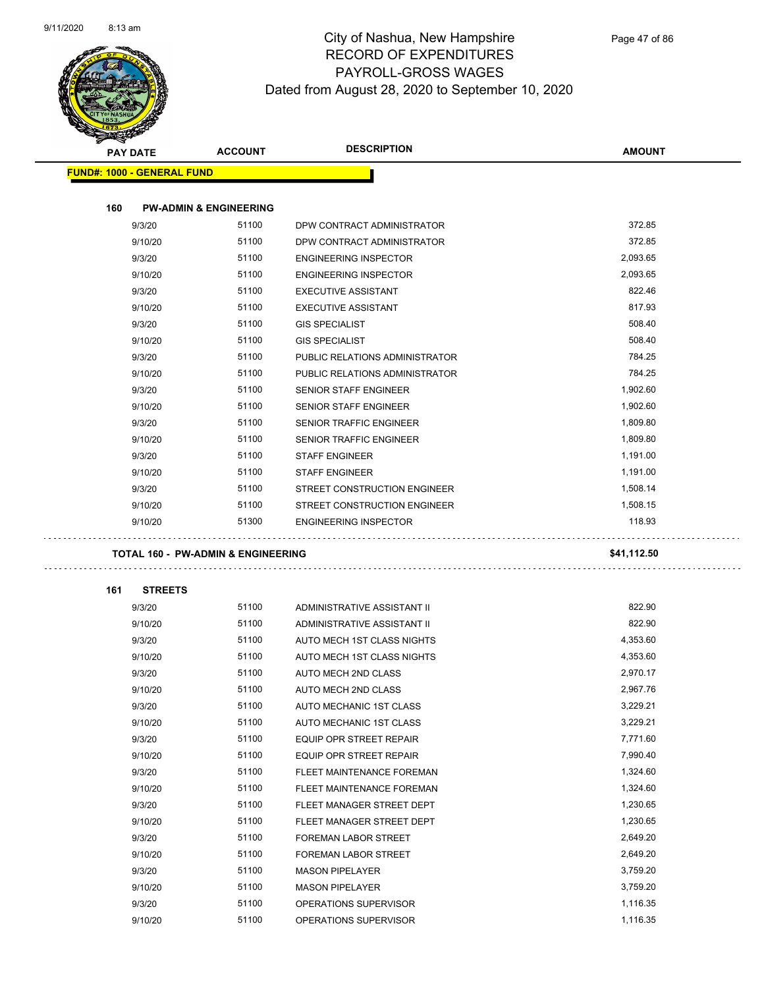

| ⋘                                 |                                               |                                                 |                      |
|-----------------------------------|-----------------------------------------------|-------------------------------------------------|----------------------|
| <b>PAY DATE</b>                   | <b>ACCOUNT</b>                                | <b>DESCRIPTION</b>                              | <b>AMOUNT</b>        |
| <b>FUND#: 1000 - GENERAL FUND</b> |                                               |                                                 |                      |
|                                   |                                               |                                                 |                      |
| 160                               | <b>PW-ADMIN &amp; ENGINEERING</b>             |                                                 |                      |
| 9/3/20                            | 51100                                         | DPW CONTRACT ADMINISTRATOR                      | 372.85               |
| 9/10/20                           | 51100                                         | DPW CONTRACT ADMINISTRATOR                      | 372.85               |
| 9/3/20                            | 51100                                         | <b>ENGINEERING INSPECTOR</b>                    | 2,093.65             |
| 9/10/20                           | 51100                                         | <b>ENGINEERING INSPECTOR</b>                    | 2,093.65             |
| 9/3/20                            | 51100                                         | <b>EXECUTIVE ASSISTANT</b>                      | 822.46               |
| 9/10/20                           | 51100                                         | <b>EXECUTIVE ASSISTANT</b>                      | 817.93               |
| 9/3/20                            | 51100                                         | <b>GIS SPECIALIST</b>                           | 508.40               |
| 9/10/20                           | 51100                                         | <b>GIS SPECIALIST</b>                           | 508.40               |
| 9/3/20                            | 51100                                         | PUBLIC RELATIONS ADMINISTRATOR                  | 784.25               |
| 9/10/20                           | 51100                                         | PUBLIC RELATIONS ADMINISTRATOR                  | 784.25               |
| 9/3/20                            | 51100                                         | <b>SENIOR STAFF ENGINEER</b>                    | 1,902.60             |
| 9/10/20                           | 51100                                         | <b>SENIOR STAFF ENGINEER</b>                    | 1,902.60             |
| 9/3/20                            | 51100                                         | SENIOR TRAFFIC ENGINEER                         | 1,809.80             |
| 9/10/20                           | 51100                                         | SENIOR TRAFFIC ENGINEER                         | 1,809.80             |
| 9/3/20                            | 51100                                         | <b>STAFF ENGINEER</b>                           | 1,191.00             |
| 9/10/20                           | 51100                                         | <b>STAFF ENGINEER</b>                           | 1,191.00             |
| 9/3/20                            | 51100                                         | STREET CONSTRUCTION ENGINEER                    | 1,508.14             |
| 9/10/20                           | 51100                                         | STREET CONSTRUCTION ENGINEER                    | 1,508.15             |
| 9/10/20                           | 51300                                         | <b>ENGINEERING INSPECTOR</b>                    | 118.93               |
|                                   |                                               |                                                 |                      |
|                                   | <b>TOTAL 160 - PW-ADMIN &amp; ENGINEERING</b> |                                                 | \$41,112.50          |
| 161<br><b>STREETS</b>             |                                               |                                                 |                      |
| 9/3/20                            | 51100                                         | ADMINISTRATIVE ASSISTANT II                     | 822.90               |
|                                   |                                               |                                                 |                      |
|                                   |                                               |                                                 |                      |
| 9/10/20                           | 51100                                         | ADMINISTRATIVE ASSISTANT II                     | 822.90               |
| 9/3/20                            | 51100                                         | AUTO MECH 1ST CLASS NIGHTS                      | 4,353.60             |
| 9/10/20                           | 51100                                         | AUTO MECH 1ST CLASS NIGHTS                      | 4,353.60             |
| 9/3/20                            | 51100                                         | AUTO MECH 2ND CLASS                             | 2,970.17             |
| 9/10/20                           | 51100                                         | AUTO MECH 2ND CLASS                             | 2,967.76             |
| 9/3/20                            | 51100                                         | AUTO MECHANIC 1ST CLASS                         | 3,229.21             |
| 9/10/20                           | 51100                                         | AUTO MECHANIC 1ST CLASS                         | 3,229.21             |
| 9/3/20                            | 51100                                         | EQUIP OPR STREET REPAIR                         | 7,771.60             |
| 9/10/20                           | 51100                                         | EQUIP OPR STREET REPAIR                         | 7,990.40             |
| 9/3/20                            | 51100                                         | FLEET MAINTENANCE FOREMAN                       | 1,324.60             |
| 9/10/20                           | 51100                                         | FLEET MAINTENANCE FOREMAN                       | 1,324.60             |
| 9/3/20                            | 51100                                         | FLEET MANAGER STREET DEPT                       | 1,230.65             |
| 9/10/20                           | 51100                                         | FLEET MANAGER STREET DEPT                       | 1,230.65             |
| 9/3/20                            | 51100                                         | FOREMAN LABOR STREET                            | 2,649.20             |
| 9/10/20                           | 51100                                         | FOREMAN LABOR STREET                            | 2,649.20             |
| 9/3/20                            | 51100                                         | <b>MASON PIPELAYER</b>                          | 3,759.20             |
| 9/10/20<br>9/3/20                 | 51100<br>51100                                | <b>MASON PIPELAYER</b><br>OPERATIONS SUPERVISOR | 3,759.20<br>1,116.35 |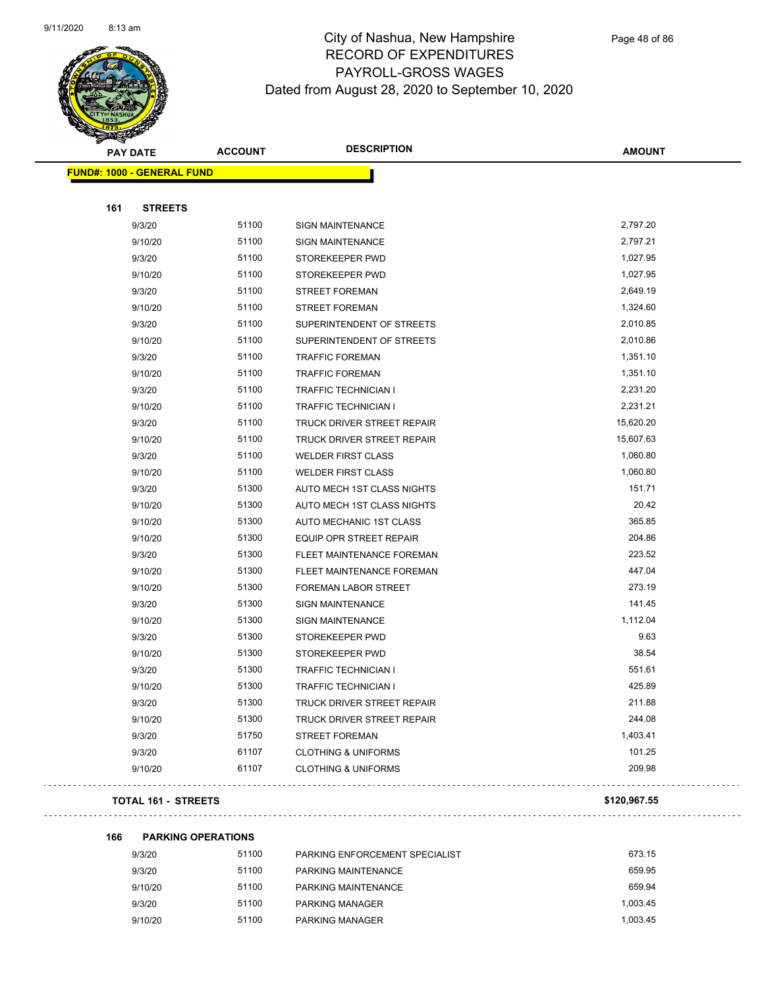

Page 48 of 86

| <b>PAY DATE</b>                   | <b>ACCOUNT</b> | <b>DESCRIPTION</b>                | <b>AMOUNT</b> |
|-----------------------------------|----------------|-----------------------------------|---------------|
| <b>FUND#: 1000 - GENERAL FUND</b> |                |                                   |               |
|                                   |                |                                   |               |
| 161<br><b>STREETS</b>             |                |                                   |               |
| 9/3/20                            | 51100          | <b>SIGN MAINTENANCE</b>           | 2,797.20      |
| 9/10/20                           | 51100          | SIGN MAINTENANCE                  | 2,797.21      |
| 9/3/20                            | 51100          | STOREKEEPER PWD                   | 1,027.95      |
| 9/10/20                           | 51100          | STOREKEEPER PWD                   | 1,027.95      |
| 9/3/20                            | 51100          | <b>STREET FOREMAN</b>             | 2,649.19      |
| 9/10/20                           | 51100          | <b>STREET FOREMAN</b>             | 1,324.60      |
| 9/3/20                            | 51100          | SUPERINTENDENT OF STREETS         | 2,010.85      |
| 9/10/20                           | 51100          | SUPERINTENDENT OF STREETS         | 2,010.86      |
| 9/3/20                            | 51100          | <b>TRAFFIC FOREMAN</b>            | 1,351.10      |
| 9/10/20                           | 51100          | <b>TRAFFIC FOREMAN</b>            | 1,351.10      |
| 9/3/20                            | 51100          | <b>TRAFFIC TECHNICIAN I</b>       | 2,231.20      |
| 9/10/20                           | 51100          | <b>TRAFFIC TECHNICIAN I</b>       | 2,231.21      |
| 9/3/20                            | 51100          | <b>TRUCK DRIVER STREET REPAIR</b> | 15,620.20     |
| 9/10/20                           | 51100          | <b>TRUCK DRIVER STREET REPAIR</b> | 15,607.63     |
| 9/3/20                            | 51100          | <b>WELDER FIRST CLASS</b>         | 1,060.80      |
| 9/10/20                           | 51100          | <b>WELDER FIRST CLASS</b>         | 1,060.80      |
| 9/3/20                            | 51300          | AUTO MECH 1ST CLASS NIGHTS        | 151.71        |
| 9/10/20                           | 51300          | AUTO MECH 1ST CLASS NIGHTS        | 20.42         |
| 9/10/20                           | 51300          | AUTO MECHANIC 1ST CLASS           | 365.85        |
| 9/10/20                           | 51300          | <b>EQUIP OPR STREET REPAIR</b>    | 204.86        |
| 9/3/20                            | 51300          | FLEET MAINTENANCE FOREMAN         | 223.52        |
| 9/10/20                           | 51300          | FLEET MAINTENANCE FOREMAN         | 447.04        |
| 9/10/20                           | 51300          | FOREMAN LABOR STREET              | 273.19        |
| 9/3/20                            | 51300          | <b>SIGN MAINTENANCE</b>           | 141.45        |
| 9/10/20                           | 51300          | <b>SIGN MAINTENANCE</b>           | 1,112.04      |
| 9/3/20                            | 51300          | STOREKEEPER PWD                   | 9.63          |
| 9/10/20                           | 51300          | STOREKEEPER PWD                   | 38.54         |
| 9/3/20                            | 51300          | <b>TRAFFIC TECHNICIAN I</b>       | 551.61        |
| 9/10/20                           | 51300          | <b>TRAFFIC TECHNICIAN I</b>       | 425.89        |
| 9/3/20                            | 51300          | TRUCK DRIVER STREET REPAIR        | 211.88        |
| 9/10/20                           | 51300          | TRUCK DRIVER STREET REPAIR        | 244.08        |
| 9/3/20                            | 51750          | <b>STREET FOREMAN</b>             | 1,403.41      |
| 9/3/20                            | 61107          | <b>CLOTHING &amp; UNIFORMS</b>    | 101.25        |
| 9/10/20                           | 61107          | <b>CLOTHING &amp; UNIFORMS</b>    | 209.98        |
|                                   |                |                                   |               |

#### **TOTAL 161 - STREETS \$120,967.55**

 $\sim$   $\sim$   $\sim$ 

. . . . . . . . . . .

**166 PARKING OPERATIONS** 9/3/20 51100 PARKING ENFORCEMENT SPECIALIST 673.15 9/3/20 51100 PARKING MAINTENANCE 659.95 9/10/20 51100 PARKING MAINTENANCE 659.94 9/3/20 51100 PARKING MANAGER 1,003.45 9/10/20 51100 PARKING MANAGER 1,003.45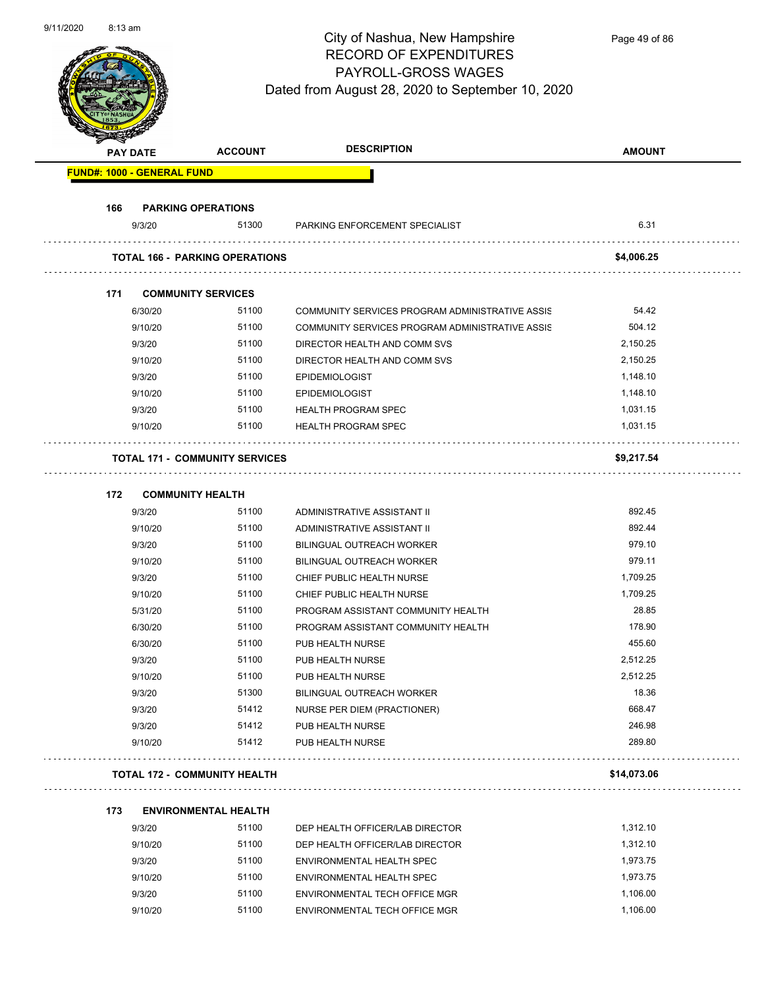Page 49 of 86

|     | <b>PAY DATE</b>                   | <b>ACCOUNT</b>                        | <b>DESCRIPTION</b>                              | <b>AMOUNT</b> |
|-----|-----------------------------------|---------------------------------------|-------------------------------------------------|---------------|
|     | <b>FUND#: 1000 - GENERAL FUND</b> |                                       |                                                 |               |
| 166 |                                   | <b>PARKING OPERATIONS</b>             |                                                 |               |
|     | 9/3/20                            | 51300                                 | PARKING ENFORCEMENT SPECIALIST                  | 6.31          |
|     |                                   | <b>TOTAL 166 - PARKING OPERATIONS</b> |                                                 | \$4,006.25    |
| 171 |                                   | <b>COMMUNITY SERVICES</b>             |                                                 |               |
|     | 6/30/20                           | 51100                                 | COMMUNITY SERVICES PROGRAM ADMINISTRATIVE ASSIS | 54.42         |
|     | 9/10/20                           | 51100                                 | COMMUNITY SERVICES PROGRAM ADMINISTRATIVE ASSIS | 504.12        |
|     | 9/3/20                            | 51100                                 | DIRECTOR HEALTH AND COMM SVS                    | 2,150.25      |
|     | 9/10/20                           | 51100                                 | DIRECTOR HEALTH AND COMM SVS                    | 2,150.25      |
|     | 9/3/20                            | 51100                                 | <b>EPIDEMIOLOGIST</b>                           | 1,148.10      |
|     | 9/10/20                           | 51100                                 | <b>EPIDEMIOLOGIST</b>                           | 1,148.10      |
|     | 9/3/20                            | 51100                                 | <b>HEALTH PROGRAM SPEC</b>                      | 1,031.15      |
|     | 9/10/20                           | 51100                                 | <b>HEALTH PROGRAM SPEC</b>                      | 1,031.15      |
|     |                                   | <b>TOTAL 171 - COMMUNITY SERVICES</b> |                                                 | \$9,217.54    |
| 172 |                                   | <b>COMMUNITY HEALTH</b>               |                                                 |               |
|     | 9/3/20                            | 51100                                 | ADMINISTRATIVE ASSISTANT II                     | 892.45        |
|     | 9/10/20                           | 51100                                 | ADMINISTRATIVE ASSISTANT II                     | 892.44        |
|     | 9/3/20                            | 51100                                 | <b>BILINGUAL OUTREACH WORKER</b>                | 979.10        |
|     | 9/10/20                           | 51100                                 | <b>BILINGUAL OUTREACH WORKER</b>                | 979.11        |
|     | 9/3/20                            | 51100                                 | CHIEF PUBLIC HEALTH NURSE                       | 1,709.25      |
|     | 9/10/20                           | 51100                                 | CHIEF PUBLIC HEALTH NURSE                       | 1,709.25      |
|     | 5/31/20                           | 51100                                 | PROGRAM ASSISTANT COMMUNITY HEALTH              | 28.85         |
|     | 6/30/20                           | 51100                                 | PROGRAM ASSISTANT COMMUNITY HEALTH              | 178.90        |
|     | 6/30/20                           | 51100                                 | PUB HEALTH NURSE                                | 455.60        |
|     | 9/3/20                            | 51100                                 | PUB HEALTH NURSE                                | 2,512.25      |
|     | 9/10/20                           | 51100                                 | PUB HEALTH NURSE                                | 2,512.25      |
|     |                                   | 51300                                 | <b>BILINGUAL OUTREACH WORKER</b>                | 18.36         |
|     | 9/3/20                            | 51412                                 | NURSE PER DIEM (PRACTIONER)                     | 668.47        |
|     | 9/3/20                            |                                       |                                                 | 246.98        |
|     | 9/3/20                            | 51412                                 | PUB HEALTH NURSE                                |               |
|     | 9/10/20                           | 51412                                 | PUB HEALTH NURSE                                | 289.80        |

#### **173 ENVIRONMENTAL HEALTH**

| 9/3/20  | 51100 | DEP HEALTH OFFICER/LAB DIRECTOR | 1.312.10 |
|---------|-------|---------------------------------|----------|
| 9/10/20 | 51100 | DEP HEALTH OFFICER/LAB DIRECTOR | 1.312.10 |
| 9/3/20  | 51100 | ENVIRONMENTAL HEALTH SPEC       | 1.973.75 |
| 9/10/20 | 51100 | ENVIRONMENTAL HEALTH SPEC       | 1.973.75 |
| 9/3/20  | 51100 | ENVIRONMENTAL TECH OFFICE MGR   | 1.106.00 |
| 9/10/20 | 51100 | ENVIRONMENTAL TECH OFFICE MGR   | 1.106.00 |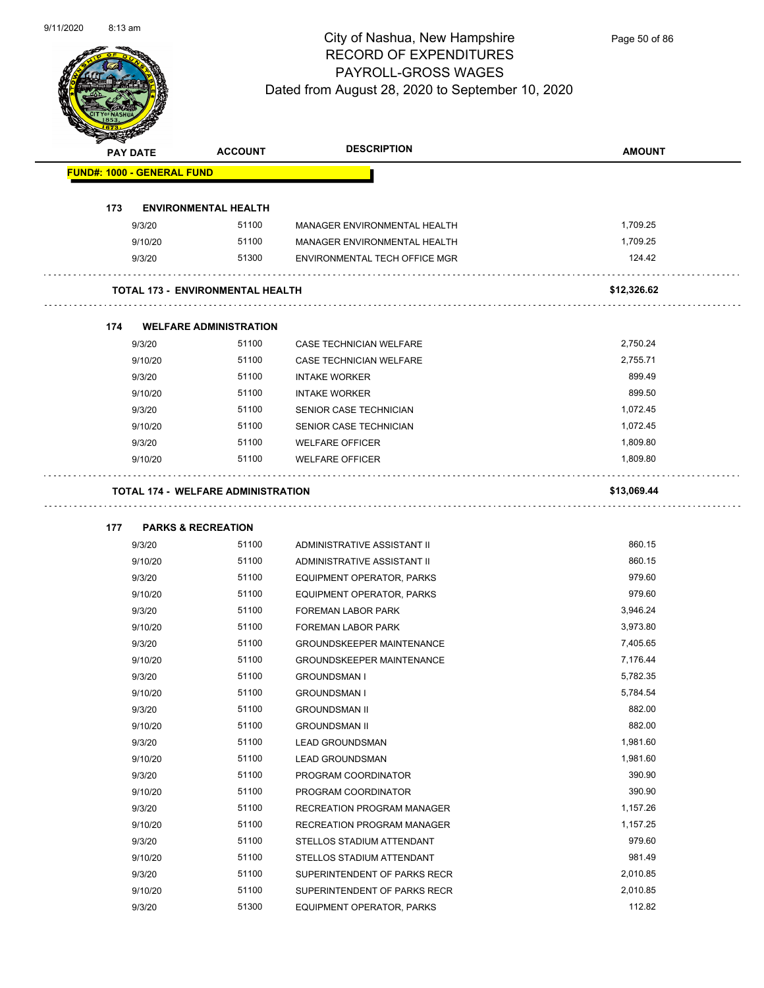

Page 50 of 86

|     | <b>PAY DATE</b>                   | <b>ACCOUNT</b>                            | <b>DESCRIPTION</b>               | <b>AMOUNT</b> |
|-----|-----------------------------------|-------------------------------------------|----------------------------------|---------------|
|     | <b>FUND#: 1000 - GENERAL FUND</b> |                                           |                                  |               |
|     |                                   |                                           |                                  |               |
| 173 |                                   | <b>ENVIRONMENTAL HEALTH</b>               |                                  |               |
|     | 9/3/20                            | 51100                                     | MANAGER ENVIRONMENTAL HEALTH     | 1,709.25      |
|     | 9/10/20                           | 51100                                     | MANAGER ENVIRONMENTAL HEALTH     | 1,709.25      |
|     | 9/3/20                            | 51300                                     | ENVIRONMENTAL TECH OFFICE MGR    | 124.42        |
|     |                                   |                                           |                                  |               |
|     |                                   | <b>TOTAL 173 - ENVIRONMENTAL HEALTH</b>   |                                  | \$12,326.62   |
|     |                                   |                                           |                                  |               |
| 174 |                                   | <b>WELFARE ADMINISTRATION</b>             |                                  |               |
|     | 9/3/20                            | 51100                                     | CASE TECHNICIAN WELFARE          | 2,750.24      |
|     | 9/10/20                           | 51100                                     | CASE TECHNICIAN WELFARE          | 2,755.71      |
|     | 9/3/20                            | 51100                                     | <b>INTAKE WORKER</b>             | 899.49        |
|     | 9/10/20                           | 51100                                     | <b>INTAKE WORKER</b>             | 899.50        |
|     | 9/3/20                            | 51100                                     | SENIOR CASE TECHNICIAN           | 1,072.45      |
|     | 9/10/20                           | 51100                                     | SENIOR CASE TECHNICIAN           | 1,072.45      |
|     | 9/3/20                            | 51100                                     | <b>WELFARE OFFICER</b>           | 1,809.80      |
|     | 9/10/20                           | 51100                                     | <b>WELFARE OFFICER</b>           | 1,809.80      |
|     |                                   |                                           |                                  |               |
|     |                                   | <b>TOTAL 174 - WELFARE ADMINISTRATION</b> |                                  | \$13,069.44   |
|     |                                   |                                           |                                  |               |
| 177 |                                   | <b>PARKS &amp; RECREATION</b>             |                                  |               |
|     | 9/3/20                            | 51100                                     | ADMINISTRATIVE ASSISTANT II      | 860.15        |
|     | 9/10/20                           | 51100                                     | ADMINISTRATIVE ASSISTANT II      | 860.15        |
|     | 9/3/20                            | 51100                                     | <b>EQUIPMENT OPERATOR, PARKS</b> | 979.60        |
|     | 9/10/20                           | 51100                                     | <b>EQUIPMENT OPERATOR, PARKS</b> | 979.60        |
|     | 9/3/20                            | 51100                                     | FOREMAN LABOR PARK               | 3,946.24      |
|     | 9/10/20                           | 51100                                     | FOREMAN LABOR PARK               | 3,973.80      |
|     | 9/3/20                            | 51100                                     | <b>GROUNDSKEEPER MAINTENANCE</b> | 7,405.65      |
|     | 9/10/20                           | 51100                                     | <b>GROUNDSKEEPER MAINTENANCE</b> | 7,176.44      |
|     | 9/3/20                            | 51100                                     | <b>GROUNDSMAN I</b>              | 5,782.35      |
|     | 9/10/20                           | 51100                                     | <b>GROUNDSMAN I</b>              | 5,784.54      |
|     | 9/3/20                            | 51100                                     | <b>GROUNDSMAN II</b>             | 882.00        |
|     | 9/10/20                           | 51100                                     | <b>GROUNDSMAN II</b>             | 882.00        |
|     | 9/3/20                            | 51100                                     | <b>LEAD GROUNDSMAN</b>           | 1,981.60      |
|     | 9/10/20                           | 51100                                     | <b>LEAD GROUNDSMAN</b>           | 1,981.60      |
|     | 9/3/20                            | 51100                                     | PROGRAM COORDINATOR              | 390.90        |
|     | 9/10/20                           | 51100                                     | PROGRAM COORDINATOR              | 390.90        |
|     | 9/3/20                            | 51100                                     | RECREATION PROGRAM MANAGER       | 1,157.26      |
|     | 9/10/20                           | 51100                                     | RECREATION PROGRAM MANAGER       | 1,157.25      |
|     | 9/3/20                            | 51100                                     | STELLOS STADIUM ATTENDANT        | 979.60        |
|     | 9/10/20                           | 51100                                     | STELLOS STADIUM ATTENDANT        | 981.49        |
|     | 9/3/20                            | 51100                                     | SUPERINTENDENT OF PARKS RECR     | 2,010.85      |
|     | 9/10/20                           | 51100                                     | SUPERINTENDENT OF PARKS RECR     | 2,010.85      |
|     | 9/3/20                            | 51300                                     | EQUIPMENT OPERATOR, PARKS        | 112.82        |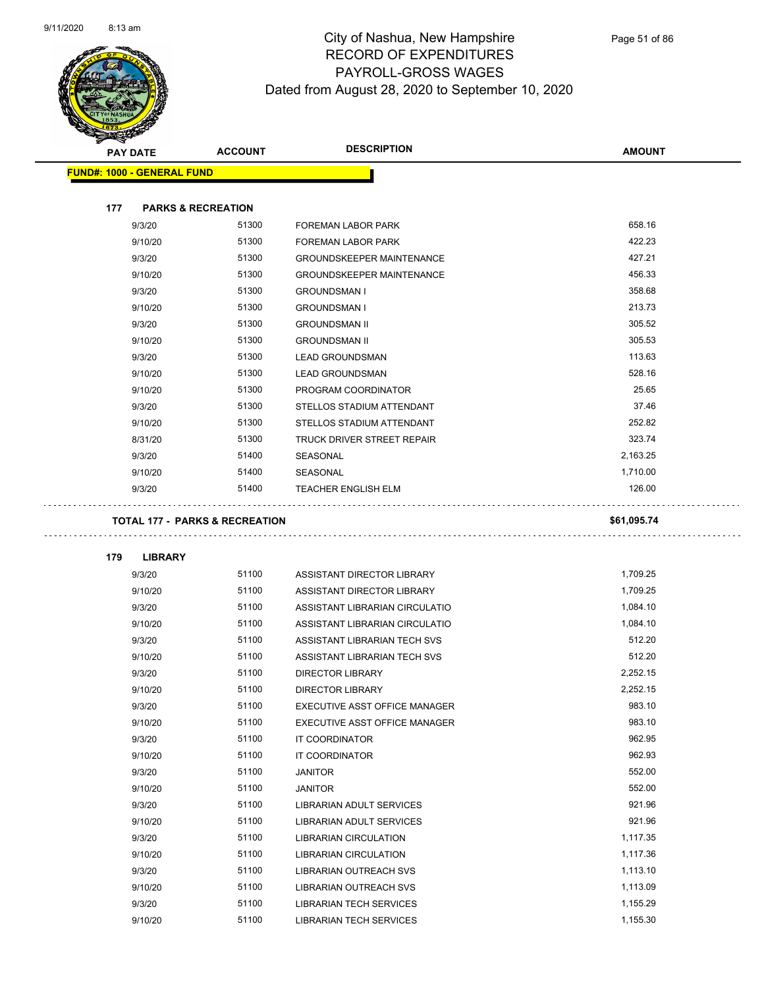

| <b>PAY DATE</b> |                                   | <b>ACCOUNT</b>                | <b>DESCRIPTION</b>               | <b>AMOUNT</b> |
|-----------------|-----------------------------------|-------------------------------|----------------------------------|---------------|
|                 | <b>FUND#: 1000 - GENERAL FUND</b> |                               |                                  |               |
| 177             |                                   | <b>PARKS &amp; RECREATION</b> |                                  |               |
|                 | 9/3/20                            | 51300                         | <b>FOREMAN LABOR PARK</b>        | 658.16        |
|                 | 9/10/20                           | 51300                         | <b>FOREMAN LABOR PARK</b>        | 422.23        |
|                 | 9/3/20                            | 51300                         | <b>GROUNDSKEEPER MAINTENANCE</b> | 427.21        |
|                 | 9/10/20                           | 51300                         | <b>GROUNDSKEEPER MAINTENANCE</b> | 456.33        |
|                 | 9/3/20                            | 51300                         | <b>GROUNDSMAN I</b>              | 358.68        |
|                 | 9/10/20                           | 51300                         | <b>GROUNDSMAN I</b>              | 213.73        |
|                 | 9/3/20                            | 51300                         | <b>GROUNDSMAN II</b>             | 305.52        |
|                 | 9/10/20                           | 51300                         | <b>GROUNDSMAN II</b>             | 305.53        |
|                 | 9/3/20                            | 51300                         | <b>LEAD GROUNDSMAN</b>           | 113.63        |
|                 | 9/10/20                           | 51300                         | <b>LEAD GROUNDSMAN</b>           | 528.16        |
|                 | 9/10/20                           | 51300                         | PROGRAM COORDINATOR              | 25.65         |
|                 | 9/3/20                            | 51300                         | STELLOS STADIUM ATTENDANT        | 37.46         |
|                 | 9/10/20                           | 51300                         | STELLOS STADIUM ATTENDANT        | 252.82        |
|                 | 8/31/20                           | 51300                         | TRUCK DRIVER STREET REPAIR       | 323.74        |
|                 | 9/3/20                            | 51400                         | SEASONAL                         | 2,163.25      |
|                 | 9/10/20                           | 51400                         | SEASONAL                         | 1,710.00      |
|                 | 9/3/20                            | 51400                         | <b>TEACHER ENGLISH ELM</b>       | 126.00        |
| 179             | <b>LIBRARY</b>                    |                               |                                  |               |
|                 | 9/3/20                            | 51100                         | ASSISTANT DIRECTOR LIBRARY       | 1,709.25      |
|                 | 9/10/20                           | 51100                         | ASSISTANT DIRECTOR LIBRARY       | 1,709.25      |
|                 | 9/3/20                            | 51100                         | ASSISTANT LIBRARIAN CIRCULATIO   | 1,084.10      |
|                 | 9/10/20                           | 51100                         | ASSISTANT LIBRARIAN CIRCULATIO   | 1,084.10      |
|                 | 9/3/20                            | 51100                         | ASSISTANT LIBRARIAN TECH SVS     | 512.20        |
|                 | 9/10/20                           | 51100                         | ASSISTANT LIBRARIAN TECH SVS     | 512.20        |
|                 | 9/3/20                            | 51100                         | <b>DIRECTOR LIBRARY</b>          | 2,252.15      |
|                 | 9/10/20                           | 51100                         | <b>DIRECTOR LIBRARY</b>          | 2,252.15      |
|                 | 9/3/20                            | 51100                         | EXECUTIVE ASST OFFICE MANAGER    | 983.10        |
|                 | 9/10/20                           | 51100                         | EXECUTIVE ASST OFFICE MANAGER    | 983.10        |
|                 | 9/3/20                            | 51100                         | IT COORDINATOR                   | 962.95        |
|                 | 9/10/20                           | 51100                         | IT COORDINATOR                   | 962.93        |
|                 | 9/3/20                            | 51100                         | <b>JANITOR</b>                   | 552.00        |
|                 | 9/10/20                           | 51100                         | <b>JANITOR</b>                   | 552.00        |
|                 | 9/3/20                            | 51100                         | <b>LIBRARIAN ADULT SERVICES</b>  | 921.96        |
|                 | 9/10/20                           | 51100                         | LIBRARIAN ADULT SERVICES         | 921.96        |
|                 | 9/3/20                            | 51100                         | LIBRARIAN CIRCULATION            | 1,117.35      |
|                 | 9/10/20                           | 51100                         | <b>LIBRARIAN CIRCULATION</b>     | 1,117.36      |
|                 | 9/3/20                            | 51100                         | LIBRARIAN OUTREACH SVS           | 1,113.10      |
|                 | 9/10/20                           | 51100                         | LIBRARIAN OUTREACH SVS           | 1,113.09      |
|                 | 9/3/20                            | 51100                         | <b>LIBRARIAN TECH SERVICES</b>   | 1,155.29      |

9/10/20 51100 LIBRARIAN TECH SERVICES 1,155.30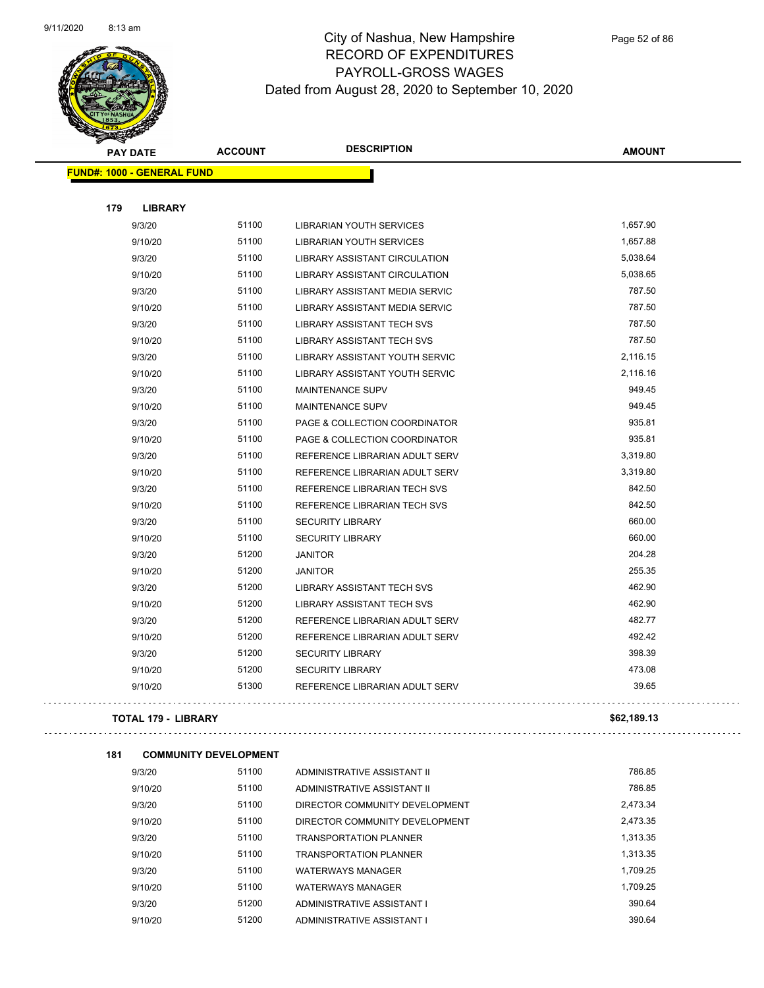

|     | <b>PAY DATE</b>                   | <b>ACCOUNT</b> | <b>DESCRIPTION</b>                    | <b>AMOUNT</b> |
|-----|-----------------------------------|----------------|---------------------------------------|---------------|
|     | <b>FUND#: 1000 - GENERAL FUND</b> |                |                                       |               |
|     |                                   |                |                                       |               |
| 179 | <b>LIBRARY</b>                    |                |                                       |               |
|     | 9/3/20                            | 51100          | LIBRARIAN YOUTH SERVICES              | 1,657.90      |
|     | 9/10/20                           | 51100          | <b>LIBRARIAN YOUTH SERVICES</b>       | 1,657.88      |
|     | 9/3/20                            | 51100          | <b>LIBRARY ASSISTANT CIRCULATION</b>  | 5,038.64      |
|     | 9/10/20                           | 51100          | <b>LIBRARY ASSISTANT CIRCULATION</b>  | 5,038.65      |
|     | 9/3/20                            | 51100          | LIBRARY ASSISTANT MEDIA SERVIC        | 787.50        |
|     | 9/10/20                           | 51100          | <b>LIBRARY ASSISTANT MEDIA SERVIC</b> | 787.50        |
|     | 9/3/20                            | 51100          | <b>LIBRARY ASSISTANT TECH SVS</b>     | 787.50        |
|     | 9/10/20                           | 51100          | <b>LIBRARY ASSISTANT TECH SVS</b>     | 787.50        |
|     | 9/3/20                            | 51100          | LIBRARY ASSISTANT YOUTH SERVIC        | 2,116.15      |
|     | 9/10/20                           | 51100          | LIBRARY ASSISTANT YOUTH SERVIC        | 2,116.16      |
|     | 9/3/20                            | 51100          | <b>MAINTENANCE SUPV</b>               | 949.45        |
|     | 9/10/20                           | 51100          | <b>MAINTENANCE SUPV</b>               | 949.45        |
|     | 9/3/20                            | 51100          | PAGE & COLLECTION COORDINATOR         | 935.81        |
|     | 9/10/20                           | 51100          | PAGE & COLLECTION COORDINATOR         | 935.81        |
|     | 9/3/20                            | 51100          | REFERENCE LIBRARIAN ADULT SERV        | 3,319.80      |
|     | 9/10/20                           | 51100          | REFERENCE LIBRARIAN ADULT SERV        | 3,319.80      |
|     | 9/3/20                            | 51100          | REFERENCE LIBRARIAN TECH SVS          | 842.50        |
|     | 9/10/20                           | 51100          | REFERENCE LIBRARIAN TECH SVS          | 842.50        |
|     | 9/3/20                            | 51100          | <b>SECURITY LIBRARY</b>               | 660.00        |
|     | 9/10/20                           | 51100          | <b>SECURITY LIBRARY</b>               | 660.00        |
|     | 9/3/20                            | 51200          | <b>JANITOR</b>                        | 204.28        |
|     | 9/10/20                           | 51200          | <b>JANITOR</b>                        | 255.35        |
|     | 9/3/20                            | 51200          | <b>LIBRARY ASSISTANT TECH SVS</b>     | 462.90        |
|     | 9/10/20                           | 51200          | <b>LIBRARY ASSISTANT TECH SVS</b>     | 462.90        |
|     | 9/3/20                            | 51200          | REFERENCE LIBRARIAN ADULT SERV        | 482.77        |
|     | 9/10/20                           | 51200          | REFERENCE LIBRARIAN ADULT SERV        | 492.42        |
|     | 9/3/20                            | 51200          | <b>SECURITY LIBRARY</b>               | 398.39        |
|     | 9/10/20                           | 51200          | <b>SECURITY LIBRARY</b>               | 473.08        |
|     | 9/10/20                           | 51300          | REFERENCE LIBRARIAN ADULT SERV        | 39.65         |
|     |                                   |                |                                       |               |

#### **TOTAL 179 - LIBRARY \$62,189.13**

 $\bar{z}$  ,  $\bar{z}$  ,

 $\cdots$ 

| 181 | <b>COMMUNITY DEVELOPMENT</b> |       |                                |          |
|-----|------------------------------|-------|--------------------------------|----------|
|     | 9/3/20                       | 51100 | ADMINISTRATIVE ASSISTANT II    | 786.85   |
|     | 9/10/20                      | 51100 | ADMINISTRATIVE ASSISTANT II    | 786.85   |
|     | 9/3/20                       | 51100 | DIRECTOR COMMUNITY DEVELOPMENT | 2.473.34 |
|     | 9/10/20                      | 51100 | DIRECTOR COMMUNITY DEVELOPMENT | 2.473.35 |
|     | 9/3/20                       | 51100 | <b>TRANSPORTATION PI ANNER</b> | 1.313.35 |
|     | 9/10/20                      | 51100 | <b>TRANSPORTATION PLANNER</b>  | 1.313.35 |
|     | 9/3/20                       | 51100 | <b>WATERWAYS MANAGER</b>       | 1.709.25 |
|     | 9/10/20                      | 51100 | <b>WATERWAYS MANAGER</b>       | 1.709.25 |
|     | 9/3/20                       | 51200 | ADMINISTRATIVE ASSISTANT I     | 390.64   |
|     | 9/10/20                      | 51200 | ADMINISTRATIVE ASSISTANT I     | 390.64   |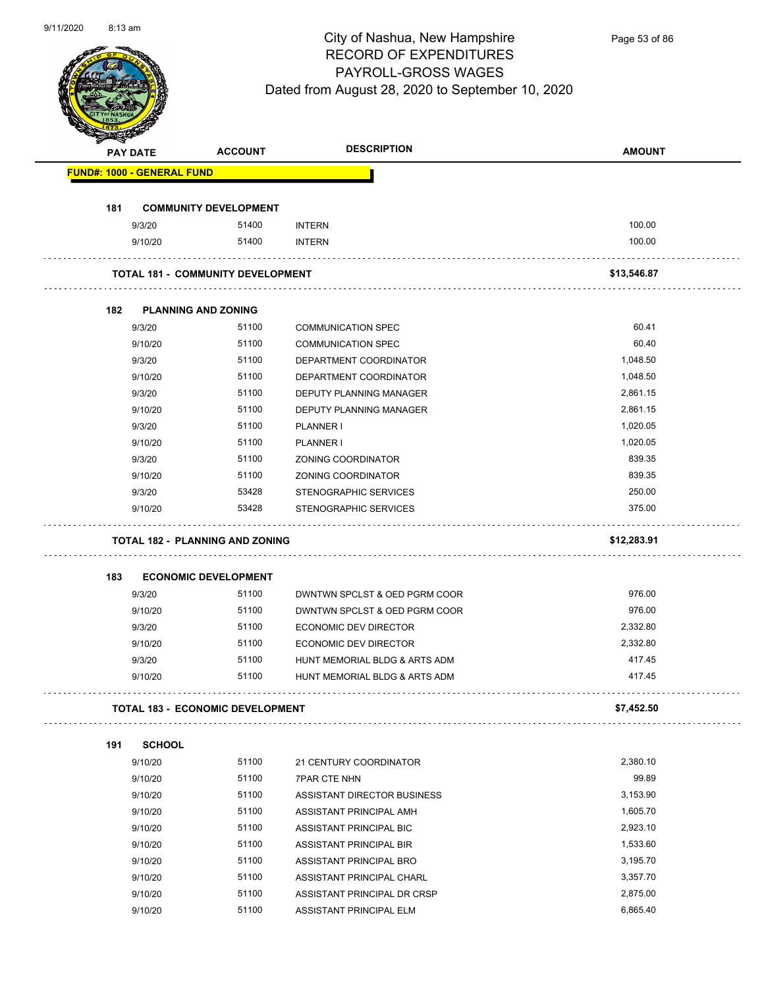

Page 53 of 86

|     | <b>PAY DATE</b>                   | <b>ACCOUNT</b>                           | <b>DESCRIPTION</b>             | <b>AMOUNT</b> |
|-----|-----------------------------------|------------------------------------------|--------------------------------|---------------|
|     | <b>FUND#: 1000 - GENERAL FUND</b> |                                          |                                |               |
|     |                                   |                                          |                                |               |
| 181 |                                   | <b>COMMUNITY DEVELOPMENT</b>             |                                |               |
|     | 9/3/20                            | 51400                                    | <b>INTERN</b>                  | 100.00        |
|     | 9/10/20                           | 51400                                    | <b>INTERN</b>                  | 100.00        |
|     |                                   | <b>TOTAL 181 - COMMUNITY DEVELOPMENT</b> |                                | \$13,546.87   |
|     |                                   |                                          |                                |               |
| 182 | <b>PLANNING AND ZONING</b>        |                                          |                                |               |
|     | 9/3/20                            | 51100                                    | <b>COMMUNICATION SPEC</b>      | 60.41         |
|     | 9/10/20                           | 51100                                    | <b>COMMUNICATION SPEC</b>      | 60.40         |
|     | 9/3/20                            | 51100                                    | DEPARTMENT COORDINATOR         | 1,048.50      |
|     | 9/10/20                           | 51100                                    | DEPARTMENT COORDINATOR         | 1,048.50      |
|     | 9/3/20                            | 51100                                    | DEPUTY PLANNING MANAGER        | 2,861.15      |
|     | 9/10/20                           | 51100                                    | <b>DEPUTY PLANNING MANAGER</b> | 2,861.15      |
|     | 9/3/20                            | 51100                                    | PLANNER I                      | 1,020.05      |
|     | 9/10/20                           | 51100                                    | PLANNER I                      | 1,020.05      |
|     | 9/3/20                            | 51100                                    | <b>ZONING COORDINATOR</b>      | 839.35        |
|     | 9/10/20                           | 51100                                    | ZONING COORDINATOR             | 839.35        |
|     | 9/3/20                            | 53428                                    | STENOGRAPHIC SERVICES          | 250.00        |
|     | 9/10/20                           | 53428                                    | STENOGRAPHIC SERVICES          | 375.00        |
|     |                                   |                                          |                                |               |
|     |                                   | <b>TOTAL 182 - PLANNING AND ZONING</b>   |                                | \$12,283.91   |
| 183 |                                   | <b>ECONOMIC DEVELOPMENT</b>              |                                |               |
|     | 9/3/20                            | 51100                                    | DWNTWN SPCLST & OED PGRM COOR  | 976.00        |
|     | 9/10/20                           | 51100                                    | DWNTWN SPCLST & OED PGRM COOR  | 976.00        |
|     | 9/3/20                            | 51100                                    | ECONOMIC DEV DIRECTOR          | 2,332.80      |
|     | 9/10/20                           | 51100                                    | ECONOMIC DEV DIRECTOR          | 2,332.80      |
|     | 9/3/20                            | 51100                                    | HUNT MEMORIAL BLDG & ARTS ADM  | 417.45        |
|     | 9/10/20                           | 51100                                    | HUNT MEMORIAL BLDG & ARTS ADM  | 417.45        |
|     |                                   | <b>TOTAL 183 - ECONOMIC DEVELOPMENT</b>  |                                | \$7,452.50    |
|     |                                   |                                          |                                |               |
| 191 | <b>SCHOOL</b>                     |                                          |                                |               |
|     | 9/10/20                           | 51100                                    | 21 CENTURY COORDINATOR         | 2,380.10      |
|     | 9/10/20                           | 51100                                    | <b>7PAR CTE NHN</b>            | 99.89         |
|     | 9/10/20                           | 51100                                    | ASSISTANT DIRECTOR BUSINESS    | 3,153.90      |
|     | 9/10/20                           | 51100                                    | ASSISTANT PRINCIPAL AMH        | 1,605.70      |
|     | 9/10/20                           | 51100                                    | ASSISTANT PRINCIPAL BIC        | 2,923.10      |
|     | 9/10/20                           | 51100                                    | ASSISTANT PRINCIPAL BIR        | 1,533.60      |
|     | 9/10/20                           | 51100                                    | ASSISTANT PRINCIPAL BRO        | 3,195.70      |
|     | 9/10/20                           | 51100                                    | ASSISTANT PRINCIPAL CHARL      | 3,357.70      |
|     | 9/10/20                           | 51100                                    | ASSISTANT PRINCIPAL DR CRSP    | 2,875.00      |
|     | 9/10/20                           | 51100                                    | ASSISTANT PRINCIPAL ELM        | 6,865.40      |
|     |                                   |                                          |                                |               |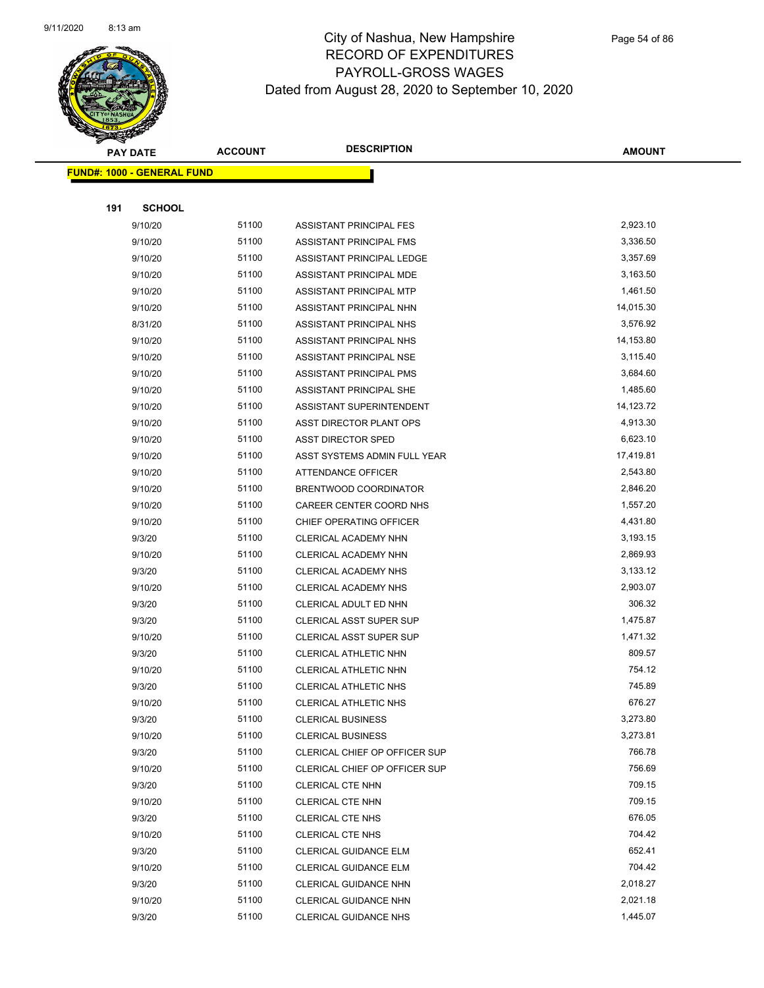

|     | <b>PAY DATE</b>                    | <b>ACCOUNT</b> | <b>DESCRIPTION</b>             | <b>AMOUNT</b> |
|-----|------------------------------------|----------------|--------------------------------|---------------|
|     | <u> FUND#: 1000 - GENERAL FUND</u> |                |                                |               |
|     |                                    |                |                                |               |
| 191 | <b>SCHOOL</b>                      |                |                                |               |
|     | 9/10/20                            | 51100          | ASSISTANT PRINCIPAL FES        | 2,923.10      |
|     | 9/10/20                            | 51100          | ASSISTANT PRINCIPAL FMS        | 3,336.50      |
|     | 9/10/20                            | 51100          | ASSISTANT PRINCIPAL LEDGE      | 3,357.69      |
|     | 9/10/20                            | 51100          | ASSISTANT PRINCIPAL MDE        | 3,163.50      |
|     | 9/10/20                            | 51100          | ASSISTANT PRINCIPAL MTP        | 1,461.50      |
|     | 9/10/20                            | 51100          | ASSISTANT PRINCIPAL NHN        | 14,015.30     |
|     | 8/31/20                            | 51100          | ASSISTANT PRINCIPAL NHS        | 3,576.92      |
|     | 9/10/20                            | 51100          | ASSISTANT PRINCIPAL NHS        | 14,153.80     |
|     | 9/10/20                            | 51100          | ASSISTANT PRINCIPAL NSE        | 3,115.40      |
|     | 9/10/20                            | 51100          | ASSISTANT PRINCIPAL PMS        | 3,684.60      |
|     | 9/10/20                            | 51100          | ASSISTANT PRINCIPAL SHE        | 1,485.60      |
|     | 9/10/20                            | 51100          | ASSISTANT SUPERINTENDENT       | 14,123.72     |
|     | 9/10/20                            | 51100          | ASST DIRECTOR PLANT OPS        | 4,913.30      |
|     | 9/10/20                            | 51100          | <b>ASST DIRECTOR SPED</b>      | 6,623.10      |
|     | 9/10/20                            | 51100          | ASST SYSTEMS ADMIN FULL YEAR   | 17,419.81     |
|     | 9/10/20                            | 51100          | ATTENDANCE OFFICER             | 2,543.80      |
|     | 9/10/20                            | 51100          | BRENTWOOD COORDINATOR          | 2,846.20      |
|     | 9/10/20                            | 51100          | CAREER CENTER COORD NHS        | 1,557.20      |
|     | 9/10/20                            | 51100          | CHIEF OPERATING OFFICER        | 4,431.80      |
|     | 9/3/20                             | 51100          | CLERICAL ACADEMY NHN           | 3,193.15      |
|     | 9/10/20                            | 51100          | CLERICAL ACADEMY NHN           | 2,869.93      |
|     | 9/3/20                             | 51100          | <b>CLERICAL ACADEMY NHS</b>    | 3,133.12      |
|     | 9/10/20                            | 51100          | CLERICAL ACADEMY NHS           | 2,903.07      |
|     | 9/3/20                             | 51100          | CLERICAL ADULT ED NHN          | 306.32        |
|     | 9/3/20                             | 51100          | <b>CLERICAL ASST SUPER SUP</b> | 1,475.87      |
|     | 9/10/20                            | 51100          | <b>CLERICAL ASST SUPER SUP</b> | 1,471.32      |
|     | 9/3/20                             | 51100          | CLERICAL ATHLETIC NHN          | 809.57        |
|     | 9/10/20                            | 51100          | CLERICAL ATHLETIC NHN          | 754.12        |
|     | 9/3/20                             | 51100          | <b>CLERICAL ATHLETIC NHS</b>   | 745.89        |
|     | 9/10/20                            | 51100          | <b>CLERICAL ATHLETIC NHS</b>   | 676.27        |
|     | 9/3/20                             | 51100          | <b>CLERICAL BUSINESS</b>       | 3,273.80      |
|     | 9/10/20                            | 51100          | <b>CLERICAL BUSINESS</b>       | 3,273.81      |
|     | 9/3/20                             | 51100          | CLERICAL CHIEF OP OFFICER SUP  | 766.78        |
|     | 9/10/20                            | 51100          | CLERICAL CHIEF OP OFFICER SUP  | 756.69        |
|     | 9/3/20                             | 51100          | <b>CLERICAL CTE NHN</b>        | 709.15        |
|     | 9/10/20                            | 51100          | <b>CLERICAL CTE NHN</b>        | 709.15        |
|     | 9/3/20                             | 51100          | <b>CLERICAL CTE NHS</b>        | 676.05        |
|     | 9/10/20                            | 51100          | <b>CLERICAL CTE NHS</b>        | 704.42        |
|     | 9/3/20                             | 51100          | CLERICAL GUIDANCE ELM          | 652.41        |
|     | 9/10/20                            | 51100          | CLERICAL GUIDANCE ELM          | 704.42        |
|     | 9/3/20                             | 51100          | CLERICAL GUIDANCE NHN          | 2,018.27      |
|     | 9/10/20                            | 51100          | CLERICAL GUIDANCE NHN          | 2,021.18      |
|     | 9/3/20                             | 51100          | <b>CLERICAL GUIDANCE NHS</b>   | 1,445.07      |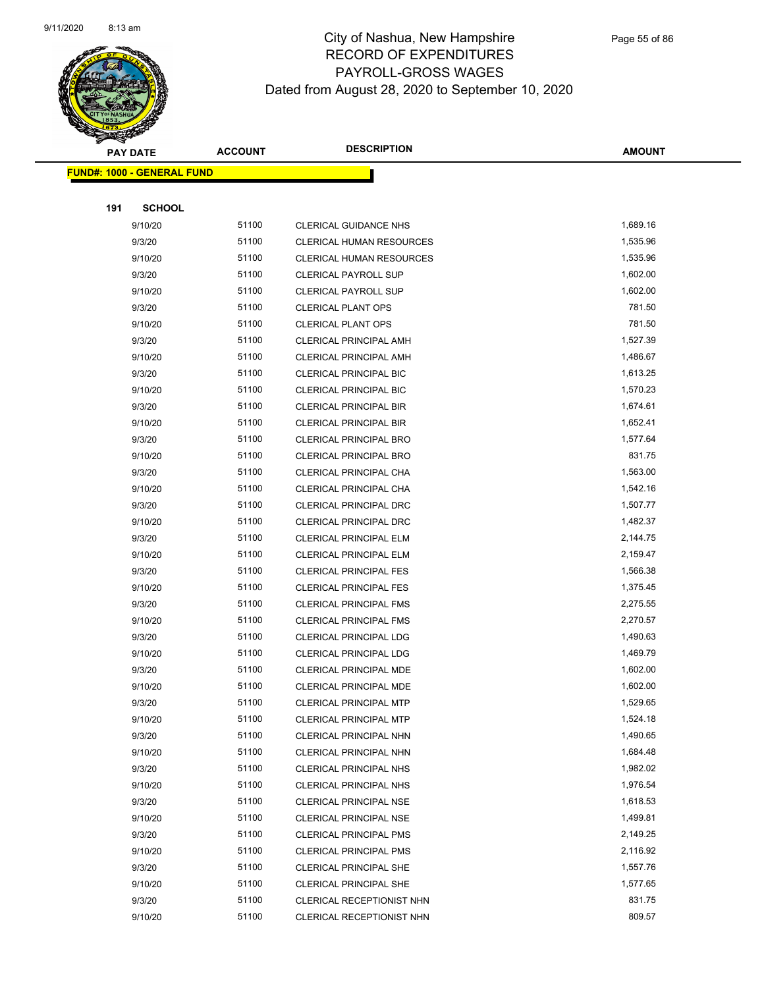

|     | <b>PAY DATE</b>                    | <b>ACCOUNT</b> | <b>DESCRIPTION</b>                                      | <b>AMOUNT</b>        |  |
|-----|------------------------------------|----------------|---------------------------------------------------------|----------------------|--|
|     | <u> FUND#: 1000 - GENERAL FUND</u> |                |                                                         |                      |  |
|     |                                    |                |                                                         |                      |  |
| 191 | <b>SCHOOL</b>                      |                |                                                         |                      |  |
|     | 9/10/20                            | 51100          | CLERICAL GUIDANCE NHS                                   | 1,689.16             |  |
|     | 9/3/20                             | 51100          | <b>CLERICAL HUMAN RESOURCES</b>                         | 1,535.96             |  |
|     | 9/10/20                            | 51100          | <b>CLERICAL HUMAN RESOURCES</b>                         | 1,535.96             |  |
|     | 9/3/20                             | 51100          | <b>CLERICAL PAYROLL SUP</b>                             | 1,602.00             |  |
|     | 9/10/20                            | 51100          | <b>CLERICAL PAYROLL SUP</b>                             | 1,602.00             |  |
|     | 9/3/20                             | 51100          | <b>CLERICAL PLANT OPS</b>                               | 781.50               |  |
|     | 9/10/20                            | 51100          | <b>CLERICAL PLANT OPS</b>                               | 781.50               |  |
|     | 9/3/20                             | 51100          | <b>CLERICAL PRINCIPAL AMH</b>                           | 1,527.39             |  |
|     | 9/10/20                            | 51100          | <b>CLERICAL PRINCIPAL AMH</b>                           | 1,486.67             |  |
|     | 9/3/20                             | 51100          | <b>CLERICAL PRINCIPAL BIC</b>                           | 1,613.25             |  |
|     | 9/10/20                            | 51100          | CLERICAL PRINCIPAL BIC                                  | 1,570.23             |  |
|     | 9/3/20                             | 51100          | <b>CLERICAL PRINCIPAL BIR</b>                           | 1,674.61             |  |
|     | 9/10/20                            | 51100          | <b>CLERICAL PRINCIPAL BIR</b>                           | 1,652.41             |  |
|     | 9/3/20                             | 51100          | CLERICAL PRINCIPAL BRO                                  | 1,577.64             |  |
|     | 9/10/20                            | 51100          | CLERICAL PRINCIPAL BRO                                  | 831.75               |  |
|     | 9/3/20                             | 51100          | CLERICAL PRINCIPAL CHA                                  | 1,563.00             |  |
|     | 9/10/20                            | 51100          | CLERICAL PRINCIPAL CHA                                  | 1,542.16             |  |
|     | 9/3/20                             | 51100          | <b>CLERICAL PRINCIPAL DRC</b>                           | 1,507.77             |  |
|     | 9/10/20                            | 51100          | <b>CLERICAL PRINCIPAL DRC</b>                           | 1,482.37             |  |
|     | 9/3/20                             | 51100          | <b>CLERICAL PRINCIPAL ELM</b>                           | 2,144.75             |  |
|     | 9/10/20                            | 51100          | CLERICAL PRINCIPAL ELM                                  | 2,159.47             |  |
|     | 9/3/20                             | 51100          | <b>CLERICAL PRINCIPAL FES</b>                           | 1,566.38             |  |
|     | 9/10/20                            | 51100          | <b>CLERICAL PRINCIPAL FES</b>                           | 1,375.45             |  |
|     | 9/3/20                             | 51100<br>51100 | <b>CLERICAL PRINCIPAL FMS</b>                           | 2,275.55<br>2,270.57 |  |
|     | 9/10/20<br>9/3/20                  | 51100          | <b>CLERICAL PRINCIPAL FMS</b><br>CLERICAL PRINCIPAL LDG | 1,490.63             |  |
|     | 9/10/20                            | 51100          | <b>CLERICAL PRINCIPAL LDG</b>                           | 1,469.79             |  |
|     | 9/3/20                             | 51100          | <b>CLERICAL PRINCIPAL MDE</b>                           | 1,602.00             |  |
|     | 9/10/20                            | 51100          | CLERICAL PRINCIPAL MDE                                  | 1,602.00             |  |
|     | 9/3/20                             | 51100          | <b>CLERICAL PRINCIPAL MTP</b>                           | 1,529.65             |  |
|     | 9/10/20                            | 51100          | <b>CLERICAL PRINCIPAL MTP</b>                           | 1,524.18             |  |
|     | 9/3/20                             | 51100          | CLERICAL PRINCIPAL NHN                                  | 1,490.65             |  |
|     | 9/10/20                            | 51100          | CLERICAL PRINCIPAL NHN                                  | 1,684.48             |  |
|     | 9/3/20                             | 51100          | CLERICAL PRINCIPAL NHS                                  | 1,982.02             |  |
|     | 9/10/20                            | 51100          | <b>CLERICAL PRINCIPAL NHS</b>                           | 1,976.54             |  |
|     | 9/3/20                             | 51100          | <b>CLERICAL PRINCIPAL NSE</b>                           | 1,618.53             |  |
|     | 9/10/20                            | 51100          | <b>CLERICAL PRINCIPAL NSE</b>                           | 1,499.81             |  |
|     | 9/3/20                             | 51100          | <b>CLERICAL PRINCIPAL PMS</b>                           | 2,149.25             |  |
|     | 9/10/20                            | 51100          | CLERICAL PRINCIPAL PMS                                  | 2,116.92             |  |
|     | 9/3/20                             | 51100          | <b>CLERICAL PRINCIPAL SHE</b>                           | 1,557.76             |  |
|     | 9/10/20                            | 51100          | <b>CLERICAL PRINCIPAL SHE</b>                           | 1,577.65             |  |
|     | 9/3/20                             | 51100          | CLERICAL RECEPTIONIST NHN                               | 831.75               |  |
|     | 9/10/20                            | 51100          | CLERICAL RECEPTIONIST NHN                               | 809.57               |  |
|     |                                    |                |                                                         |                      |  |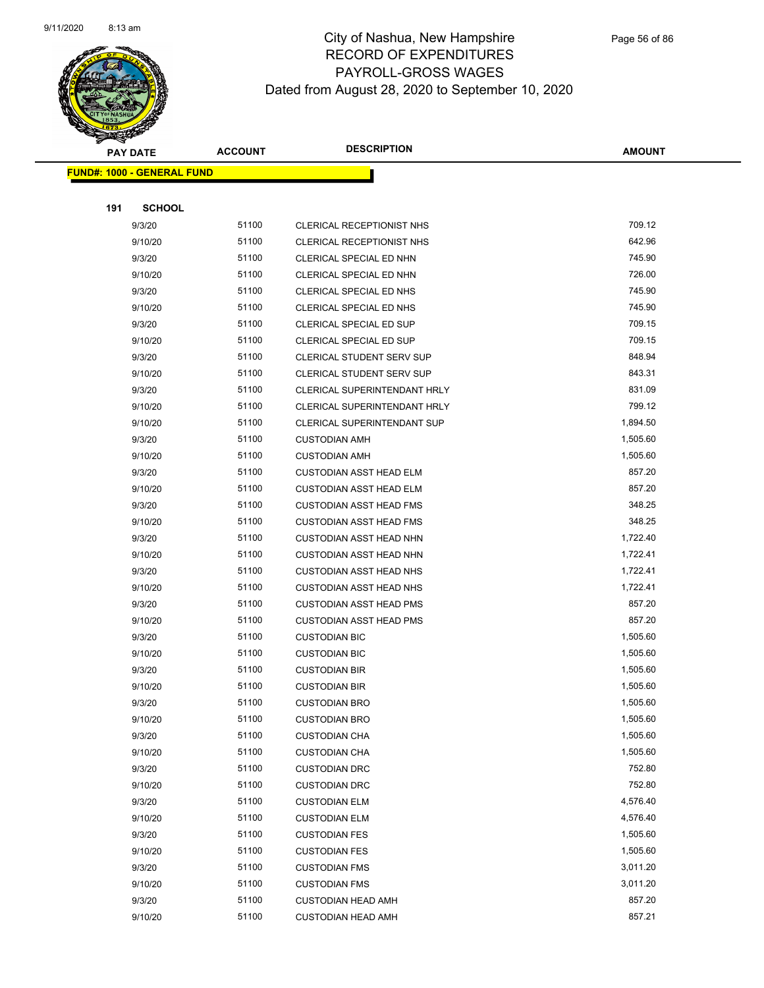

| <b>PAY DATE</b> |                                    | <b>DESCRIPTION</b><br><b>ACCOUNT</b> |                                              | <b>AMOUNT</b>        |
|-----------------|------------------------------------|--------------------------------------|----------------------------------------------|----------------------|
|                 | <u> FUND#: 1000 - GENERAL FUND</u> |                                      |                                              |                      |
|                 |                                    |                                      |                                              |                      |
| 191             | <b>SCHOOL</b>                      |                                      |                                              |                      |
|                 | 9/3/20                             | 51100                                | CLERICAL RECEPTIONIST NHS                    | 709.12               |
|                 | 9/10/20                            | 51100                                | CLERICAL RECEPTIONIST NHS                    | 642.96               |
|                 | 9/3/20                             | 51100                                | CLERICAL SPECIAL ED NHN                      | 745.90               |
|                 | 9/10/20                            | 51100                                | CLERICAL SPECIAL ED NHN                      | 726.00               |
|                 | 9/3/20                             | 51100                                | CLERICAL SPECIAL ED NHS                      | 745.90               |
|                 | 9/10/20                            | 51100                                | CLERICAL SPECIAL ED NHS                      | 745.90               |
|                 | 9/3/20                             | 51100                                | <b>CLERICAL SPECIAL ED SUP</b>               | 709.15               |
|                 | 9/10/20                            | 51100                                | CLERICAL SPECIAL ED SUP                      | 709.15               |
|                 | 9/3/20                             | 51100                                | <b>CLERICAL STUDENT SERV SUP</b>             | 848.94               |
|                 | 9/10/20                            | 51100                                | CLERICAL STUDENT SERV SUP                    | 843.31               |
|                 | 9/3/20                             | 51100                                | CLERICAL SUPERINTENDANT HRLY                 | 831.09               |
|                 | 9/10/20                            | 51100                                | <b>CLERICAL SUPERINTENDANT HRLY</b>          | 799.12               |
|                 | 9/10/20                            | 51100                                | <b>CLERICAL SUPERINTENDANT SUP</b>           | 1,894.50             |
|                 | 9/3/20                             | 51100                                | <b>CUSTODIAN AMH</b>                         | 1,505.60             |
|                 | 9/10/20                            | 51100                                | <b>CUSTODIAN AMH</b>                         | 1,505.60             |
|                 | 9/3/20                             | 51100                                | <b>CUSTODIAN ASST HEAD ELM</b>               | 857.20               |
|                 | 9/10/20                            | 51100                                | <b>CUSTODIAN ASST HEAD ELM</b>               | 857.20               |
|                 | 9/3/20                             | 51100                                | <b>CUSTODIAN ASST HEAD FMS</b>               | 348.25               |
|                 | 9/10/20                            | 51100                                | <b>CUSTODIAN ASST HEAD FMS</b>               | 348.25               |
|                 | 9/3/20                             | 51100                                | <b>CUSTODIAN ASST HEAD NHN</b>               | 1,722.40             |
|                 | 9/10/20                            | 51100                                | <b>CUSTODIAN ASST HEAD NHN</b>               | 1,722.41             |
|                 | 9/3/20                             | 51100                                | <b>CUSTODIAN ASST HEAD NHS</b>               | 1,722.41             |
|                 | 9/10/20                            | 51100                                | <b>CUSTODIAN ASST HEAD NHS</b>               | 1,722.41             |
|                 | 9/3/20                             | 51100                                | <b>CUSTODIAN ASST HEAD PMS</b>               | 857.20               |
|                 | 9/10/20                            | 51100                                | <b>CUSTODIAN ASST HEAD PMS</b>               | 857.20               |
|                 | 9/3/20                             | 51100                                | <b>CUSTODIAN BIC</b>                         | 1,505.60             |
|                 | 9/10/20                            | 51100                                | <b>CUSTODIAN BIC</b>                         | 1,505.60             |
|                 | 9/3/20                             | 51100<br>51100                       | <b>CUSTODIAN BIR</b><br><b>CUSTODIAN BIR</b> | 1,505.60<br>1,505.60 |
|                 | 9/10/20<br>9/3/20                  | 51100                                | <b>CUSTODIAN BRO</b>                         | 1,505.60             |
|                 | 9/10/20                            | 51100                                | <b>CUSTODIAN BRO</b>                         | 1,505.60             |
|                 | 9/3/20                             | 51100                                | <b>CUSTODIAN CHA</b>                         | 1,505.60             |
|                 | 9/10/20                            | 51100                                | <b>CUSTODIAN CHA</b>                         | 1,505.60             |
|                 | 9/3/20                             | 51100                                | <b>CUSTODIAN DRC</b>                         | 752.80               |
|                 | 9/10/20                            | 51100                                | <b>CUSTODIAN DRC</b>                         | 752.80               |
|                 | 9/3/20                             | 51100                                | <b>CUSTODIAN ELM</b>                         | 4,576.40             |
|                 | 9/10/20                            | 51100                                | <b>CUSTODIAN ELM</b>                         | 4,576.40             |
|                 | 9/3/20                             | 51100                                | <b>CUSTODIAN FES</b>                         | 1,505.60             |
|                 | 9/10/20                            | 51100                                | <b>CUSTODIAN FES</b>                         | 1,505.60             |
|                 | 9/3/20                             | 51100                                | <b>CUSTODIAN FMS</b>                         | 3,011.20             |
|                 | 9/10/20                            | 51100                                | <b>CUSTODIAN FMS</b>                         | 3,011.20             |
|                 | 9/3/20                             | 51100                                | <b>CUSTODIAN HEAD AMH</b>                    | 857.20               |
|                 | 9/10/20                            | 51100                                | <b>CUSTODIAN HEAD AMH</b>                    | 857.21               |
|                 |                                    |                                      |                                              |                      |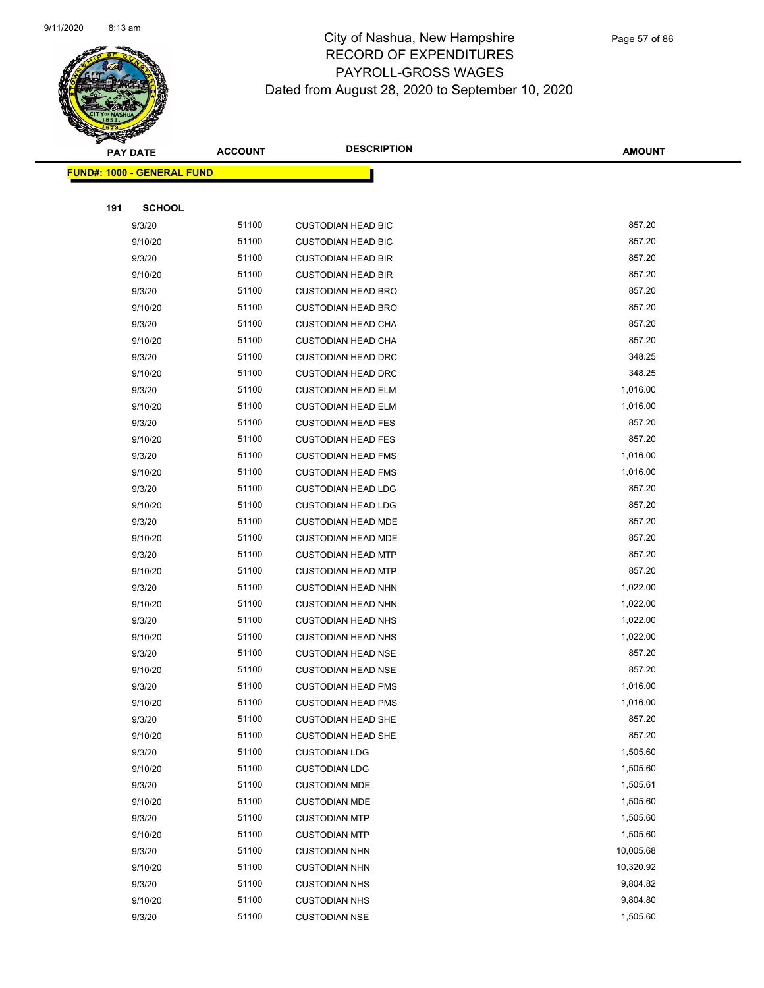

|     | <b>PAY DATE</b>                   | <b>ACCOUNT</b> | <b>DESCRIPTION</b>        | <b>AMOUNT</b> |
|-----|-----------------------------------|----------------|---------------------------|---------------|
|     | <b>FUND#: 1000 - GENERAL FUND</b> |                |                           |               |
|     |                                   |                |                           |               |
| 191 | <b>SCHOOL</b>                     |                |                           |               |
|     | 9/3/20                            | 51100          | <b>CUSTODIAN HEAD BIC</b> | 857.20        |
|     | 9/10/20                           | 51100          | <b>CUSTODIAN HEAD BIC</b> | 857.20        |
|     | 9/3/20                            | 51100          | <b>CUSTODIAN HEAD BIR</b> | 857.20        |
|     | 9/10/20                           | 51100          | <b>CUSTODIAN HEAD BIR</b> | 857.20        |
|     | 9/3/20                            | 51100          | <b>CUSTODIAN HEAD BRO</b> | 857.20        |
|     | 9/10/20                           | 51100          | <b>CUSTODIAN HEAD BRO</b> | 857.20        |
|     | 9/3/20                            | 51100          | <b>CUSTODIAN HEAD CHA</b> | 857.20        |
|     | 9/10/20                           | 51100          | <b>CUSTODIAN HEAD CHA</b> | 857.20        |
|     | 9/3/20                            | 51100          | <b>CUSTODIAN HEAD DRC</b> | 348.25        |
|     | 9/10/20                           | 51100          | <b>CUSTODIAN HEAD DRC</b> | 348.25        |
|     | 9/3/20                            | 51100          | <b>CUSTODIAN HEAD ELM</b> | 1,016.00      |
|     | 9/10/20                           | 51100          | <b>CUSTODIAN HEAD ELM</b> | 1,016.00      |
|     | 9/3/20                            | 51100          | <b>CUSTODIAN HEAD FES</b> | 857.20        |
|     | 9/10/20                           | 51100          | <b>CUSTODIAN HEAD FES</b> | 857.20        |
|     | 9/3/20                            | 51100          | <b>CUSTODIAN HEAD FMS</b> | 1,016.00      |
|     | 9/10/20                           | 51100          | <b>CUSTODIAN HEAD FMS</b> | 1,016.00      |
|     | 9/3/20                            | 51100          | <b>CUSTODIAN HEAD LDG</b> | 857.20        |
|     | 9/10/20                           | 51100          | <b>CUSTODIAN HEAD LDG</b> | 857.20        |
|     | 9/3/20                            | 51100          | <b>CUSTODIAN HEAD MDE</b> | 857.20        |
|     | 9/10/20                           | 51100          | <b>CUSTODIAN HEAD MDE</b> | 857.20        |
|     | 9/3/20                            | 51100          | <b>CUSTODIAN HEAD MTP</b> | 857.20        |
|     | 9/10/20                           | 51100          | <b>CUSTODIAN HEAD MTP</b> | 857.20        |
|     | 9/3/20                            | 51100          | <b>CUSTODIAN HEAD NHN</b> | 1,022.00      |
|     | 9/10/20                           | 51100          | <b>CUSTODIAN HEAD NHN</b> | 1,022.00      |
|     | 9/3/20                            | 51100          | <b>CUSTODIAN HEAD NHS</b> | 1,022.00      |
|     | 9/10/20                           | 51100          | <b>CUSTODIAN HEAD NHS</b> | 1,022.00      |
|     | 9/3/20                            | 51100          | <b>CUSTODIAN HEAD NSE</b> | 857.20        |
|     | 9/10/20                           | 51100          | <b>CUSTODIAN HEAD NSE</b> | 857.20        |
|     | 9/3/20                            | 51100          | <b>CUSTODIAN HEAD PMS</b> | 1,016.00      |
|     | 9/10/20                           | 51100          | <b>CUSTODIAN HEAD PMS</b> | 1,016.00      |
|     | 9/3/20                            | 51100          | <b>CUSTODIAN HEAD SHE</b> | 857.20        |
|     | 9/10/20                           | 51100          | <b>CUSTODIAN HEAD SHE</b> | 857.20        |
|     | 9/3/20                            | 51100          | <b>CUSTODIAN LDG</b>      | 1,505.60      |
|     | 9/10/20                           | 51100          | <b>CUSTODIAN LDG</b>      | 1,505.60      |
|     | 9/3/20                            | 51100          | <b>CUSTODIAN MDE</b>      | 1,505.61      |
|     | 9/10/20                           | 51100          | <b>CUSTODIAN MDE</b>      | 1,505.60      |
|     | 9/3/20                            | 51100          | <b>CUSTODIAN MTP</b>      | 1,505.60      |
|     | 9/10/20                           | 51100          | <b>CUSTODIAN MTP</b>      | 1,505.60      |
|     | 9/3/20                            | 51100          | <b>CUSTODIAN NHN</b>      | 10,005.68     |
|     | 9/10/20                           | 51100          | <b>CUSTODIAN NHN</b>      | 10,320.92     |
|     | 9/3/20                            | 51100          | <b>CUSTODIAN NHS</b>      | 9,804.82      |
|     | 9/10/20                           | 51100          | <b>CUSTODIAN NHS</b>      | 9,804.80      |
|     | 9/3/20                            | 51100          | <b>CUSTODIAN NSE</b>      | 1,505.60      |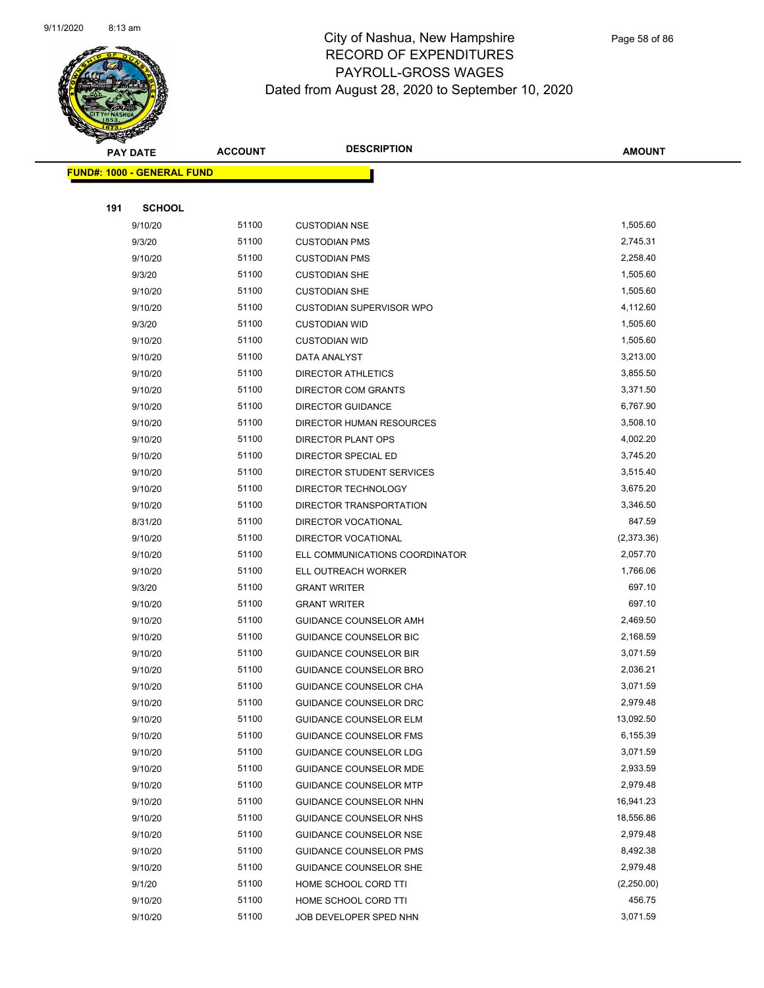

|     | <b>PAY DATE</b>                   | <b>ACCOUNT</b> | <b>DESCRIPTION</b>              | <b>AMOUNT</b> |
|-----|-----------------------------------|----------------|---------------------------------|---------------|
|     | <b>FUND#: 1000 - GENERAL FUND</b> |                |                                 |               |
|     |                                   |                |                                 |               |
| 191 | <b>SCHOOL</b>                     |                |                                 |               |
|     | 9/10/20                           | 51100          | <b>CUSTODIAN NSE</b>            | 1,505.60      |
|     | 9/3/20                            | 51100          | <b>CUSTODIAN PMS</b>            | 2,745.31      |
|     | 9/10/20                           | 51100          | <b>CUSTODIAN PMS</b>            | 2,258.40      |
|     | 9/3/20                            | 51100          | <b>CUSTODIAN SHE</b>            | 1,505.60      |
|     | 9/10/20                           | 51100          | <b>CUSTODIAN SHE</b>            | 1,505.60      |
|     | 9/10/20                           | 51100          | <b>CUSTODIAN SUPERVISOR WPO</b> | 4,112.60      |
|     | 9/3/20                            | 51100          | <b>CUSTODIAN WID</b>            | 1,505.60      |
|     | 9/10/20                           | 51100          | <b>CUSTODIAN WID</b>            | 1,505.60      |
|     | 9/10/20                           | 51100          | DATA ANALYST                    | 3,213.00      |
|     | 9/10/20                           | 51100          | <b>DIRECTOR ATHLETICS</b>       | 3,855.50      |
|     | 9/10/20                           | 51100          | <b>DIRECTOR COM GRANTS</b>      | 3,371.50      |
|     | 9/10/20                           | 51100          | <b>DIRECTOR GUIDANCE</b>        | 6,767.90      |
|     | 9/10/20                           | 51100          | DIRECTOR HUMAN RESOURCES        | 3,508.10      |
|     | 9/10/20                           | 51100          | DIRECTOR PLANT OPS              | 4,002.20      |
|     | 9/10/20                           | 51100          | DIRECTOR SPECIAL ED             | 3,745.20      |
|     | 9/10/20                           | 51100          | DIRECTOR STUDENT SERVICES       | 3,515.40      |
|     | 9/10/20                           | 51100          | DIRECTOR TECHNOLOGY             | 3,675.20      |
|     | 9/10/20                           | 51100          | DIRECTOR TRANSPORTATION         | 3,346.50      |
|     | 8/31/20                           | 51100          | DIRECTOR VOCATIONAL             | 847.59        |
|     | 9/10/20                           | 51100          | <b>DIRECTOR VOCATIONAL</b>      | (2,373.36)    |
|     | 9/10/20                           | 51100          | ELL COMMUNICATIONS COORDINATOR  | 2,057.70      |
|     | 9/10/20                           | 51100          | ELL OUTREACH WORKER             | 1,766.06      |
|     | 9/3/20                            | 51100          | <b>GRANT WRITER</b>             | 697.10        |
|     | 9/10/20                           | 51100          | <b>GRANT WRITER</b>             | 697.10        |
|     | 9/10/20                           | 51100          | GUIDANCE COUNSELOR AMH          | 2,469.50      |
|     | 9/10/20                           | 51100          | <b>GUIDANCE COUNSELOR BIC</b>   | 2,168.59      |
|     | 9/10/20                           | 51100          | <b>GUIDANCE COUNSELOR BIR</b>   | 3,071.59      |
|     | 9/10/20                           | 51100          | GUIDANCE COUNSELOR BRO          | 2,036.21      |
|     | 9/10/20                           | 51100          | GUIDANCE COUNSELOR CHA          | 3,071.59      |
|     | 9/10/20                           | 51100          | GUIDANCE COUNSELOR DRC          | 2,979.48      |
|     | 9/10/20                           | 51100          | <b>GUIDANCE COUNSELOR ELM</b>   | 13,092.50     |
|     | 9/10/20                           | 51100          | <b>GUIDANCE COUNSELOR FMS</b>   | 6,155.39      |
|     | 9/10/20                           | 51100          | <b>GUIDANCE COUNSELOR LDG</b>   | 3,071.59      |
|     | 9/10/20                           | 51100          | <b>GUIDANCE COUNSELOR MDE</b>   | 2,933.59      |
|     | 9/10/20                           | 51100          | <b>GUIDANCE COUNSELOR MTP</b>   | 2,979.48      |
|     | 9/10/20                           | 51100          | GUIDANCE COUNSELOR NHN          | 16,941.23     |
|     | 9/10/20                           | 51100          | <b>GUIDANCE COUNSELOR NHS</b>   | 18,556.86     |
|     | 9/10/20                           | 51100          | <b>GUIDANCE COUNSELOR NSE</b>   | 2,979.48      |
|     | 9/10/20                           | 51100          | <b>GUIDANCE COUNSELOR PMS</b>   | 8,492.38      |
|     | 9/10/20                           | 51100          | <b>GUIDANCE COUNSELOR SHE</b>   | 2,979.48      |
|     | 9/1/20                            | 51100          | HOME SCHOOL CORD TTI            | (2,250.00)    |
|     | 9/10/20                           | 51100          | HOME SCHOOL CORD TTI            | 456.75        |
|     | 9/10/20                           | 51100          | JOB DEVELOPER SPED NHN          | 3,071.59      |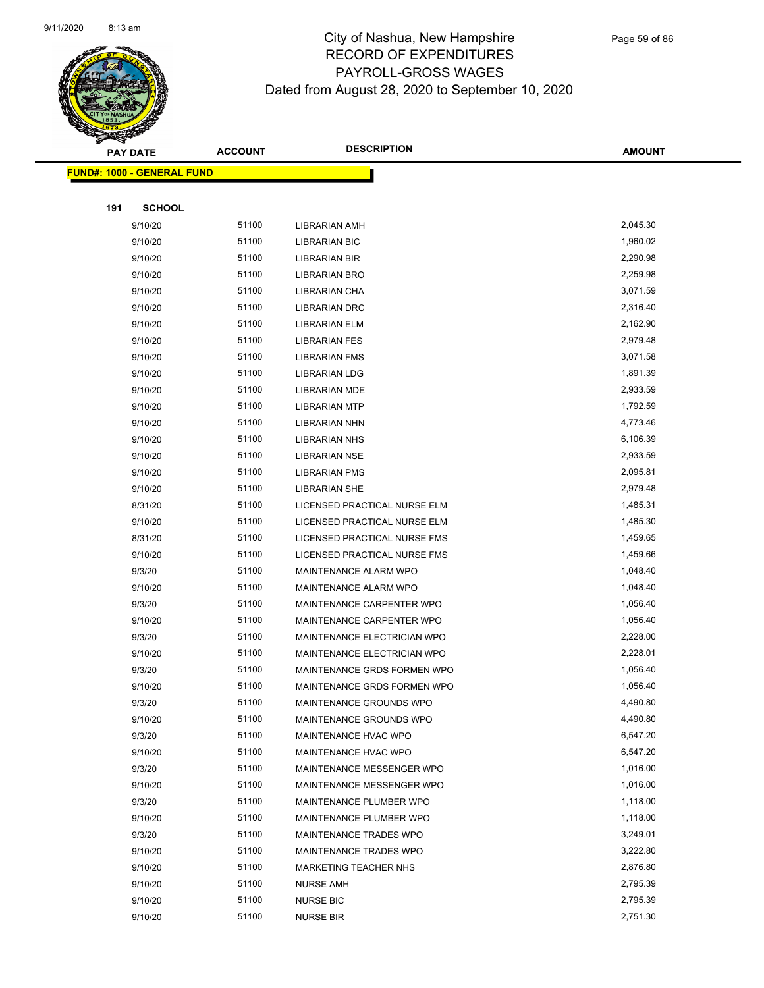

|     | <b>PAY DATE</b>                    | <b>ACCOUNT</b> | <b>DESCRIPTION</b>           | AMOUNT   |
|-----|------------------------------------|----------------|------------------------------|----------|
|     | <u> FUND#: 1000 - GENERAL FUND</u> |                |                              |          |
|     |                                    |                |                              |          |
| 191 | <b>SCHOOL</b>                      |                |                              |          |
|     | 9/10/20                            | 51100          | <b>LIBRARIAN AMH</b>         | 2,045.30 |
|     | 9/10/20                            | 51100          | <b>LIBRARIAN BIC</b>         | 1,960.02 |
|     | 9/10/20                            | 51100          | LIBRARIAN BIR                | 2,290.98 |
|     | 9/10/20                            | 51100          | <b>LIBRARIAN BRO</b>         | 2,259.98 |
|     | 9/10/20                            | 51100          | LIBRARIAN CHA                | 3,071.59 |
|     | 9/10/20                            | 51100          | LIBRARIAN DRC                | 2,316.40 |
|     | 9/10/20                            | 51100          | LIBRARIAN ELM                | 2,162.90 |
|     | 9/10/20                            | 51100          | <b>LIBRARIAN FES</b>         | 2,979.48 |
|     | 9/10/20                            | 51100          | <b>LIBRARIAN FMS</b>         | 3,071.58 |
|     | 9/10/20                            | 51100          | <b>LIBRARIAN LDG</b>         | 1,891.39 |
|     | 9/10/20                            | 51100          | LIBRARIAN MDE                | 2,933.59 |
|     | 9/10/20                            | 51100          | <b>LIBRARIAN MTP</b>         | 1,792.59 |
|     | 9/10/20                            | 51100          | <b>LIBRARIAN NHN</b>         | 4,773.46 |
|     | 9/10/20                            | 51100          | <b>LIBRARIAN NHS</b>         | 6,106.39 |
|     | 9/10/20                            | 51100          | <b>LIBRARIAN NSE</b>         | 2,933.59 |
|     | 9/10/20                            | 51100          | <b>LIBRARIAN PMS</b>         | 2,095.81 |
|     | 9/10/20                            | 51100          | <b>LIBRARIAN SHE</b>         | 2,979.48 |
|     | 8/31/20                            | 51100          | LICENSED PRACTICAL NURSE ELM | 1,485.31 |
|     | 9/10/20                            | 51100          | LICENSED PRACTICAL NURSE ELM | 1,485.30 |
|     | 8/31/20                            | 51100          | LICENSED PRACTICAL NURSE FMS | 1,459.65 |
|     | 9/10/20                            | 51100          | LICENSED PRACTICAL NURSE FMS | 1,459.66 |
|     | 9/3/20                             | 51100          | MAINTENANCE ALARM WPO        | 1,048.40 |
|     | 9/10/20                            | 51100          | MAINTENANCE ALARM WPO        | 1,048.40 |
|     | 9/3/20                             | 51100          | MAINTENANCE CARPENTER WPO    | 1,056.40 |
|     | 9/10/20                            | 51100          | MAINTENANCE CARPENTER WPO    | 1,056.40 |
|     | 9/3/20                             | 51100          | MAINTENANCE ELECTRICIAN WPO  | 2,228.00 |
|     | 9/10/20                            | 51100          | MAINTENANCE ELECTRICIAN WPO  | 2,228.01 |
|     | 9/3/20                             | 51100          | MAINTENANCE GRDS FORMEN WPO  | 1,056.40 |
|     | 9/10/20                            | 51100          | MAINTENANCE GRDS FORMEN WPO  | 1,056.40 |
|     | 9/3/20                             | 51100          | MAINTENANCE GROUNDS WPO      | 4,490.80 |
|     | 9/10/20                            | 51100          | MAINTENANCE GROUNDS WPO      | 4,490.80 |
|     | 9/3/20                             | 51100          | MAINTENANCE HVAC WPO         | 6,547.20 |
|     | 9/10/20                            | 51100          | MAINTENANCE HVAC WPO         | 6,547.20 |
|     | 9/3/20                             | 51100          | MAINTENANCE MESSENGER WPO    | 1,016.00 |
|     | 9/10/20                            | 51100          | MAINTENANCE MESSENGER WPO    | 1,016.00 |
|     | 9/3/20                             | 51100          | MAINTENANCE PLUMBER WPO      | 1,118.00 |
|     | 9/10/20                            | 51100          | MAINTENANCE PLUMBER WPO      | 1,118.00 |
|     | 9/3/20                             | 51100          | MAINTENANCE TRADES WPO       | 3,249.01 |
|     | 9/10/20                            | 51100          | MAINTENANCE TRADES WPO       | 3,222.80 |
|     | 9/10/20                            | 51100          | MARKETING TEACHER NHS        | 2,876.80 |
|     | 9/10/20                            | 51100          | <b>NURSE AMH</b>             | 2,795.39 |
|     | 9/10/20                            | 51100          | <b>NURSE BIC</b>             | 2,795.39 |
|     | 9/10/20                            | 51100          | <b>NURSE BIR</b>             | 2,751.30 |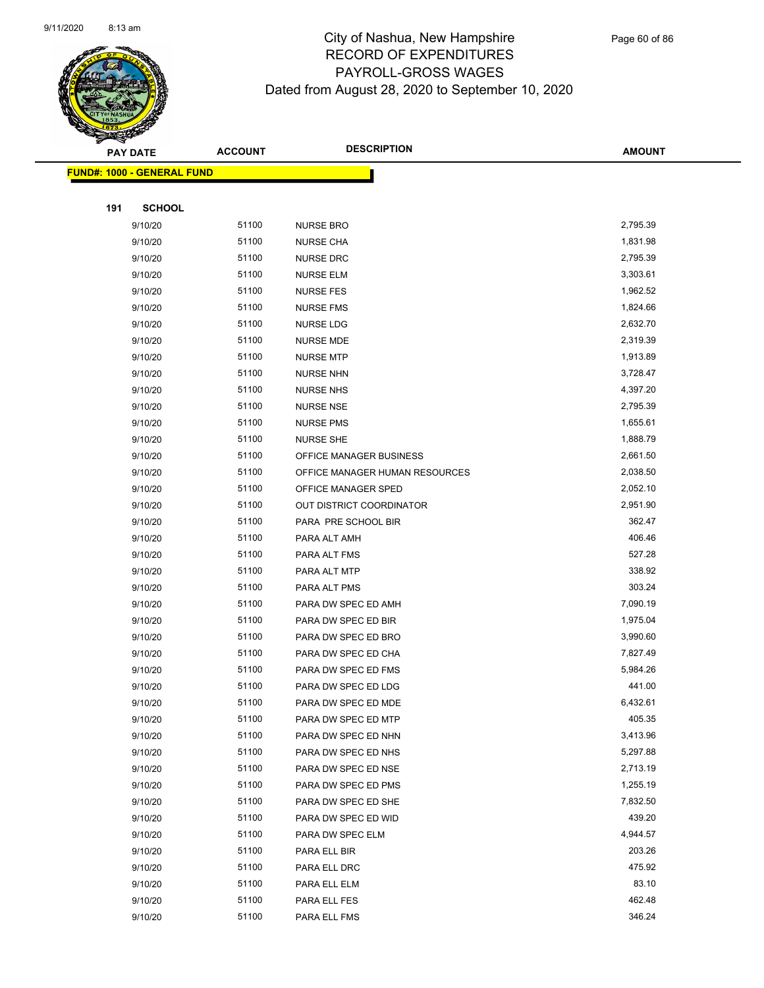

Page 60 of 86

| <b>PAY DATE</b>                   | <b>ACCOUNT</b> | <b>DESCRIPTION</b>                      | <b>AMOUNT</b>      |
|-----------------------------------|----------------|-----------------------------------------|--------------------|
| <b>FUND#: 1000 - GENERAL FUND</b> |                |                                         |                    |
|                                   |                |                                         |                    |
| 191<br><b>SCHOOL</b>              |                |                                         |                    |
| 9/10/20                           | 51100          | <b>NURSE BRO</b>                        | 2,795.39           |
| 9/10/20                           | 51100          | <b>NURSE CHA</b>                        | 1,831.98           |
| 9/10/20                           | 51100          | <b>NURSE DRC</b>                        | 2,795.39           |
| 9/10/20                           | 51100          | <b>NURSE ELM</b>                        | 3,303.61           |
| 9/10/20                           | 51100          | <b>NURSE FES</b>                        | 1,962.52           |
| 9/10/20                           | 51100          | <b>NURSE FMS</b>                        | 1,824.66           |
| 9/10/20                           | 51100          | NURSE LDG                               | 2,632.70           |
| 9/10/20                           | 51100          | <b>NURSE MDE</b>                        | 2,319.39           |
| 9/10/20                           | 51100          | <b>NURSE MTP</b>                        | 1,913.89           |
| 9/10/20                           | 51100          | <b>NURSE NHN</b>                        | 3,728.47           |
| 9/10/20                           | 51100          | <b>NURSE NHS</b>                        | 4,397.20           |
| 9/10/20                           | 51100          | <b>NURSE NSE</b>                        | 2,795.39           |
| 9/10/20                           | 51100          | <b>NURSE PMS</b>                        | 1,655.61           |
| 9/10/20                           | 51100          | <b>NURSE SHE</b>                        | 1,888.79           |
| 9/10/20                           | 51100          | OFFICE MANAGER BUSINESS                 | 2,661.50           |
| 9/10/20                           | 51100          | OFFICE MANAGER HUMAN RESOURCES          | 2,038.50           |
| 9/10/20                           | 51100          | OFFICE MANAGER SPED                     | 2,052.10           |
| 9/10/20                           | 51100          | OUT DISTRICT COORDINATOR                | 2,951.90           |
| 9/10/20                           | 51100          | PARA PRE SCHOOL BIR                     | 362.47             |
| 9/10/20                           | 51100          | PARA ALT AMH                            | 406.46             |
| 9/10/20                           | 51100          | PARA ALT FMS                            | 527.28             |
| 9/10/20                           | 51100          | PARA ALT MTP                            | 338.92             |
| 9/10/20                           | 51100          | PARA ALT PMS                            | 303.24             |
| 9/10/20                           | 51100          | PARA DW SPEC ED AMH                     | 7,090.19           |
| 9/10/20                           | 51100          | PARA DW SPEC ED BIR                     | 1,975.04           |
| 9/10/20                           | 51100          | PARA DW SPEC ED BRO                     | 3,990.60           |
| 9/10/20                           | 51100          | PARA DW SPEC ED CHA                     | 7,827.49           |
| 9/10/20                           | 51100          | PARA DW SPEC ED FMS                     | 5,984.26           |
| 9/10/20                           | 51100          | PARA DW SPEC ED LDG                     | 441.00             |
| 9/10/20                           | 51100          | PARA DW SPEC ED MDE                     | 6,432.61           |
| 9/10/20                           | 51100          | PARA DW SPEC ED MTP                     | 405.35             |
| 9/10/20                           | 51100          | PARA DW SPEC ED NHN                     | 3,413.96           |
| 9/10/20                           | 51100          | PARA DW SPEC ED NHS                     | 5,297.88           |
| 9/10/20                           | 51100          | PARA DW SPEC ED NSE                     | 2,713.19           |
| 9/10/20                           | 51100          | PARA DW SPEC ED PMS                     | 1,255.19           |
| 9/10/20                           | 51100          | PARA DW SPEC ED SHE                     | 7,832.50<br>439.20 |
| 9/10/20                           | 51100<br>51100 | PARA DW SPEC ED WID<br>PARA DW SPEC ELM | 4,944.57           |
| 9/10/20                           | 51100          |                                         | 203.26             |
| 9/10/20                           | 51100          | PARA ELL BIR                            | 475.92             |
| 9/10/20                           | 51100          | PARA ELL DRC                            | 83.10              |
| 9/10/20                           | 51100          | PARA ELL ELM                            | 462.48             |
| 9/10/20                           |                | PARA ELL FES                            |                    |
| 9/10/20                           | 51100          | PARA ELL FMS                            | 346.24             |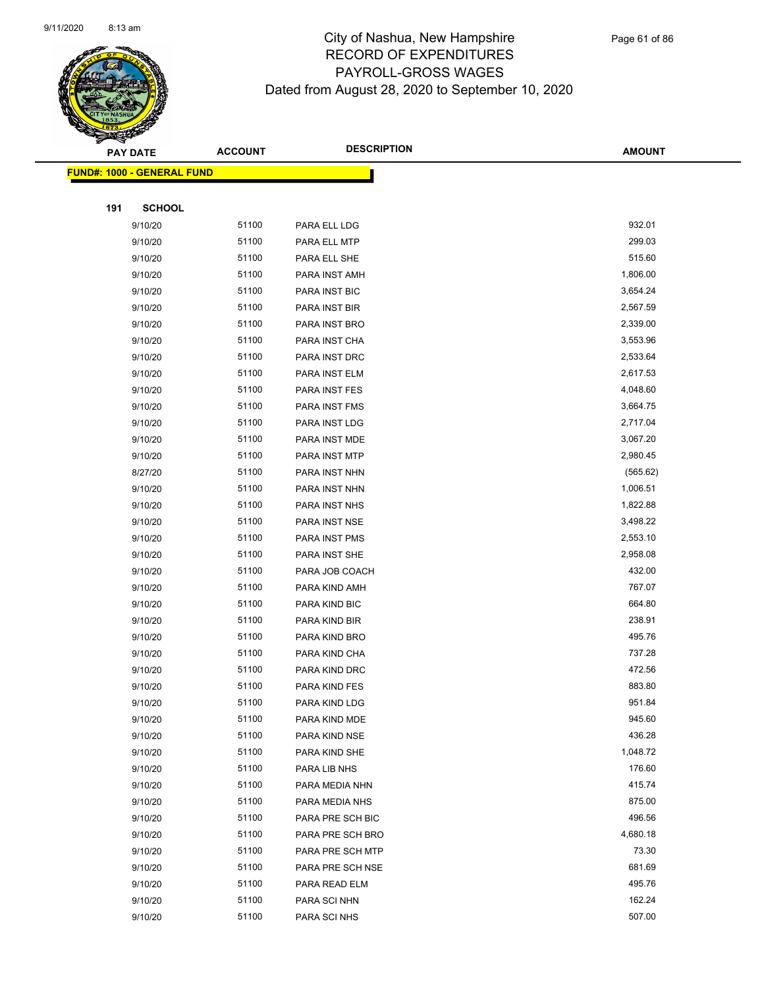

| <b>PAY DATE</b> |                                    | <b>DESCRIPTION</b><br><b>ACCOUNT</b> | <b>AMOUNT</b>    |          |
|-----------------|------------------------------------|--------------------------------------|------------------|----------|
|                 | <u> FUND#: 1000 - GENERAL FUND</u> |                                      |                  |          |
|                 |                                    |                                      |                  |          |
| 191             | <b>SCHOOL</b>                      |                                      |                  |          |
|                 | 9/10/20                            | 51100                                | PARA ELL LDG     | 932.01   |
|                 | 9/10/20                            | 51100                                | PARA ELL MTP     | 299.03   |
|                 | 9/10/20                            | 51100                                | PARA ELL SHE     | 515.60   |
|                 | 9/10/20                            | 51100                                | PARA INST AMH    | 1,806.00 |
|                 | 9/10/20                            | 51100                                | PARA INST BIC    | 3,654.24 |
|                 | 9/10/20                            | 51100                                | PARA INST BIR    | 2,567.59 |
|                 | 9/10/20                            | 51100                                | PARA INST BRO    | 2,339.00 |
|                 | 9/10/20                            | 51100                                | PARA INST CHA    | 3,553.96 |
|                 | 9/10/20                            | 51100                                | PARA INST DRC    | 2,533.64 |
|                 | 9/10/20                            | 51100                                | PARA INST ELM    | 2,617.53 |
|                 | 9/10/20                            | 51100                                | PARA INST FES    | 4,048.60 |
|                 | 9/10/20                            | 51100                                | PARA INST FMS    | 3,664.75 |
|                 | 9/10/20                            | 51100                                | PARA INST LDG    | 2,717.04 |
|                 | 9/10/20                            | 51100                                | PARA INST MDE    | 3,067.20 |
|                 | 9/10/20                            | 51100                                | PARA INST MTP    | 2,980.45 |
|                 | 8/27/20                            | 51100                                | PARA INST NHN    | (565.62) |
|                 | 9/10/20                            | 51100                                | PARA INST NHN    | 1,006.51 |
|                 | 9/10/20                            | 51100                                | PARA INST NHS    | 1,822.88 |
|                 | 9/10/20                            | 51100                                | PARA INST NSE    | 3,498.22 |
|                 | 9/10/20                            | 51100                                | PARA INST PMS    | 2,553.10 |
|                 | 9/10/20                            | 51100                                | PARA INST SHE    | 2,958.08 |
|                 | 9/10/20                            | 51100                                | PARA JOB COACH   | 432.00   |
|                 | 9/10/20                            | 51100                                | PARA KIND AMH    | 767.07   |
|                 | 9/10/20                            | 51100                                | PARA KIND BIC    | 664.80   |
|                 | 9/10/20                            | 51100                                | PARA KIND BIR    | 238.91   |
|                 | 9/10/20                            | 51100                                | PARA KIND BRO    | 495.76   |
|                 | 9/10/20                            | 51100                                | PARA KIND CHA    | 737.28   |
|                 | 9/10/20                            | 51100                                | PARA KIND DRC    | 472.56   |
|                 | 9/10/20                            | 51100                                | PARA KIND FES    | 883.80   |
|                 | 9/10/20                            | 51100                                | PARA KIND LDG    | 951.84   |
|                 | 9/10/20                            | 51100                                | PARA KIND MDE    | 945.60   |
|                 | 9/10/20                            | 51100                                | PARA KIND NSE    | 436.28   |
|                 | 9/10/20                            | 51100                                | PARA KIND SHE    | 1,048.72 |
|                 | 9/10/20                            | 51100                                | PARA LIB NHS     | 176.60   |
|                 | 9/10/20                            | 51100                                | PARA MEDIA NHN   | 415.74   |
|                 | 9/10/20                            | 51100                                | PARA MEDIA NHS   | 875.00   |
|                 | 9/10/20                            | 51100                                | PARA PRE SCH BIC | 496.56   |
|                 | 9/10/20                            | 51100                                | PARA PRE SCH BRO | 4,680.18 |
|                 | 9/10/20                            | 51100                                | PARA PRE SCH MTP | 73.30    |
|                 | 9/10/20                            | 51100                                | PARA PRE SCH NSE | 681.69   |
|                 | 9/10/20                            | 51100                                | PARA READ ELM    | 495.76   |
|                 | 9/10/20                            | 51100                                | PARA SCI NHN     | 162.24   |
|                 | 9/10/20                            | 51100                                | PARA SCI NHS     | 507.00   |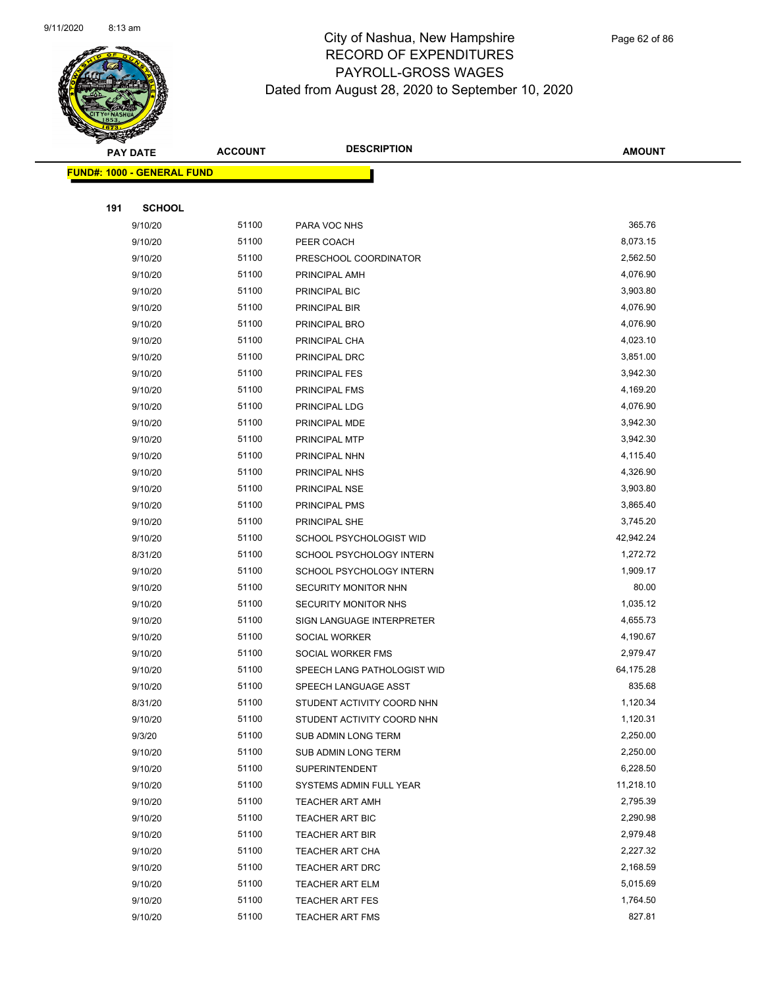

| <b>PAY DATE</b>                   |                    | <b>DESCRIPTION</b><br><b>ACCOUNT</b> |                                            | <b>AMOUNT</b>        |
|-----------------------------------|--------------------|--------------------------------------|--------------------------------------------|----------------------|
| <b>FUND#: 1000 - GENERAL FUND</b> |                    |                                      |                                            |                      |
|                                   |                    |                                      |                                            |                      |
| 191                               | <b>SCHOOL</b>      |                                      |                                            |                      |
|                                   | 9/10/20            | 51100                                | PARA VOC NHS                               | 365.76               |
|                                   | 9/10/20            | 51100                                | PEER COACH                                 | 8,073.15             |
|                                   | 9/10/20            | 51100                                | PRESCHOOL COORDINATOR                      | 2,562.50             |
|                                   | 9/10/20            | 51100                                | PRINCIPAL AMH                              | 4,076.90             |
|                                   | 9/10/20            | 51100                                | PRINCIPAL BIC                              | 3,903.80             |
|                                   | 9/10/20            | 51100                                | PRINCIPAL BIR                              | 4,076.90             |
|                                   | 9/10/20            | 51100                                | PRINCIPAL BRO                              | 4,076.90             |
|                                   | 9/10/20            | 51100                                | PRINCIPAL CHA                              | 4,023.10             |
|                                   | 9/10/20            | 51100                                | PRINCIPAL DRC                              | 3,851.00             |
|                                   | 9/10/20            | 51100                                | PRINCIPAL FES                              | 3,942.30             |
|                                   | 9/10/20            | 51100                                | PRINCIPAL FMS                              | 4,169.20             |
|                                   | 9/10/20            | 51100                                | PRINCIPAL LDG                              | 4,076.90             |
|                                   | 9/10/20            | 51100                                | PRINCIPAL MDE                              | 3,942.30             |
|                                   | 9/10/20            | 51100                                | PRINCIPAL MTP                              | 3,942.30             |
|                                   | 9/10/20            | 51100                                | PRINCIPAL NHN                              | 4,115.40             |
|                                   | 9/10/20            | 51100                                | PRINCIPAL NHS                              | 4,326.90             |
|                                   | 9/10/20            | 51100                                | PRINCIPAL NSE                              | 3,903.80             |
|                                   | 9/10/20            | 51100                                | PRINCIPAL PMS                              | 3,865.40             |
|                                   | 9/10/20            | 51100                                | PRINCIPAL SHE                              | 3,745.20             |
|                                   | 9/10/20            | 51100                                | SCHOOL PSYCHOLOGIST WID                    | 42,942.24            |
|                                   | 8/31/20            | 51100                                | SCHOOL PSYCHOLOGY INTERN                   | 1,272.72             |
|                                   | 9/10/20            | 51100                                | SCHOOL PSYCHOLOGY INTERN                   | 1,909.17             |
|                                   | 9/10/20            | 51100                                | SECURITY MONITOR NHN                       | 80.00                |
|                                   | 9/10/20            | 51100                                | SECURITY MONITOR NHS                       | 1,035.12             |
|                                   | 9/10/20            | 51100<br>51100                       | SIGN LANGUAGE INTERPRETER<br>SOCIAL WORKER | 4,655.73<br>4,190.67 |
|                                   | 9/10/20<br>9/10/20 | 51100                                | SOCIAL WORKER FMS                          | 2,979.47             |
|                                   | 9/10/20            | 51100                                | SPEECH LANG PATHOLOGIST WID                | 64,175.28            |
|                                   | 9/10/20            | 51100                                | SPEECH LANGUAGE ASST                       | 835.68               |
|                                   | 8/31/20            | 51100                                | STUDENT ACTIVITY COORD NHN                 | 1,120.34             |
|                                   | 9/10/20            | 51100                                | STUDENT ACTIVITY COORD NHN                 | 1,120.31             |
|                                   | 9/3/20             | 51100                                | SUB ADMIN LONG TERM                        | 2,250.00             |
|                                   | 9/10/20            | 51100                                | SUB ADMIN LONG TERM                        | 2,250.00             |
|                                   | 9/10/20            | 51100                                | <b>SUPERINTENDENT</b>                      | 6,228.50             |
|                                   | 9/10/20            | 51100                                | SYSTEMS ADMIN FULL YEAR                    | 11,218.10            |
|                                   | 9/10/20            | 51100                                | <b>TEACHER ART AMH</b>                     | 2,795.39             |
|                                   | 9/10/20            | 51100                                | TEACHER ART BIC                            | 2,290.98             |
|                                   | 9/10/20            | 51100                                | <b>TEACHER ART BIR</b>                     | 2,979.48             |
|                                   | 9/10/20            | 51100                                | TEACHER ART CHA                            | 2,227.32             |
|                                   | 9/10/20            | 51100                                | TEACHER ART DRC                            | 2,168.59             |
|                                   | 9/10/20            | 51100                                | TEACHER ART ELM                            | 5,015.69             |
|                                   | 9/10/20            | 51100                                | <b>TEACHER ART FES</b>                     | 1,764.50             |
|                                   | 9/10/20            | 51100                                | <b>TEACHER ART FMS</b>                     | 827.81               |
|                                   |                    |                                      |                                            |                      |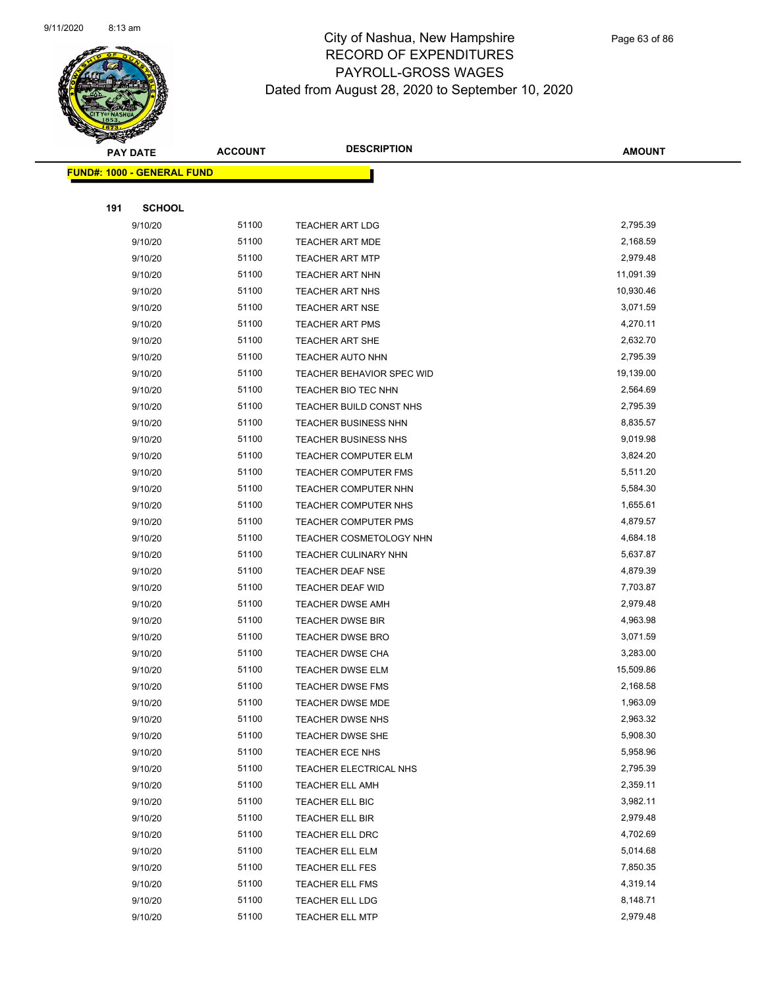

| <b>PAY DATE</b> |                                   | <b>ACCOUNT</b> | <b>DESCRIPTION</b>               | <b>AMOUNT</b> |
|-----------------|-----------------------------------|----------------|----------------------------------|---------------|
|                 | <b>FUND#: 1000 - GENERAL FUND</b> |                |                                  |               |
|                 |                                   |                |                                  |               |
| 191             | <b>SCHOOL</b>                     |                |                                  |               |
|                 | 9/10/20                           | 51100          | <b>TEACHER ART LDG</b>           | 2,795.39      |
|                 | 9/10/20                           | 51100          | <b>TEACHER ART MDE</b>           | 2,168.59      |
|                 | 9/10/20                           | 51100          | <b>TEACHER ART MTP</b>           | 2,979.48      |
|                 | 9/10/20                           | 51100          | TEACHER ART NHN                  | 11,091.39     |
|                 | 9/10/20                           | 51100          | <b>TEACHER ART NHS</b>           | 10,930.46     |
|                 | 9/10/20                           | 51100          | <b>TEACHER ART NSE</b>           | 3,071.59      |
|                 | 9/10/20                           | 51100          | <b>TEACHER ART PMS</b>           | 4,270.11      |
|                 | 9/10/20                           | 51100          | <b>TEACHER ART SHE</b>           | 2,632.70      |
|                 | 9/10/20                           | 51100          | <b>TEACHER AUTO NHN</b>          | 2,795.39      |
|                 | 9/10/20                           | 51100          | <b>TEACHER BEHAVIOR SPEC WID</b> | 19,139.00     |
|                 | 9/10/20                           | 51100          | TEACHER BIO TEC NHN              | 2,564.69      |
|                 | 9/10/20                           | 51100          | TEACHER BUILD CONST NHS          | 2,795.39      |
|                 | 9/10/20                           | 51100          | <b>TEACHER BUSINESS NHN</b>      | 8,835.57      |
|                 | 9/10/20                           | 51100          | <b>TEACHER BUSINESS NHS</b>      | 9,019.98      |
|                 | 9/10/20                           | 51100          | TEACHER COMPUTER ELM             | 3,824.20      |
|                 | 9/10/20                           | 51100          | <b>TEACHER COMPUTER FMS</b>      | 5,511.20      |
|                 | 9/10/20                           | 51100          | <b>TEACHER COMPUTER NHN</b>      | 5,584.30      |
|                 | 9/10/20                           | 51100          | <b>TEACHER COMPUTER NHS</b>      | 1,655.61      |
|                 | 9/10/20                           | 51100          | <b>TEACHER COMPUTER PMS</b>      | 4,879.57      |
|                 | 9/10/20                           | 51100          | TEACHER COSMETOLOGY NHN          | 4,684.18      |
|                 | 9/10/20                           | 51100          | <b>TEACHER CULINARY NHN</b>      | 5,637.87      |
|                 | 9/10/20                           | 51100          | <b>TEACHER DEAF NSE</b>          | 4,879.39      |
|                 | 9/10/20                           | 51100          | <b>TEACHER DEAF WID</b>          | 7,703.87      |
|                 | 9/10/20                           | 51100          | <b>TEACHER DWSE AMH</b>          | 2,979.48      |
|                 | 9/10/20                           | 51100          | <b>TEACHER DWSE BIR</b>          | 4,963.98      |
|                 | 9/10/20                           | 51100          | <b>TEACHER DWSE BRO</b>          | 3,071.59      |
|                 | 9/10/20                           | 51100          | <b>TEACHER DWSE CHA</b>          | 3,283.00      |
|                 | 9/10/20                           | 51100          | <b>TEACHER DWSE ELM</b>          | 15,509.86     |
|                 | 9/10/20                           | 51100          | TEACHER DWSE FMS                 | 2,168.58      |
|                 | 9/10/20                           | 51100          | <b>TEACHER DWSE MDE</b>          | 1,963.09      |
|                 | 9/10/20                           | 51100          | TEACHER DWSE NHS                 | 2,963.32      |
|                 | 9/10/20                           | 51100          | <b>TEACHER DWSE SHE</b>          | 5,908.30      |
|                 | 9/10/20                           | 51100          | TEACHER ECE NHS                  | 5,958.96      |
|                 | 9/10/20                           | 51100          | TEACHER ELECTRICAL NHS           | 2,795.39      |
|                 | 9/10/20                           | 51100          | <b>TEACHER ELL AMH</b>           | 2,359.11      |
|                 | 9/10/20                           | 51100          | TEACHER ELL BIC                  | 3,982.11      |
|                 | 9/10/20                           | 51100          | TEACHER ELL BIR                  | 2,979.48      |
|                 | 9/10/20                           | 51100          | TEACHER ELL DRC                  | 4,702.69      |
|                 | 9/10/20                           | 51100          | TEACHER ELL ELM                  | 5,014.68      |
|                 | 9/10/20                           | 51100          | <b>TEACHER ELL FES</b>           | 7,850.35      |
|                 | 9/10/20                           | 51100          | TEACHER ELL FMS                  | 4,319.14      |
|                 | 9/10/20                           | 51100          | TEACHER ELL LDG                  | 8,148.71      |
|                 | 9/10/20                           | 51100          | <b>TEACHER ELL MTP</b>           | 2,979.48      |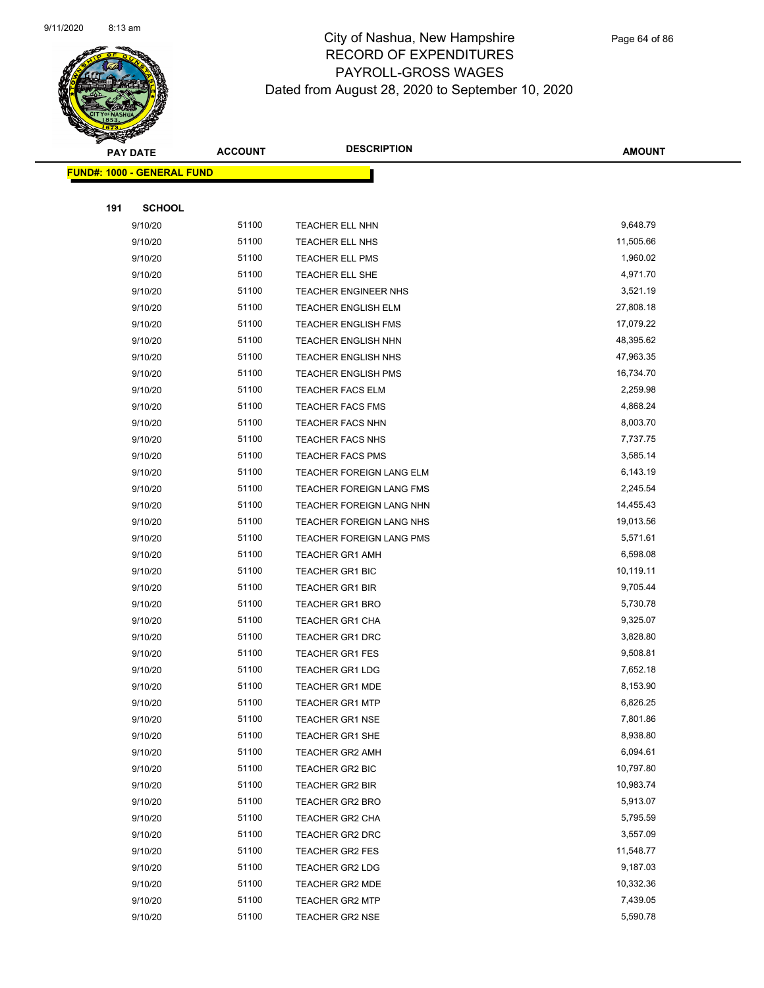

| <b>PAY DATE</b> |     | <b>DESCRIPTION</b><br><b>ACCOUNT</b> |                | <b>AMOUNT</b>                                    |                      |  |
|-----------------|-----|--------------------------------------|----------------|--------------------------------------------------|----------------------|--|
|                 |     | <b>FUND#: 1000 - GENERAL FUND</b>    |                |                                                  |                      |  |
|                 |     |                                      |                |                                                  |                      |  |
|                 | 191 | <b>SCHOOL</b>                        |                |                                                  |                      |  |
|                 |     | 9/10/20                              | 51100          | <b>TEACHER ELL NHN</b>                           | 9,648.79             |  |
|                 |     | 9/10/20                              | 51100          | TEACHER ELL NHS                                  | 11,505.66            |  |
|                 |     | 9/10/20                              | 51100          | <b>TEACHER ELL PMS</b>                           | 1,960.02             |  |
|                 |     | 9/10/20                              | 51100          | TEACHER ELL SHE                                  | 4,971.70             |  |
|                 |     | 9/10/20                              | 51100          | <b>TEACHER ENGINEER NHS</b>                      | 3,521.19             |  |
|                 |     | 9/10/20                              | 51100          | <b>TEACHER ENGLISH ELM</b>                       | 27,808.18            |  |
|                 |     | 9/10/20                              | 51100          | <b>TEACHER ENGLISH FMS</b>                       | 17,079.22            |  |
|                 |     | 9/10/20                              | 51100          | <b>TEACHER ENGLISH NHN</b>                       | 48,395.62            |  |
|                 |     | 9/10/20                              | 51100          | <b>TEACHER ENGLISH NHS</b>                       | 47,963.35            |  |
|                 |     | 9/10/20                              | 51100          | <b>TEACHER ENGLISH PMS</b>                       | 16,734.70            |  |
|                 |     | 9/10/20                              | 51100          | <b>TEACHER FACS ELM</b>                          | 2,259.98             |  |
|                 |     | 9/10/20                              | 51100          | <b>TEACHER FACS FMS</b>                          | 4,868.24             |  |
|                 |     | 9/10/20                              | 51100          | <b>TEACHER FACS NHN</b>                          | 8,003.70             |  |
|                 |     | 9/10/20                              | 51100          | <b>TEACHER FACS NHS</b>                          | 7,737.75             |  |
|                 |     | 9/10/20                              | 51100          | <b>TEACHER FACS PMS</b>                          | 3,585.14             |  |
|                 |     | 9/10/20                              | 51100          | TEACHER FOREIGN LANG ELM                         | 6,143.19             |  |
|                 |     | 9/10/20                              | 51100          | TEACHER FOREIGN LANG FMS                         | 2,245.54             |  |
|                 |     | 9/10/20                              | 51100          | TEACHER FOREIGN LANG NHN                         | 14,455.43            |  |
|                 |     | 9/10/20                              | 51100          | TEACHER FOREIGN LANG NHS                         | 19,013.56            |  |
|                 |     | 9/10/20                              | 51100          | TEACHER FOREIGN LANG PMS                         | 5,571.61             |  |
|                 |     | 9/10/20                              | 51100          | <b>TEACHER GR1 AMH</b>                           | 6,598.08             |  |
|                 |     | 9/10/20                              | 51100          | <b>TEACHER GR1 BIC</b>                           | 10,119.11            |  |
|                 |     | 9/10/20                              | 51100          | <b>TEACHER GR1 BIR</b>                           | 9,705.44             |  |
|                 |     | 9/10/20                              | 51100          | <b>TEACHER GR1 BRO</b>                           | 5,730.78             |  |
|                 |     | 9/10/20                              | 51100          | <b>TEACHER GR1 CHA</b>                           | 9,325.07             |  |
|                 |     | 9/10/20                              | 51100          | <b>TEACHER GR1 DRC</b>                           | 3,828.80             |  |
|                 |     | 9/10/20                              | 51100          | <b>TEACHER GR1 FES</b>                           | 9,508.81             |  |
|                 |     | 9/10/20                              | 51100          | <b>TEACHER GR1 LDG</b>                           | 7,652.18<br>8,153.90 |  |
|                 |     | 9/10/20<br>9/10/20                   | 51100<br>51100 | <b>TEACHER GR1 MDE</b>                           | 6,826.25             |  |
|                 |     | 9/10/20                              | 51100          | <b>TEACHER GR1 MTP</b>                           | 7,801.86             |  |
|                 |     | 9/10/20                              | 51100          | <b>TEACHER GR1 NSE</b><br><b>TEACHER GR1 SHE</b> | 8,938.80             |  |
|                 |     | 9/10/20                              | 51100          | <b>TEACHER GR2 AMH</b>                           | 6,094.61             |  |
|                 |     | 9/10/20                              | 51100          | TEACHER GR2 BIC                                  | 10,797.80            |  |
|                 |     | 9/10/20                              | 51100          | <b>TEACHER GR2 BIR</b>                           | 10,983.74            |  |
|                 |     | 9/10/20                              | 51100          | <b>TEACHER GR2 BRO</b>                           | 5,913.07             |  |
|                 |     | 9/10/20                              | 51100          | <b>TEACHER GR2 CHA</b>                           | 5,795.59             |  |
|                 |     | 9/10/20                              | 51100          | <b>TEACHER GR2 DRC</b>                           | 3,557.09             |  |
|                 |     | 9/10/20                              | 51100          | TEACHER GR2 FES                                  | 11,548.77            |  |
|                 |     | 9/10/20                              | 51100          | <b>TEACHER GR2 LDG</b>                           | 9,187.03             |  |
|                 |     | 9/10/20                              | 51100          | TEACHER GR2 MDE                                  | 10,332.36            |  |
|                 |     | 9/10/20                              | 51100          | <b>TEACHER GR2 MTP</b>                           | 7,439.05             |  |
|                 |     | 9/10/20                              | 51100          | <b>TEACHER GR2 NSE</b>                           | 5,590.78             |  |
|                 |     |                                      |                |                                                  |                      |  |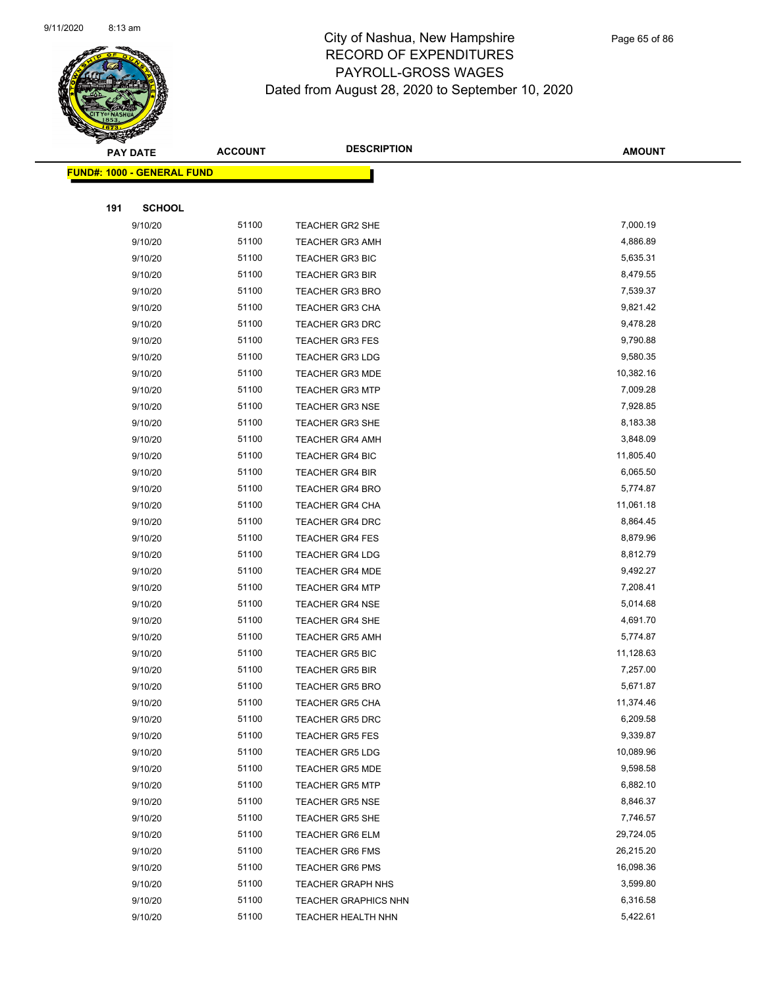

|     | <b>PAY DATE</b>                   | <b>ACCOUNT</b> | <b>DESCRIPTION</b>          | <b>AMOUNT</b> |
|-----|-----------------------------------|----------------|-----------------------------|---------------|
|     | <b>FUND#: 1000 - GENERAL FUND</b> |                |                             |               |
|     |                                   |                |                             |               |
| 191 | <b>SCHOOL</b>                     |                |                             |               |
|     | 9/10/20                           | 51100          | TEACHER GR2 SHE             | 7,000.19      |
|     | 9/10/20                           | 51100          | <b>TEACHER GR3 AMH</b>      | 4,886.89      |
|     | 9/10/20                           | 51100          | <b>TEACHER GR3 BIC</b>      | 5,635.31      |
|     | 9/10/20                           | 51100          | TEACHER GR3 BIR             | 8,479.55      |
|     | 9/10/20                           | 51100          | <b>TEACHER GR3 BRO</b>      | 7,539.37      |
|     | 9/10/20                           | 51100          | <b>TEACHER GR3 CHA</b>      | 9,821.42      |
|     | 9/10/20                           | 51100          | <b>TEACHER GR3 DRC</b>      | 9,478.28      |
|     | 9/10/20                           | 51100          | <b>TEACHER GR3 FES</b>      | 9,790.88      |
|     | 9/10/20                           | 51100          | <b>TEACHER GR3 LDG</b>      | 9,580.35      |
|     | 9/10/20                           | 51100          | <b>TEACHER GR3 MDE</b>      | 10,382.16     |
|     | 9/10/20                           | 51100          | <b>TEACHER GR3 MTP</b>      | 7,009.28      |
|     | 9/10/20                           | 51100          | <b>TEACHER GR3 NSE</b>      | 7,928.85      |
|     | 9/10/20                           | 51100          | <b>TEACHER GR3 SHE</b>      | 8,183.38      |
|     | 9/10/20                           | 51100          | <b>TEACHER GR4 AMH</b>      | 3,848.09      |
|     | 9/10/20                           | 51100          | <b>TEACHER GR4 BIC</b>      | 11,805.40     |
|     | 9/10/20                           | 51100          | <b>TEACHER GR4 BIR</b>      | 6,065.50      |
|     | 9/10/20                           | 51100          | <b>TEACHER GR4 BRO</b>      | 5,774.87      |
|     | 9/10/20                           | 51100          | <b>TEACHER GR4 CHA</b>      | 11,061.18     |
|     | 9/10/20                           | 51100          | <b>TEACHER GR4 DRC</b>      | 8,864.45      |
|     | 9/10/20                           | 51100          | <b>TEACHER GR4 FES</b>      | 8,879.96      |
|     | 9/10/20                           | 51100          | <b>TEACHER GR4 LDG</b>      | 8,812.79      |
|     | 9/10/20                           | 51100          | <b>TEACHER GR4 MDE</b>      | 9,492.27      |
|     | 9/10/20                           | 51100          | <b>TEACHER GR4 MTP</b>      | 7,208.41      |
|     | 9/10/20                           | 51100          | <b>TEACHER GR4 NSE</b>      | 5,014.68      |
|     | 9/10/20                           | 51100          | <b>TEACHER GR4 SHE</b>      | 4,691.70      |
|     | 9/10/20                           | 51100          | <b>TEACHER GR5 AMH</b>      | 5,774.87      |
|     | 9/10/20                           | 51100          | <b>TEACHER GR5 BIC</b>      | 11,128.63     |
|     | 9/10/20                           | 51100          | <b>TEACHER GR5 BIR</b>      | 7,257.00      |
|     | 9/10/20                           | 51100          | <b>TEACHER GR5 BRO</b>      | 5,671.87      |
|     | 9/10/20                           | 51100          | TEACHER GR5 CHA             | 11,374.46     |
|     | 9/10/20                           | 51100          | <b>TEACHER GR5 DRC</b>      | 6,209.58      |
|     | 9/10/20                           | 51100          | <b>TEACHER GR5 FES</b>      | 9,339.87      |
|     | 9/10/20                           | 51100          | <b>TEACHER GR5 LDG</b>      | 10,089.96     |
|     | 9/10/20                           | 51100          | <b>TEACHER GR5 MDE</b>      | 9,598.58      |
|     | 9/10/20                           | 51100          | <b>TEACHER GR5 MTP</b>      | 6,882.10      |
|     | 9/10/20                           | 51100          | TEACHER GR5 NSE             | 8,846.37      |
|     | 9/10/20                           | 51100          | <b>TEACHER GR5 SHE</b>      | 7,746.57      |
|     | 9/10/20                           | 51100          | <b>TEACHER GR6 ELM</b>      | 29,724.05     |
|     | 9/10/20                           | 51100          | <b>TEACHER GR6 FMS</b>      | 26,215.20     |
|     | 9/10/20                           | 51100          | <b>TEACHER GR6 PMS</b>      | 16,098.36     |
|     | 9/10/20                           | 51100          | <b>TEACHER GRAPH NHS</b>    | 3,599.80      |
|     | 9/10/20                           | 51100          | <b>TEACHER GRAPHICS NHN</b> | 6,316.58      |
|     | 9/10/20                           | 51100          | TEACHER HEALTH NHN          | 5,422.61      |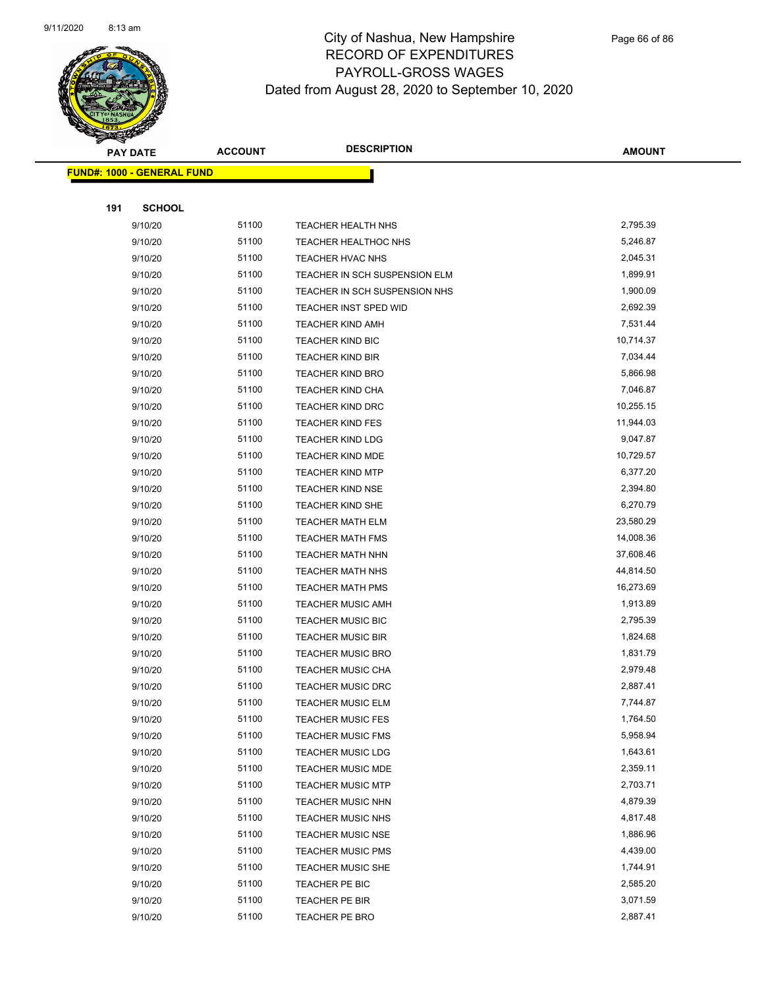

|     | <b>PAY DATE</b>                   | <b>ACCOUNT</b> | <b>DESCRIPTION</b>                            | <b>AMOUNT</b>        |
|-----|-----------------------------------|----------------|-----------------------------------------------|----------------------|
|     | <b>FUND#: 1000 - GENERAL FUND</b> |                |                                               |                      |
|     |                                   |                |                                               |                      |
| 191 | <b>SCHOOL</b>                     |                |                                               |                      |
|     | 9/10/20                           | 51100          | TEACHER HEALTH NHS                            | 2,795.39             |
|     | 9/10/20                           | 51100          | TEACHER HEALTHOC NHS                          | 5,246.87             |
|     | 9/10/20                           | 51100          | <b>TEACHER HVAC NHS</b>                       | 2,045.31             |
|     | 9/10/20                           | 51100          | TEACHER IN SCH SUSPENSION ELM                 | 1,899.91             |
|     | 9/10/20                           | 51100          | TEACHER IN SCH SUSPENSION NHS                 | 1,900.09             |
|     | 9/10/20                           | 51100          | TEACHER INST SPED WID                         | 2,692.39             |
|     | 9/10/20                           | 51100          | <b>TEACHER KIND AMH</b>                       | 7,531.44             |
|     | 9/10/20                           | 51100          | <b>TEACHER KIND BIC</b>                       | 10,714.37            |
|     | 9/10/20                           | 51100          | TEACHER KIND BIR                              | 7,034.44             |
|     | 9/10/20                           | 51100          | <b>TEACHER KIND BRO</b>                       | 5,866.98             |
|     | 9/10/20                           | 51100          | TEACHER KIND CHA                              | 7,046.87             |
|     | 9/10/20                           | 51100          | <b>TEACHER KIND DRC</b>                       | 10,255.15            |
|     | 9/10/20                           | 51100          | <b>TEACHER KIND FES</b>                       | 11,944.03            |
|     | 9/10/20                           | 51100          | <b>TEACHER KIND LDG</b>                       | 9,047.87             |
|     | 9/10/20                           | 51100          | TEACHER KIND MDE                              | 10,729.57            |
|     | 9/10/20                           | 51100          | <b>TEACHER KIND MTP</b>                       | 6,377.20             |
|     | 9/10/20                           | 51100          | <b>TEACHER KIND NSE</b>                       | 2,394.80             |
|     | 9/10/20                           | 51100          | <b>TEACHER KIND SHE</b>                       | 6,270.79             |
|     | 9/10/20                           | 51100          | <b>TEACHER MATH ELM</b>                       | 23,580.29            |
|     | 9/10/20                           | 51100          | <b>TEACHER MATH FMS</b>                       | 14,008.36            |
|     | 9/10/20                           | 51100          | TEACHER MATH NHN                              | 37,608.46            |
|     | 9/10/20                           | 51100          | <b>TEACHER MATH NHS</b>                       | 44,814.50            |
|     | 9/10/20                           | 51100          | <b>TEACHER MATH PMS</b>                       | 16,273.69            |
|     | 9/10/20                           | 51100          | <b>TEACHER MUSIC AMH</b>                      | 1,913.89             |
|     | 9/10/20                           | 51100          | <b>TEACHER MUSIC BIC</b>                      | 2,795.39             |
|     | 9/10/20                           | 51100          | <b>TEACHER MUSIC BIR</b>                      | 1,824.68             |
|     | 9/10/20                           | 51100          | <b>TEACHER MUSIC BRO</b>                      | 1,831.79             |
|     | 9/10/20                           | 51100          | <b>TEACHER MUSIC CHA</b>                      | 2,979.48             |
|     | 9/10/20                           | 51100          | <b>TEACHER MUSIC DRC</b>                      | 2,887.41             |
|     | 9/10/20                           | 51100          | <b>TEACHER MUSIC ELM</b>                      | 7,744.87             |
|     | 9/10/20                           | 51100          | <b>TEACHER MUSIC FES</b>                      | 1,764.50<br>5,958.94 |
|     | 9/10/20                           | 51100          | <b>TEACHER MUSIC FMS</b>                      |                      |
|     | 9/10/20<br>9/10/20                | 51100<br>51100 | <b>TEACHER MUSIC LDG</b>                      | 1,643.61<br>2,359.11 |
|     |                                   | 51100          | <b>TEACHER MUSIC MDE</b>                      | 2,703.71             |
|     | 9/10/20<br>9/10/20                | 51100          | <b>TEACHER MUSIC MTP</b><br>TEACHER MUSIC NHN | 4,879.39             |
|     | 9/10/20                           | 51100          | TEACHER MUSIC NHS                             | 4,817.48             |
|     | 9/10/20                           | 51100          | <b>TEACHER MUSIC NSE</b>                      | 1,886.96             |
|     | 9/10/20                           | 51100          | <b>TEACHER MUSIC PMS</b>                      | 4,439.00             |
|     | 9/10/20                           | 51100          | <b>TEACHER MUSIC SHE</b>                      | 1,744.91             |
|     | 9/10/20                           | 51100          | TEACHER PE BIC                                | 2,585.20             |
|     | 9/10/20                           | 51100          | TEACHER PE BIR                                | 3,071.59             |
|     | 9/10/20                           | 51100          | <b>TEACHER PE BRO</b>                         | 2,887.41             |
|     |                                   |                |                                               |                      |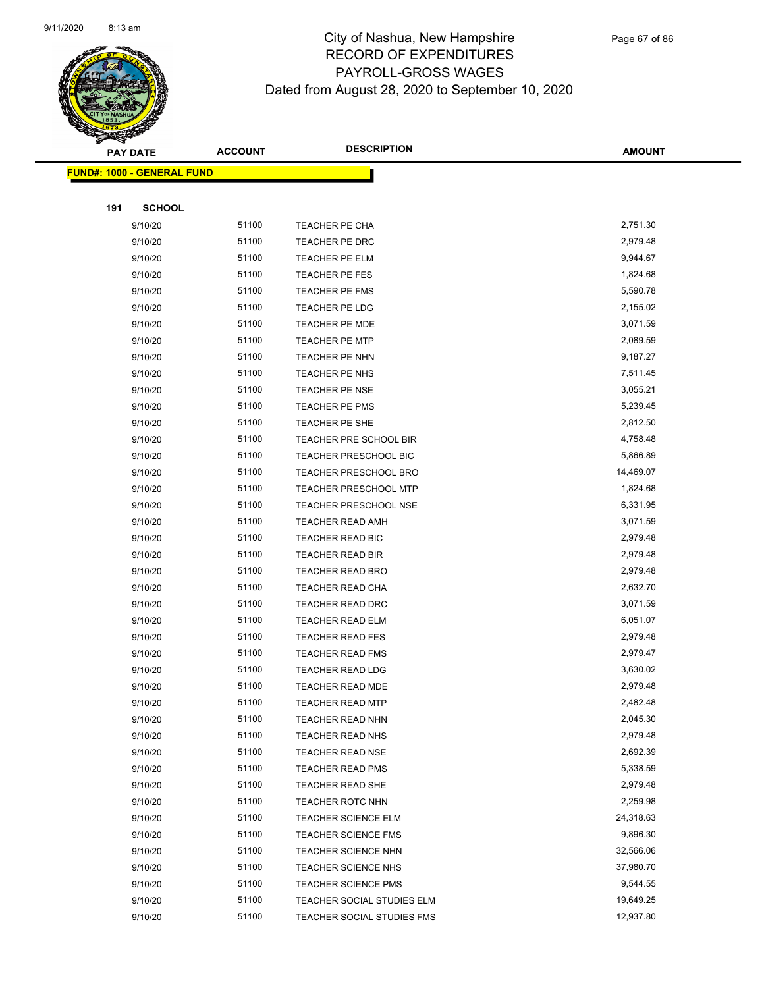

| <b>PAY DATE</b> |                                   | <b>ACCOUNT</b> | <b>DESCRIPTION</b>           | <b>AMOUNT</b> |
|-----------------|-----------------------------------|----------------|------------------------------|---------------|
|                 | <b>FUND#: 1000 - GENERAL FUND</b> |                |                              |               |
|                 |                                   |                |                              |               |
| 191             | <b>SCHOOL</b>                     |                |                              |               |
|                 | 9/10/20                           | 51100          | <b>TEACHER PE CHA</b>        | 2,751.30      |
|                 | 9/10/20                           | 51100          | TEACHER PE DRC               | 2,979.48      |
|                 | 9/10/20                           | 51100          | <b>TEACHER PE ELM</b>        | 9,944.67      |
|                 | 9/10/20                           | 51100          | TEACHER PE FES               | 1,824.68      |
|                 | 9/10/20                           | 51100          | <b>TEACHER PE FMS</b>        | 5,590.78      |
|                 | 9/10/20                           | 51100          | TEACHER PE LDG               | 2,155.02      |
|                 | 9/10/20                           | 51100          | <b>TEACHER PE MDE</b>        | 3,071.59      |
|                 | 9/10/20                           | 51100          | <b>TEACHER PE MTP</b>        | 2,089.59      |
|                 | 9/10/20                           | 51100          | TEACHER PE NHN               | 9,187.27      |
|                 | 9/10/20                           | 51100          | TEACHER PE NHS               | 7,511.45      |
|                 | 9/10/20                           | 51100          | TEACHER PE NSE               | 3,055.21      |
|                 | 9/10/20                           | 51100          | <b>TEACHER PE PMS</b>        | 5,239.45      |
|                 | 9/10/20                           | 51100          | TEACHER PE SHE               | 2,812.50      |
|                 | 9/10/20                           | 51100          | TEACHER PRE SCHOOL BIR       | 4,758.48      |
|                 | 9/10/20                           | 51100          | TEACHER PRESCHOOL BIC        | 5,866.89      |
|                 | 9/10/20                           | 51100          | <b>TEACHER PRESCHOOL BRO</b> | 14,469.07     |
|                 | 9/10/20                           | 51100          | <b>TEACHER PRESCHOOL MTP</b> | 1,824.68      |
|                 | 9/10/20                           | 51100          | <b>TEACHER PRESCHOOL NSE</b> | 6,331.95      |
|                 | 9/10/20                           | 51100          | <b>TEACHER READ AMH</b>      | 3,071.59      |
|                 | 9/10/20                           | 51100          | TEACHER READ BIC             | 2,979.48      |
|                 | 9/10/20                           | 51100          | TEACHER READ BIR             | 2,979.48      |
|                 | 9/10/20                           | 51100          | <b>TEACHER READ BRO</b>      | 2,979.48      |
|                 | 9/10/20                           | 51100          | TEACHER READ CHA             | 2,632.70      |
|                 | 9/10/20                           | 51100          | TEACHER READ DRC             | 3,071.59      |
|                 | 9/10/20                           | 51100          | <b>TEACHER READ ELM</b>      | 6,051.07      |
|                 | 9/10/20                           | 51100          | <b>TEACHER READ FES</b>      | 2,979.48      |
|                 | 9/10/20                           | 51100          | <b>TEACHER READ FMS</b>      | 2,979.47      |
|                 | 9/10/20                           | 51100          | <b>TEACHER READ LDG</b>      | 3,630.02      |
|                 | 9/10/20                           | 51100          | TEACHER READ MDE             | 2,979.48      |
|                 | 9/10/20                           | 51100          | <b>TEACHER READ MTP</b>      | 2,482.48      |
|                 | 9/10/20                           | 51100          | <b>TEACHER READ NHN</b>      | 2,045.30      |
|                 | 9/10/20                           | 51100          | <b>TEACHER READ NHS</b>      | 2,979.48      |
|                 | 9/10/20                           | 51100          | <b>TEACHER READ NSE</b>      | 2,692.39      |
|                 | 9/10/20                           | 51100          | <b>TEACHER READ PMS</b>      | 5,338.59      |
|                 | 9/10/20                           | 51100          | TEACHER READ SHE             | 2,979.48      |
|                 | 9/10/20                           | 51100          | TEACHER ROTC NHN             | 2,259.98      |
|                 | 9/10/20                           | 51100          | <b>TEACHER SCIENCE ELM</b>   | 24,318.63     |
|                 | 9/10/20                           | 51100          | <b>TEACHER SCIENCE FMS</b>   | 9,896.30      |
|                 | 9/10/20                           | 51100          | <b>TEACHER SCIENCE NHN</b>   | 32,566.06     |
|                 | 9/10/20                           | 51100          | <b>TEACHER SCIENCE NHS</b>   | 37,980.70     |
|                 | 9/10/20                           | 51100          | <b>TEACHER SCIENCE PMS</b>   | 9,544.55      |
|                 | 9/10/20                           | 51100          | TEACHER SOCIAL STUDIES ELM   | 19,649.25     |
|                 | 9/10/20                           | 51100          | TEACHER SOCIAL STUDIES FMS   | 12,937.80     |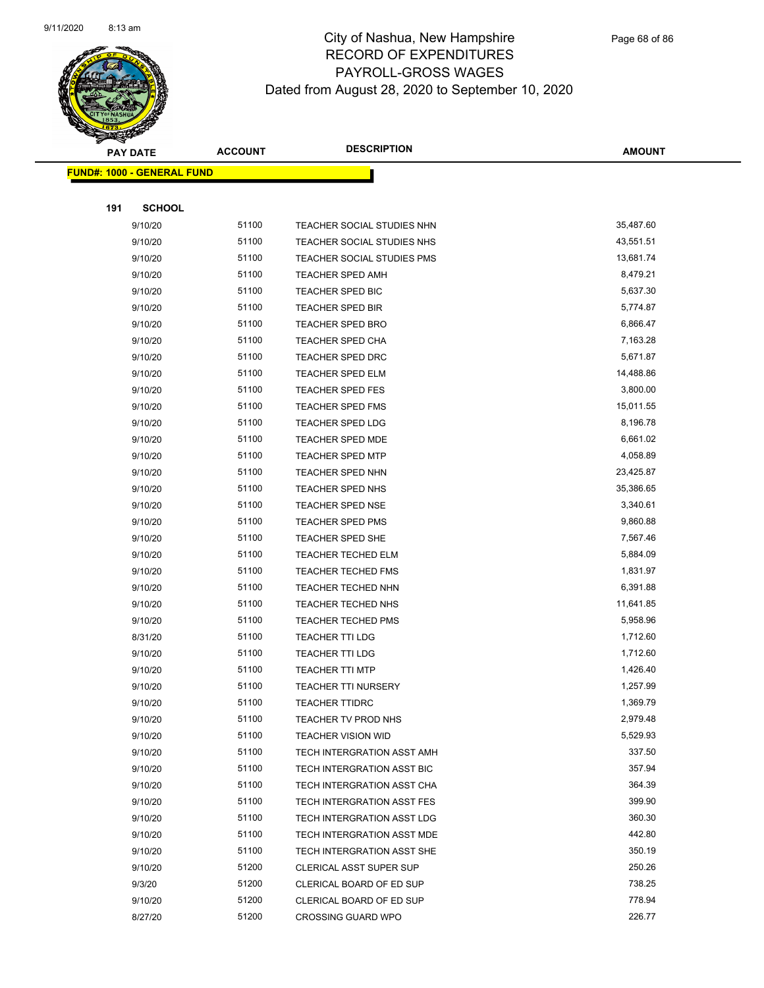

|     | <b>PAY DATE</b>                   | <b>ACCOUNT</b> | <b>DESCRIPTION</b>         | <b>AMOUNT</b> |
|-----|-----------------------------------|----------------|----------------------------|---------------|
|     | <b>FUND#: 1000 - GENERAL FUND</b> |                |                            |               |
|     |                                   |                |                            |               |
| 191 | <b>SCHOOL</b>                     |                |                            |               |
|     | 9/10/20                           | 51100          | TEACHER SOCIAL STUDIES NHN | 35,487.60     |
|     | 9/10/20                           | 51100          | TEACHER SOCIAL STUDIES NHS | 43,551.51     |
|     | 9/10/20                           | 51100          | TEACHER SOCIAL STUDIES PMS | 13,681.74     |
|     | 9/10/20                           | 51100          | TEACHER SPED AMH           | 8,479.21      |
|     | 9/10/20                           | 51100          | <b>TEACHER SPED BIC</b>    | 5,637.30      |
|     | 9/10/20                           | 51100          | <b>TEACHER SPED BIR</b>    | 5,774.87      |
|     | 9/10/20                           | 51100          | <b>TEACHER SPED BRO</b>    | 6,866.47      |
|     | 9/10/20                           | 51100          | <b>TEACHER SPED CHA</b>    | 7,163.28      |
|     | 9/10/20                           | 51100          | <b>TEACHER SPED DRC</b>    | 5,671.87      |
|     | 9/10/20                           | 51100          | <b>TEACHER SPED ELM</b>    | 14,488.86     |
|     | 9/10/20                           | 51100          | TEACHER SPED FES           | 3,800.00      |
|     | 9/10/20                           | 51100          | <b>TEACHER SPED FMS</b>    | 15,011.55     |
|     | 9/10/20                           | 51100          | <b>TEACHER SPED LDG</b>    | 8,196.78      |
|     | 9/10/20                           | 51100          | <b>TEACHER SPED MDE</b>    | 6,661.02      |
|     | 9/10/20                           | 51100          | <b>TEACHER SPED MTP</b>    | 4,058.89      |
|     | 9/10/20                           | 51100          | TEACHER SPED NHN           | 23,425.87     |
|     | 9/10/20                           | 51100          | <b>TEACHER SPED NHS</b>    | 35,386.65     |
|     | 9/10/20                           | 51100          | <b>TEACHER SPED NSE</b>    | 3,340.61      |
|     | 9/10/20                           | 51100          | TEACHER SPED PMS           | 9,860.88      |
|     | 9/10/20                           | 51100          | TEACHER SPED SHE           | 7,567.46      |
|     | 9/10/20                           | 51100          | <b>TEACHER TECHED ELM</b>  | 5,884.09      |
|     | 9/10/20                           | 51100          | <b>TEACHER TECHED FMS</b>  | 1,831.97      |
|     | 9/10/20                           | 51100          | TEACHER TECHED NHN         | 6,391.88      |
|     | 9/10/20                           | 51100          | <b>TEACHER TECHED NHS</b>  | 11,641.85     |
|     | 9/10/20                           | 51100          | TEACHER TECHED PMS         | 5,958.96      |
|     | 8/31/20                           | 51100          | TEACHER TTI LDG            | 1,712.60      |
|     | 9/10/20                           | 51100          | <b>TEACHER TTI LDG</b>     | 1,712.60      |
|     | 9/10/20                           | 51100          | <b>TEACHER TTI MTP</b>     | 1,426.40      |
|     | 9/10/20                           | 51100          | <b>TEACHER TTI NURSERY</b> | 1,257.99      |
|     | 9/10/20                           | 51100          | TEACHER TTIDRC             | 1,369.79      |
|     | 9/10/20                           | 51100          | TEACHER TV PROD NHS        | 2,979.48      |
|     | 9/10/20                           | 51100          | <b>TEACHER VISION WID</b>  | 5,529.93      |
|     | 9/10/20                           | 51100          | TECH INTERGRATION ASST AMH | 337.50        |
|     | 9/10/20                           | 51100          | TECH INTERGRATION ASST BIC | 357.94        |
|     | 9/10/20                           | 51100          | TECH INTERGRATION ASST CHA | 364.39        |
|     | 9/10/20                           | 51100          | TECH INTERGRATION ASST FES | 399.90        |
|     | 9/10/20                           | 51100          | TECH INTERGRATION ASST LDG | 360.30        |
|     | 9/10/20                           | 51100          | TECH INTERGRATION ASST MDE | 442.80        |
|     | 9/10/20                           | 51100          | TECH INTERGRATION ASST SHE | 350.19        |
|     | 9/10/20                           | 51200          | CLERICAL ASST SUPER SUP    | 250.26        |
|     | 9/3/20                            | 51200          | CLERICAL BOARD OF ED SUP   | 738.25        |
|     | 9/10/20                           | 51200          | CLERICAL BOARD OF ED SUP   | 778.94        |
|     | 8/27/20                           | 51200          | <b>CROSSING GUARD WPO</b>  | 226.77        |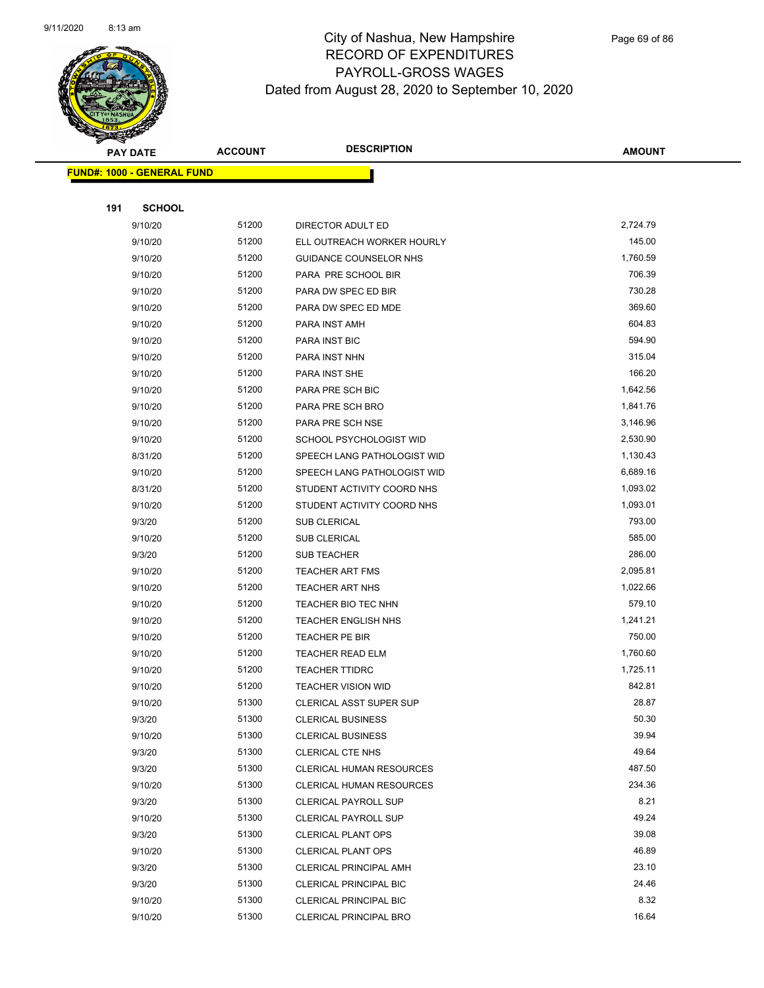

Page 69 of 86

|     | <b>PAY DATE</b>                   | <b>ACCOUNT</b> | <b>DESCRIPTION</b>            | <b>AMOUNT</b> |  |
|-----|-----------------------------------|----------------|-------------------------------|---------------|--|
|     | <b>FUND#: 1000 - GENERAL FUND</b> |                |                               |               |  |
|     |                                   |                |                               |               |  |
| 191 | <b>SCHOOL</b>                     |                |                               |               |  |
|     | 9/10/20                           | 51200          | DIRECTOR ADULT ED             | 2,724.79      |  |
|     | 9/10/20                           | 51200          | ELL OUTREACH WORKER HOURLY    | 145.00        |  |
|     | 9/10/20                           | 51200          | GUIDANCE COUNSELOR NHS        | 1,760.59      |  |
|     | 9/10/20                           | 51200          | PARA PRE SCHOOL BIR           | 706.39        |  |
|     | 9/10/20                           | 51200          | PARA DW SPEC ED BIR           | 730.28        |  |
|     | 9/10/20                           | 51200          | PARA DW SPEC ED MDE           | 369.60        |  |
|     | 9/10/20                           | 51200          | PARA INST AMH                 | 604.83        |  |
|     | 9/10/20                           | 51200          | PARA INST BIC                 | 594.90        |  |
|     | 9/10/20                           | 51200          | PARA INST NHN                 | 315.04        |  |
|     | 9/10/20                           | 51200          | PARA INST SHE                 | 166.20        |  |
|     | 9/10/20                           | 51200          | PARA PRE SCH BIC              | 1,642.56      |  |
|     | 9/10/20                           | 51200          | PARA PRE SCH BRO              | 1,841.76      |  |
|     | 9/10/20                           | 51200          | PARA PRE SCH NSE              | 3,146.96      |  |
|     | 9/10/20                           | 51200          | SCHOOL PSYCHOLOGIST WID       | 2,530.90      |  |
|     | 8/31/20                           | 51200          | SPEECH LANG PATHOLOGIST WID   | 1,130.43      |  |
|     | 9/10/20                           | 51200          | SPEECH LANG PATHOLOGIST WID   | 6,689.16      |  |
|     | 8/31/20                           | 51200          | STUDENT ACTIVITY COORD NHS    | 1,093.02      |  |
|     | 9/10/20                           | 51200          | STUDENT ACTIVITY COORD NHS    | 1,093.01      |  |
|     | 9/3/20                            | 51200          | <b>SUB CLERICAL</b>           | 793.00        |  |
|     | 9/10/20                           | 51200          | <b>SUB CLERICAL</b>           | 585.00        |  |
|     | 9/3/20                            | 51200          | SUB TEACHER                   | 286.00        |  |
|     | 9/10/20                           | 51200          | <b>TEACHER ART FMS</b>        | 2,095.81      |  |
|     | 9/10/20                           | 51200          | <b>TEACHER ART NHS</b>        | 1,022.66      |  |
|     | 9/10/20                           | 51200          | TEACHER BIO TEC NHN           | 579.10        |  |
|     | 9/10/20                           | 51200          | <b>TEACHER ENGLISH NHS</b>    | 1,241.21      |  |
|     | 9/10/20                           | 51200          | <b>TEACHER PE BIR</b>         | 750.00        |  |
|     | 9/10/20                           | 51200          | <b>TEACHER READ ELM</b>       | 1,760.60      |  |
|     | 9/10/20                           | 51200          | <b>TEACHER TTIDRC</b>         | 1,725.11      |  |
|     | 9/10/20                           | 51200          | <b>TEACHER VISION WID</b>     | 842.81        |  |
|     | 9/10/20                           | 51300          | CLERICAL ASST SUPER SUP       | 28.87         |  |
|     | 9/3/20                            | 51300          | <b>CLERICAL BUSINESS</b>      | 50.30         |  |
|     | 9/10/20                           | 51300          | <b>CLERICAL BUSINESS</b>      | 39.94         |  |
|     | 9/3/20                            | 51300          | <b>CLERICAL CTE NHS</b>       | 49.64         |  |
|     | 9/3/20                            | 51300          | CLERICAL HUMAN RESOURCES      | 487.50        |  |
|     | 9/10/20                           | 51300          | CLERICAL HUMAN RESOURCES      | 234.36        |  |
|     | 9/3/20                            | 51300          | <b>CLERICAL PAYROLL SUP</b>   | 8.21          |  |
|     | 9/10/20                           | 51300          | <b>CLERICAL PAYROLL SUP</b>   | 49.24         |  |
|     | 9/3/20                            | 51300          | <b>CLERICAL PLANT OPS</b>     | 39.08         |  |
|     | 9/10/20                           | 51300          | <b>CLERICAL PLANT OPS</b>     | 46.89         |  |
|     | 9/3/20                            | 51300          | CLERICAL PRINCIPAL AMH        | 23.10         |  |
|     | 9/3/20                            | 51300          | <b>CLERICAL PRINCIPAL BIC</b> | 24.46         |  |
|     | 9/10/20                           | 51300          | <b>CLERICAL PRINCIPAL BIC</b> | 8.32          |  |
|     | 9/10/20                           | 51300          | CLERICAL PRINCIPAL BRO        | 16.64         |  |
|     |                                   |                |                               |               |  |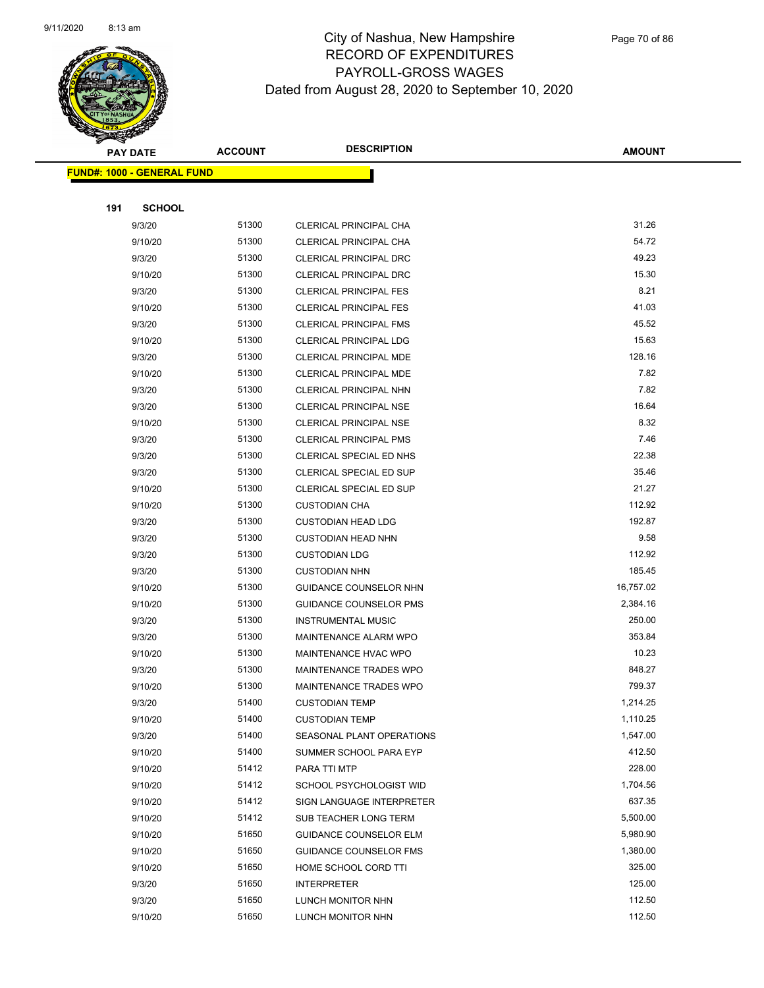

| <b>PAY DATE</b> |                                   | <b>ACCOUNT</b> | <b>DESCRIPTION</b>            | <b>AMOUNT</b> |
|-----------------|-----------------------------------|----------------|-------------------------------|---------------|
|                 | <b>FUND#: 1000 - GENERAL FUND</b> |                |                               |               |
|                 |                                   |                |                               |               |
| 191             | <b>SCHOOL</b>                     |                |                               |               |
|                 | 9/3/20                            | 51300          | CLERICAL PRINCIPAL CHA        | 31.26         |
|                 | 9/10/20                           | 51300          | <b>CLERICAL PRINCIPAL CHA</b> | 54.72         |
|                 | 9/3/20                            | 51300          | <b>CLERICAL PRINCIPAL DRC</b> | 49.23         |
|                 | 9/10/20                           | 51300          | <b>CLERICAL PRINCIPAL DRC</b> | 15.30         |
|                 | 9/3/20                            | 51300          | <b>CLERICAL PRINCIPAL FES</b> | 8.21          |
|                 | 9/10/20                           | 51300          | CLERICAL PRINCIPAL FES        | 41.03         |
|                 | 9/3/20                            | 51300          | <b>CLERICAL PRINCIPAL FMS</b> | 45.52         |
|                 | 9/10/20                           | 51300          | <b>CLERICAL PRINCIPAL LDG</b> | 15.63         |
|                 | 9/3/20                            | 51300          | CLERICAL PRINCIPAL MDE        | 128.16        |
|                 | 9/10/20                           | 51300          | CLERICAL PRINCIPAL MDE        | 7.82          |
|                 | 9/3/20                            | 51300          | CLERICAL PRINCIPAL NHN        | 7.82          |
|                 | 9/3/20                            | 51300          | <b>CLERICAL PRINCIPAL NSE</b> | 16.64         |
|                 | 9/10/20                           | 51300          | <b>CLERICAL PRINCIPAL NSE</b> | 8.32          |
|                 | 9/3/20                            | 51300          | <b>CLERICAL PRINCIPAL PMS</b> | 7.46          |
|                 | 9/3/20                            | 51300          | CLERICAL SPECIAL ED NHS       | 22.38         |
|                 | 9/3/20                            | 51300          | CLERICAL SPECIAL ED SUP       | 35.46         |
|                 | 9/10/20                           | 51300          | CLERICAL SPECIAL ED SUP       | 21.27         |
|                 | 9/10/20                           | 51300          | <b>CUSTODIAN CHA</b>          | 112.92        |
|                 | 9/3/20                            | 51300          | <b>CUSTODIAN HEAD LDG</b>     | 192.87        |
|                 | 9/3/20                            | 51300          | <b>CUSTODIAN HEAD NHN</b>     | 9.58          |
|                 | 9/3/20                            | 51300          | <b>CUSTODIAN LDG</b>          | 112.92        |
|                 | 9/3/20                            | 51300          | <b>CUSTODIAN NHN</b>          | 185.45        |
|                 | 9/10/20                           | 51300          | GUIDANCE COUNSELOR NHN        | 16,757.02     |
|                 | 9/10/20                           | 51300          | GUIDANCE COUNSELOR PMS        | 2,384.16      |
|                 | 9/3/20                            | 51300          | <b>INSTRUMENTAL MUSIC</b>     | 250.00        |
|                 | 9/3/20                            | 51300          | MAINTENANCE ALARM WPO         | 353.84        |
|                 | 9/10/20                           | 51300          | MAINTENANCE HVAC WPO          | 10.23         |
|                 | 9/3/20                            | 51300          | <b>MAINTENANCE TRADES WPO</b> | 848.27        |
|                 | 9/10/20                           | 51300          | MAINTENANCE TRADES WPO        | 799.37        |
|                 | 9/3/20                            | 51400          | <b>CUSTODIAN TEMP</b>         | 1,214.25      |
|                 | 9/10/20                           | 51400          | <b>CUSTODIAN TEMP</b>         | 1,110.25      |
|                 | 9/3/20                            | 51400          | SEASONAL PLANT OPERATIONS     | 1,547.00      |
|                 | 9/10/20                           | 51400          | SUMMER SCHOOL PARA EYP        | 412.50        |
|                 | 9/10/20                           | 51412          | PARA TTI MTP                  | 228.00        |
|                 | 9/10/20                           | 51412          | SCHOOL PSYCHOLOGIST WID       | 1,704.56      |
|                 | 9/10/20                           | 51412          | SIGN LANGUAGE INTERPRETER     | 637.35        |
|                 | 9/10/20                           | 51412          | SUB TEACHER LONG TERM         | 5,500.00      |
|                 | 9/10/20                           | 51650          | <b>GUIDANCE COUNSELOR ELM</b> | 5,980.90      |
|                 | 9/10/20                           | 51650          | <b>GUIDANCE COUNSELOR FMS</b> | 1,380.00      |
|                 | 9/10/20                           | 51650          | HOME SCHOOL CORD TTI          | 325.00        |
|                 | 9/3/20                            | 51650          | <b>INTERPRETER</b>            | 125.00        |
|                 | 9/3/20                            | 51650          | LUNCH MONITOR NHN             | 112.50        |
|                 | 9/10/20                           | 51650          | LUNCH MONITOR NHN             | 112.50        |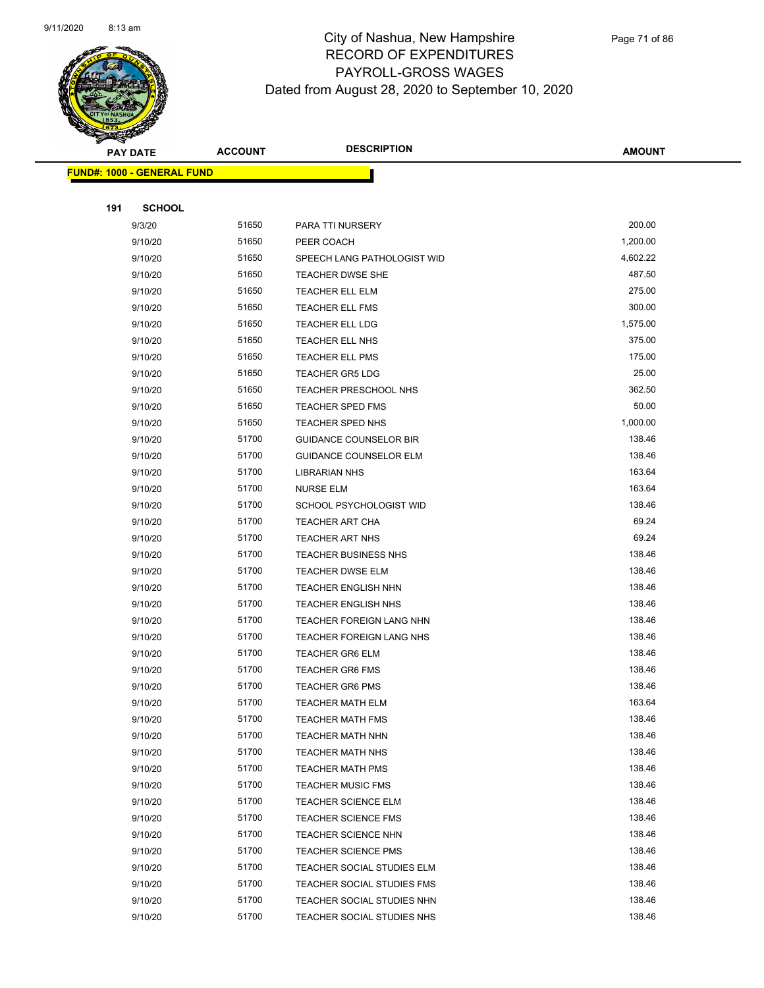

|     | <b>PAY DATE</b>                   | <b>ACCOUNT</b> | <b>DESCRIPTION</b>                               | <b>AMOUNT</b>    |
|-----|-----------------------------------|----------------|--------------------------------------------------|------------------|
|     | <b>FUND#: 1000 - GENERAL FUND</b> |                |                                                  |                  |
|     |                                   |                |                                                  |                  |
| 191 | <b>SCHOOL</b>                     |                |                                                  |                  |
|     | 9/3/20                            | 51650          | PARA TTI NURSERY                                 | 200.00           |
|     | 9/10/20                           | 51650          | PEER COACH                                       | 1,200.00         |
|     | 9/10/20                           | 51650          | SPEECH LANG PATHOLOGIST WID                      | 4,602.22         |
|     | 9/10/20                           | 51650          | TEACHER DWSE SHE                                 | 487.50           |
|     | 9/10/20                           | 51650          | <b>TEACHER ELL ELM</b>                           | 275.00           |
|     | 9/10/20                           | 51650          | <b>TEACHER ELL FMS</b>                           | 300.00           |
|     | 9/10/20                           | 51650          | <b>TEACHER ELL LDG</b>                           | 1,575.00         |
|     | 9/10/20                           | 51650          | TEACHER ELL NHS                                  | 375.00           |
|     | 9/10/20                           | 51650          | <b>TEACHER ELL PMS</b>                           | 175.00           |
|     | 9/10/20                           | 51650          | <b>TEACHER GR5 LDG</b>                           | 25.00            |
|     | 9/10/20                           | 51650          | TEACHER PRESCHOOL NHS                            | 362.50           |
|     | 9/10/20                           | 51650          | TEACHER SPED FMS                                 | 50.00            |
|     | 9/10/20                           | 51650          | TEACHER SPED NHS                                 | 1,000.00         |
|     | 9/10/20                           | 51700          | <b>GUIDANCE COUNSELOR BIR</b>                    | 138.46           |
|     | 9/10/20                           | 51700          | <b>GUIDANCE COUNSELOR ELM</b>                    | 138.46           |
|     | 9/10/20                           | 51700          | <b>LIBRARIAN NHS</b>                             | 163.64           |
|     | 9/10/20                           | 51700          | <b>NURSE ELM</b>                                 | 163.64           |
|     | 9/10/20                           | 51700          | SCHOOL PSYCHOLOGIST WID                          | 138.46           |
|     | 9/10/20                           | 51700          | TEACHER ART CHA                                  | 69.24            |
|     | 9/10/20                           | 51700          | <b>TEACHER ART NHS</b>                           | 69.24            |
|     | 9/10/20                           | 51700          | <b>TEACHER BUSINESS NHS</b>                      | 138.46           |
|     | 9/10/20                           | 51700          | <b>TEACHER DWSE ELM</b>                          | 138.46           |
|     | 9/10/20                           | 51700          | <b>TEACHER ENGLISH NHN</b>                       | 138.46           |
|     | 9/10/20                           | 51700          | <b>TEACHER ENGLISH NHS</b>                       | 138.46           |
|     | 9/10/20                           | 51700          | <b>TEACHER FOREIGN LANG NHN</b>                  | 138.46           |
|     | 9/10/20                           | 51700          | TEACHER FOREIGN LANG NHS                         | 138.46           |
|     | 9/10/20                           | 51700          | <b>TEACHER GR6 ELM</b>                           | 138.46           |
|     | 9/10/20<br>9/10/20                | 51700<br>51700 | <b>TEACHER GR6 FMS</b><br><b>TEACHER GR6 PMS</b> | 138.46<br>138.46 |
|     | 9/10/20                           | 51700          | <b>TEACHER MATH ELM</b>                          | 163.64           |
|     | 9/10/20                           | 51700          | <b>TEACHER MATH FMS</b>                          | 138.46           |
|     | 9/10/20                           | 51700          | <b>TEACHER MATH NHN</b>                          | 138.46           |
|     | 9/10/20                           | 51700          | <b>TEACHER MATH NHS</b>                          | 138.46           |
|     | 9/10/20                           | 51700          | <b>TEACHER MATH PMS</b>                          | 138.46           |
|     | 9/10/20                           | 51700          | <b>TEACHER MUSIC FMS</b>                         | 138.46           |
|     | 9/10/20                           | 51700          | TEACHER SCIENCE ELM                              | 138.46           |
|     | 9/10/20                           | 51700          | TEACHER SCIENCE FMS                              | 138.46           |
|     | 9/10/20                           | 51700          | TEACHER SCIENCE NHN                              | 138.46           |
|     | 9/10/20                           | 51700          | <b>TEACHER SCIENCE PMS</b>                       | 138.46           |
|     | 9/10/20                           | 51700          | TEACHER SOCIAL STUDIES ELM                       | 138.46           |
|     | 9/10/20                           | 51700          | TEACHER SOCIAL STUDIES FMS                       | 138.46           |
|     | 9/10/20                           | 51700          | TEACHER SOCIAL STUDIES NHN                       | 138.46           |
|     | 9/10/20                           | 51700          | TEACHER SOCIAL STUDIES NHS                       | 138.46           |
|     |                                   |                |                                                  |                  |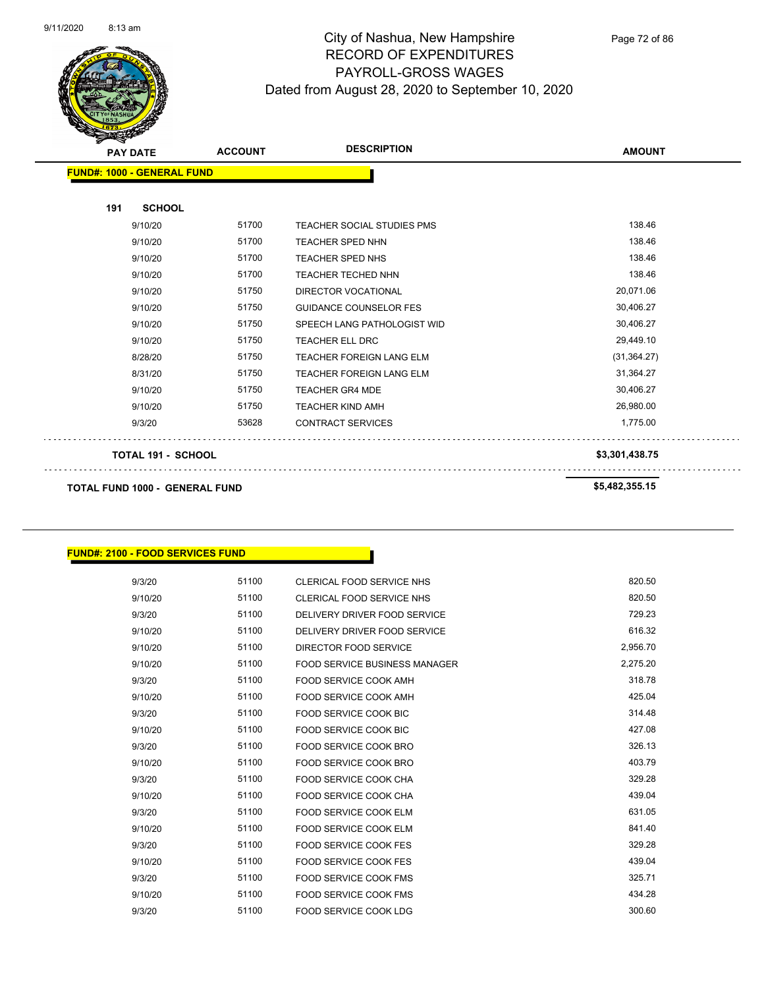

Page 72 of 86

| <b>PAY DATE</b>                       | <b>ACCOUNT</b> | <b>DESCRIPTION</b>              | <b>AMOUNT</b>  |
|---------------------------------------|----------------|---------------------------------|----------------|
| <b>FUND#: 1000 - GENERAL FUND</b>     |                |                                 |                |
| 191<br><b>SCHOOL</b>                  |                |                                 |                |
| 9/10/20                               | 51700          | TEACHER SOCIAL STUDIES PMS      | 138.46         |
| 9/10/20                               | 51700          | <b>TEACHER SPED NHN</b>         | 138.46         |
| 9/10/20                               | 51700          | <b>TEACHER SPED NHS</b>         | 138.46         |
| 9/10/20                               | 51700          | <b>TEACHER TECHED NHN</b>       | 138.46         |
| 9/10/20                               | 51750          | <b>DIRECTOR VOCATIONAL</b>      | 20,071.06      |
| 9/10/20                               | 51750          | <b>GUIDANCE COUNSELOR FES</b>   | 30,406.27      |
| 9/10/20                               | 51750          | SPEECH LANG PATHOLOGIST WID     | 30,406.27      |
| 9/10/20                               | 51750          | <b>TEACHER ELL DRC</b>          | 29,449.10      |
| 8/28/20                               | 51750          | <b>TEACHER FOREIGN LANG ELM</b> | (31, 364.27)   |
| 8/31/20                               | 51750          | <b>TEACHER FOREIGN LANG ELM</b> | 31,364.27      |
| 9/10/20                               | 51750          | <b>TEACHER GR4 MDE</b>          | 30,406.27      |
| 9/10/20                               | 51750          | <b>TEACHER KIND AMH</b>         | 26,980.00      |
| 9/3/20                                | 53628          | <b>CONTRACT SERVICES</b>        | 1,775.00       |
| <b>TOTAL 191 - SCHOOL</b>             |                |                                 | \$3,301,438.75 |
| <b>TOTAL FUND 1000 - GENERAL FUND</b> |                | \$5,482,355.15                  |                |

#### **FUND#: 2100 - FOOD SERVICES FUND**

| 9/3/20  | 51100 | <b>CLERICAL FOOD SERVICE NHS</b>     | 820.50   |
|---------|-------|--------------------------------------|----------|
| 9/10/20 | 51100 | CLERICAL FOOD SERVICE NHS            | 820.50   |
| 9/3/20  | 51100 | DELIVERY DRIVER FOOD SERVICE         | 729.23   |
| 9/10/20 | 51100 | DELIVERY DRIVER FOOD SERVICE         | 616.32   |
| 9/10/20 | 51100 | DIRECTOR FOOD SERVICE                | 2,956.70 |
| 9/10/20 | 51100 | <b>FOOD SERVICE BUSINESS MANAGER</b> | 2,275.20 |
| 9/3/20  | 51100 | FOOD SERVICE COOK AMH                | 318.78   |
| 9/10/20 | 51100 | <b>FOOD SERVICE COOK AMH</b>         | 425.04   |
| 9/3/20  | 51100 | <b>FOOD SERVICE COOK BIC</b>         | 314.48   |
| 9/10/20 | 51100 | <b>FOOD SERVICE COOK BIC</b>         | 427.08   |
| 9/3/20  | 51100 | FOOD SERVICE COOK BRO                | 326.13   |
| 9/10/20 | 51100 | FOOD SERVICE COOK BRO                | 403.79   |
| 9/3/20  | 51100 | <b>FOOD SERVICE COOK CHA</b>         | 329.28   |
| 9/10/20 | 51100 | FOOD SERVICE COOK CHA                | 439.04   |
| 9/3/20  | 51100 | FOOD SERVICE COOK ELM                | 631.05   |
| 9/10/20 | 51100 | <b>FOOD SERVICE COOK ELM</b>         | 841.40   |
| 9/3/20  | 51100 | <b>FOOD SERVICE COOK FES</b>         | 329.28   |
| 9/10/20 | 51100 | FOOD SERVICE COOK FES                | 439.04   |
| 9/3/20  | 51100 | <b>FOOD SERVICE COOK FMS</b>         | 325.71   |
| 9/10/20 | 51100 | <b>FOOD SERVICE COOK FMS</b>         | 434.28   |
| 9/3/20  | 51100 | FOOD SERVICE COOK LDG                | 300.60   |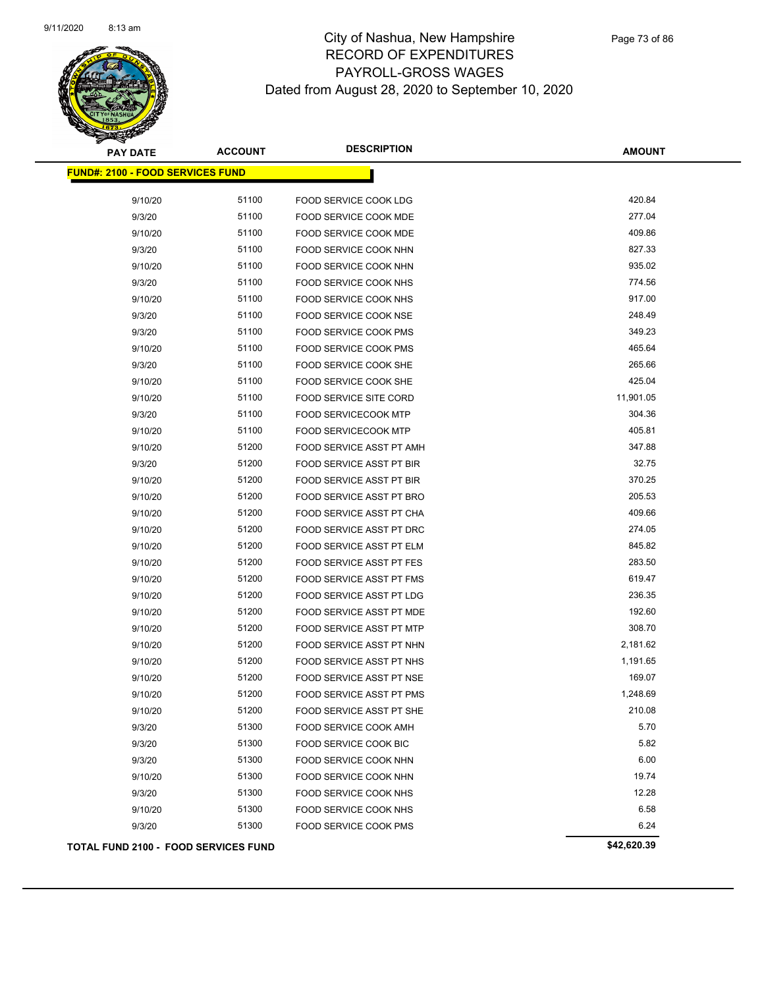

| <b>PAY DATE</b>                          | <b>ACCOUNT</b> | <b>DESCRIPTION</b>              | <b>AMOUNT</b> |
|------------------------------------------|----------------|---------------------------------|---------------|
| <u> FUND#: 2100 - FOOD SERVICES FUND</u> |                |                                 |               |
|                                          |                |                                 |               |
| 9/10/20                                  | 51100          | FOOD SERVICE COOK LDG           | 420.84        |
| 9/3/20                                   | 51100          | FOOD SERVICE COOK MDE           | 277.04        |
| 9/10/20                                  | 51100          | <b>FOOD SERVICE COOK MDE</b>    | 409.86        |
| 9/3/20                                   | 51100          | FOOD SERVICE COOK NHN           | 827.33        |
| 9/10/20                                  | 51100          | FOOD SERVICE COOK NHN           | 935.02        |
| 9/3/20                                   | 51100          | <b>FOOD SERVICE COOK NHS</b>    | 774.56        |
| 9/10/20                                  | 51100          | FOOD SERVICE COOK NHS           | 917.00        |
| 9/3/20                                   | 51100          | FOOD SERVICE COOK NSE           | 248.49        |
| 9/3/20                                   | 51100          | FOOD SERVICE COOK PMS           | 349.23        |
| 9/10/20                                  | 51100          | <b>FOOD SERVICE COOK PMS</b>    | 465.64        |
| 9/3/20                                   | 51100          | FOOD SERVICE COOK SHE           | 265.66        |
| 9/10/20                                  | 51100          | FOOD SERVICE COOK SHE           | 425.04        |
| 9/10/20                                  | 51100          | <b>FOOD SERVICE SITE CORD</b>   | 11,901.05     |
| 9/3/20                                   | 51100          | FOOD SERVICECOOK MTP            | 304.36        |
| 9/10/20                                  | 51100          | <b>FOOD SERVICECOOK MTP</b>     | 405.81        |
| 9/10/20                                  | 51200          | FOOD SERVICE ASST PT AMH        | 347.88        |
| 9/3/20                                   | 51200          | FOOD SERVICE ASST PT BIR        | 32.75         |
| 9/10/20                                  | 51200          | FOOD SERVICE ASST PT BIR        | 370.25        |
| 9/10/20                                  | 51200          | FOOD SERVICE ASST PT BRO        | 205.53        |
| 9/10/20                                  | 51200          | FOOD SERVICE ASST PT CHA        | 409.66        |
| 9/10/20                                  | 51200          | FOOD SERVICE ASST PT DRC        | 274.05        |
| 9/10/20                                  | 51200          | FOOD SERVICE ASST PT ELM        | 845.82        |
| 9/10/20                                  | 51200          | <b>FOOD SERVICE ASST PT FES</b> | 283.50        |
| 9/10/20                                  | 51200          | FOOD SERVICE ASST PT FMS        | 619.47        |
| 9/10/20                                  | 51200          | FOOD SERVICE ASST PT LDG        | 236.35        |
| 9/10/20                                  | 51200          | FOOD SERVICE ASST PT MDE        | 192.60        |
| 9/10/20                                  | 51200          | <b>FOOD SERVICE ASST PT MTP</b> | 308.70        |
| 9/10/20                                  | 51200          | <b>FOOD SERVICE ASST PT NHN</b> | 2,181.62      |
| 9/10/20                                  | 51200          | FOOD SERVICE ASST PT NHS        | 1,191.65      |
| 9/10/20                                  | 51200          | FOOD SERVICE ASST PT NSE        | 169.07        |
| 9/10/20                                  | 51200          | FOOD SERVICE ASST PT PMS        | 1,248.69      |
| 9/10/20                                  | 51200          | FOOD SERVICE ASST PT SHE        | 210.08        |
| 9/3/20                                   | 51300          | FOOD SERVICE COOK AMH           | 5.70          |
| 9/3/20                                   | 51300          | FOOD SERVICE COOK BIC           | 5.82          |
| 9/3/20                                   | 51300          | FOOD SERVICE COOK NHN           | 6.00          |
| 9/10/20                                  | 51300          | FOOD SERVICE COOK NHN           | 19.74         |
| 9/3/20                                   | 51300          | FOOD SERVICE COOK NHS           | 12.28         |
| 9/10/20                                  | 51300          | FOOD SERVICE COOK NHS           | 6.58          |
| 9/3/20                                   | 51300          | <b>FOOD SERVICE COOK PMS</b>    | 6.24          |
|                                          |                |                                 |               |

**TOTAL FUND 2100 - FOOD SERVICES FUND \$42,620.39** 

Page 73 of 86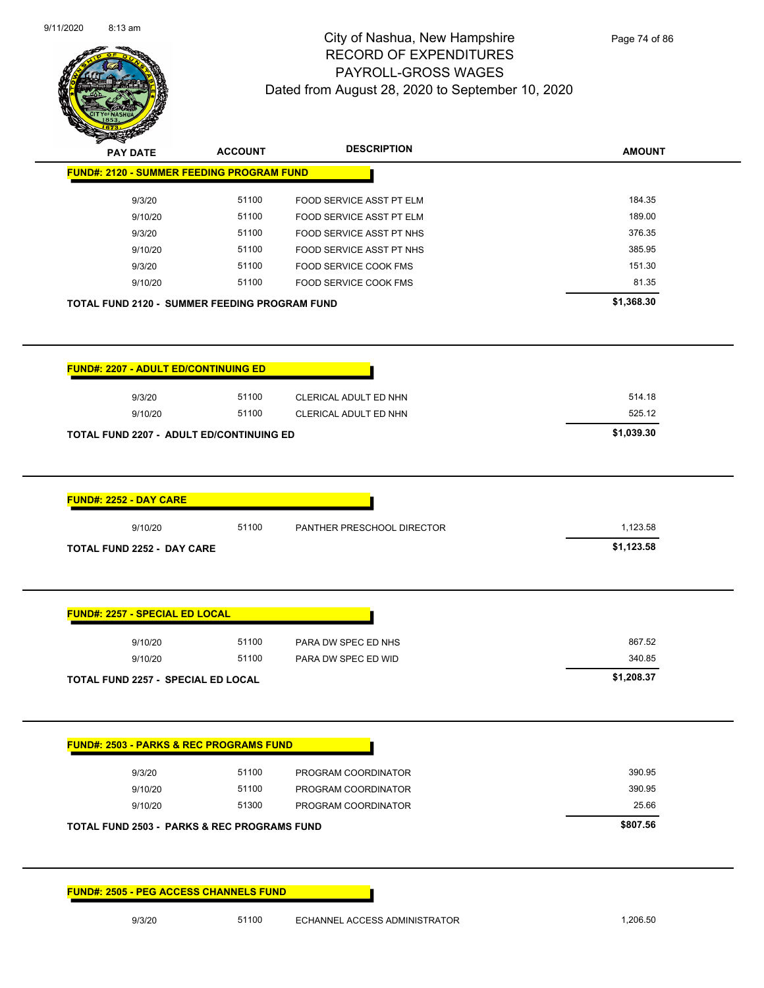

Page 74 of 86

|                                                      | <b>ACCOUNT</b> | <b>DESCRIPTION</b>         | <b>AMOUNT</b> |
|------------------------------------------------------|----------------|----------------------------|---------------|
| <b>FUND#: 2120 - SUMMER FEEDING PROGRAM FUND</b>     |                |                            |               |
| 9/3/20                                               | 51100          | FOOD SERVICE ASST PT ELM   | 184.35        |
| 9/10/20                                              | 51100          | FOOD SERVICE ASST PT ELM   | 189.00        |
| 9/3/20                                               | 51100          | FOOD SERVICE ASST PT NHS   | 376.35        |
| 9/10/20                                              | 51100          | FOOD SERVICE ASST PT NHS   | 385.95        |
| 9/3/20                                               | 51100          | FOOD SERVICE COOK FMS      | 151.30        |
| 9/10/20                                              | 51100          | FOOD SERVICE COOK FMS      | 81.35         |
| <b>TOTAL FUND 2120 - SUMMER FEEDING PROGRAM FUND</b> |                |                            | \$1,368.30    |
| <b>FUND#: 2207 - ADULT ED/CONTINUING ED</b>          |                |                            |               |
| 9/3/20                                               | 51100          | CLERICAL ADULT ED NHN      | 514.18        |
| 9/10/20                                              | 51100          | CLERICAL ADULT ED NHN      | 525.12        |
| <b>TOTAL FUND 2207 - ADULT ED/CONTINUING ED</b>      |                |                            | \$1,039.30    |
|                                                      |                |                            |               |
| <b>FUND#: 2252 - DAY CARE</b>                        |                |                            |               |
|                                                      |                | PANTHER PRESCHOOL DIRECTOR |               |
| 9/10/20                                              | 51100          |                            | 1,123.58      |
| <b>TOTAL FUND 2252 - DAY CARE</b>                    |                |                            | \$1,123.58    |
|                                                      |                |                            |               |
| FUND#: 2257 - SPECIAL ED LOCAL<br>9/10/20            | 51100          | PARA DW SPEC ED NHS        | 867.52        |
| 9/10/20                                              | 51100          | PARA DW SPEC ED WID        | 340.85        |
| TOTAL FUND 2257 - SPECIAL ED LOCAL                   |                |                            | \$1,208.37    |
|                                                      |                |                            |               |
| <b>FUND#: 2503 - PARKS &amp; REC PROGRAMS FUND</b>   |                |                            |               |
| 9/3/20                                               | 51100          | PROGRAM COORDINATOR        | 390.95        |
| 9/10/20                                              | 51100          | PROGRAM COORDINATOR        | 390.95        |
| 9/10/20                                              | 51300          | PROGRAM COORDINATOR        | 25.66         |

**FUND#: 2505 - PEG ACCESS CHANNELS FUND**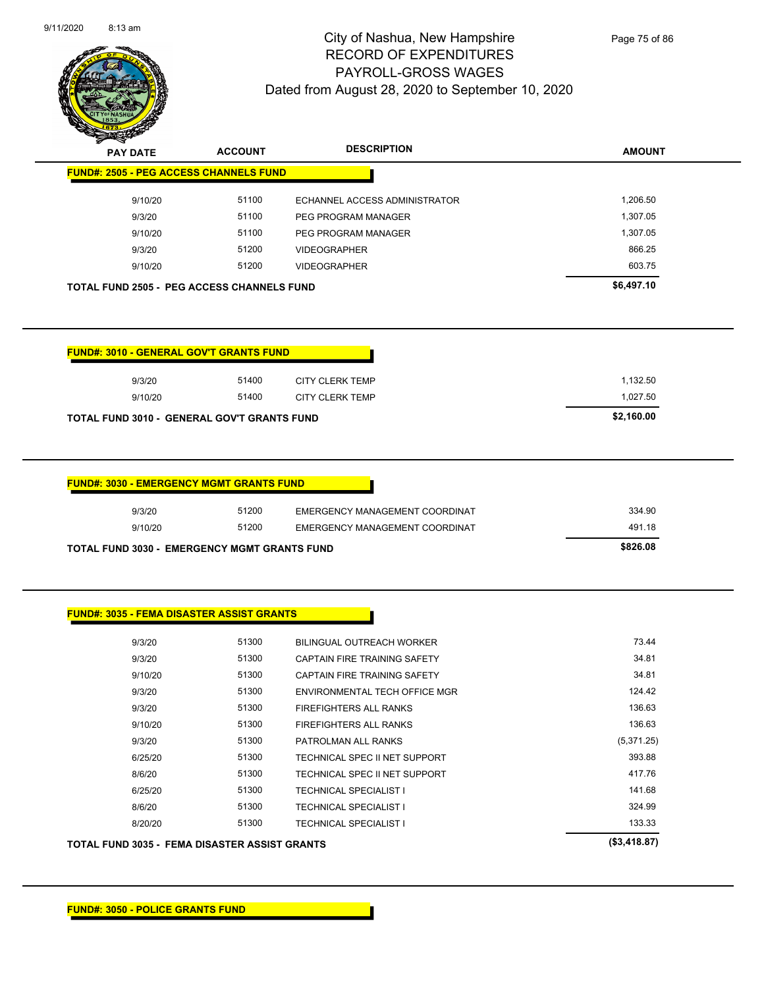

Page 75 of 86

| <b>PAY DATE</b>                                                                              | <b>ACCOUNT</b> | <b>DESCRIPTION</b>            | <b>AMOUNT</b> |
|----------------------------------------------------------------------------------------------|----------------|-------------------------------|---------------|
| <b>FUND#: 2505 - PEG ACCESS CHANNELS FUND</b>                                                |                |                               |               |
| 9/10/20                                                                                      | 51100          | ECHANNEL ACCESS ADMINISTRATOR | 1,206.50      |
| 9/3/20                                                                                       | 51100          | PEG PROGRAM MANAGER           | 1,307.05      |
| 9/10/20                                                                                      | 51100          | PEG PROGRAM MANAGER           | 1,307.05      |
| 9/3/20                                                                                       | 51200          | <b>VIDEOGRAPHER</b>           | 866.25        |
|                                                                                              |                | <b>VIDEOGRAPHER</b>           | 603.75        |
| 9/10/20                                                                                      | 51200          |                               |               |
|                                                                                              |                |                               | \$6,497.10    |
| TOTAL FUND 2505 - PEG ACCESS CHANNELS FUND<br><b>FUND#: 3010 - GENERAL GOV'T GRANTS FUND</b> |                |                               |               |
| 9/3/20                                                                                       | 51400          | <b>CITY CLERK TEMP</b>        | 1,132.50      |
| 9/10/20                                                                                      | 51400          | <b>CITY CLERK TEMP</b>        | 1,027.50      |

| 9/3/20  | 51200 | EMERGENCY MANAGEMENT COORDINAT | 334.90 |
|---------|-------|--------------------------------|--------|
| 9/10/20 | 51200 | EMERGENCY MANAGEMENT COORDINAT | 491.18 |

| 8/20/20 | 51300 | <b>TECHNICAL SPECIALIST I</b>    | 133.33     |
|---------|-------|----------------------------------|------------|
| 8/6/20  | 51300 | <b>TECHNICAL SPECIALIST I</b>    | 324.99     |
| 6/25/20 | 51300 | <b>TECHNICAL SPECIALIST I</b>    | 141.68     |
| 8/6/20  | 51300 | TECHNICAL SPEC II NET SUPPORT    | 417.76     |
| 6/25/20 | 51300 | TECHNICAL SPEC II NET SUPPORT    | 393.88     |
| 9/3/20  | 51300 | PATROLMAN ALL RANKS              | (5,371.25) |
| 9/10/20 | 51300 | <b>FIREFIGHTERS ALL RANKS</b>    | 136.63     |
| 9/3/20  | 51300 | <b>FIREFIGHTERS ALL RANKS</b>    | 136.63     |
| 9/3/20  | 51300 | ENVIRONMENTAL TECH OFFICE MGR    | 124.42     |
| 9/10/20 | 51300 | CAPTAIN FIRE TRAINING SAFETY     | 34.81      |
| 9/3/20  | 51300 | CAPTAIN FIRE TRAINING SAFETY     | 34.81      |
| 9/3/20  | 51300 | <b>BILINGUAL OUTREACH WORKER</b> | 73.44      |

**FUND#: 3035 - FEMA DISASTER ASSIST GRANTS**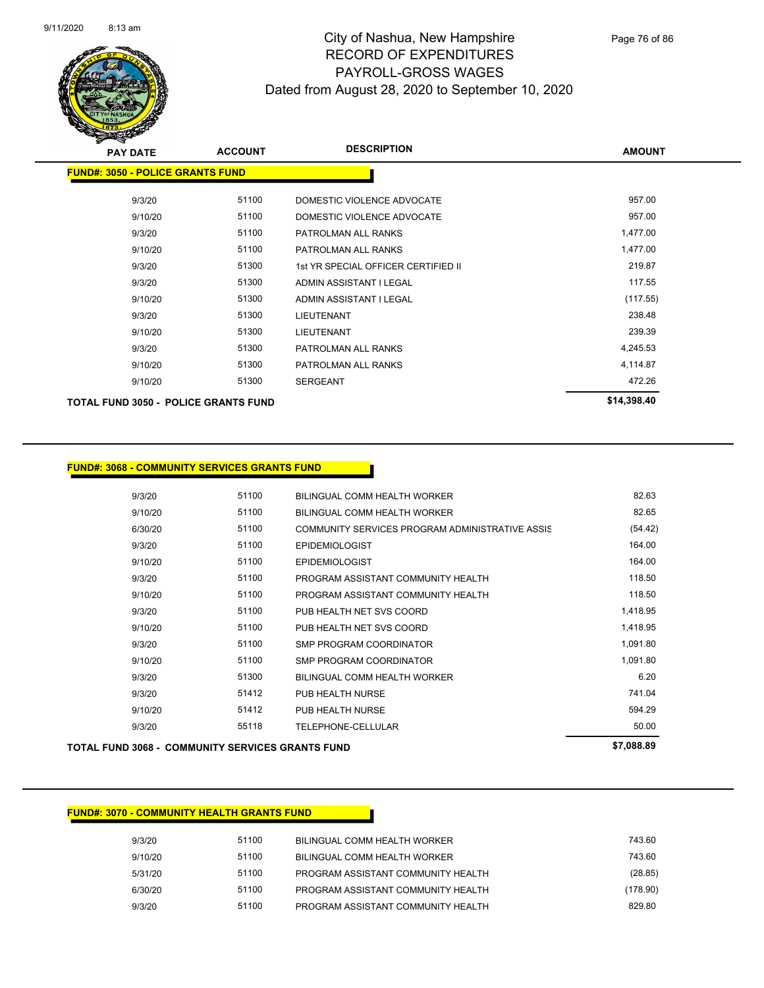

| <b>PAY DATE</b>                             | <b>ACCOUNT</b> | <b>DESCRIPTION</b>                  | <b>AMOUNT</b> |
|---------------------------------------------|----------------|-------------------------------------|---------------|
| <b>FUND#: 3050 - POLICE GRANTS FUND</b>     |                |                                     |               |
| 9/3/20                                      | 51100          | DOMESTIC VIOLENCE ADVOCATE          | 957.00        |
| 9/10/20                                     | 51100          | DOMESTIC VIOLENCE ADVOCATE          | 957.00        |
| 9/3/20                                      | 51100          | PATROLMAN ALL RANKS                 | 1,477.00      |
| 9/10/20                                     | 51100          | PATROLMAN ALL RANKS                 | 1,477.00      |
| 9/3/20                                      | 51300          | 1st YR SPECIAL OFFICER CERTIFIED II | 219.87        |
| 9/3/20                                      | 51300          | ADMIN ASSISTANT I LEGAL             | 117.55        |
| 9/10/20                                     | 51300          | ADMIN ASSISTANT I LEGAL             | (117.55)      |
| 9/3/20                                      | 51300          | <b>LIEUTENANT</b>                   | 238.48        |
| 9/10/20                                     | 51300          | <b>LIEUTENANT</b>                   | 239.39        |
| 9/3/20                                      | 51300          | PATROLMAN ALL RANKS                 | 4,245.53      |
| 9/10/20                                     | 51300          | PATROLMAN ALL RANKS                 | 4,114.87      |
| 9/10/20                                     | 51300          | <b>SERGEANT</b>                     | 472.26        |
| <b>TOTAL FUND 3050 - POLICE GRANTS FUND</b> |                |                                     | \$14,398.40   |

#### **FUND#: 3068 - COMMUNITY SERVICES GRANTS FUND**

| 9/3/20  | 51100 | BILINGUAL COMM HEALTH WORKER                    | 82.63    |
|---------|-------|-------------------------------------------------|----------|
| 9/10/20 | 51100 | BILINGUAL COMM HEALTH WORKER                    | 82.65    |
| 6/30/20 | 51100 | COMMUNITY SERVICES PROGRAM ADMINISTRATIVE ASSIS | (54.42)  |
| 9/3/20  | 51100 | <b>EPIDEMIOLOGIST</b>                           | 164.00   |
| 9/10/20 | 51100 | <b>EPIDEMIOLOGIST</b>                           | 164.00   |
| 9/3/20  | 51100 | PROGRAM ASSISTANT COMMUNITY HEALTH              | 118.50   |
| 9/10/20 | 51100 | PROGRAM ASSISTANT COMMUNITY HEALTH              | 118.50   |
| 9/3/20  | 51100 | PUB HEALTH NET SVS COORD                        | 1,418.95 |
| 9/10/20 | 51100 | PUB HEALTH NET SVS COORD                        | 1,418.95 |
| 9/3/20  | 51100 | SMP PROGRAM COORDINATOR                         | 1,091.80 |
| 9/10/20 | 51100 | SMP PROGRAM COORDINATOR                         | 1.091.80 |
| 9/3/20  | 51300 | BILINGUAL COMM HEALTH WORKER                    | 6.20     |
| 9/3/20  | 51412 | PUB HEALTH NURSE                                | 741.04   |
| 9/10/20 | 51412 | PUB HEALTH NURSE                                | 594.29   |
| 9/3/20  | 55118 | TELEPHONE-CELLULAR                              | 50.00    |
|         |       |                                                 |          |

**TOTAL FUND 3068 - COMMUNITY SERVICES GRANTS FUND \$7,088.89** 

#### **FUND#: 3070 - COMMUNITY HEALTH GRANTS FUND**

| 9/3/20  | 51100 | BILINGUAL COMM HEALTH WORKER       | 743.60   |
|---------|-------|------------------------------------|----------|
| 9/10/20 | 51100 | BILINGUAL COMM HEALTH WORKER       | 743.60   |
| 5/31/20 | 51100 | PROGRAM ASSISTANT COMMUNITY HEALTH | (28.85)  |
| 6/30/20 | 51100 | PROGRAM ASSISTANT COMMUNITY HEALTH | (178.90) |
| 9/3/20  | 51100 | PROGRAM ASSISTANT COMMUNITY HEALTH | 829.80   |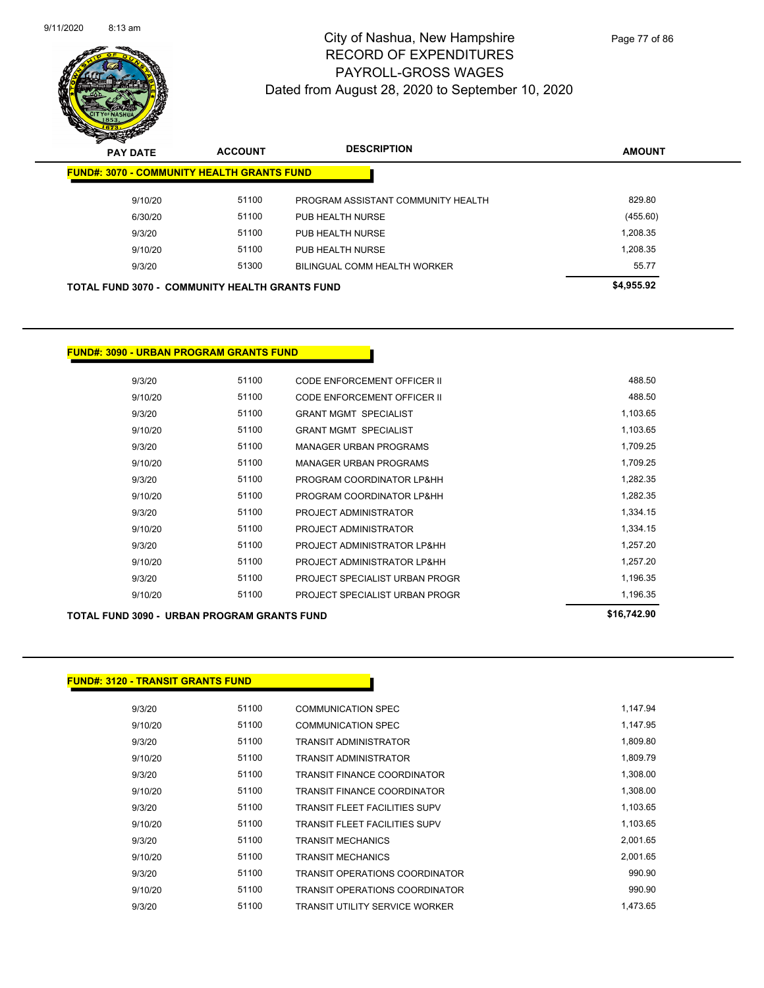

Page 77 of 86

| $\boldsymbol{\nu}$<br>$\sim$<br><b>PAY DATE</b>       | <b>ACCOUNT</b> | <b>DESCRIPTION</b>                 | <b>AMOUNT</b> |
|-------------------------------------------------------|----------------|------------------------------------|---------------|
| <b>FUND#: 3070 - COMMUNITY HEALTH GRANTS FUND</b>     |                |                                    |               |
| 9/10/20                                               | 51100          | PROGRAM ASSISTANT COMMUNITY HEALTH | 829.80        |
| 6/30/20                                               | 51100          | PUB HEALTH NURSE                   | (455.60)      |
| 9/3/20                                                | 51100          | PUB HEALTH NURSE                   | 1,208.35      |
| 9/10/20                                               | 51100          | PUB HEALTH NURSE                   | 1,208.35      |
| 9/3/20                                                | 51300          | BILINGUAL COMM HEALTH WORKER       | 55.77         |
| <b>TOTAL FUND 3070 - COMMUNITY HEALTH GRANTS FUND</b> |                |                                    | \$4,955.92    |

#### **FUND#: 3090 - URBAN PROGRAM GRANTS FUND**

| 9/3/20  | 51100 | CODE ENFORCEMENT OFFICER II    | 488.50   |
|---------|-------|--------------------------------|----------|
| 9/10/20 | 51100 | CODE ENFORCEMENT OFFICER II    | 488.50   |
| 9/3/20  | 51100 | <b>GRANT MGMT SPECIALIST</b>   | 1,103.65 |
| 9/10/20 | 51100 | <b>GRANT MGMT SPECIALIST</b>   | 1,103.65 |
| 9/3/20  | 51100 | <b>MANAGER URBAN PROGRAMS</b>  | 1,709.25 |
| 9/10/20 | 51100 | <b>MANAGER URBAN PROGRAMS</b>  | 1,709.25 |
| 9/3/20  | 51100 | PROGRAM COORDINATOR LP&HH      | 1,282.35 |
| 9/10/20 | 51100 | PROGRAM COORDINATOR LP&HH      | 1,282.35 |
| 9/3/20  | 51100 | PROJECT ADMINISTRATOR          | 1,334.15 |
| 9/10/20 | 51100 | PROJECT ADMINISTRATOR          | 1,334.15 |
| 9/3/20  | 51100 | PROJECT ADMINISTRATOR LP&HH    | 1.257.20 |
| 9/10/20 | 51100 | PROJECT ADMINISTRATOR LP&HH    | 1.257.20 |
| 9/3/20  | 51100 | PROJECT SPECIALIST URBAN PROGR | 1,196.35 |
| 9/10/20 | 51100 | PROJECT SPECIALIST URBAN PROGR | 1,196.35 |
|         |       |                                |          |

#### **TOTAL FUND 3090 - URBAN PROGRAM GRANTS FUND \$16,742.90**

#### **FUND#: 3120 - TRANSIT GRANTS FUND**

| 9/3/20  | 51100 | <b>COMMUNICATION SPEC</b>             | 1,147.94 |
|---------|-------|---------------------------------------|----------|
| 9/10/20 | 51100 | <b>COMMUNICATION SPEC</b>             | 1.147.95 |
| 9/3/20  | 51100 | <b>TRANSIT ADMINISTRATOR</b>          | 1.809.80 |
| 9/10/20 | 51100 | TRANSIT ADMINISTRATOR                 | 1,809.79 |
| 9/3/20  | 51100 | <b>TRANSIT FINANCE COORDINATOR</b>    | 1,308.00 |
| 9/10/20 | 51100 | TRANSIT FINANCE COORDINATOR           | 1,308.00 |
| 9/3/20  | 51100 | <b>TRANSIT FLEET FACILITIES SUPV</b>  | 1,103.65 |
| 9/10/20 | 51100 | <b>TRANSIT FLEET FACILITIES SUPV</b>  | 1,103.65 |
| 9/3/20  | 51100 | <b>TRANSIT MECHANICS</b>              | 2.001.65 |
| 9/10/20 | 51100 | <b>TRANSIT MECHANICS</b>              | 2,001.65 |
| 9/3/20  | 51100 | <b>TRANSIT OPERATIONS COORDINATOR</b> | 990.90   |
| 9/10/20 | 51100 | <b>TRANSIT OPERATIONS COORDINATOR</b> | 990.90   |
| 9/3/20  | 51100 | TRANSIT UTILITY SERVICE WORKER        | 1.473.65 |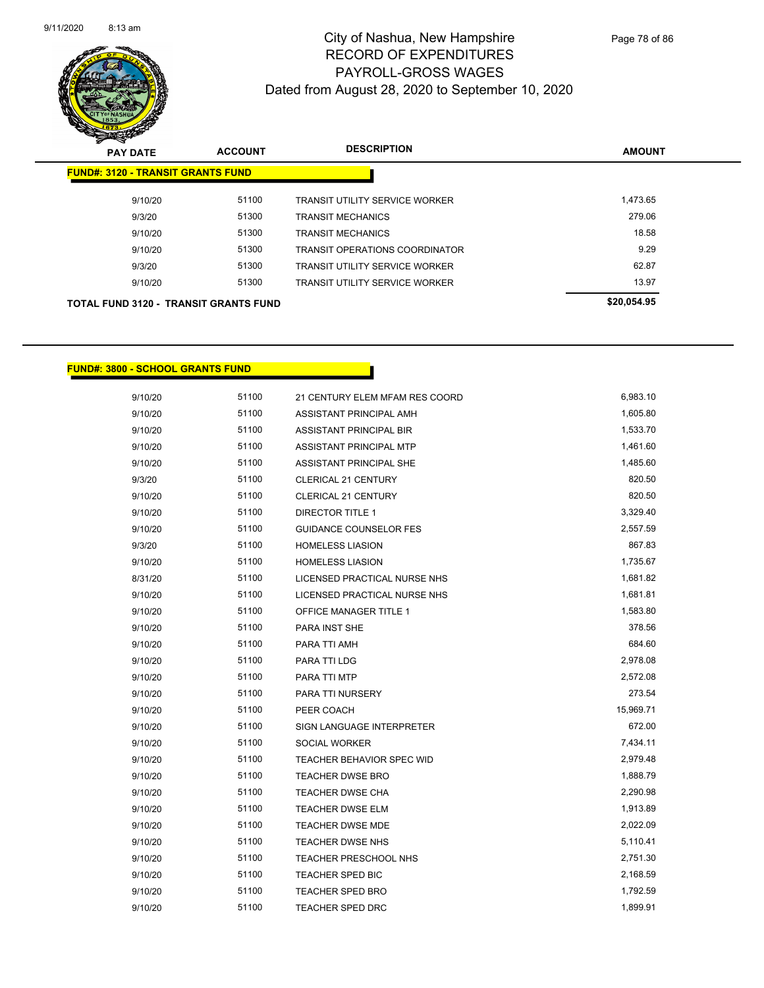

| <b>PAY DATE</b>                          | <b>ACCOUNT</b>                               | <b>DESCRIPTION</b>                    | <b>AMOUNT</b> |
|------------------------------------------|----------------------------------------------|---------------------------------------|---------------|
| <b>FUND#: 3120 - TRANSIT GRANTS FUND</b> |                                              |                                       |               |
| 9/10/20                                  | 51100                                        | <b>TRANSIT UTILITY SERVICE WORKER</b> | 1.473.65      |
| 9/3/20                                   | 51300                                        | <b>TRANSIT MECHANICS</b>              | 279.06        |
| 9/10/20                                  | 51300                                        | <b>TRANSIT MECHANICS</b>              | 18.58         |
| 9/10/20                                  | 51300                                        | <b>TRANSIT OPERATIONS COORDINATOR</b> | 9.29          |
| 9/3/20                                   | 51300                                        | <b>TRANSIT UTILITY SERVICE WORKER</b> | 62.87         |
| 9/10/20                                  | 51300                                        | <b>TRANSIT UTILITY SERVICE WORKER</b> | 13.97         |
|                                          | <b>TOTAL FUND 3120 - TRANSIT GRANTS FUND</b> |                                       | \$20,054.95   |

#### **FUND#: 3800 - SCHOOL GRANTS FUND**

| 9/10/20 | 51100 | 21 CENTURY ELEM MFAM RES COORD   | 6,983.10  |
|---------|-------|----------------------------------|-----------|
| 9/10/20 | 51100 | ASSISTANT PRINCIPAL AMH          | 1,605.80  |
| 9/10/20 | 51100 | ASSISTANT PRINCIPAL BIR          | 1,533.70  |
| 9/10/20 | 51100 | ASSISTANT PRINCIPAL MTP          | 1,461.60  |
| 9/10/20 | 51100 | ASSISTANT PRINCIPAL SHE          | 1,485.60  |
| 9/3/20  | 51100 | <b>CLERICAL 21 CENTURY</b>       | 820.50    |
| 9/10/20 | 51100 | CLERICAL 21 CENTURY              | 820.50    |
| 9/10/20 | 51100 | <b>DIRECTOR TITLE 1</b>          | 3,329.40  |
| 9/10/20 | 51100 | <b>GUIDANCE COUNSELOR FES</b>    | 2,557.59  |
| 9/3/20  | 51100 | <b>HOMELESS LIASION</b>          | 867.83    |
| 9/10/20 | 51100 | <b>HOMELESS LIASION</b>          | 1,735.67  |
| 8/31/20 | 51100 | LICENSED PRACTICAL NURSE NHS     | 1,681.82  |
| 9/10/20 | 51100 | LICENSED PRACTICAL NURSE NHS     | 1,681.81  |
| 9/10/20 | 51100 | OFFICE MANAGER TITLE 1           | 1,583.80  |
| 9/10/20 | 51100 | PARA INST SHE                    | 378.56    |
| 9/10/20 | 51100 | PARA TTI AMH                     | 684.60    |
| 9/10/20 | 51100 | PARA TTI LDG                     | 2,978.08  |
| 9/10/20 | 51100 | PARA TTI MTP                     | 2,572.08  |
| 9/10/20 | 51100 | PARA TTI NURSERY                 | 273.54    |
| 9/10/20 | 51100 | PEER COACH                       | 15,969.71 |
| 9/10/20 | 51100 | SIGN LANGUAGE INTERPRETER        | 672.00    |
| 9/10/20 | 51100 | SOCIAL WORKER                    | 7,434.11  |
| 9/10/20 | 51100 | <b>TEACHER BEHAVIOR SPEC WID</b> | 2,979.48  |
| 9/10/20 | 51100 | <b>TEACHER DWSE BRO</b>          | 1,888.79  |
| 9/10/20 | 51100 | <b>TEACHER DWSE CHA</b>          | 2,290.98  |
| 9/10/20 | 51100 | <b>TEACHER DWSE ELM</b>          | 1,913.89  |
| 9/10/20 | 51100 | TEACHER DWSE MDE                 | 2,022.09  |
| 9/10/20 | 51100 | <b>TEACHER DWSE NHS</b>          | 5,110.41  |
| 9/10/20 | 51100 | <b>TEACHER PRESCHOOL NHS</b>     | 2,751.30  |
| 9/10/20 | 51100 | <b>TEACHER SPED BIC</b>          | 2,168.59  |
| 9/10/20 | 51100 | <b>TEACHER SPED BRO</b>          | 1,792.59  |
| 9/10/20 | 51100 | <b>TEACHER SPED DRC</b>          | 1,899.91  |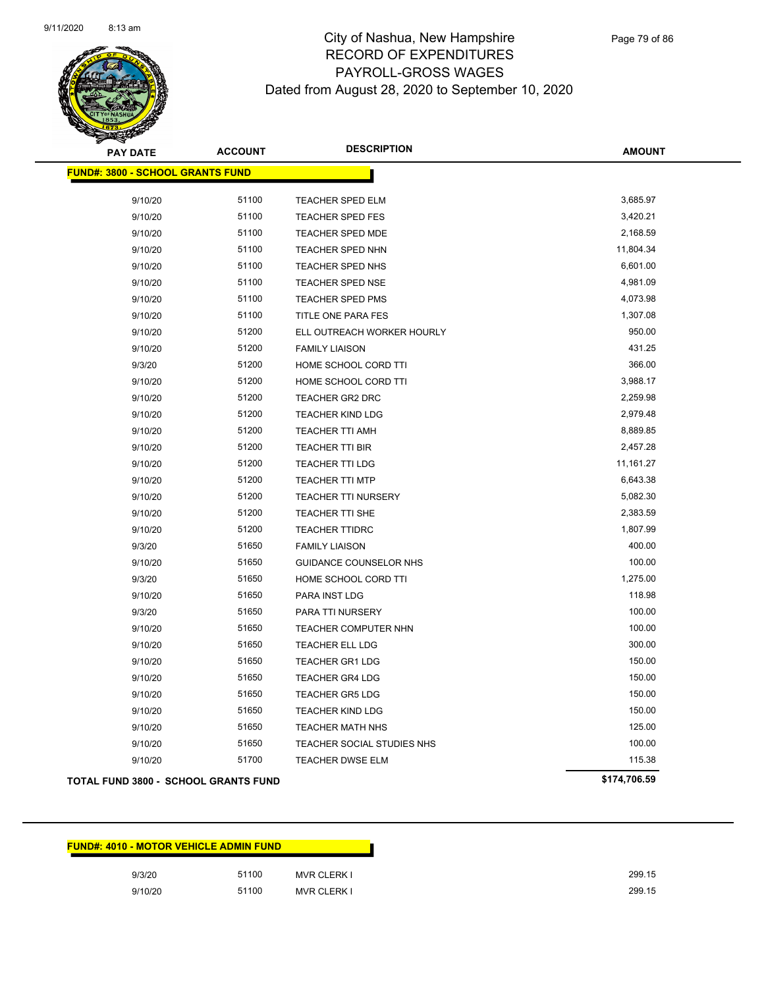

| <b>PAY DATE</b>                         | <b>ACCOUNT</b> | <b>DESCRIPTION</b>            | <b>AMOUNT</b> |
|-----------------------------------------|----------------|-------------------------------|---------------|
| <b>FUND#: 3800 - SCHOOL GRANTS FUND</b> |                |                               |               |
| 9/10/20                                 | 51100          | <b>TEACHER SPED ELM</b>       | 3,685.97      |
| 9/10/20                                 | 51100          | <b>TEACHER SPED FES</b>       | 3,420.21      |
| 9/10/20                                 | 51100          | <b>TEACHER SPED MDE</b>       | 2,168.59      |
| 9/10/20                                 | 51100          | <b>TEACHER SPED NHN</b>       | 11,804.34     |
| 9/10/20                                 | 51100          | TEACHER SPED NHS              | 6,601.00      |
| 9/10/20                                 | 51100          | <b>TEACHER SPED NSE</b>       | 4,981.09      |
| 9/10/20                                 | 51100          | <b>TEACHER SPED PMS</b>       | 4,073.98      |
| 9/10/20                                 | 51100          | TITLE ONE PARA FES            | 1,307.08      |
| 9/10/20                                 | 51200          | ELL OUTREACH WORKER HOURLY    | 950.00        |
| 9/10/20                                 | 51200          | <b>FAMILY LIAISON</b>         | 431.25        |
| 9/3/20                                  | 51200          | HOME SCHOOL CORD TTI          | 366.00        |
| 9/10/20                                 | 51200          | HOME SCHOOL CORD TTI          | 3,988.17      |
| 9/10/20                                 | 51200          | <b>TEACHER GR2 DRC</b>        | 2,259.98      |
| 9/10/20                                 | 51200          | <b>TEACHER KIND LDG</b>       | 2,979.48      |
| 9/10/20                                 | 51200          | <b>TEACHER TTI AMH</b>        | 8,889.85      |
| 9/10/20                                 | 51200          | TEACHER TTI BIR               | 2,457.28      |
| 9/10/20                                 | 51200          | <b>TEACHER TTI LDG</b>        | 11,161.27     |
| 9/10/20                                 | 51200          | <b>TEACHER TTI MTP</b>        | 6,643.38      |
| 9/10/20                                 | 51200          | <b>TEACHER TTI NURSERY</b>    | 5,082.30      |
| 9/10/20                                 | 51200          | <b>TEACHER TTI SHE</b>        | 2,383.59      |
| 9/10/20                                 | 51200          | <b>TEACHER TTIDRC</b>         | 1,807.99      |
| 9/3/20                                  | 51650          | <b>FAMILY LIAISON</b>         | 400.00        |
| 9/10/20                                 | 51650          | <b>GUIDANCE COUNSELOR NHS</b> | 100.00        |
| 9/3/20                                  | 51650          | HOME SCHOOL CORD TTI          | 1,275.00      |
| 9/10/20                                 | 51650          | <b>PARA INST LDG</b>          | 118.98        |
| 9/3/20                                  | 51650          | PARA TTI NURSERY              | 100.00        |
| 9/10/20                                 | 51650          | TEACHER COMPUTER NHN          | 100.00        |
| 9/10/20                                 | 51650          | <b>TEACHER ELL LDG</b>        | 300.00        |
| 9/10/20                                 | 51650          | <b>TEACHER GR1 LDG</b>        | 150.00        |
| 9/10/20                                 | 51650          | <b>TEACHER GR4 LDG</b>        | 150.00        |
| 9/10/20                                 | 51650          | <b>TEACHER GR5 LDG</b>        | 150.00        |
| 9/10/20                                 | 51650          | <b>TEACHER KIND LDG</b>       | 150.00        |
| 9/10/20                                 | 51650          | <b>TEACHER MATH NHS</b>       | 125.00        |
| 9/10/20                                 | 51650          | TEACHER SOCIAL STUDIES NHS    | 100.00        |
| 9/10/20                                 | 51700          | <b>TEACHER DWSE ELM</b>       | 115.38        |
|                                         |                |                               |               |

#### **TOTAL FUND 3800 - SCHOOL GRANTS FUND \$174,706.59**

| <b>FUND#: 4010 - MOTOR VEHICLE ADMIN FUND</b> |       |                    |  |  |
|-----------------------------------------------|-------|--------------------|--|--|
| 9/3/20                                        | 51100 | <b>MVR CLERK I</b> |  |  |
| 9/10/20                                       | 51100 | <b>MVR CLERK I</b> |  |  |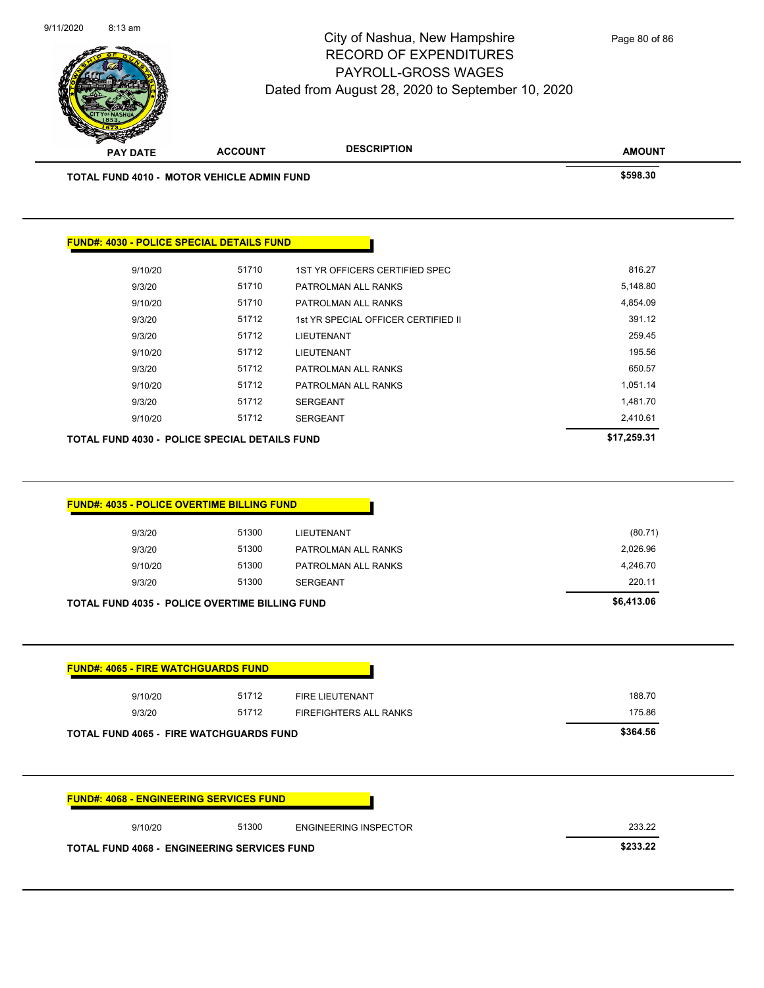

| 9/10/20                                        | 51712 | <b>FIRE LIEUTENANT</b>        | 188.70   |
|------------------------------------------------|-------|-------------------------------|----------|
| 9/3/20                                         | 51712 | <b>FIREFIGHTERS ALL RANKS</b> | 175.86   |
|                                                |       |                               |          |
|                                                |       |                               | \$364.56 |
|                                                |       |                               |          |
|                                                |       |                               |          |
| <b>TOTAL FUND 4065 - FIRE WATCHGUARDS FUND</b> |       |                               |          |
|                                                |       |                               |          |

**TOTAL FUND 4068 - ENGINEERING SERVICES FUND \$233.22**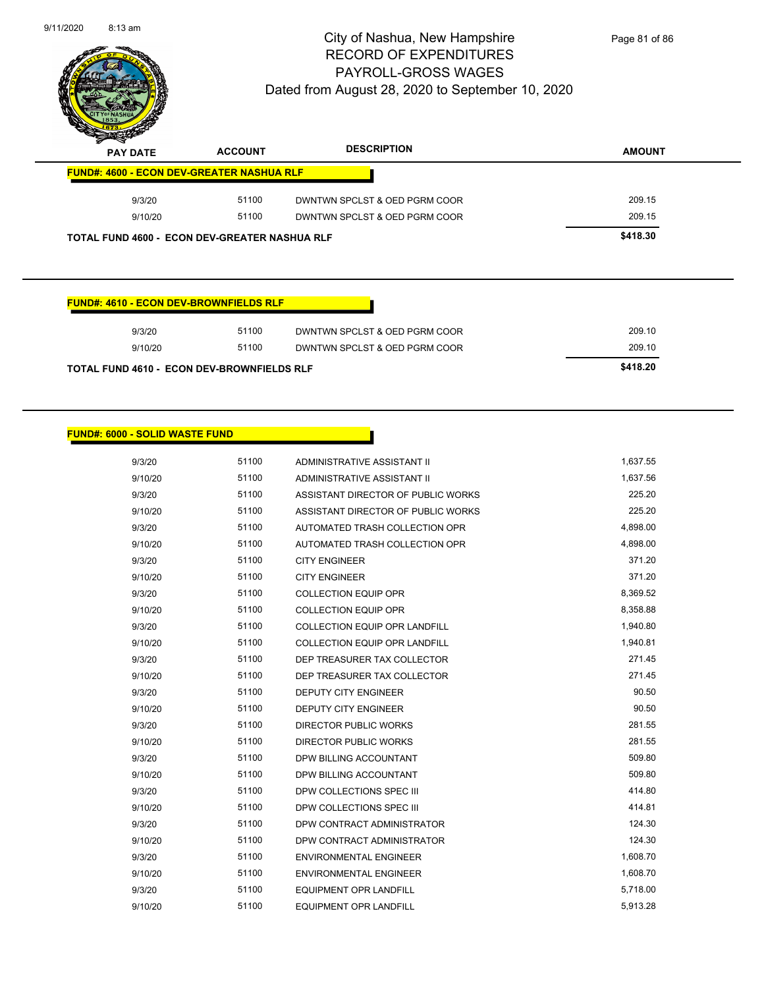

|                                                  | s<br>$\tilde{\phantom{a}}$<br><b>PAY DATE</b>        | <b>ACCOUNT</b> | <b>DESCRIPTION</b>            | <b>AMOUNT</b> |  |  |  |
|--------------------------------------------------|------------------------------------------------------|----------------|-------------------------------|---------------|--|--|--|
| <b>FUND#: 4600 - ECON DEV-GREATER NASHUA RLF</b> |                                                      |                |                               |               |  |  |  |
|                                                  | 9/3/20                                               | 51100          | DWNTWN SPCLST & OED PGRM COOR | 209.15        |  |  |  |
|                                                  | 9/10/20                                              | 51100          | DWNTWN SPCLST & OED PGRM COOR | 209.15        |  |  |  |
|                                                  | <b>TOTAL FUND 4600 - ECON DEV-GREATER NASHUA RLF</b> |                |                               | \$418.30      |  |  |  |

#### **FUND#: 4610 - ECON DEV-BROWNFIELDS RLF**

|       |                               | \$418.20                                          |
|-------|-------------------------------|---------------------------------------------------|
| 51100 | DWNTWN SPCLST & OED PGRM COOR | 209.10                                            |
| 51100 | DWNTWN SPCLST & OED PGRM COOR | 209.10                                            |
|       |                               | <b>TOTAL FUND 4610 - ECON DEV-BROWNFIELDS RLF</b> |

#### **FUND#: 6000 - SOLID WASTE FUND**

| 9/3/20  | 51100 | ADMINISTRATIVE ASSISTANT II          | 1,637.55 |
|---------|-------|--------------------------------------|----------|
| 9/10/20 | 51100 | ADMINISTRATIVE ASSISTANT II          | 1,637.56 |
| 9/3/20  | 51100 | ASSISTANT DIRECTOR OF PUBLIC WORKS   | 225.20   |
| 9/10/20 | 51100 | ASSISTANT DIRECTOR OF PUBLIC WORKS   | 225.20   |
| 9/3/20  | 51100 | AUTOMATED TRASH COLLECTION OPR       | 4,898.00 |
| 9/10/20 | 51100 | AUTOMATED TRASH COLLECTION OPR       | 4,898.00 |
| 9/3/20  | 51100 | <b>CITY ENGINEER</b>                 | 371.20   |
| 9/10/20 | 51100 | <b>CITY ENGINEER</b>                 | 371.20   |
| 9/3/20  | 51100 | <b>COLLECTION EQUIP OPR</b>          | 8,369.52 |
| 9/10/20 | 51100 | <b>COLLECTION EQUIP OPR</b>          | 8,358.88 |
| 9/3/20  | 51100 | <b>COLLECTION EQUIP OPR LANDFILL</b> | 1,940.80 |
| 9/10/20 | 51100 | <b>COLLECTION EQUIP OPR LANDFILL</b> | 1,940.81 |
| 9/3/20  | 51100 | DEP TREASURER TAX COLLECTOR          | 271.45   |
| 9/10/20 | 51100 | DEP TREASURER TAX COLLECTOR          | 271.45   |
| 9/3/20  | 51100 | <b>DEPUTY CITY ENGINEER</b>          | 90.50    |
| 9/10/20 | 51100 | <b>DEPUTY CITY ENGINEER</b>          | 90.50    |
| 9/3/20  | 51100 | <b>DIRECTOR PUBLIC WORKS</b>         | 281.55   |
| 9/10/20 | 51100 | <b>DIRECTOR PUBLIC WORKS</b>         | 281.55   |
| 9/3/20  | 51100 | DPW BILLING ACCOUNTANT               | 509.80   |
| 9/10/20 | 51100 | DPW BILLING ACCOUNTANT               | 509.80   |
| 9/3/20  | 51100 | DPW COLLECTIONS SPEC III             | 414.80   |
| 9/10/20 | 51100 | DPW COLLECTIONS SPEC III             | 414.81   |
| 9/3/20  | 51100 | DPW CONTRACT ADMINISTRATOR           | 124.30   |
| 9/10/20 | 51100 | DPW CONTRACT ADMINISTRATOR           | 124.30   |
| 9/3/20  | 51100 | <b>ENVIRONMENTAL ENGINEER</b>        | 1,608.70 |
| 9/10/20 | 51100 | <b>ENVIRONMENTAL ENGINEER</b>        | 1,608.70 |
| 9/3/20  | 51100 | <b>EQUIPMENT OPR LANDFILL</b>        | 5,718.00 |
| 9/10/20 | 51100 | <b>EQUIPMENT OPR LANDFILL</b>        | 5.913.28 |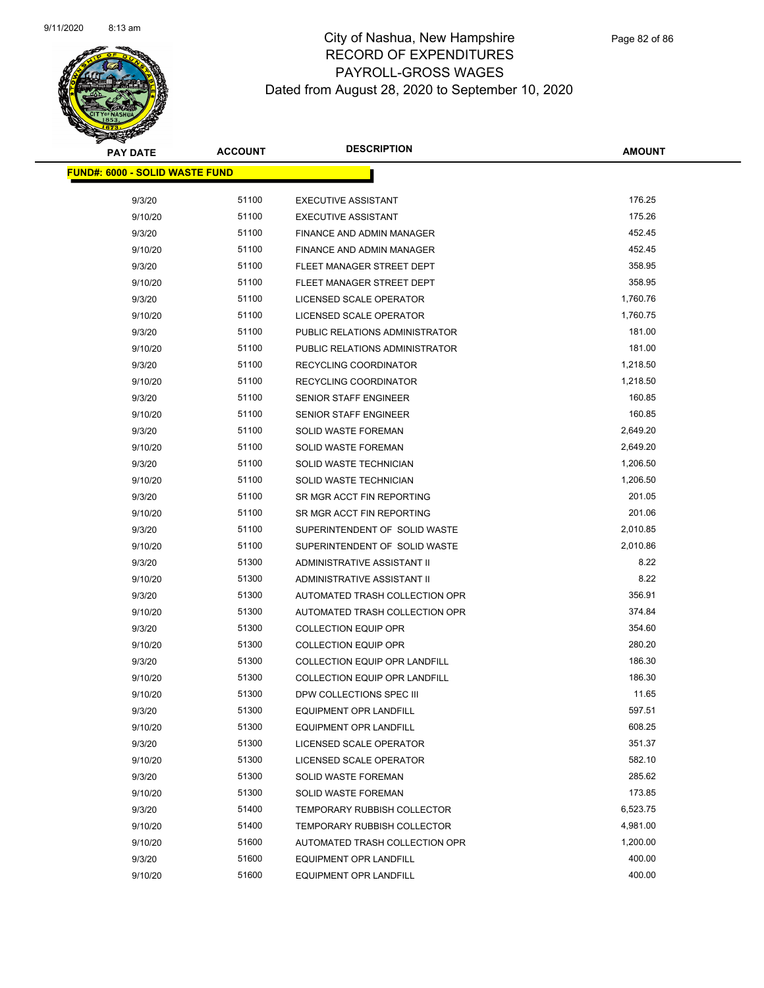

| <b>PAY DATE</b>                       | <b>ACCOUNT</b> | <b>DESCRIPTION</b>                   | <b>AMOUNT</b> |
|---------------------------------------|----------------|--------------------------------------|---------------|
| <b>FUND#: 6000 - SOLID WASTE FUND</b> |                |                                      |               |
|                                       |                |                                      |               |
| 9/3/20                                | 51100          | <b>EXECUTIVE ASSISTANT</b>           | 176.25        |
| 9/10/20                               | 51100          | <b>EXECUTIVE ASSISTANT</b>           | 175.26        |
| 9/3/20                                | 51100          | FINANCE AND ADMIN MANAGER            | 452.45        |
| 9/10/20                               | 51100          | FINANCE AND ADMIN MANAGER            | 452.45        |
| 9/3/20                                | 51100          | FLEET MANAGER STREET DEPT            | 358.95        |
| 9/10/20                               | 51100          | FLEET MANAGER STREET DEPT            | 358.95        |
| 9/3/20                                | 51100          | LICENSED SCALE OPERATOR              | 1,760.76      |
| 9/10/20                               | 51100          | LICENSED SCALE OPERATOR              | 1,760.75      |
| 9/3/20                                | 51100          | PUBLIC RELATIONS ADMINISTRATOR       | 181.00        |
| 9/10/20                               | 51100          | PUBLIC RELATIONS ADMINISTRATOR       | 181.00        |
| 9/3/20                                | 51100          | RECYCLING COORDINATOR                | 1,218.50      |
| 9/10/20                               | 51100          | RECYCLING COORDINATOR                | 1,218.50      |
| 9/3/20                                | 51100          | SENIOR STAFF ENGINEER                | 160.85        |
| 9/10/20                               | 51100          | <b>SENIOR STAFF ENGINEER</b>         | 160.85        |
| 9/3/20                                | 51100          | <b>SOLID WASTE FOREMAN</b>           | 2,649.20      |
| 9/10/20                               | 51100          | SOLID WASTE FOREMAN                  | 2,649.20      |
| 9/3/20                                | 51100          | SOLID WASTE TECHNICIAN               | 1,206.50      |
| 9/10/20                               | 51100          | SOLID WASTE TECHNICIAN               | 1,206.50      |
| 9/3/20                                | 51100          | SR MGR ACCT FIN REPORTING            | 201.05        |
| 9/10/20                               | 51100          | SR MGR ACCT FIN REPORTING            | 201.06        |
| 9/3/20                                | 51100          | SUPERINTENDENT OF SOLID WASTE        | 2,010.85      |
| 9/10/20                               | 51100          | SUPERINTENDENT OF SOLID WASTE        | 2,010.86      |
| 9/3/20                                | 51300          | ADMINISTRATIVE ASSISTANT II          | 8.22          |
| 9/10/20                               | 51300          | ADMINISTRATIVE ASSISTANT II          | 8.22          |
| 9/3/20                                | 51300          | AUTOMATED TRASH COLLECTION OPR       | 356.91        |
| 9/10/20                               | 51300          | AUTOMATED TRASH COLLECTION OPR       | 374.84        |
| 9/3/20                                | 51300          | <b>COLLECTION EQUIP OPR</b>          | 354.60        |
| 9/10/20                               | 51300          | <b>COLLECTION EQUIP OPR</b>          | 280.20        |
| 9/3/20                                | 51300          | <b>COLLECTION EQUIP OPR LANDFILL</b> | 186.30        |
| 9/10/20                               | 51300          | <b>COLLECTION EQUIP OPR LANDFILL</b> | 186.30        |
| 9/10/20                               | 51300          | DPW COLLECTIONS SPEC III             | 11.65         |
| 9/3/20                                | 51300          | <b>EQUIPMENT OPR LANDFILL</b>        | 597.51        |
| 9/10/20                               | 51300          | <b>EQUIPMENT OPR LANDFILL</b>        | 608.25        |
| 9/3/20                                | 51300          | LICENSED SCALE OPERATOR              | 351.37        |
| 9/10/20                               | 51300          | LICENSED SCALE OPERATOR              | 582.10        |
| 9/3/20                                | 51300          | SOLID WASTE FOREMAN                  | 285.62        |
| 9/10/20                               | 51300          | SOLID WASTE FOREMAN                  | 173.85        |
| 9/3/20                                | 51400          | <b>TEMPORARY RUBBISH COLLECTOR</b>   | 6,523.75      |
| 9/10/20                               | 51400          | <b>TEMPORARY RUBBISH COLLECTOR</b>   | 4,981.00      |
| 9/10/20                               | 51600          | AUTOMATED TRASH COLLECTION OPR       | 1,200.00      |
| 9/3/20                                | 51600          | <b>EQUIPMENT OPR LANDFILL</b>        | 400.00        |
| 9/10/20                               | 51600          | <b>EQUIPMENT OPR LANDFILL</b>        | 400.00        |
|                                       |                |                                      |               |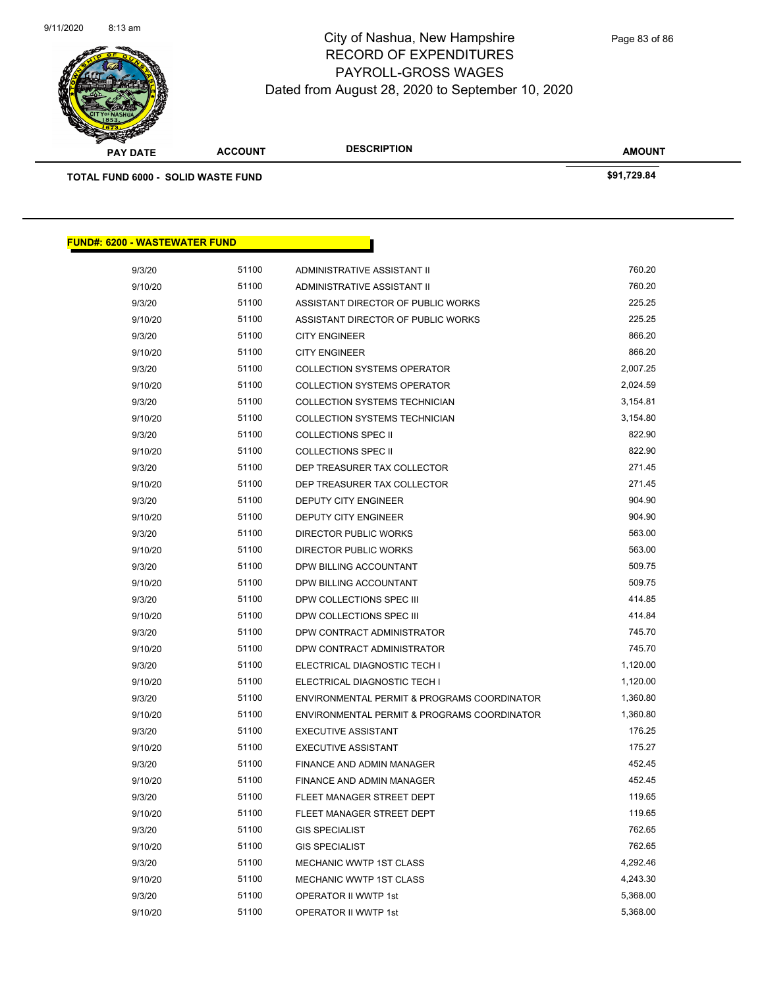

| <b>PAY DATE</b>                           | <b>ACCOUNT</b> | <b>DESCRIPTION</b>                          | AMOUNT      |  |
|-------------------------------------------|----------------|---------------------------------------------|-------------|--|
| <b>TOTAL FUND 6000 - SOLID WASTE FUND</b> |                |                                             | \$91,729.84 |  |
|                                           |                |                                             |             |  |
|                                           |                |                                             |             |  |
|                                           |                |                                             |             |  |
| <b>FUND#: 6200 - WASTEWATER FUND</b>      |                |                                             |             |  |
| 9/3/20                                    | 51100          | ADMINISTRATIVE ASSISTANT II                 | 760.20      |  |
| 9/10/20                                   | 51100          | ADMINISTRATIVE ASSISTANT II                 | 760.20      |  |
| 9/3/20                                    | 51100          | ASSISTANT DIRECTOR OF PUBLIC WORKS          | 225.25      |  |
| 9/10/20                                   | 51100          | ASSISTANT DIRECTOR OF PUBLIC WORKS          | 225.25      |  |
| 9/3/20                                    | 51100          | <b>CITY ENGINEER</b>                        | 866.20      |  |
| 9/10/20                                   | 51100          | <b>CITY ENGINEER</b>                        | 866.20      |  |
| 9/3/20                                    | 51100          | <b>COLLECTION SYSTEMS OPERATOR</b>          | 2,007.25    |  |
| 9/10/20                                   | 51100          | <b>COLLECTION SYSTEMS OPERATOR</b>          | 2,024.59    |  |
| 9/3/20                                    | 51100          | COLLECTION SYSTEMS TECHNICIAN               | 3,154.81    |  |
| 9/10/20                                   | 51100          | COLLECTION SYSTEMS TECHNICIAN               | 3,154.80    |  |
| 9/3/20                                    | 51100          | <b>COLLECTIONS SPEC II</b>                  | 822.90      |  |
| 9/10/20                                   | 51100          | <b>COLLECTIONS SPEC II</b>                  | 822.90      |  |
| 9/3/20                                    | 51100          | DEP TREASURER TAX COLLECTOR                 | 271.45      |  |
| 9/10/20                                   | 51100          | DEP TREASURER TAX COLLECTOR                 | 271.45      |  |
| 9/3/20                                    | 51100          | DEPUTY CITY ENGINEER                        | 904.90      |  |
| 9/10/20                                   | 51100          | DEPUTY CITY ENGINEER                        | 904.90      |  |
| 9/3/20                                    | 51100          | DIRECTOR PUBLIC WORKS                       | 563.00      |  |
| 9/10/20                                   | 51100          | <b>DIRECTOR PUBLIC WORKS</b>                | 563.00      |  |
| 9/3/20                                    | 51100          | DPW BILLING ACCOUNTANT                      | 509.75      |  |
| 9/10/20                                   | 51100          | DPW BILLING ACCOUNTANT                      | 509.75      |  |
| 9/3/20                                    | 51100          | DPW COLLECTIONS SPEC III                    | 414.85      |  |
| 9/10/20                                   | 51100          | DPW COLLECTIONS SPEC III                    | 414.84      |  |
| 9/3/20                                    | 51100          | DPW CONTRACT ADMINISTRATOR                  | 745.70      |  |
| 9/10/20                                   | 51100          | DPW CONTRACT ADMINISTRATOR                  | 745.70      |  |
| 9/3/20                                    | 51100          | ELECTRICAL DIAGNOSTIC TECH I                | 1,120.00    |  |
| 9/10/20                                   | 51100          | ELECTRICAL DIAGNOSTIC TECH I                | 1,120.00    |  |
| 9/3/20                                    | 51100          | ENVIRONMENTAL PERMIT & PROGRAMS COORDINATOR | 1,360.80    |  |
| 9/10/20                                   | 51100          | ENVIRONMENTAL PERMIT & PROGRAMS COORDINATOR | 1,360.80    |  |
| 9/3/20                                    | 51100          | <b>EXECUTIVE ASSISTANT</b>                  | 176.25      |  |
| 9/10/20                                   | 51100          | <b>EXECUTIVE ASSISTANT</b>                  | 175.27      |  |
| 9/3/20                                    | 51100          | FINANCE AND ADMIN MANAGER                   | 452.45      |  |
| 9/10/20                                   | 51100          | FINANCE AND ADMIN MANAGER                   | 452.45      |  |
| 9/3/20                                    | 51100          | FLEET MANAGER STREET DEPT                   | 119.65      |  |
| 9/10/20                                   | 51100          | FLEET MANAGER STREET DEPT                   | 119.65      |  |
| 9/3/20                                    | 51100          | <b>GIS SPECIALIST</b>                       | 762.65      |  |
| 9/10/20                                   | 51100          | <b>GIS SPECIALIST</b>                       | 762.65      |  |
| 9/3/20                                    | 51100          | MECHANIC WWTP 1ST CLASS                     | 4,292.46    |  |
| 9/10/20                                   | 51100          | MECHANIC WWTP 1ST CLASS                     | 4,243.30    |  |
| 9/3/20                                    | 51100          | OPERATOR II WWTP 1st                        | 5,368.00    |  |
| 9/10/20                                   | 51100          | OPERATOR II WWTP 1st                        | 5,368.00    |  |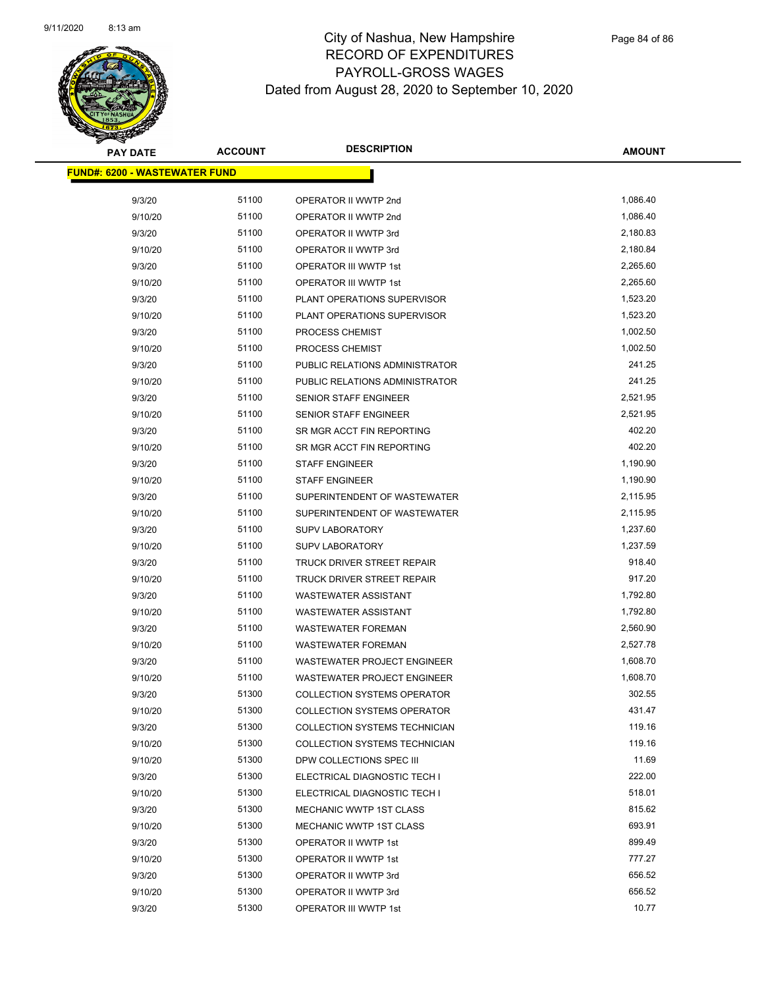

| <b>PAY DATE</b>                      | <b>ACCOUNT</b> | <b>DESCRIPTION</b>                 | <b>AMOUNT</b> |
|--------------------------------------|----------------|------------------------------------|---------------|
| <b>FUND#: 6200 - WASTEWATER FUND</b> |                |                                    |               |
|                                      |                |                                    |               |
| 9/3/20                               | 51100          | OPERATOR II WWTP 2nd               | 1,086.40      |
| 9/10/20                              | 51100          | OPERATOR II WWTP 2nd               | 1,086.40      |
| 9/3/20                               | 51100          | OPERATOR II WWTP 3rd               | 2,180.83      |
| 9/10/20                              | 51100          | OPERATOR II WWTP 3rd               | 2,180.84      |
| 9/3/20                               | 51100          | OPERATOR III WWTP 1st              | 2,265.60      |
| 9/10/20                              | 51100          | OPERATOR III WWTP 1st              | 2,265.60      |
| 9/3/20                               | 51100          | PLANT OPERATIONS SUPERVISOR        | 1,523.20      |
| 9/10/20                              | 51100          | PLANT OPERATIONS SUPERVISOR        | 1,523.20      |
| 9/3/20                               | 51100          | PROCESS CHEMIST                    | 1,002.50      |
| 9/10/20                              | 51100          | PROCESS CHEMIST                    | 1,002.50      |
| 9/3/20                               | 51100          | PUBLIC RELATIONS ADMINISTRATOR     | 241.25        |
| 9/10/20                              | 51100          | PUBLIC RELATIONS ADMINISTRATOR     | 241.25        |
| 9/3/20                               | 51100          | <b>SENIOR STAFF ENGINEER</b>       | 2,521.95      |
| 9/10/20                              | 51100          | <b>SENIOR STAFF ENGINEER</b>       | 2,521.95      |
| 9/3/20                               | 51100          | SR MGR ACCT FIN REPORTING          | 402.20        |
| 9/10/20                              | 51100          | SR MGR ACCT FIN REPORTING          | 402.20        |
| 9/3/20                               | 51100          | <b>STAFF ENGINEER</b>              | 1,190.90      |
| 9/10/20                              | 51100          | <b>STAFF ENGINEER</b>              | 1,190.90      |
| 9/3/20                               | 51100          | SUPERINTENDENT OF WASTEWATER       | 2,115.95      |
| 9/10/20                              | 51100          | SUPERINTENDENT OF WASTEWATER       | 2,115.95      |
| 9/3/20                               | 51100          | <b>SUPV LABORATORY</b>             | 1,237.60      |
| 9/10/20                              | 51100          | <b>SUPV LABORATORY</b>             | 1,237.59      |
| 9/3/20                               | 51100          | TRUCK DRIVER STREET REPAIR         | 918.40        |
| 9/10/20                              | 51100          | TRUCK DRIVER STREET REPAIR         | 917.20        |
| 9/3/20                               | 51100          | <b>WASTEWATER ASSISTANT</b>        | 1,792.80      |
| 9/10/20                              | 51100          | <b>WASTEWATER ASSISTANT</b>        | 1,792.80      |
| 9/3/20                               | 51100          | <b>WASTEWATER FOREMAN</b>          | 2,560.90      |
| 9/10/20                              | 51100          | <b>WASTEWATER FOREMAN</b>          | 2,527.78      |
| 9/3/20                               | 51100          | <b>WASTEWATER PROJECT ENGINEER</b> | 1,608.70      |
| 9/10/20                              | 51100          | <b>WASTEWATER PROJECT ENGINEER</b> | 1,608.70      |
| 9/3/20                               | 51300          | <b>COLLECTION SYSTEMS OPERATOR</b> | 302.55        |
| 9/10/20                              | 51300          | <b>COLLECTION SYSTEMS OPERATOR</b> | 431.47        |
| 9/3/20                               | 51300          | COLLECTION SYSTEMS TECHNICIAN      | 119.16        |
| 9/10/20                              | 51300          | COLLECTION SYSTEMS TECHNICIAN      | 119.16        |
| 9/10/20                              | 51300          | DPW COLLECTIONS SPEC III           | 11.69         |
| 9/3/20                               | 51300          | ELECTRICAL DIAGNOSTIC TECH I       | 222.00        |
| 9/10/20                              | 51300          | ELECTRICAL DIAGNOSTIC TECH I       | 518.01        |
| 9/3/20                               | 51300          | MECHANIC WWTP 1ST CLASS            | 815.62        |
| 9/10/20                              | 51300          | MECHANIC WWTP 1ST CLASS            | 693.91        |
| 9/3/20                               | 51300          | OPERATOR II WWTP 1st               | 899.49        |
| 9/10/20                              | 51300          | <b>OPERATOR II WWTP 1st</b>        | 777.27        |
| 9/3/20                               | 51300          | OPERATOR II WWTP 3rd               | 656.52        |
| 9/10/20                              | 51300          | OPERATOR II WWTP 3rd               | 656.52        |
| 9/3/20                               | 51300          | OPERATOR III WWTP 1st              | 10.77         |
|                                      |                |                                    |               |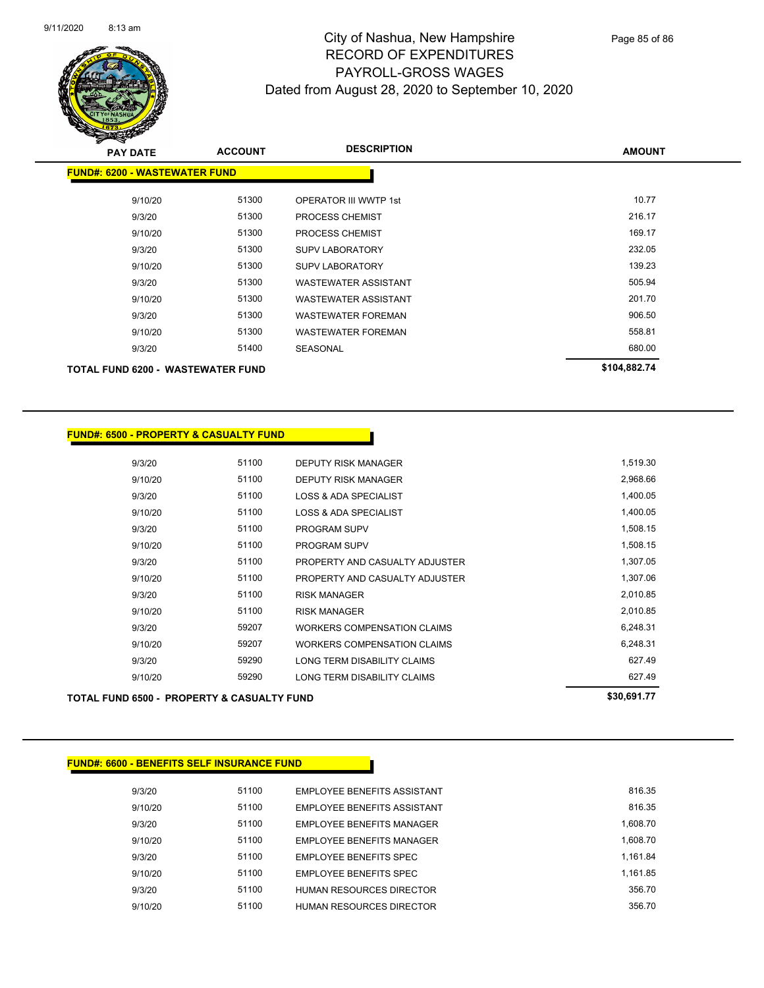

| <b>PAY DATE</b>                      | <b>ACCOUNT</b> | <b>DESCRIPTION</b>           | <b>AMOUNT</b> |
|--------------------------------------|----------------|------------------------------|---------------|
| <b>FUND#: 6200 - WASTEWATER FUND</b> |                |                              |               |
| 9/10/20                              | 51300          | <b>OPERATOR III WWTP 1st</b> | 10.77         |
| 9/3/20                               | 51300          | PROCESS CHEMIST              | 216.17        |
| 9/10/20                              | 51300          | PROCESS CHEMIST              | 169.17        |
| 9/3/20                               | 51300          | <b>SUPV LABORATORY</b>       | 232.05        |
| 9/10/20                              | 51300          | <b>SUPV LABORATORY</b>       | 139.23        |
| 9/3/20                               | 51300          | <b>WASTEWATER ASSISTANT</b>  | 505.94        |
| 9/10/20                              | 51300          | <b>WASTEWATER ASSISTANT</b>  | 201.70        |
| 9/3/20                               | 51300          | <b>WASTEWATER FOREMAN</b>    | 906.50        |
| 9/10/20                              | 51300          | <b>WASTEWATER FOREMAN</b>    | 558.81        |
| 9/3/20                               | 51400          | <b>SEASONAL</b>              | 680.00        |
| TOTAL FUND 6200 - WASTEWATER FUND    |                |                              | \$104,882.74  |

| <b>FUND#: 6500 - PROPERTY &amp; CASUALTY FUND</b> |             |                                    |          |
|---------------------------------------------------|-------------|------------------------------------|----------|
|                                                   |             |                                    |          |
| 9/3/20                                            | 51100       | <b>DEPUTY RISK MANAGER</b>         | 1,519.30 |
| 9/10/20                                           | 51100       | <b>DEPUTY RISK MANAGER</b>         | 2,968.66 |
| 9/3/20                                            | 51100       | <b>LOSS &amp; ADA SPECIALIST</b>   | 1,400.05 |
| 9/10/20                                           | 51100       | <b>LOSS &amp; ADA SPECIALIST</b>   | 1,400.05 |
| 9/3/20                                            | 51100       | <b>PROGRAM SUPV</b>                | 1,508.15 |
| 9/10/20                                           | 51100       | <b>PROGRAM SUPV</b>                | 1,508.15 |
| 9/3/20                                            | 51100       | PROPERTY AND CASUALTY ADJUSTER     | 1,307.05 |
| 9/10/20                                           | 51100       | PROPERTY AND CASUALTY ADJUSTER     | 1,307.06 |
| 9/3/20                                            | 51100       | <b>RISK MANAGER</b>                | 2,010.85 |
| 9/10/20                                           | 51100       | <b>RISK MANAGER</b>                | 2,010.85 |
| 9/3/20                                            | 59207       | <b>WORKERS COMPENSATION CLAIMS</b> | 6,248.31 |
| 9/10/20                                           | 59207       | <b>WORKERS COMPENSATION CLAIMS</b> | 6,248.31 |
| 9/3/20                                            | 59290       | LONG TERM DISABILITY CLAIMS        | 627.49   |
| 9/10/20                                           | 59290       | LONG TERM DISABILITY CLAIMS        | 627.49   |
| TOTAL FUND 6500 - PROPERTY & CASUALTY FUND        | \$30,691.77 |                                    |          |

#### **FUND#: 6600 - BENEFITS SELF INSURANCE FUND**

| 9/3/20  | 51100 | EMPLOYEE BENEFITS ASSISTANT     | 816.35   |
|---------|-------|---------------------------------|----------|
| 9/10/20 | 51100 | EMPLOYEE BENEFITS ASSISTANT     | 816.35   |
| 9/3/20  | 51100 | EMPLOYEE BENEFITS MANAGER       | 1.608.70 |
| 9/10/20 | 51100 | EMPLOYEE BENEFITS MANAGER       | 1.608.70 |
| 9/3/20  | 51100 | EMPLOYEE BENEFITS SPEC          | 1.161.84 |
| 9/10/20 | 51100 | EMPLOYEE BENEFITS SPEC          | 1.161.85 |
| 9/3/20  | 51100 | <b>HUMAN RESOURCES DIRECTOR</b> | 356.70   |
| 9/10/20 | 51100 | HUMAN RESOURCES DIRECTOR        | 356.70   |